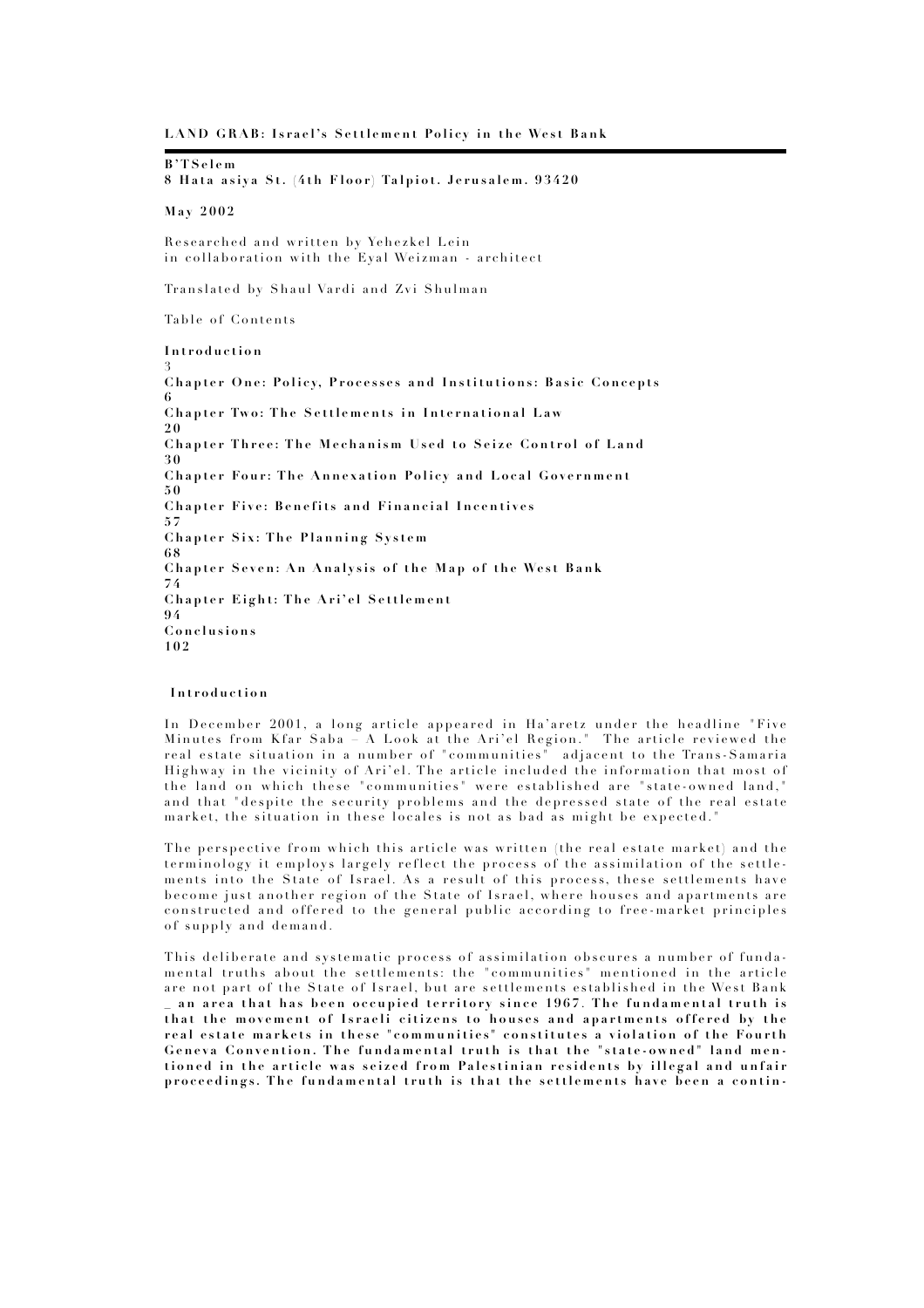**LAND GRAB: Israel's Settlement Policy in the West Bank**

#### **B'TSelem**

**8 Hata asiya St. (4th Floor) Talpiot. Jerusalem. 93420** 

**May 2002**

Researched and written by Yehezkel Lein in collaboration with the Eyal Weizman - architect

Translated by Shaul Vardi and Zvi Shulman

Table of Contents

**Introduction**

3 **Chapter One: Policy, Processes and Institutions: Basic Concepts 6 Chapter Two: The Settlements in International Law 2 0 Chapter Three: The Mechanism Used to Seize Control of Land 30 Chapter Four: The Annexation Policy and Local Government 5 0 Chapter Five: Benefits and Financial Incentives 5 7 Chapter Six: The Planning System 6 8 Chapter Seven: An Analysis of the Map of the West Bank 7 4 Chapter Eight: The Ari'el Settlement 9 4 Conclusions 102**

### **Introduction**

In December 2001, a long article appeared in Ha'aretz under the headline "Five Minutes from Kfar Saba – A Look at the Ari'el Region." The article reviewed the real estate situation in a number of "communities" adjacent to the Trans-Samaria Highway in the vicinity of Ari'el. The article included the information that most of the land on which these "communities" were established are "state-owned land," and that "despite the security problems and the depressed state of the real estate market, the situation in these locales is not as bad as might be expected."

The perspective from which this article was written (the real estate market) and the terminology it employs largely reflect the process of the assimilation of the settlements into the State of Israel. As a result of this process, these settlements have become just another region of the State of Israel, where houses and apartments are constructed and offered to the general public according to free-market principles of supply and demand.

This deliberate and systematic process of assimilation obscures a number of fundamental truths about the settlements: the "communities" mentioned in the article are not part of the State of Israel, but are settlements established in the West Bank \_ **an area that has been occupied territory since 1967** . **The fundamental truth is that the movement of Israeli citizens to houses and apartments offered by the real estate markets in these "communities" constitutes a violation of the Fourth Geneva Convention. The fundamental truth is that the "state-owned" land mentioned in the article was seized from Palestinian residents by illegal and unfair proceedings. The fundamental truth is that the settlements have been a contin-**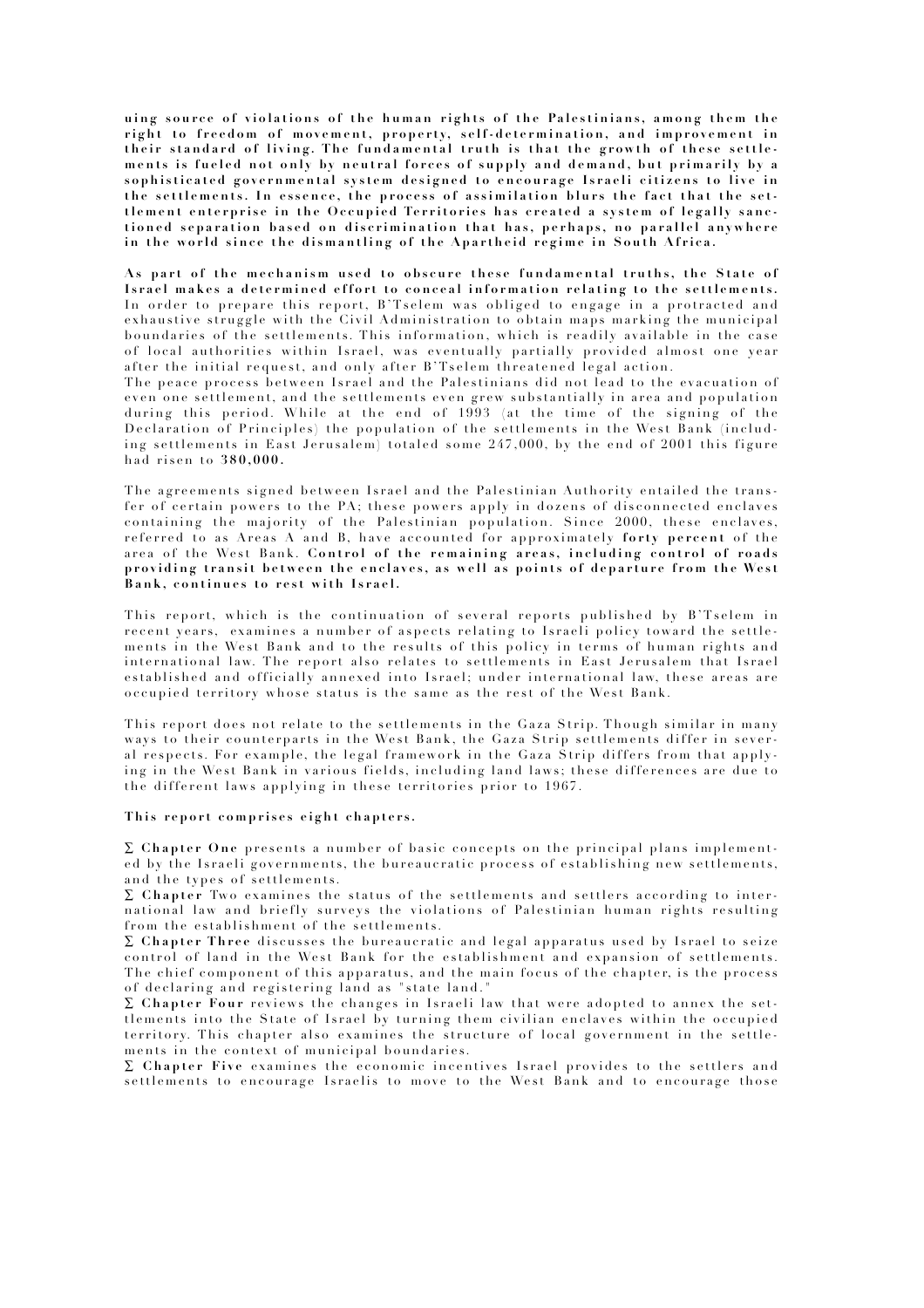**uing source of violations of the human rights of the Palestinians, among them the right to freedom of movement, property, self-determination, and improvement in their standard of living. The fundamental truth is that the growth of these settlements is fueled not only by neutral forces of supply and demand, but primarily by a sophisticated governmental system designed to encourage Israeli citizens to live in the settlements. In essence, the process of assimilation blurs the fact that the settlement enterprise in the Occupied Territories has created a system of legally sanctioned separation based on discrimination that has, perhaps, no parallel anywhere in the world since the dismantling of the Apartheid regime in South Africa.**

**As part of the mechanism used to obscure these fundamental truths, the State of Israel makes a determined effort to conceal information relating to the settlements.** In order to prepare this report, B'Tselem was obliged to engage in a protracted and exhaustive struggle with the Civil Administration to obtain maps marking the municipal boundaries of the settlements. This information, which is readily available in the case of local authorities within Israel, was eventually partially provided almost one year after the initial request, and only after B'Tselem threatened legal action.

The peace process between Israel and the Palestinians did not lead to the evacuation of even one settlement, and the settlements even grew substantially in area and population during this period. While at the end of 1993 (at the time of the signing of the Declaration of Principles) the population of the settlements in the West Bank (including settlements in East Jerusalem) totaled some 247,000, by the end of 2001 this figure had risen to **380,000.**

The agreements signed between Israel and the Palestinian Authority entailed the transfer of certain powers to the PA; these powers apply in dozens of disconnected enclaves containing the majority of the Palestinian population. Since 2000, these enclaves, referred to as Areas A and B, have accounted for approximately **forty percent** of the area of the West Bank. **Control of the remaining areas, including control of roads providing transit between the enclaves, as well as points of departure from the West Bank, continues to rest with Israel.**

This report, which is the continuation of several reports published by B'Tselem in recent years, examines a number of aspects relating to Israeli policy toward the settlements in the West Bank and to the results of this policy in terms of human rights and international law. The report also relates to settlements in East Jerusalem that Israel established and officially annexed into Israel; under international law, these areas are occupied territory whose status is the same as the rest of the West Bank.

This report does not relate to the settlements in the Gaza Strip. Though similar in many ways to their counterparts in the West Bank, the Gaza Strip settlements differ in several respects. For example, the legal framework in the Gaza Strip differs from that applying in the West Bank in various fields, including land laws; these differences are due to the different laws applying in these territories prior to 1967.

#### **This report comprises eight chapters.**

∑ **Chapter One** presents a number of basic concepts on the principal plans implemented by the Israeli governments, the bureaucratic process of establishing new settlements, and the types of settlements.

∑ **Chapter** Two examines the status of the settlements and settlers according to international law and briefly surveys the violations of Palestinian human rights resulting from the establishment of the settlements.

∑ **Chapter Three** discusses the bureaucratic and legal apparatus used by Israel to seize control of land in the West Bank for the establishment and expansion of settlements. The chief component of this apparatus, and the main focus of the chapter, is the process of declaring and registering land as "state land."

∑ **Chapter Four** reviews the changes in Israeli law that were adopted to annex the settlements into the State of Israel by turning them civilian enclaves within the occupied territory. This chapter also examines the structure of local government in the settlements in the context of municipal boundaries.

∑ **Chapter Five** examines the economic incentives Israel provides to the settlers and settlements to encourage Israelis to move to the West Bank and to encourage those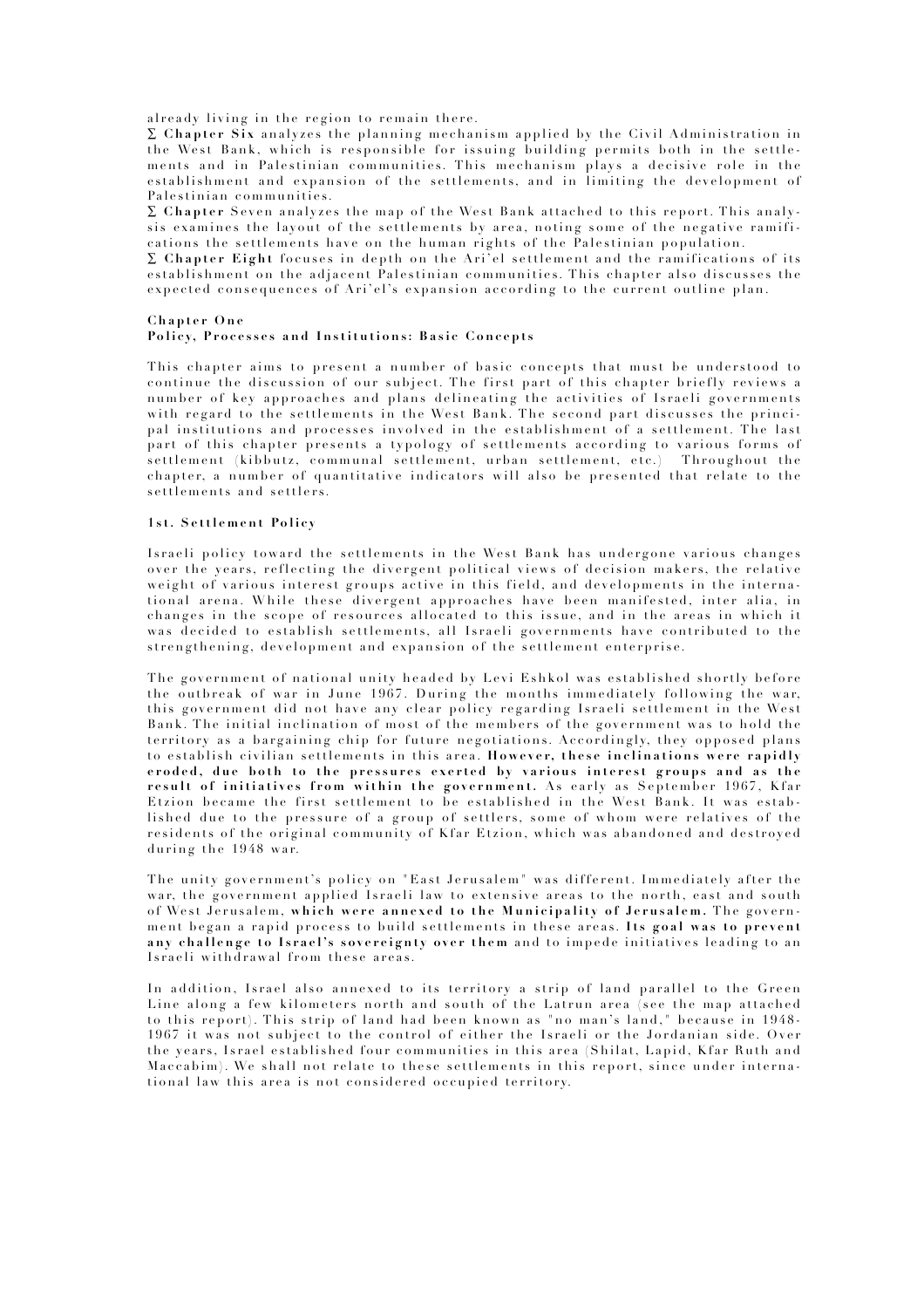already living in the region to remain there.

∑ **Chapter Six** analyzes the planning mechanism applied by the Civil Administration in the West Bank, which is responsible for issuing building permits both in the settlements and in Palestinian communities. This mechanism plays a decisive role in the establishment and expansion of the settlements, and in limiting the development of Palestinian communities.

∑ **Chapter** Seven analyzes the map of the West Bank attached to this report. This analysis examines the layout of the settlements by area, noting some of the negative ramifications the settlements have on the human rights of the Palestinian population.

∑ **Chapter Eight** focuses in depth on the Ari'el settlement and the ramifications of its establishment on the adjacent Palestinian communities. This chapter also discusses the expected consequences of Ari'el's expansion according to the current outline plan.

#### **Chapter One Policy, Processes and Institutions: Basic Concepts**

This chapter aims to present a number of basic concepts that must be understood to continue the discussion of our subject. The first part of this chapter briefly reviews a number of key approaches and plans delineating the activities of Israeli governments with regard to the settlements in the West Bank. The second part discusses the principal institutions and processes involved in the establishment of a settlement. The last part of this chapter presents a typology of settlements according to various forms of settlement (kibbutz, communal settlement, urban settlement, etc.) Throughout the chapter, a number of quantitative indicators will also be presented that relate to the settlements and settlers.

## **1st. Settlement Policy**

Israeli policy toward the settlements in the West Bank has undergone various changes over the years, reflecting the divergent political views of decision makers, the relative weight of various interest groups active in this field, and developments in the international arena. While these divergent approaches have been manifested, inter alia, in changes in the scope of resources allocated to this issue, and in the areas in which it was decided to establish settlements, all Israeli governments have contributed to the strengthening, development and expansion of the settlement enterprise.

The government of national unity headed by Levi Eshkol was established shortly before the outbreak of war in June 1967. During the months immediately following the war, this government did not have any clear policy regarding Israeli settlement in the West Bank. The initial inclination of most of the members of the government was to hold the territory as a bargaining chip for future negotiations. Accordingly, they opposed plans to establish civilian settlements in this area. **However, these inclinations were rapidly eroded, due both to the pressures exerted by various interest groups and as the result of initiatives from within the government.** As early as September 1967, Kfar Etzion became the first settlement to be established in the West Bank. It was established due to the pressure of a group of settlers, some of whom were relatives of the residents of the original community of Kfar Etzion, which was abandoned and destroyed during the 1948 war.

The unity government's policy on "East Jerusalem" was different. Immediately after the war, the government applied Israeli law to extensive areas to the north, east and south of West Jerusalem, **which were annexed to the Municipality of Jerusalem.** The government began a rapid process to build settlements in these areas. **Its goal was to prevent any challenge to Israel's sovereignty over them** and to impede initiatives leading to an Israeli withdrawal from these areas.

In addition, Israel also annexed to its territory a strip of land parallel to the Green Line along a few kilometers north and south of the Latrun area (see the map attached to this report). This strip of land had been known as "no man's land," because in 1948- 1967 it was not subject to the control of either the Israeli or the Jordanian side. Over the years, Israel established four communities in this area (Shilat, Lapid, Kfar Ruth and Maccabim). We shall not relate to these settlements in this report, since under international law this area is not considered occupied territory.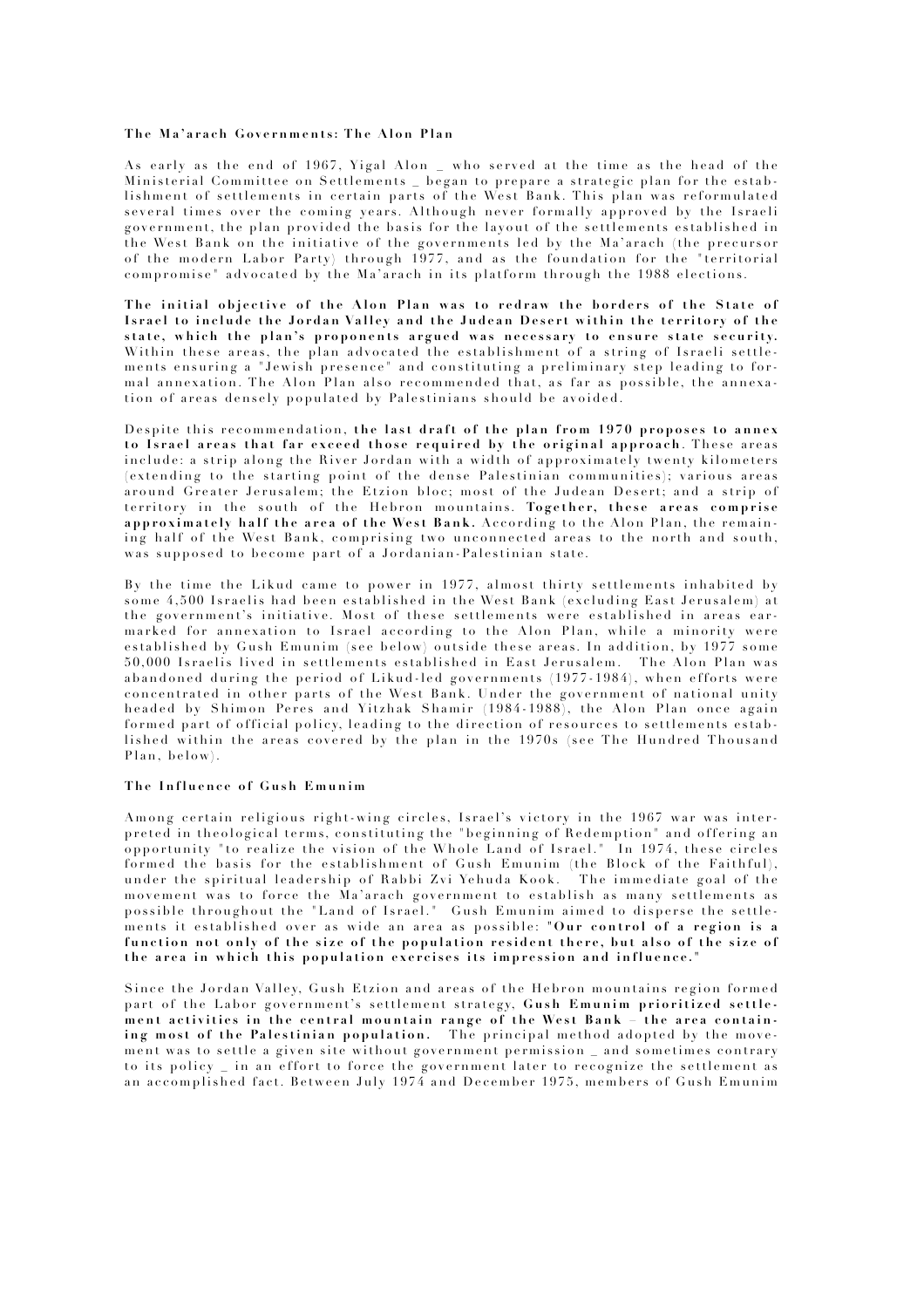#### **The Ma'arach Governments: The Alon Plan**

As early as the end of 1967, Yigal Alon \_ who served at the time as the head of the Ministerial Committee on Settlements \_ began to prepare a strategic plan for the establishment of settlements in certain parts of the West Bank. This plan was reformulated several times over the coming years. Although never formally approved by the Israeli government, the plan provided the basis for the layout of the settlements established in the West Bank on the initiative of the governments led by the Ma'arach (the precursor of the modern Labor Party) through 1977, and as the foundation for the "territorial compromise" advocated by the Ma'arach in its platform through the 1988 elections.

**The initial objective of the Alon Plan was to redraw the borders of the State of Israel to include the Jordan Valley and the Judean Desert within the territory of the state, which the plan's proponents argued was necessary to ensure state security.** Within these areas, the plan advocated the establishment of a string of Israeli settlements ensuring a "Jewish presence" and constituting a preliminary step leading to formal annexation. The Alon Plan also recommended that, as far as possible, the annexation of areas densely populated by Palestinians should be avoided.

Despite this recommendation, **the last draft of the plan from 1970 proposes to annex to Israel areas that far exceed those required by the original approach** . These areas include: a strip along the River Jordan with a width of approximately twenty kilometers (extending to the starting point of the dense Palestinian communities); various areas around Greater Jerusalem; the Etzion bloc; most of the Judean Desert; and a strip of territory in the south of the Hebron mountains. **Together, these areas comprise approximately half the area of the West Bank.** According to the Alon Plan, the remaining half of the West Bank, comprising two unconnected areas to the north and south, was supposed to become part of a Jordanian-Palestinian state.

By the time the Likud came to power in 1977, almost thirty settlements inhabited by some 4,500 Israelis had been established in the West Bank (excluding East Jerusalem) at the government's initiative. Most of these settlements were established in areas earmarked for annexation to Israel according to the Alon Plan, while a minority were established by Gush Emunim (see below) outside these areas. In addition, by 1977 some 50,000 Israelis lived in settlements established in East Jerusalem. The Alon Plan was abandoned during the period of Likud-led governments (1977-1984), when efforts were concentrated in other parts of the West Bank. Under the government of national unity headed by Shimon Peres and Yitzhak Shamir (1984-1988), the Alon Plan once again formed part of official policy, leading to the direction of resources to settlements established within the areas covered by the plan in the 1970s (see The Hundred Thousand Plan, below).

### **The Influence of Gush Emunim**

Among certain religious right-wing circles, Israel's victory in the 1967 war was interpreted in theological terms, constituting the "beginning of Redemption" and offering an opportunity "to realize the vision of the Whole Land of Israel." In 1974, these circles formed the basis for the establishment of Gush Emunim (the Block of the Faithful), under the spiritual leadership of Rabbi Zvi Yehuda Kook. The immediate goal of the movement was to force the Ma'arach government to establish as many settlements as possible throughout the "Land of Israel." Gush Emunim aimed to disperse the settlements it established over as wide an area as possible: **"Our control of a region is a function not only of the size of the population resident there, but also of the size of the area in which this population exercises its impression and influence."**

Since the Jordan Valley, Gush Etzion and areas of the Hebron mountains region formed part of the Labor government's settlement strategy, **Gush Emunim prioritized settlement activities in the central mountain range of the West Bank – the area containing most of the Palestinian population.** The principal method adopted by the movement was to settle a given site without government permission \_ and sometimes contrary to its policy \_ in an effort to force the government later to recognize the settlement as an accomplished fact. Between July 1974 and December 1975, members of Gush Emunim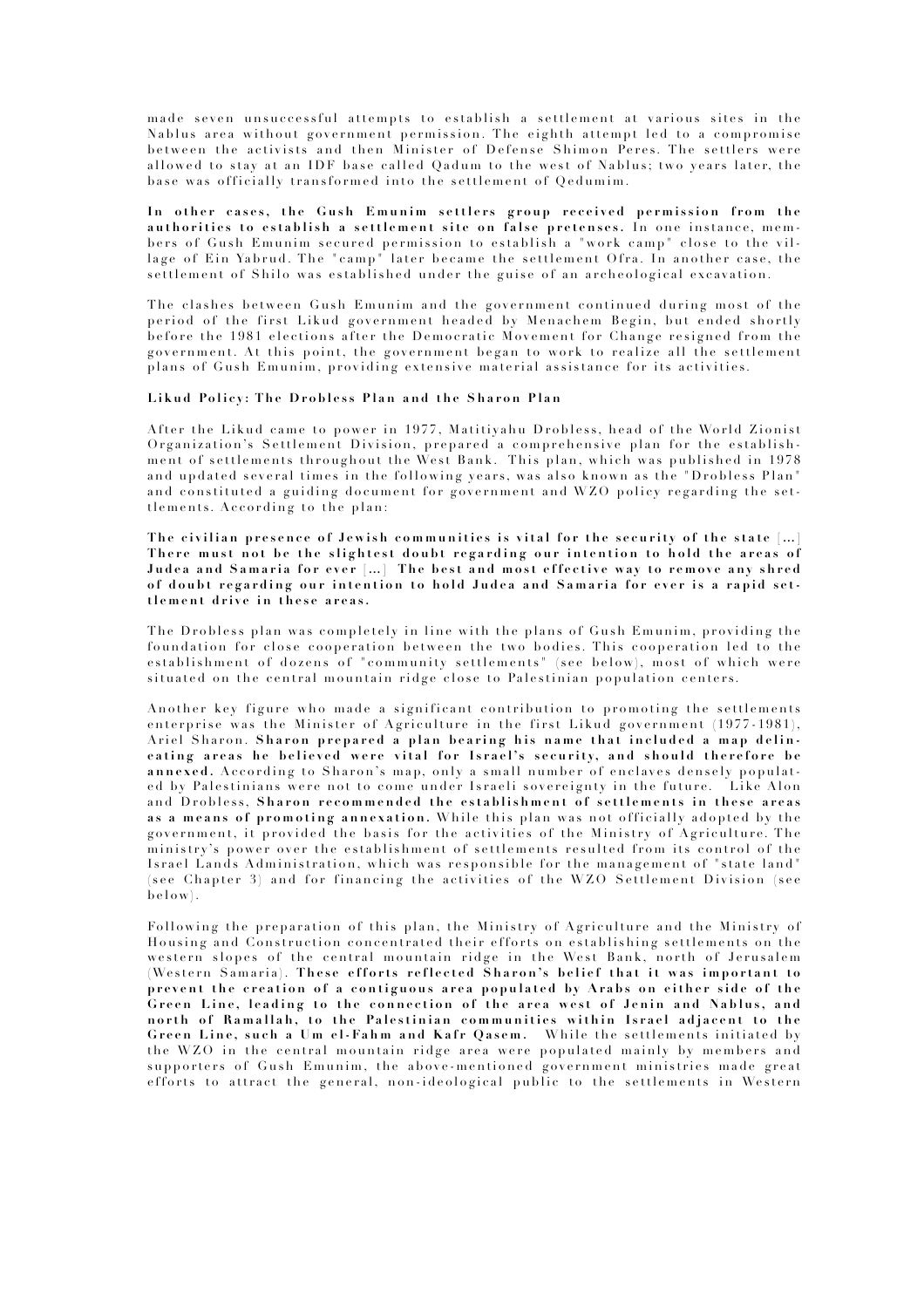made seven unsuccessful attempts to establish a settlement at various sites in the Nablus area without government permission. The eighth attempt led to a compromise between the activists and then Minister of Defense Shimon Peres. The settlers were allowed to stay at an IDF base called Qadum to the west of Nablus; two years later, the base was officially transformed into the settlement of Qedumim.

**In other cases, the Gush Emunim settlers group received permission from the authorities to establish a settlement site on false pretenses.** In one instance, members of Gush Emunim secured permission to establish a "work camp" close to the village of Ein Yabrud. The "camp" later became the settlement Ofra. In another case, the settlement of Shilo was established under the guise of an archeological excavation.

The clashes between Gush Emunim and the government continued during most of the period of the first Likud government headed by Menachem Begin, but ended shortly before the 1981 elections after the Democratic Movement for Change resigned from the government. At this point, the government began to work to realize all the settlement plans of Gush Emunim, providing extensive material assistance for its activities.

# **Likud Policy: The Drobless Plan and the Sharon Plan**

After the Likud came to power in 1977, Matitiyahu Drobless, head of the World Zionist Organization's Settlement Division, prepared a comprehensive plan for the establishment of settlements throughout the West Bank. This plan, which was published in 1978 and updated several times in the following years, was also known as the "Drobless Plan" and constituted a guiding document for government and WZO policy regarding the settlements. According to the plan:

**The civilian presence of Jewish communities is vital for the security of the state […] There must not be the slightest doubt regarding our intention to hold the areas of Judea and Samaria for ever […] The best and most effective way to remove any shred of doubt regarding our intention to hold Judea and Samaria for ever is a rapid settlement drive in these areas.**

The Drobless plan was completely in line with the plans of Gush Emunim, providing the foundation for close cooperation between the two bodies. This cooperation led to the establishment of dozens of "community settlements" (see below), most of which were situated on the central mountain ridge close to Palestinian population centers.

Another key figure who made a significant contribution to promoting the settlements enterprise was the Minister of Agriculture in the first Likud government (1977-1981), Ariel Sharon. **Sharon prepared a plan bearing his name that included a map delineating areas he believed were vital for Israel's security, and should therefore be annexed.** According to Sharon's map, only a small number of enclaves densely populated by Palestinians were not to come under Israeli sovereignty in the future. Like Alon and Drobless, **Sharon recommended the establishment of settlements in these areas as a means of promoting annexation.** While this plan was not officially adopted by the government, it provided the basis for the activities of the Ministry of Agriculture. The ministry's power over the establishment of settlements resulted from its control of the Israel Lands Administration, which was responsible for the management of "state land" (see Chapter 3) and for financing the activities of the WZO Settlement Division (see below).

Following the preparation of this plan, the Ministry of Agriculture and the Ministry of Housing and Construction concentrated their efforts on establishing settlements on the western slopes of the central mountain ridge in the West Bank, north of Jerusalem (Western Samaria). **These efforts reflected Sharon's belief that it was important to prevent the creation of a contiguous area populated by Arabs on either side of the Green Line, leading to the connection of the area west of Jenin and Nablus, and north of Ramallah, to the Palestinian communities within Israel adjacent to the Green Line, such a Um el-Fahm and Kafr Qasem.** While the settlements initiated by the WZO in the central mountain ridge area were populated mainly by members and supporters of Gush Emunim, the above-mentioned government ministries made great efforts to attract the general, non-ideological public to the settlements in Western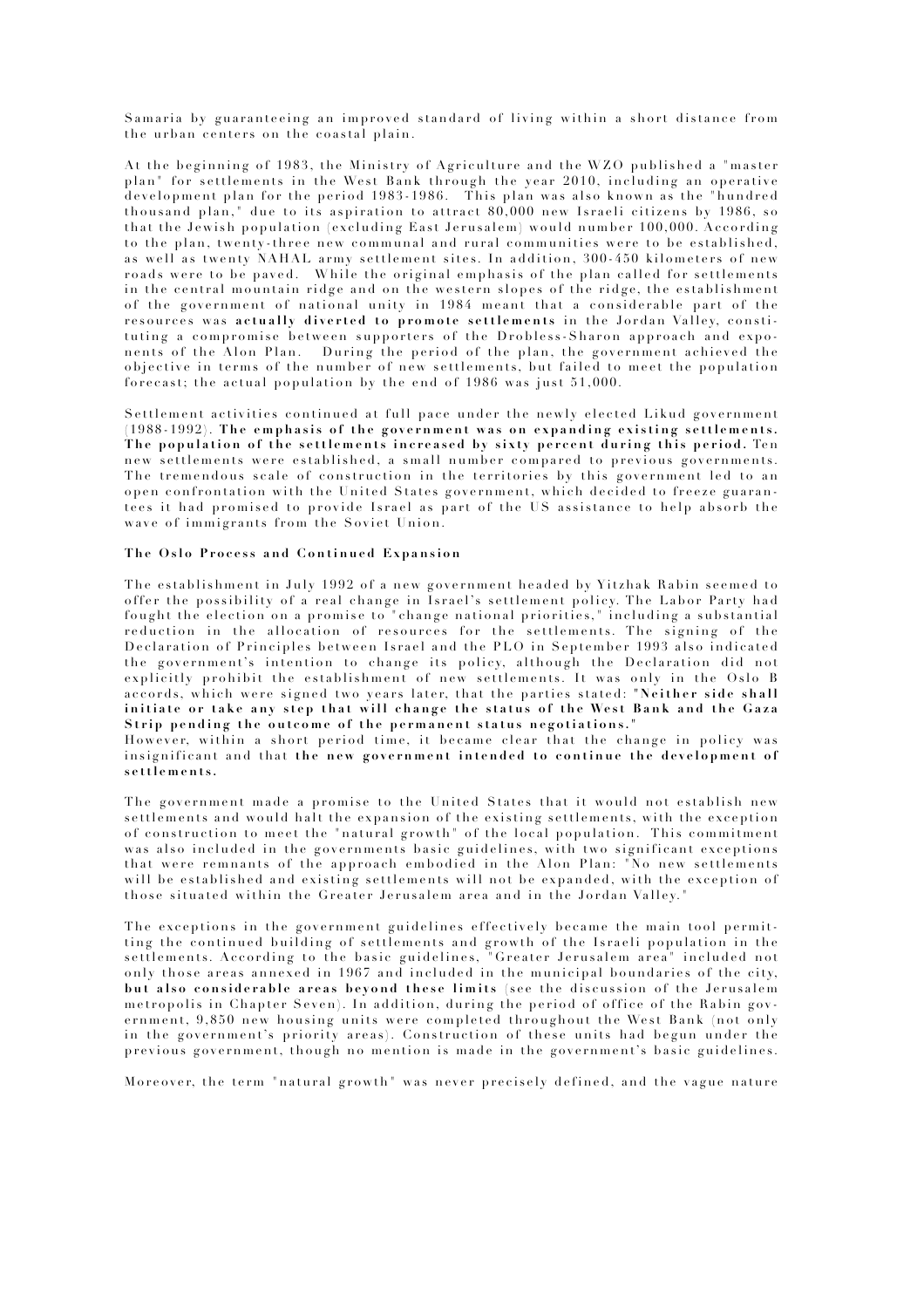Samaria by guaranteeing an improved standard of living within a short distance from the urban centers on the coastal plain.

At the beginning of 1983, the Ministry of Agriculture and the WZO published a "master plan" for settlements in the West Bank through the year 2010, including an operative development plan for the period 1983-1986. This plan was also known as the "hundred thousand plan," due to its aspiration to attract 80,000 new Israeli citizens by 1986, so that the Jewish population (excluding East Jerusalem) would number 100,000. According to the plan, twenty-three new communal and rural communities were to be established, as well as twenty NAHAL army settlement sites. In addition, 300-450 kilometers of new roads were to be paved. While the original emphasis of the plan called for settlements in the central mountain ridge and on the western slopes of the ridge, the establishment of the government of national unity in 1984 meant that a considerable part of the resources was **actually diverted to promote settlements** in the Jordan Valley, constituting a compromise between supporters of the Drobless-Sharon approach and exponents of the Alon Plan. During the period of the plan, the government achieved the objective in terms of the number of new settlements, but failed to meet the population forecast; the actual population by the end of 1986 was just 51,000.

Settlement activities continued at full pace under the newly elected Likud government (1988-1992). **The emphasis of the government was on expanding existing settlements. The population of the settlements increased by sixty percent during this period.** Ten new settlements were established, a small number compared to previous governments. The tremendous scale of construction in the territories by this government led to an open confrontation with the United States government, which decided to freeze guarantees it had promised to provide Israel as part of the US assistance to help absorb the wave of immigrants from the Soviet Union.

## **The Oslo Process and Continued Expansion**

The establishment in July 1992 of a new government headed by Yitzhak Rabin seemed to offer the possibility of a real change in Israel's settlement policy. The Labor Party had fought the election on a promise to "change national priorities," including a substantial reduction in the allocation of resources for the settlements. The signing of the Declaration of Principles between Israel and the PLO in September 1993 also indicated the government's intention to change its policy, although the Declaration did not explicitly prohibit the establishment of new settlements. It was only in the Oslo B accords, which were signed two years later, that the parties stated: **"Neither side shall initiate or take any step that will change the status of the West Bank and the Gaza Strip pending the outcome of the permanent status negotiations."**

However, within a short period time, it became clear that the change in policy was insignificant and that **the new government intended to continue the development of settlements.**

The government made a promise to the United States that it would not establish new settlements and would halt the expansion of the existing settlements, with the exception of construction to meet the "natural growth" of the local population. This commitment was also included in the governments basic guidelines, with two significant exceptions that were remnants of the approach embodied in the Alon Plan: "No new settlements will be established and existing settlements will not be expanded, with the exception of those situated within the Greater Jerusalem area and in the Jordan Valley."

The exceptions in the government guidelines effectively became the main tool permitting the continued building of settlements and growth of the Israeli population in the settlements. According to the basic guidelines, "Greater Jerusalem area" included not only those areas annexed in 1967 and included in the municipal boundaries of the city, **but also considerable areas beyond these limits** (see the discussion of the Jerusalem metropolis in Chapter Seven). In addition, during the period of office of the Rabin government, 9,850 new housing units were completed throughout the West Bank (not only in the government's priority areas). Construction of these units had begun under the previous government, though no mention is made in the government's basic guidelines.

Moreover, the term "natural growth" was never precisely defined, and the vague nature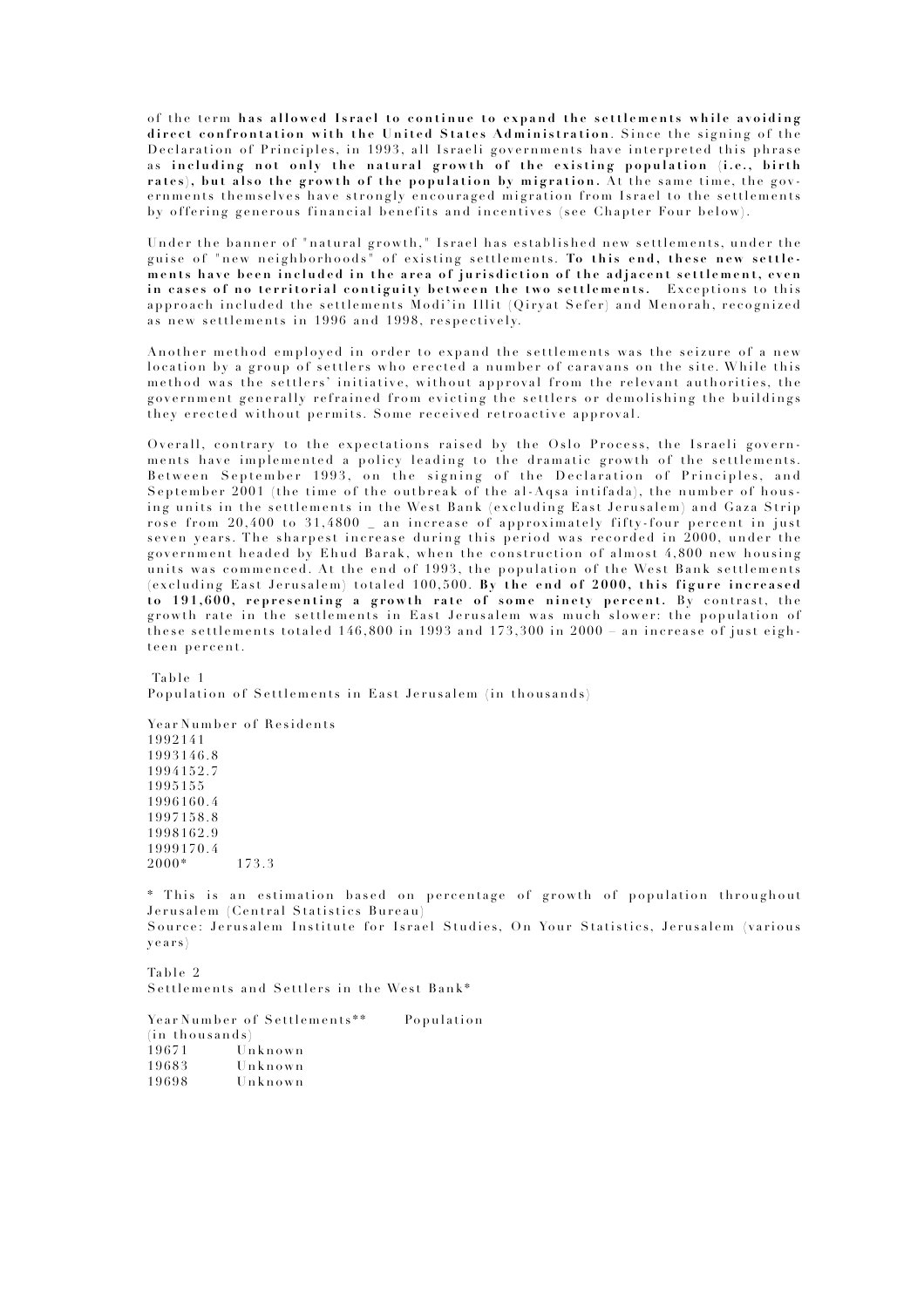of the term **has allowed Israel to continue to expand the settlements while avoiding direct confrontation with the United States Administration** . Since the signing of the Declaration of Principles, in 1993, all Israeli governments have interpreted this phrase as **including not only the natural growth of the existing population (i.e., birth rates), but also the growth of the population by migration.** At the same time, the governments themselves have strongly encouraged migration from Israel to the settlements by offering generous financial benefits and incentives (see Chapter Four below).

Under the banner of "natural growth," Israel has established new settlements, under the guise of "new neighborhoods" of existing settlements. **To this end, these new settlements have been included in the area of jurisdiction of the adjacent settlement, even in cases of no territorial contiguity between the two settlements.** Exceptions to this approach included the settlements Modi'in Illit (Qiryat Sefer) and Menorah, recognized as new settlements in 1996 and 1998, respectively.

Another method employed in order to expand the settlements was the seizure of a new location by a group of settlers who erected a number of caravans on the site. While this method was the settlers' initiative, without approval from the relevant authorities, the government generally refrained from evicting the settlers or demolishing the buildings they erected without permits. Some received retroactive approval.

Overall, contrary to the expectations raised by the Oslo Process, the Israeli governments have implemented a policy leading to the dramatic growth of the settlements. Between September 1993, on the signing of the Declaration of Principles, and September 2001 (the time of the outbreak of the al-Aqsa intifada), the number of housing units in the settlements in the West Bank (excluding East Jerusalem) and Gaza Strip rose from 20,400 to 31,4800 \_ an increase of approximately fifty-four percent in just seven years. The sharpest increase during this period was recorded in 2000, under the government headed by Ehud Barak, when the construction of almost 4,800 new housing units was commenced. At the end of 1993, the population of the West Bank settlements (excluding East Jerusalem) totaled 100,500. **By the end of 2000, this figure increased to 191,600, representing a growth rate of some ninety percent.** By contrast, the growth rate in the settlements in East Jerusalem was much slower: the population of these settlements totaled 146,800 in 1993 and 173,300 in 2000 – an increase of just eighteen percent.

Table 1 Population of Settlements in East Jerusalem (in thousands)

Year Number of Residents 1992141 1993146.8 1994152.7 1995155 1996160.4 1997158.8 1998162.9  $1999170.4$ <br> $2000*$ 173.3

\* This is an estimation based on percentage of growth of population throughout Jerusalem (Central Statistics Bureau) Source: Jerusalem Institute for Israel Studies, On Your Statistics, Jerusalem (various years)

Table 2 Settlements and Settlers in the West Bank\*

Year Number of Settlements\*\* Population  $\frac{\text{(in thousands)}}{19671}$ 19671 Unknown 19683 Unknown 19698 Unknown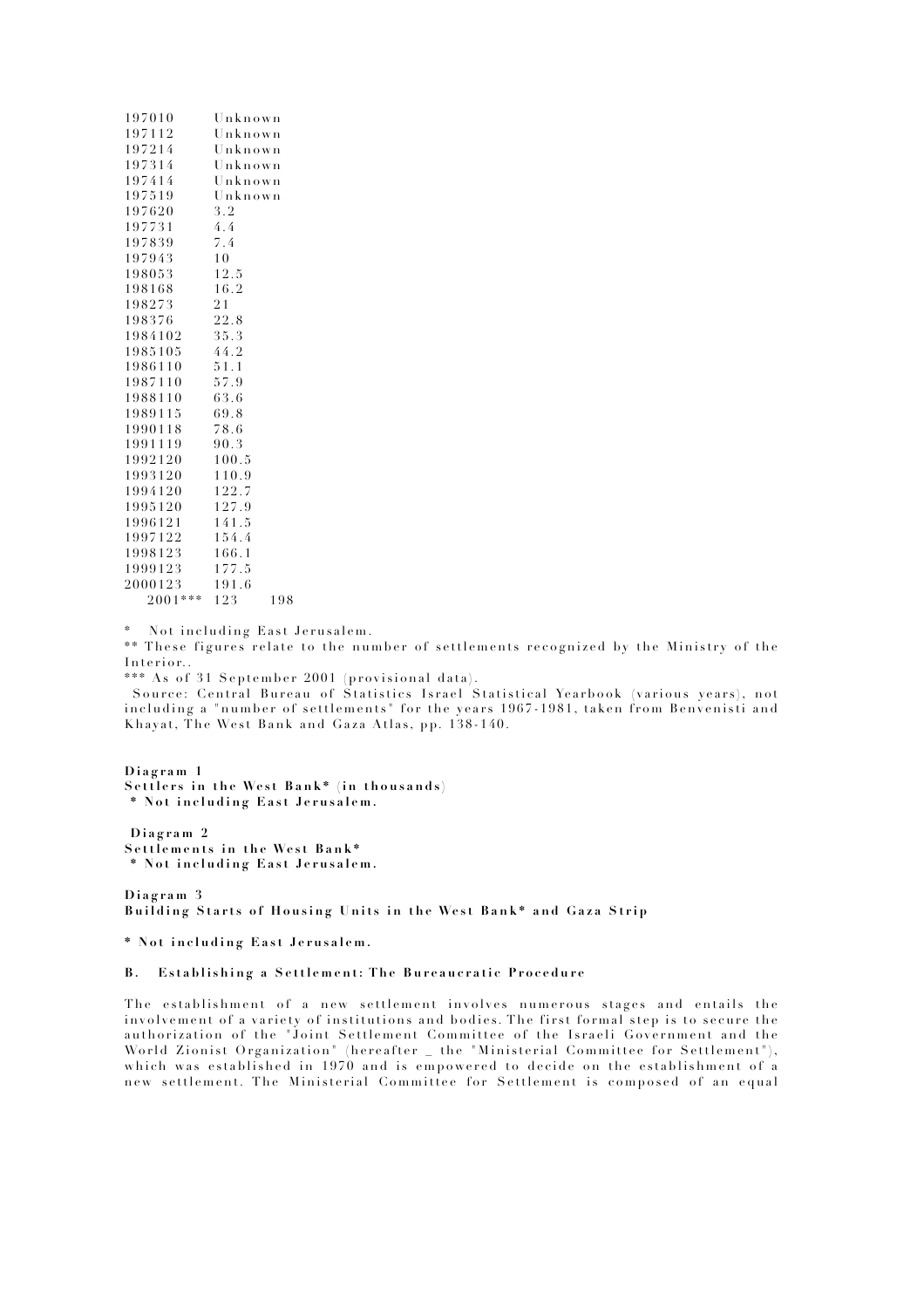| 197010    | Unknown    |  |
|-----------|------------|--|
| 197112    | Unknown    |  |
| 197214    | Unknown    |  |
| 197314    | Unknown    |  |
| 197414    | Unknown    |  |
| 197519    | Unknown    |  |
| 197620    | 3.2        |  |
| 197731    | 4.4        |  |
| 197839    | 7.4        |  |
| 197943    | 10         |  |
| 198053    | 12.5       |  |
| 198168    | 16.2       |  |
| 198273    | 21         |  |
| 198376    | 22.8       |  |
| 1984102   | 35.3       |  |
| 1985105   | 44.2       |  |
| 1986110   | 51.1       |  |
| 1987110   | 57.9       |  |
| 1988110   | 63.6       |  |
| 1989115   | 69.8       |  |
| 1990118   | 78.6       |  |
| 1991119   | 90.3       |  |
| 1992120   | 100.5      |  |
| 1993120   | 110.9      |  |
| 1994120   | 122.7      |  |
| 1995120   | 127.9      |  |
| 1996121   | 141.5      |  |
| 1997122   | 154.4      |  |
| 1998123   | 166.1      |  |
| 1999123   | 177.5      |  |
| 2000123   | 191.6      |  |
| $2001***$ | 123<br>198 |  |

\* Not including East Jerusalem.

\*\* These figures relate to the number of settlements recognized by the Ministry of the Interior..

\*\*\* As of 31 September 2001 (provisional data).

Source: Central Bureau of Statistics Israel Statistical Yearbook (various years), not including a "number of settlements" for the years 1967-1981, taken from Benvenisti and Khayat, The West Bank and Gaza Atlas, pp. 138-140.

**Diagram 1 Settlers in the West Bank\* (in thousands) \* Not including East Jerusalem.**

**Diagram 2 Settlements in the West Bank\* \* Not including East Jerusalem.**

**Diagram 3 Building Starts of Housing Units in the West Bank\* and Gaza Strip**

**\* Not including East Jerusalem.**

## **B. Establishing a Settlement: The Bureaucratic Procedure**

The establishment of a new settlement involves numerous stages and entails the involvement of a variety of institutions and bodies. The first formal step is to secure the authorization of the "Joint Settlement Committee of the Israeli Government and the World Zionist Organization" (hereafter \_ the "Ministerial Committee for Settlement"), which was established in 1970 and is empowered to decide on the establishment of a new settlement. The Ministerial Committee for Settlement is composed of an equal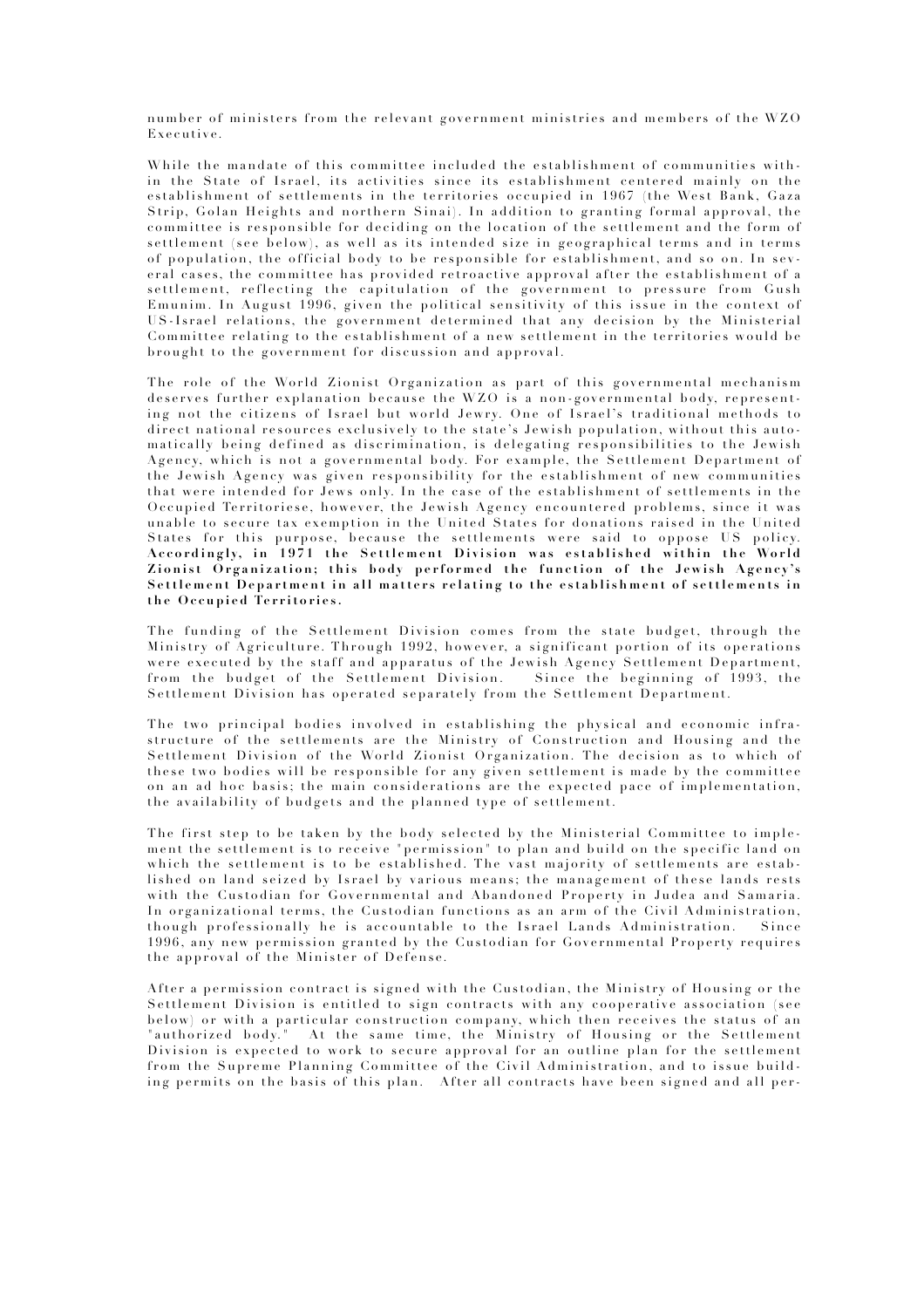number of ministers from the relevant government ministries and members of the WZO Executive.

While the mandate of this committee included the establishment of communities within the State of Israel, its activities since its establishment centered mainly on the establishment of settlements in the territories occupied in 1967 (the West Bank, Gaza Strip, Golan Heights and northern Sinai). In addition to granting formal approval, the committee is responsible for deciding on the location of the settlement and the form of settlement (see below), as well as its intended size in geographical terms and in terms of population, the official body to be responsible for establishment, and so on. In several cases, the committee has provided retroactive approval after the establishment of a settlement, reflecting the capitulation of the government to pressure from Gush Emunim. In August 1996, given the political sensitivity of this issue in the context of US-Israel relations, the government determined that any decision by the Ministerial Committee relating to the establishment of a new settlement in the territories would be brought to the government for discussion and approval.

The role of the World Zionist Organization as part of this governmental mechanism deserves further explanation because the WZO is a non-governmental body, representing not the citizens of Israel but world Jewry. One of Israel's traditional methods to direct national resources exclusively to the state's Jewish population, without this automatically being defined as discrimination, is delegating responsibilities to the Jewish Agency, which is not a governmental body. For example, the Settlement Department of the Jewish Agency was given responsibility for the establishment of new communities that were intended for Jews only. In the case of the establishment of settlements in the Occupied Territoriese, however, the Jewish Agency encountered problems, since it was unable to secure tax exemption in the United States for donations raised in the United States for this purpose, because the settlements were said to oppose US policy. **Accordingly, in 1971 the Settlement Division was established within the World Zionist Organization; this body performed the function of the Jewish Agency's Settlement Department in all matters relating to the establishment of settlements in the Occupied Territories.**

The funding of the Settlement Division comes from the state budget, through the Ministry of Agriculture. Through 1992, however, a significant portion of its operations were executed by the staff and apparatus of the Jewish Agency Settlement Department, from the budget of the Settlement Division. Since the beginning of 1993, the Settlement Division has operated separately from the Settlement Department.

The two principal bodies involved in establishing the physical and economic infrastructure of the settlements are the Ministry of Construction and Housing and the Settlement Division of the World Zionist Organization. The decision as to which of these two bodies will be responsible for any given settlement is made by the committee on an ad hoc basis; the main considerations are the expected pace of implementation, the availability of budgets and the planned type of settlement.

The first step to be taken by the body selected by the Ministerial Committee to implement the settlement is to receive "permission" to plan and build on the specific land on which the settlement is to be established. The vast majority of settlements are established on land seized by Israel by various means; the management of these lands rests with the Custodian for Governmental and Abandoned Property in Judea and Samaria. In organizational terms, the Custodian functions as an arm of the Civil Administration, though professionally he is accountable to the Israel Lands Administration. Since 1996, any new permission granted by the Custodian for Governmental Property requires the approval of the Minister of Defense.

After a permission contract is signed with the Custodian, the Ministry of Housing or the Settlement Division is entitled to sign contracts with any cooperative association (see below) or with a particular construction company, which then receives the status of an "authorized body." At the same time, the Ministry of Housing or the Settlement Division is expected to work to secure approval for an outline plan for the settlement from the Supreme Planning Committee of the Civil Administration, and to issue building permits on the basis of this plan. After all contracts have been signed and all per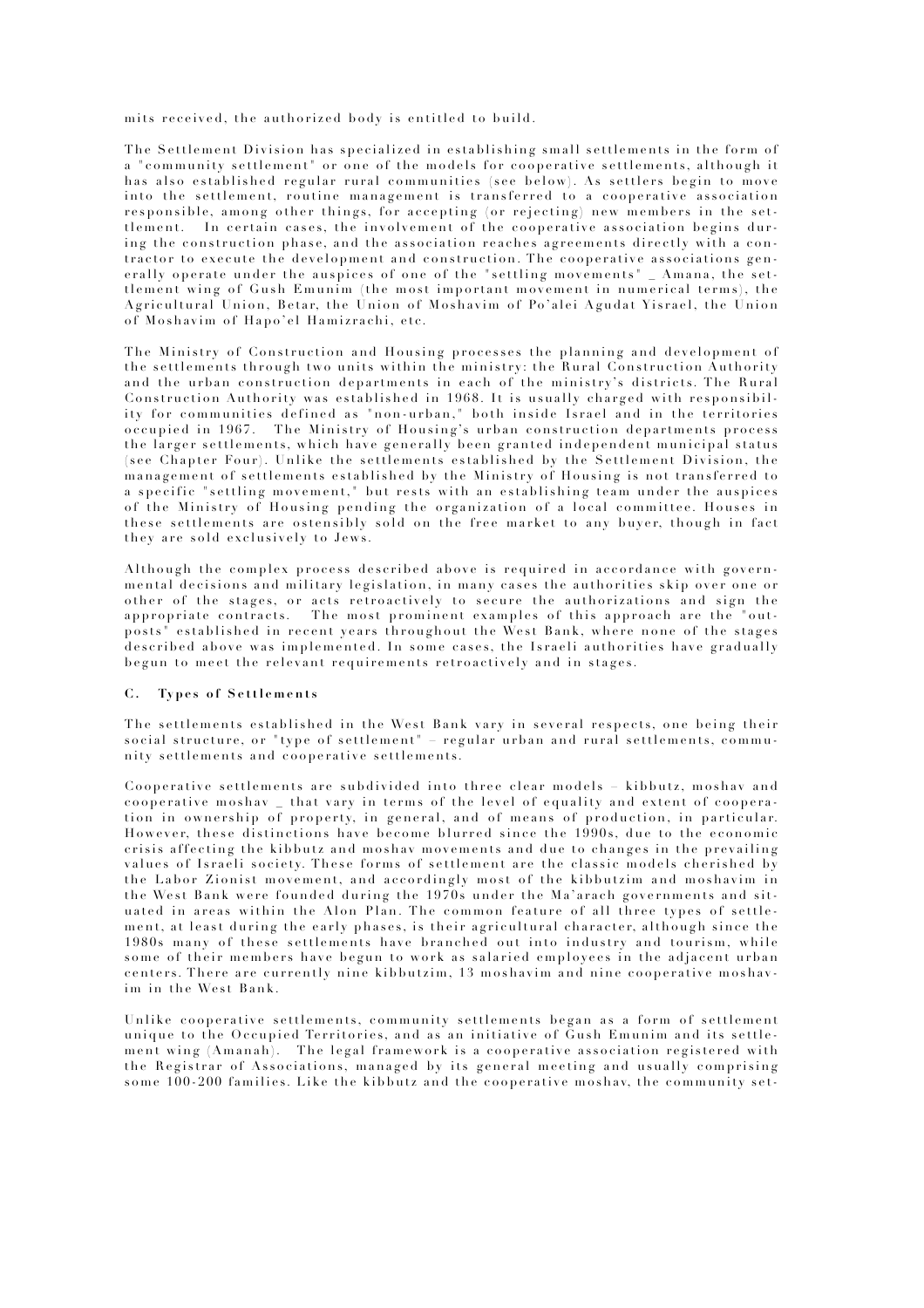mits received, the authorized body is entitled to build.

The Settlement Division has specialized in establishing small settlements in the form of a "community settlement" or one of the models for cooperative settlements, although it has also established regular rural communities (see below). As settlers begin to move into the settlement, routine management is transferred to a cooperative association responsible, among other things, for accepting (or rejecting) new members in the settlement. In certain cases, the involvement of the cooperative association begins during the construction phase, and the association reaches agreements directly with a contractor to execute the development and construction. The cooperative associations generally operate under the auspices of one of the "settling movements" \_ Amana, the settlement wing of Gush Emunim (the most important movement in numerical terms), the Agricultural Union, Betar, the Union of Moshavim of Po'alei Agudat Yisrael, the Union of Moshavim of Hapo'el Hamizrachi, etc.

The Ministry of Construction and Housing processes the planning and development of the settlements through two units within the ministry: the Rural Construction Authority and the urban construction departments in each of the ministry's districts. The Rural Construction Authority was established in 1968. It is usually charged with responsibility for communities defined as "non-urban," both inside Israel and in the territories occupied in 1967. The Ministry of Housing's urban construction departments process the larger settlements, which have generally been granted independent municipal status (see Chapter Four). Unlike the settlements established by the Settlement Division, the management of settlements established by the Ministry of Housing is not transferred to a specific "settling movement," but rests with an establishing team under the auspices of the Ministry of Housing pending the organization of a local committee. Houses in these settlements are ostensibly sold on the free market to any buyer, though in fact they are sold exclusively to Jews.

Although the complex process described above is required in accordance with governmental decisions and military legislation, in many cases the authorities skip over one or other of the stages, or acts retroactively to secure the authorizations and sign the appropriate contracts. The most prominent examples of this approach are the "outposts" established in recent years throughout the West Bank, where none of the stages described above was implemented. In some cases, the Israeli authorities have gradually begun to meet the relevant requirements retroactively and in stages.

### **C. Types of Settlements**

The settlements established in the West Bank vary in several respects, one being their social structure, or "type of settlement" – regular urban and rural settlements, community settlements and cooperative settlements.

Cooperative settlements are subdivided into three clear models – kibbutz, moshav and cooperative moshav \_ that vary in terms of the level of equality and extent of cooperation in ownership of property, in general, and of means of production, in particular. However, these distinctions have become blurred since the 1990s, due to the economic crisis affecting the kibbutz and moshav movements and due to changes in the prevailing values of Israeli society. These forms of settlement are the classic models cherished by the Labor Zionist movement, and accordingly most of the kibbutzim and moshavim in the West Bank were founded during the 1970s under the Ma'arach governments and situated in areas within the Alon Plan. The common feature of all three types of settlement, at least during the early phases, is their agricultural character, although since the 1980s many of these settlements have branched out into industry and tourism, while some of their members have begun to work as salaried employees in the adjacent urban centers. There are currently nine kibbutzim, 13 moshavim and nine cooperative moshavim in the West Bank.

Unlike cooperative settlements, community settlements began as a form of settlement unique to the Occupied Territories, and as an initiative of Gush Emunim and its settlement wing (Amanah). The legal framework is a cooperative association registered with the Registrar of Associations, managed by its general meeting and usually comprising some 100-200 families. Like the kibbutz and the cooperative moshav, the community set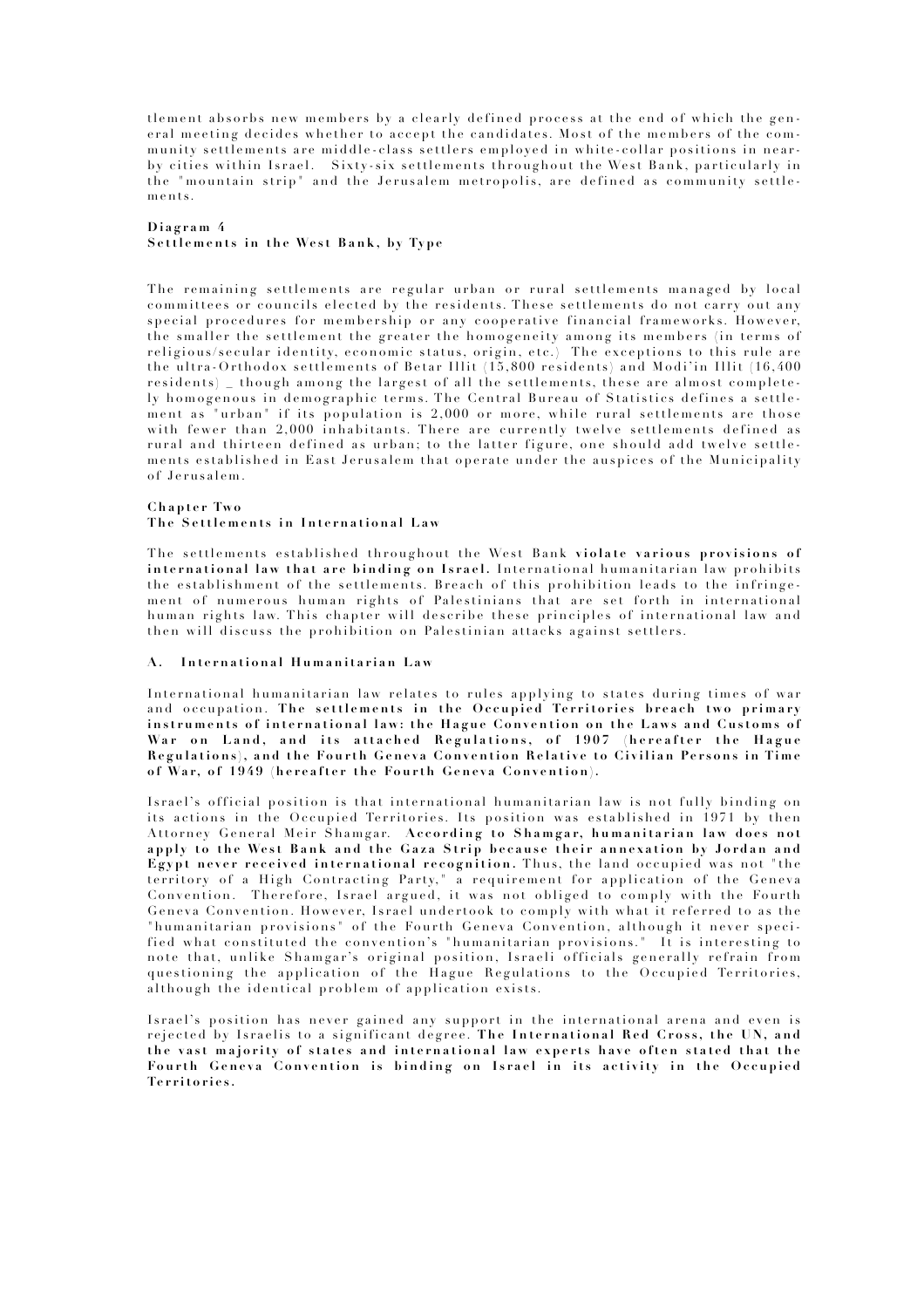tlement absorbs new members by a clearly defined process at the end of which the general meeting decides whether to accept the candidates. Most of the members of the community settlements are middle-class settlers employed in white-collar positions in nearby cities within Israel. Sixty-six settlements throughout the West Bank, particularly in the "mountain strip" and the Jerusalem metropolis, are defined as community settlements.

## **Diagram 4 Settlements in the West Bank, by Type**

The remaining settlements are regular urban or rural settlements managed by local committees or councils elected by the residents. These settlements do not carry out any special procedures for membership or any cooperative financial frameworks. However, the smaller the settlement the greater the homogeneity among its members (in terms of religious/secular identity, economic status, origin, etc.) The exceptions to this rule are the ultra-Orthodox settlements of Betar Illit (15,800 residents) and Modi'in Illit (16,400 residents) \_ though among the largest of all the settlements, these are almost completely homogenous in demographic terms. The Central Bureau of Statistics defines a settlement as "urban" if its population is 2,000 or more, while rural settlements are those with fewer than 2,000 inhabitants. There are currently twelve settlements defined as rural and thirteen defined as urban; to the latter figure, one should add twelve settlements established in East Jerusalem that operate under the auspices of the Municipality of Jerusalem.

### **Chapter Two The Settlements in International Law**

The settlements established throughout the West Bank **violate various provisions of international law that are binding on Israel.** International humanitarian law prohibits the establishment of the settlements. Breach of this prohibition leads to the infringement of numerous human rights of Palestinians that are set forth in international human rights law. This chapter will describe these principles of international law and then will discuss the prohibition on Palestinian attacks against settlers.

# **A. International Humanitarian Law**

International humanitarian law relates to rules applying to states during times of war and occupation. **The settlements in the Occupied Territories breach two primary instruments of international law: the Hague Convention on the Laws and Customs of War on Land, and its attached Regulations, of 1907 (hereafter the Hague Regulations), and the Fourth Geneva Convention Relative to Civilian Persons in Time of War, of 1949 (hereafter the Fourth Geneva Convention).**

Israel's official position is that international humanitarian law is not fully binding on its actions in the Occupied Territories. Its position was established in 1971 by then Attorney General Meir Shamgar. **According to Shamgar, humanitarian law does not apply to the West Bank and the Gaza Strip because their annexation by Jordan and Egypt never received international recognition.** Thus, the land occupied was not "the territory of a High Contracting Party," a requirement for application of the Geneva Convention. Therefore, Israel argued, it was not obliged to comply with the Fourth Geneva Convention. However, Israel undertook to comply with what it referred to as the "humanitarian provisions" of the Fourth Geneva Convention, although it never specified what constituted the convention's "humanitarian provisions." It is interesting to note that, unlike Shamgar's original position, Israeli officials generally refrain from questioning the application of the Hague Regulations to the Occupied Territories, although the identical problem of application exists.

Israel's position has never gained any support in the international arena and even is rejected by Israelis to a significant degree. **The International Red Cross, the UN, and the vast majority of states and international law experts have often stated that the Fourth Geneva Convention is binding on Israel in its activity in the Occupied Territories.**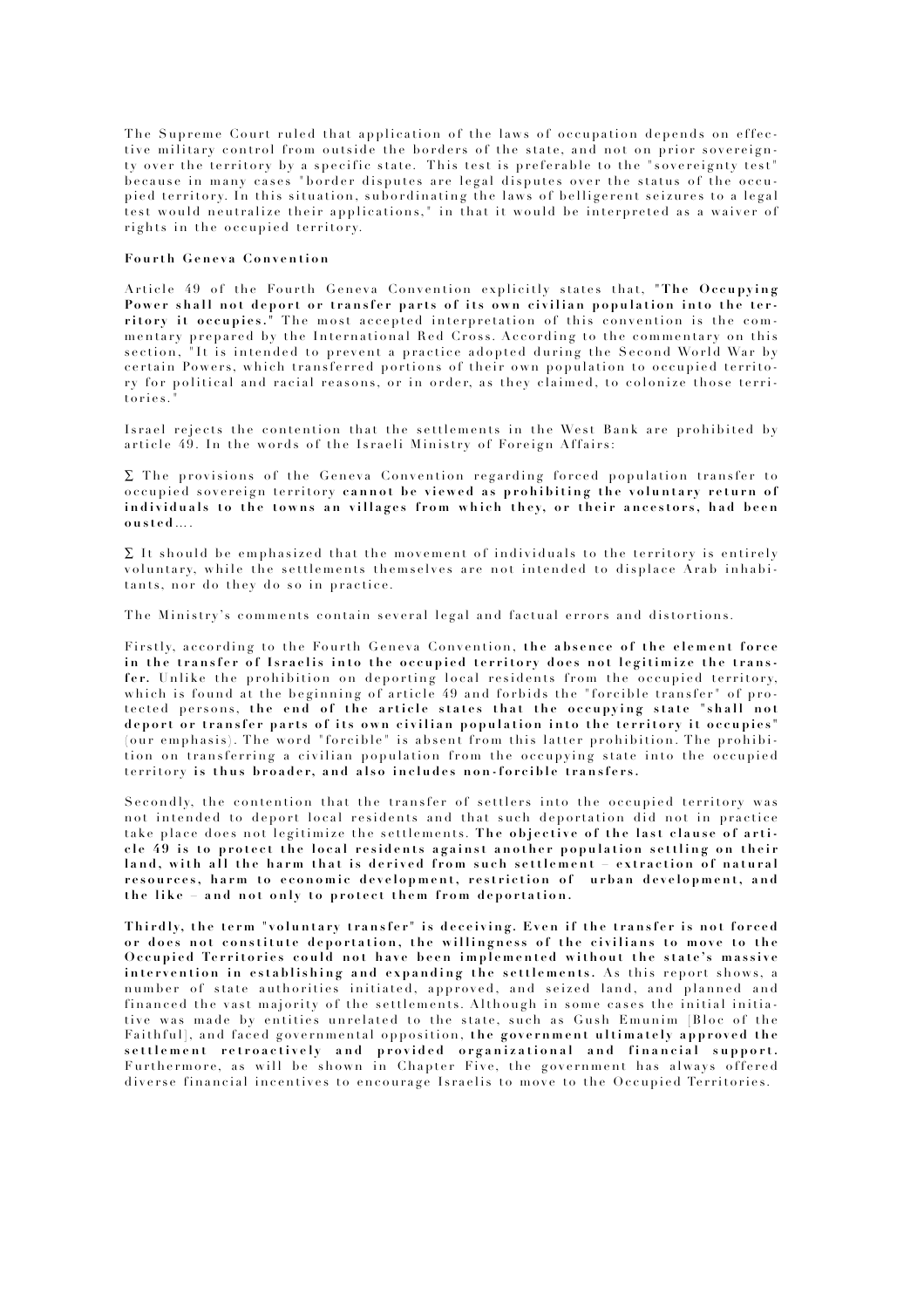The Supreme Court ruled that application of the laws of occupation depends on effective military control from outside the borders of the state, and not on prior sovereignty over the territory by a specific state. This test is preferable to the "sovereignty test" because in many cases "border disputes are legal disputes over the status of the occupied territory. In this situation, subordinating the laws of belligerent seizures to a legal test would neutralize their applications," in that it would be interpreted as a waiver of rights in the occupied territory.

#### **Fourth Geneva Convention**

Article 49 of the Fourth Geneva Convention explicitly states that, **"The Occupying Power shall not deport or transfer parts of its own civilian population into the territory it occupies."** The most accepted interpretation of this convention is the commentary prepared by the International Red Cross. According to the commentary on this section, "It is intended to prevent a practice adopted during the Second World War by certain Powers, which transferred portions of their own population to occupied territory for political and racial reasons, or in order, as they claimed, to colonize those territories.

Israel rejects the contention that the settlements in the West Bank are prohibited by article 49. In the words of the Israeli Ministry of Foreign Affairs:

∑ The provisions of the Geneva Convention regarding forced population transfer to occupied sovereign territory **cannot be viewed as prohibiting the voluntary return of individuals to the towns an villages from which they, or their ancestors, had been ousted** … .

 $\Sigma$  It should be emphasized that the movement of individuals to the territory is entirely voluntary, while the settlements themselves are not intended to displace Arab inhabitants, nor do they do so in practice.

The Ministry's comments contain several legal and factual errors and distortions.

Firstly, according to the Fourth Geneva Convention, **the absence of the element force in the transfer of Israelis into the occupied territory does not legitimize the transfer.** Unlike the prohibition on deporting local residents from the occupied territory, which is found at the beginning of article 49 and forbids the "forcible transfer" of protected persons, **the end of the article states that the occupying state "shall not deport or transfer parts of its own civilian population into the territory it occupies"** (our emphasis). The word "forcible" is absent from this latter prohibition. The prohibition on transferring a civilian population from the occupying state into the occupied territory **is thus broader, and also includes non-forcible transfers.**

Secondly, the contention that the transfer of settlers into the occupied territory was not intended to deport local residents and that such deportation did not in practice take place does not legitimize the settlements. **The objective of the last clause of article 49 is to protect the local residents against another population settling on their land, with all the harm that is derived from such settlement – extraction of natural resources, harm to economic development, restriction of urban development, and the like – and not only to protect them from deportation.**

**Thirdly, the term "voluntary transfer" is deceiving. Even if the transfer is not forced or does not constitute deportation, the willingness of the civilians to move to the Occupied Territories could not have been implemented without the state's massive intervention in establishing and expanding the settlements.** As this report shows, a number of state authorities initiated, approved, and seized land, and planned and financed the vast majority of the settlements. Although in some cases the initial initiative was made by entities unrelated to the state, such as Gush Emunim [Bloc of the Faithful], and faced governmental opposition, **the government ultimately approved the settlement retroactively and provided organizational and financial support.** Furthermore, as will be shown in Chapter Five, the government has always offered diverse financial incentives to encourage Israelis to move to the Occupied Territories.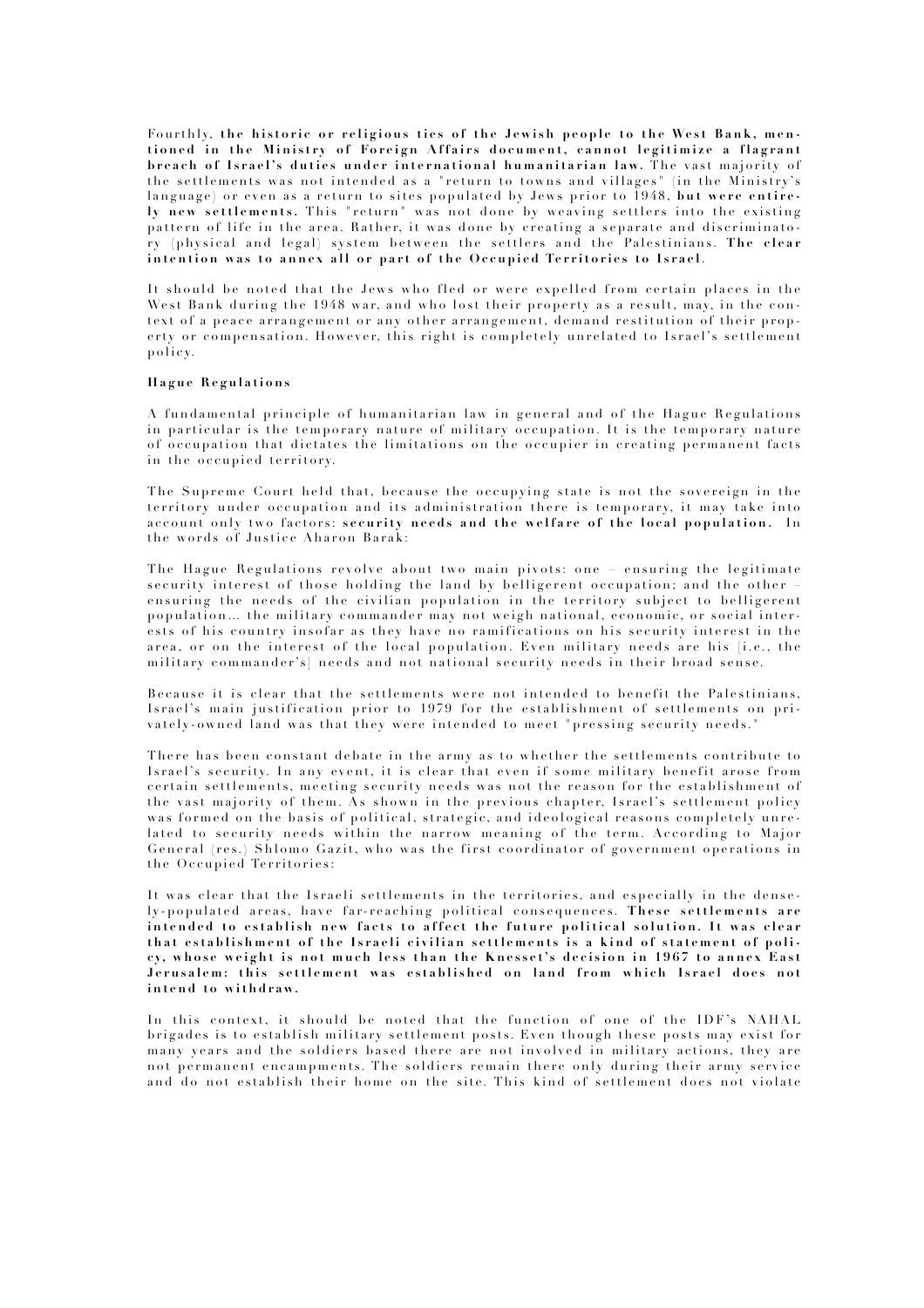Fourthly, **the historic or religious ties of the Jewish people to the West Bank, mentioned in the Ministry of Foreign Affairs document, cannot legitimize a flagrant breach of Israel's duties under international humanitarian law.** The vast majority of the settlements was not intended as a "return to towns and villages" (in the Ministry's language) or even as a return to sites populated by Jews prior to 1948, **but were entirely new settlements.** This "return" was not done by weaving settlers into the existing pattern of life in the area. Rather, it was done by creating a separate and discriminatory (physical and legal) system between the settlers and the Palestinians. **The clear intention was to annex all or part of the Occupied Territories to Israel** .

It should be noted that the Jews who fled or were expelled from certain places in the West Bank during the 1948 war, and who lost their property as a result, may, in the context of a peace arrangement or any other arrangement, demand restitution of their property or compensation. However, this right is completely unrelated to Israel's settlement policy.

### **Hague Regulations**

A fundamental principle of humanitarian law in general and of the Hague Regulations in particular is the temporary nature of military occupation. It is the temporary nature of occupation that dictates the limitations on the occupier in creating permanent facts in the occupied territory.

The Supreme Court held that, because the occupying state is not the sovereign in the territory under occupation and its administration there is temporary, it may take into account only two factors: security needs and the welfare of the local population. In the words of Justice Aharon Barak:

The Hague Regulations revolve about two main pivots: one – ensuring the legitimate security interest of those holding the land by belligerent occupation; and the other – ensuring the needs of the civilian population in the territory subject to belligerent population… the military commander may not weigh national, economic, or social interests of his country insofar as they have no ramifications on his security interest in the area, or on the interest of the local population. Even military needs are his [i.e., the military commander's] needs and not national security needs in their broad sense.

Because it is clear that the settlements were not intended to benefit the Palestinians, Israel's main justification prior to 1979 for the establishment of settlements on privately-owned land was that they were intended to meet "pressing security needs."

There has been constant debate in the army as to whether the settlements contribute to Israel's security. In any event, it is clear that even if some military benefit arose from certain settlements, meeting security needs was not the reason for the establishment of the vast majority of them. As shown in the previous chapter, Israel's settlement policy was formed on the basis of political, strategic, and ideological reasons completely unrelated to security needs within the narrow meaning of the term. According to Major General (res.) Shlomo Gazit, who was the first coordinator of government operations in the Occupied Territories:

It was clear that the Israeli settlements in the territories, and especially in the densely-populated areas, have far-reaching political consequences. **These settlements are intended to establish new facts to affect the future political solution. It was clear that establishment of the Israeli civilian settlements is a kind of statement of policy, whose weight is not much less than the Knesset's decision in 1967 to annex East Jerusalem: this settlement was established on land from which Israel does not intend to withdraw.**

In this context, it should be noted that the function of one of the IDF's NAHAL brigades is to establish military settlement posts. Even though these posts may exist for many years and the soldiers based there are not involved in military actions, they are not permanent encampments. The soldiers remain there only during their army service and do not establish their home on the site. This kind of settlement does not violate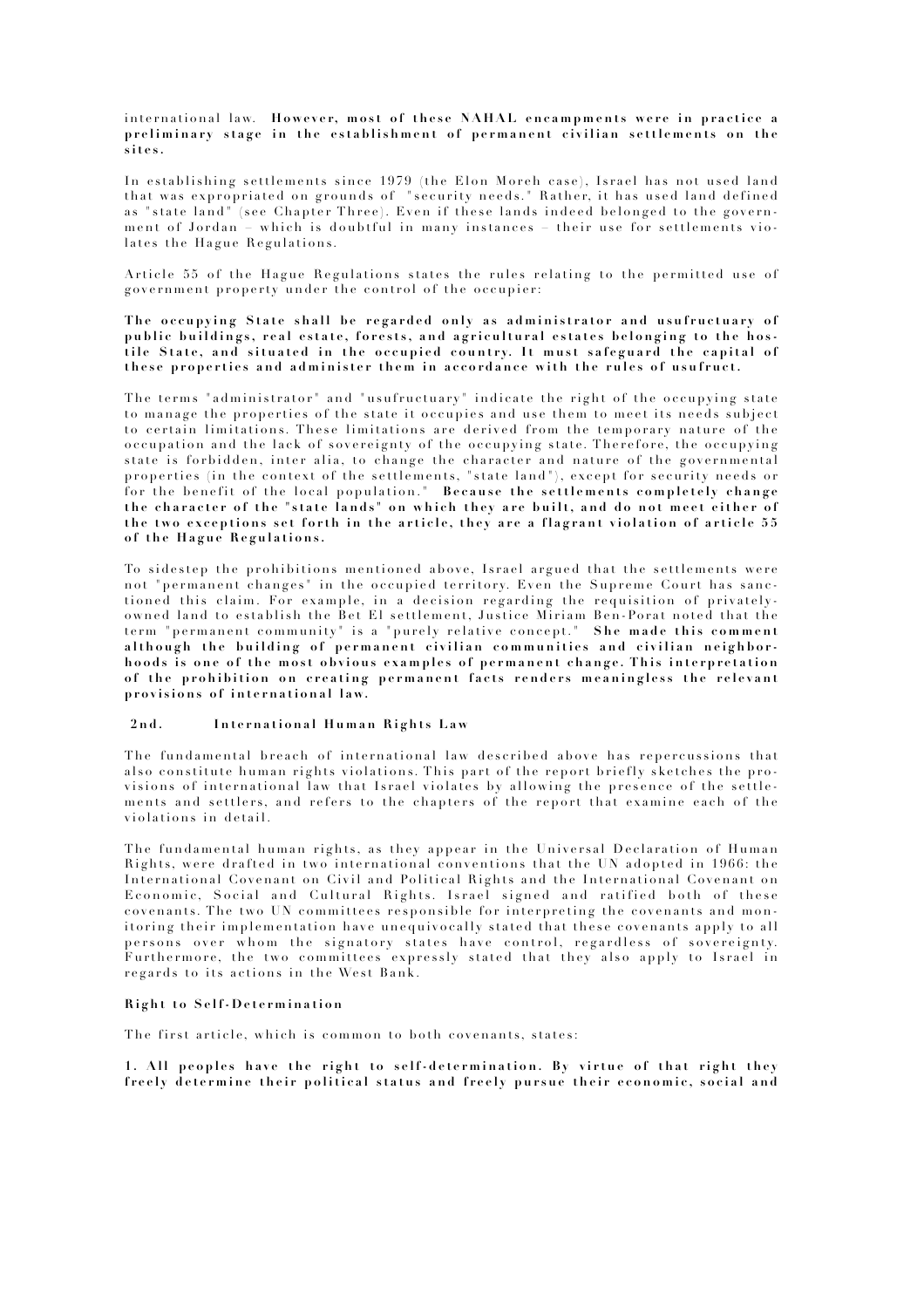international law. **However, most of these NAHAL encampments were in practice a preliminary stage in the establishment of permanent civilian settlements on the sites.**

In establishing settlements since 1979 (the Elon Moreh case), Israel has not used land that was expropriated on grounds of "security needs." Rather, it has used land defined as "state land" (see Chapter Three). Even if these lands indeed belonged to the government of Jordan – which is doubtful in many instances – their use for settlements violates the Hague Regulations.

Article 55 of the Hague Regulations states the rules relating to the permitted use of government property under the control of the occupier:

**The occupying State shall be regarded only as administrator and usufructuary of public buildings, real estate, forests, and agricultural estates belonging to the hostile State, and situated in the occupied country. It must safeguard the capital of these properties and administer them in accordance with the rules of usufruct.**

The terms "administrator" and "usufructuary" indicate the right of the occupying state to manage the properties of the state it occupies and use them to meet its needs subject to certain limitations. These limitations are derived from the temporary nature of the occupation and the lack of sovereignty of the occupying state. Therefore, the occupying state is forbidden, inter alia, to change the character and nature of the governmental properties (in the context of the settlements, "state land"), except for security needs or for the benefit of the local population." **Because the settlements completely change the character of the "state lands" on which they are built, and do not meet either of the two exceptions set forth in the article, they are a flagrant violation of article 55 of the Hague Regulations.**

To sidestep the prohibitions mentioned above, Israel argued that the settlements were not "permanent changes" in the occupied territory. Even the Supreme Court has sanctioned this claim. For example, in a decision regarding the requisition of privatelyowned land to establish the Bet El settlement, Justice Miriam Ben-Porat noted that the term "permanent community" is a "purely relative concept." **She made this comment although the building of permanent civilian communities and civilian neighborhoods is one of the most obvious examples of permanent change. This interpretation of the prohibition on creating permanent facts renders meaningless the relevant provisions of international law.**

## **2nd. International Human Rights Law**

The fundamental breach of international law described above has repercussions that also constitute human rights violations. This part of the report briefly sketches the provisions of international law that Israel violates by allowing the presence of the settlements and settlers, and refers to the chapters of the report that examine each of the violations in detail.

The fundamental human rights, as they appear in the Universal Declaration of Human Rights, were drafted in two international conventions that the UN adopted in 1966: the International Covenant on Civil and Political Rights and the International Covenant on Economic, Social and Cultural Rights. Israel signed and ratified both of these covenants. The two UN committees responsible for interpreting the covenants and monitoring their implementation have unequivocally stated that these covenants apply to all persons over whom the signatory states have control, regardless of sovereignty. Furthermore, the two committees expressly stated that they also apply to Israel in regards to its actions in the West Bank.

#### **Right to Self-Determination**

The first article, which is common to both covenants, states:

**1. All peoples have the right to self-determination. By virtue of that right they freely determine their political status and freely pursue their economic, social and**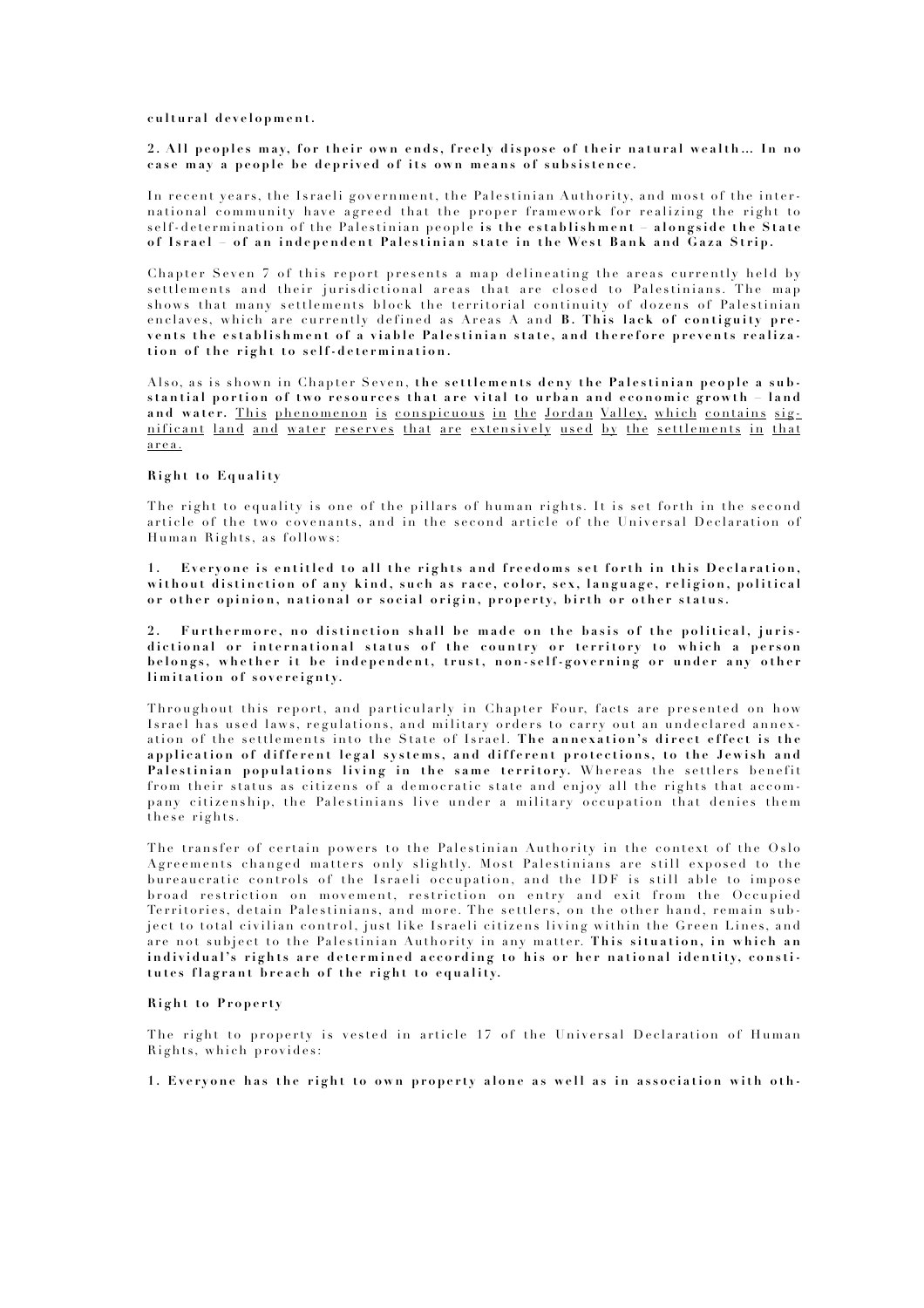#### **cultural development.**

### **2. All peoples may, for their own ends, freely dispose of their natural wealth… In no case may a people be deprived of its own means of subsistence.**

In recent years, the Israeli government, the Palestinian Authority, and most of the international community have agreed that the proper framework for realizing the right to self-determination of the Palestinian people **is the establishment – alongside the State of Israel – of an independent Palestinian state in the West Bank and Gaza Strip.**

Chapter Seven 7 of this report presents a map delineating the areas currently held by settlements and their jurisdictional areas that are closed to Palestinians. The map shows that many settlements block the territorial continuity of dozens of Palestinian enclaves, which are currently defined as Areas A and **B. This lack of contiguity prevents the establishment of a viable Palestinian state, and therefore prevents realization of the right to self-determination.**

Also, as is shown in Chapter Seven, **the settlements deny the Palestinian people a substantial portion of two resources that are vital to urban and economic growth – land** and water. This phenomenon is conspicuous in the Jordan Valley, which contains significant land and water reserves that are extensively used by the settlements in that area.

## **Right to Equality**

The right to equality is one of the pillars of human rights. It is set forth in the second article of the two covenants, and in the second article of the Universal Declaration of Human Rights, as follows:

**1. Everyone is entitled to all the rights and freedoms set forth in this Declaration, without distinction of any kind, such as race, color, sex, language, religion, political or other opinion, national or social origin, property, birth or other status.**

**2. Furthermore, no distinction shall be made on the basis of the political, jurisdictional or international status of the country or territory to which a person belongs, whether it be independent, trust, non-self-governing or under any other limitation of sovereignty.**

Throughout this report, and particularly in Chapter Four, facts are presented on how Israel has used laws, regulations, and military orders to carry out an undeclared annexation of the settlements into the State of Israel. **The annexation's direct effect is the application of different legal systems, and different protections, to the Jewish and Palestinian populations living in the same territory.** Whereas the settlers benefit from their status as citizens of a democratic state and enjoy all the rights that accompany citizenship, the Palestinians live under a military occupation that denies them these rights.

The transfer of certain powers to the Palestinian Authority in the context of the Oslo Agreements changed matters only slightly. Most Palestinians are still exposed to the bureaucratic controls of the Israeli occupation, and the IDF is still able to impose broad restriction on movement, restriction on entry and exit from the Occupied Territories, detain Palestinians, and more. The settlers, on the other hand, remain subject to total civilian control, just like Israeli citizens living within the Green Lines, and are not subject to the Palestinian Authority in any matter. **This situation, in which an individual's rights are determined according to his or her national identity, constitutes flagrant breach of the right to equality.**

#### **Right to Property**

The right to property is vested in article 17 of the Universal Declaration of Human Rights, which provides:

**1. Everyone has the right to own property alone as well as in association with oth-**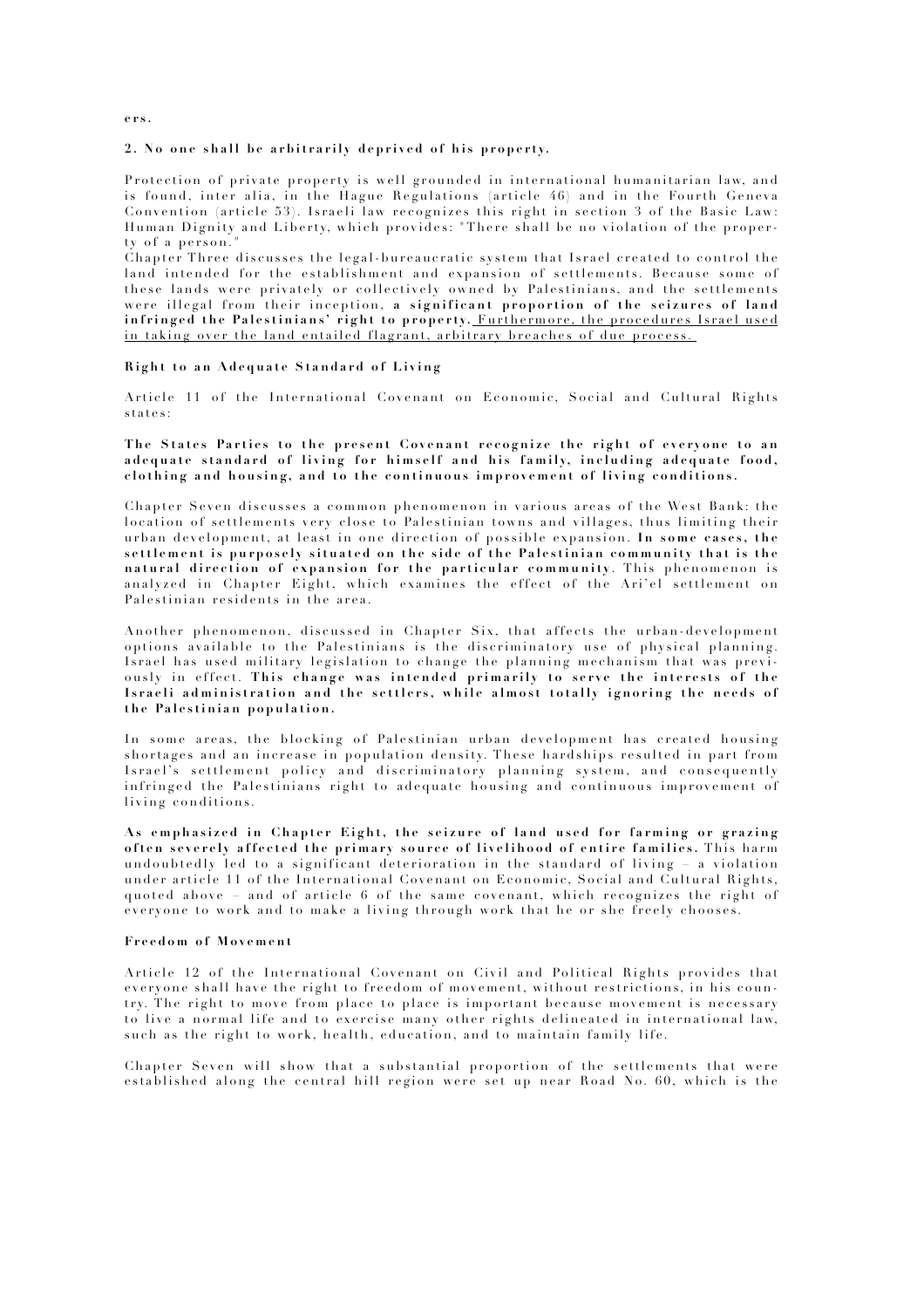### **2. No one shall be arbitrarily deprived of his property.**

Protection of private property is well grounded in international humanitarian law, and is found, inter alia, in the Hague Regulations (article 46) and in the Fourth Geneva Convention (article 53). Israeli law recognizes this right in section 3 of the Basic Law: Human Dignity and Liberty, which provides: "There shall be no violation of the property of a person."

Chapter Three discusses the legal-bureaucratic system that Israel created to control the land intended for the establishment and expansion of settlements. Because some of these lands were privately or collectively owned by Palestinians, and the settlements were illegal from their inception, **a significant proportion of the seizures of land infringed the Palestinians' right to property.** Furthermore, the procedures Israel used in taking over the land entailed flagrant, arbitrary breaches of due process.

### **Right to an Adequate Standard of Living**

Article 11 of the International Covenant on Economic, Social and Cultural Rights states:

**The States Parties to the present Covenant recognize the right of everyone to an adequate standard of living for himself and his family, including adequate food, clothing and housing, and to the continuous improvement of living conditions.**

Chapter Seven discusses a common phenomenon in various areas of the West Bank: the location of settlements very close to Palestinian towns and villages, thus limiting their urban development, at least in one direction of possible expansion. **In some cases, the settlement is purposely situated on the side of the Palestinian community that is the natural direction of expansion for the particular community** . This phenomenon is analyzed in Chapter Eight, which examines the effect of the Ari'el settlement on Palestinian residents in the area.

Another phenomenon, discussed in Chapter Six, that affects the urban-development options available to the Palestinians is the discriminatory use of physical planning. Israel has used military legislation to change the planning mechanism that was previously in effect. **This change was intended primarily to serve the interests of the Israeli administration and the settlers, while almost totally ignoring the needs of the Palestinian population.**

In some areas, the blocking of Palestinian urban development has created housing shortages and an increase in population density. These hardships resulted in part from Israel's settlement policy and discriminatory planning system, and consequently infringed the Palestinians right to adequate housing and continuous improvement of living conditions.

**As emphasized in Chapter Eight, the seizure of land used for farming or grazing often severely affected the primary source of livelihood of entire families.** This harm undoubtedly led to a significant deterioration in the standard of living – a violation under article 11 of the International Covenant on Economic, Social and Cultural Rights, quoted above – and of article 6 of the same covenant, which recognizes the right of everyone to work and to make a living through work that he or she freely chooses.

### **Freedom of Movement**

Article 12 of the International Covenant on Civil and Political Rights provides that everyone shall have the right to freedom of movement, without restrictions, in his country. The right to move from place to place is important because movement is necessary to live a normal life and to exercise many other rights delineated in international law, such as the right to work, health, education, and to maintain family life.

Chapter Seven will show that a substantial proportion of the settlements that were established along the central hill region were set up near Road No. 60, which is the

#### **ers.**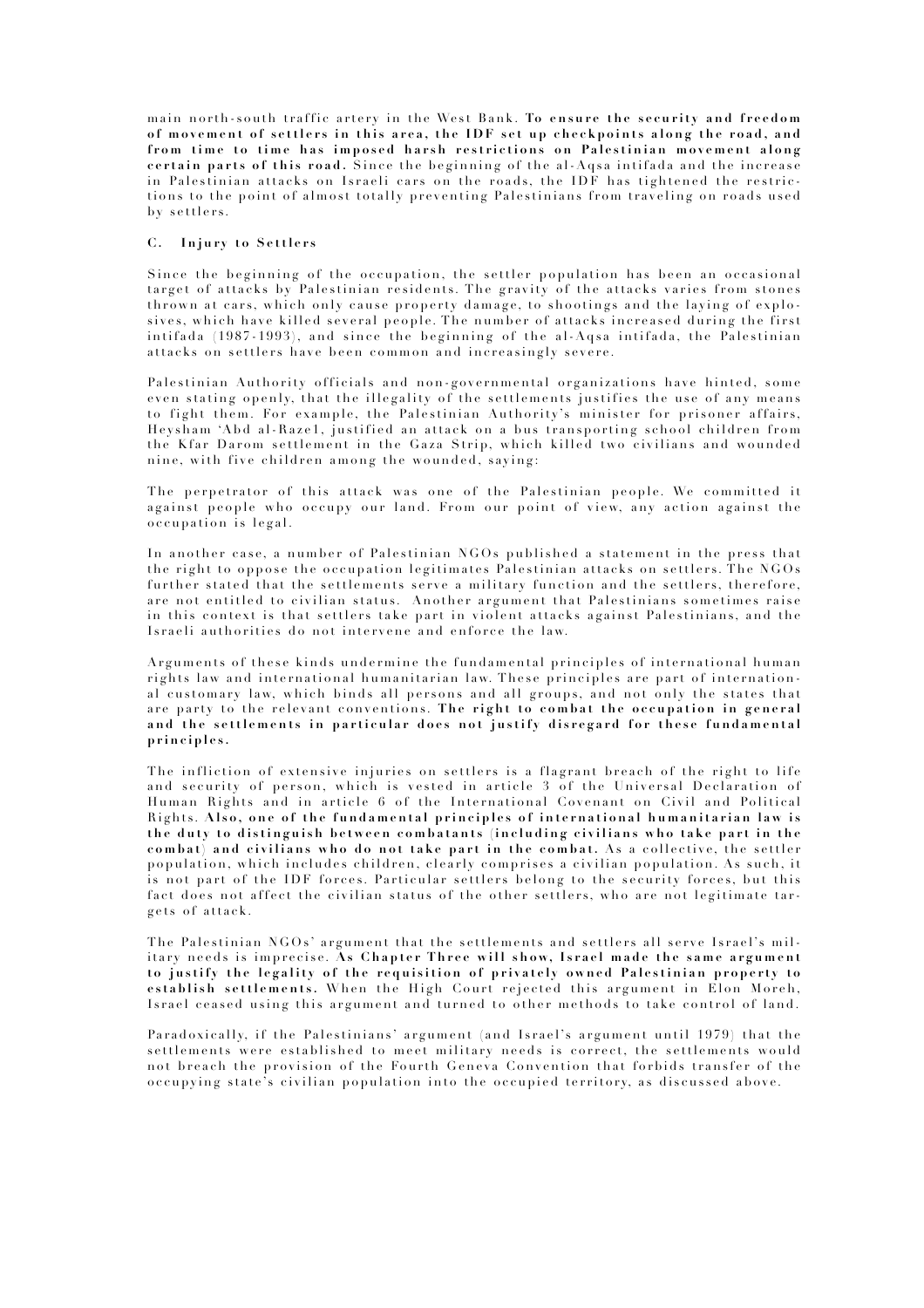main north-south traffic artery in the West Bank. **To ensure the security and freedom of movement of settlers in this area, the IDF set up checkpoints along the road, and from time to time has imposed harsh restrictions on Palestinian movement along certain parts of this road.** Since the beginning of the al-Aqsa intifada and the increase in Palestinian attacks on Israeli cars on the roads, the IDF has tightened the restrictions to the point of almost totally preventing Palestinians from traveling on roads used by settlers.

## **C. Injury to Settlers**

Since the beginning of the occupation, the settler population has been an occasional target of attacks by Palestinian residents. The gravity of the attacks varies from stones thrown at cars, which only cause property damage, to shootings and the laying of explosives, which have killed several people. The number of attacks increased during the first intifada (1987-1993), and since the beginning of the al-Aqsa intifada, the Palestinian attacks on settlers have been common and increasingly severe.

Palestinian Authority officials and non-governmental organizations have hinted, some even stating openly, that the illegality of the settlements justifies the use of any means to fight them. For example, the Palestinian Authority's minister for prisoner affairs, Heysham 'Abd al-Raze1, justified an attack on a bus transporting school children from the Kfar Darom settlement in the Gaza Strip, which killed two civilians and wounded nine, with five children among the wounded, saying:

The perpetrator of this attack was one of the Palestinian people. We committed it against people who occupy our land. From our point of view, any action against the occupation is legal.

In another case, a number of Palestinian NGOs published a statement in the press that the right to oppose the occupation legitimates Palestinian attacks on settlers. The NGOs further stated that the settlements serve a military function and the settlers, therefore, are not entitled to civilian status. Another argument that Palestinians sometimes raise in this context is that settlers take part in violent attacks against Palestinians, and the Israeli authorities do not intervene and enforce the law.

Arguments of these kinds undermine the fundamental principles of international human rights law and international humanitarian law. These principles are part of international customary law, which binds all persons and all groups, and not only the states that are party to the relevant conventions. **The right to combat the occupation in general and the settlements in particular does not justify disregard for these fundamental principles.**

The infliction of extensive injuries on settlers is a flagrant breach of the right to life and security of person, which is vested in article 3 of the Universal Declaration of Human Rights and in article 6 of the International Covenant on Civil and Political Rights. **Also, one of the fundamental principles of international humanitarian law is the duty to distinguish between combatants (including civilians who take part in the combat) and civilians who do not take part in the combat.** As a collective, the settler population, which includes children, clearly comprises a civilian population. As such, it is not part of the IDF forces. Particular settlers belong to the security forces, but this fact does not affect the civilian status of the other settlers, who are not legitimate targets of attack.

The Palestinian NGOs' argument that the settlements and settlers all serve Israel's military needs is imprecise. **As Chapter Three will show, Israel made the same argument to justify the legality of the requisition of privately owned Palestinian property to establish settlements.** When the High Court rejected this argument in Elon Moreh, Israel ceased using this argument and turned to other methods to take control of land.

Paradoxically, if the Palestinians' argument (and Israel's argument until 1979) that the settlements were established to meet military needs is correct, the settlements would not breach the provision of the Fourth Geneva Convention that forbids transfer of the occupying state's civilian population into the occupied territory, as discussed above.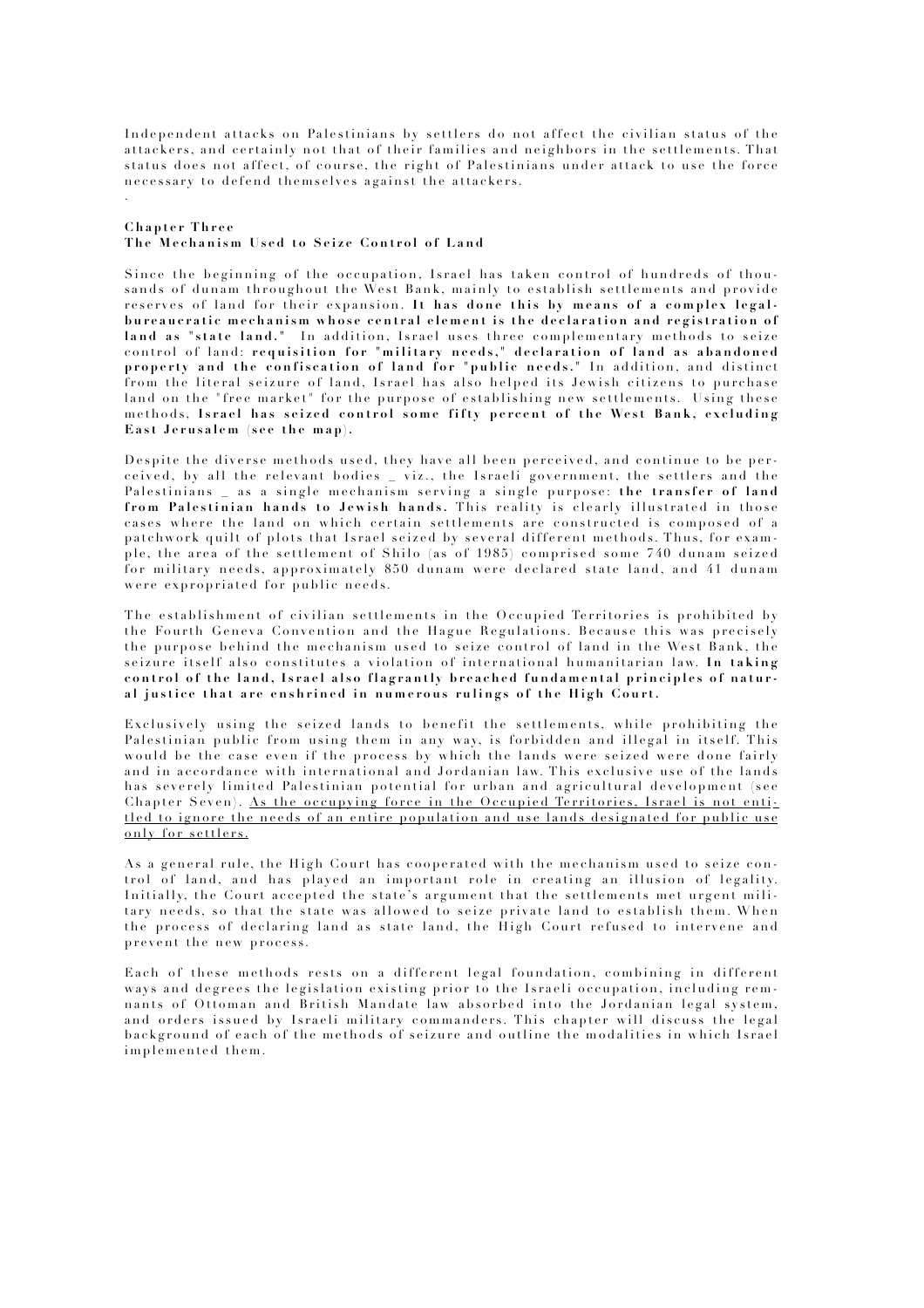Independent attacks on Palestinians by settlers do not affect the civilian status of the attackers, and certainly not that of their families and neighbors in the settlements. That status does not affect, of course, the right of Palestinians under attack to use the force necessary to defend themselves against the attackers.

### **Chapter Three The Mechanism Used to Seize Control of Land**

.

Since the beginning of the occupation, Israel has taken control of hundreds of thousands of dunam throughout the West Bank, mainly to establish settlements and provide reserves of land for their expansion. **It has done this by means of a complex legalbureaucratic mechanism whose central element is the declaration and registration of land as "state land."** In addition, Israel uses three complementary methods to seize control of land: **requisition for "military needs," declaration of land as abandoned property and the confiscation of land for "public needs."** In addition, and distinct from the literal seizure of land, Israel has also helped its Jewish citizens to purchase land on the "free market" for the purpose of establishing new settlements. Using these methods, **Israel has seized control some fifty percent of the West Bank, excluding East Jerusalem (see the map).**

Despite the diverse methods used, they have all been perceived, and continue to be perceived, by all the relevant bodies \_ viz., the Israeli government, the settlers and the Palestinians \_ as a single mechanism serving a single purpose: **the transfer of land from Palestinian hands to Jewish hands.** This reality is clearly illustrated in those cases where the land on which certain settlements are constructed is composed of a patchwork quilt of plots that Israel seized by several different methods. Thus, for example, the area of the settlement of Shilo (as of 1985) comprised some 740 dunam seized for military needs, approximately 850 dunam were declared state land, and 41 dunam were expropriated for public needs.

The establishment of civilian settlements in the Occupied Territories is prohibited by the Fourth Geneva Convention and the Hague Regulations. Because this was precisely the purpose behind the mechanism used to seize control of land in the West Bank, the seizure itself also constitutes a violation of international humanitarian law. **In taking control of the land, Israel also flagrantly breached fundamental principles of natural justice that are enshrined in numerous rulings of the High Court.**

Exclusively using the seized lands to benefit the settlements, while prohibiting the Palestinian public from using them in any way, is forbidden and illegal in itself. This would be the case even if the process by which the lands were seized were done fairly and in accordance with international and Jordanian law. This exclusive use of the lands has severely limited Palestinian potential for urban and agricultural development (see Chapter Seven). As the occupying force in the Occupied Territories, Israel is not entitled to ignore the needs of an entire population and use lands designated for public use only for settlers.

As a general rule, the High Court has cooperated with the mechanism used to seize control of land, and has played an important role in creating an illusion of legality. Initially, the Court accepted the state's argument that the settlements met urgent military needs, so that the state was allowed to seize private land to establish them. When the process of declaring land as state land, the High Court refused to intervene and prevent the new process.

Each of these methods rests on a different legal foundation, combining in different ways and degrees the legislation existing prior to the Israeli occupation, including remnants of Ottoman and British Mandate law absorbed into the Jordanian legal system, and orders issued by Israeli military commanders. This chapter will discuss the legal background of each of the methods of seizure and outline the modalities in which Israel implemented them.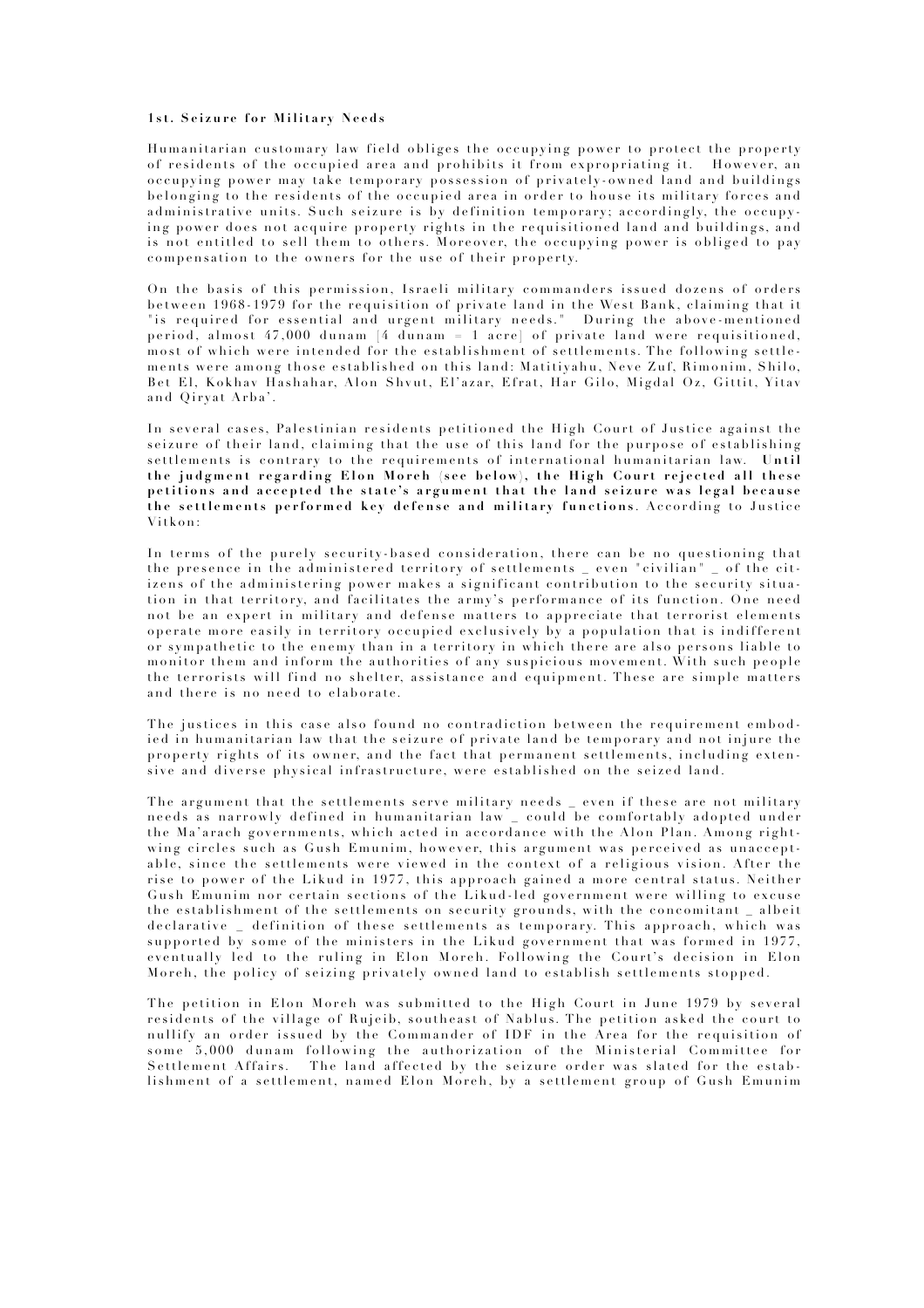## **1st. Seizure for Military Needs**

Humanitarian customary law field obliges the occupying power to protect the property of residents of the occupied area and prohibits it from expropriating it. However, an occupying power may take temporary possession of privately-owned land and buildings belonging to the residents of the occupied area in order to house its military forces and administrative units. Such seizure is by definition temporary; accordingly, the occupying power does not acquire property rights in the requisitioned land and buildings, and is not entitled to sell them to others. Moreover, the occupying power is obliged to pay compensation to the owners for the use of their property.

On the basis of this permission, Israeli military commanders issued dozens of orders between 1968-1979 for the requisition of private land in the West Bank, claiming that it "is required for essential and urgent military needs." During the above-mentioned period, almost 47,000 dunam [4 dunam = 1 acre] of private land were requisitioned, most of which were intended for the establishment of settlements. The following settlements were among those established on this land: Matitiyahu, Neve Zuf, Rimonim, Shilo, Bet El, Kokhav Hashahar, Alon Shvut, El'azar, Efrat, Har Gilo, Migdal Oz, Gittit, Yitav and Qiryat Arba'.

In several cases, Palestinian residents petitioned the High Court of Justice against the seizure of their land, claiming that the use of this land for the purpose of establishing settlements is contrary to the requirements of international humanitarian law. **Until the judgment regarding Elon Moreh (see below), the High Court rejected all these petitions and accepted the state's argument that the land seizure was legal because the settlements performed key defense and military functions** . According to Justice Vitkon:

In terms of the purely security-based consideration, there can be no questioning that the presence in the administered territory of settlements \_ even "civilian" \_ of the citizens of the administering power makes a significant contribution to the security situation in that territory, and facilitates the army's performance of its function. One need not be an expert in military and defense matters to appreciate that terrorist elements operate more easily in territory occupied exclusively by a population that is indifferent or sympathetic to the enemy than in a territory in which there are also persons liable to monitor them and inform the authorities of any suspicious movement. With such people the terrorists will find no shelter, assistance and equipment. These are simple matters and there is no need to elaborate.

The justices in this case also found no contradiction between the requirement embodied in humanitarian law that the seizure of private land be temporary and not injure the property rights of its owner, and the fact that permanent settlements, including extensive and diverse physical infrastructure, were established on the seized land.

The argument that the settlements serve military needs \_ even if these are not military needs as narrowly defined in humanitarian law \_ could be comfortably adopted under the Ma'arach governments, which acted in accordance with the Alon Plan. Among rightwing circles such as Gush Emunim, however, this argument was perceived as unacceptable, since the settlements were viewed in the context of a religious vision. After the rise to power of the Likud in 1977, this approach gained a more central status. Neither Gush Emunim nor certain sections of the Likud-led government were willing to excuse the establishment of the settlements on security grounds, with the concomitant \_ albeit declarative \_ definition of these settlements as temporary. This approach, which was supported by some of the ministers in the Likud government that was formed in 1977, eventually led to the ruling in Elon Moreh. Following the Court's decision in Elon Moreh, the policy of seizing privately owned land to establish settlements stopped.

The petition in Elon Moreh was submitted to the High Court in June 1979 by several residents of the village of Rujeib, southeast of Nablus. The petition asked the court to nullify an order issued by the Commander of IDF in the Area for the requisition of some 5,000 dunam following the authorization of the Ministerial Committee for Settlement Affairs. The land affected by the seizure order was slated for the establishment of a settlement, named Elon Moreh, by a settlement group of Gush Emunim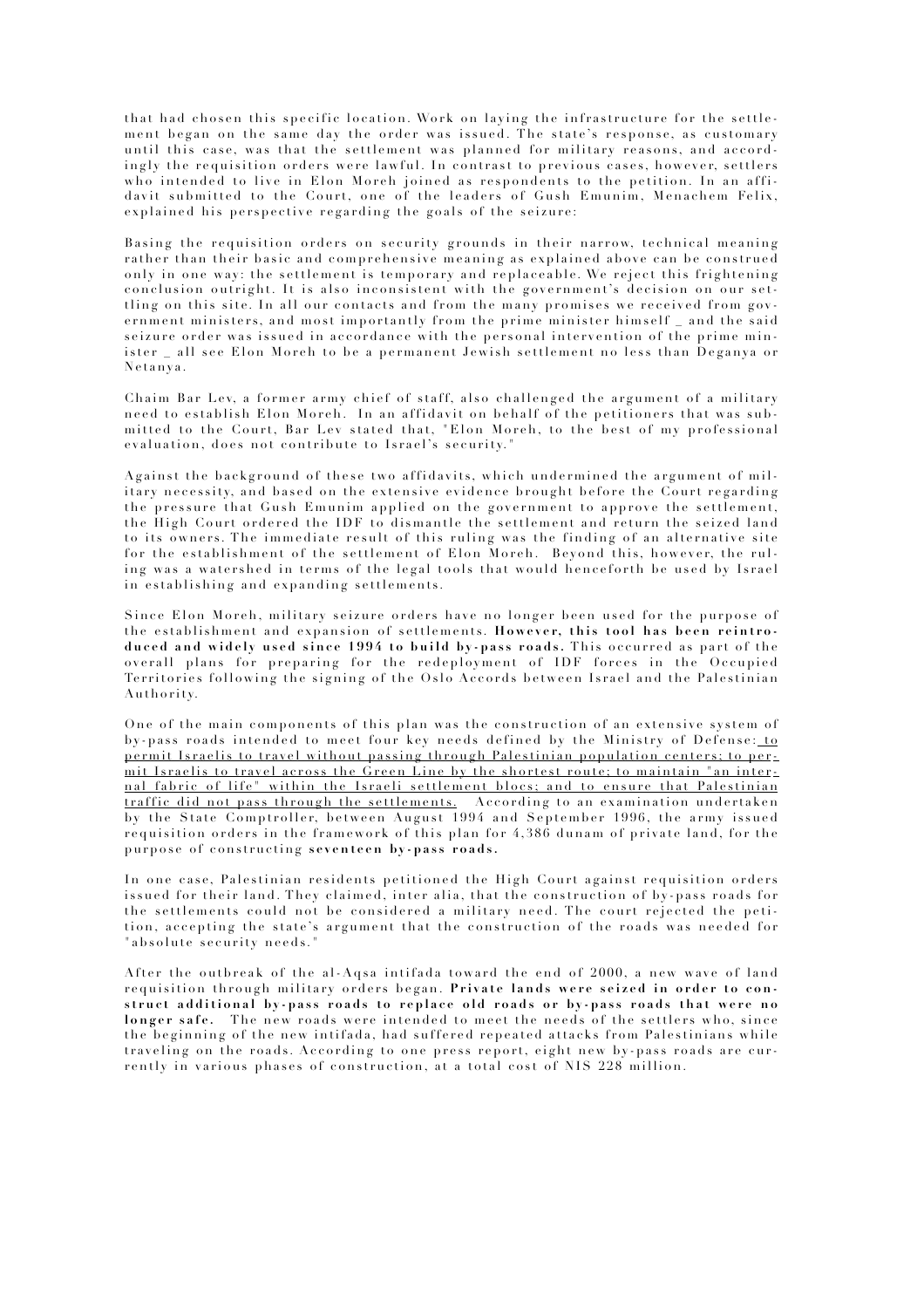that had chosen this specific location. Work on laying the infrastructure for the settlement began on the same day the order was issued. The state's response, as customary until this case, was that the settlement was planned for military reasons, and accordingly the requisition orders were lawful. In contrast to previous cases, however, settlers who intended to live in Elon Moreh joined as respondents to the petition. In an affidavit submitted to the Court, one of the leaders of Gush Emunim, Menachem Felix, explained his perspective regarding the goals of the seizure:

Basing the requisition orders on security grounds in their narrow, technical meaning rather than their basic and comprehensive meaning as explained above can be construed only in one way: the settlement is temporary and replaceable. We reject this frightening conclusion outright. It is also inconsistent with the government's decision on our settling on this site. In all our contacts and from the many promises we received from government ministers, and most importantly from the prime minister himself \_ and the said seizure order was issued in accordance with the personal intervention of the prime minister \_ all see Elon Moreh to be a permanent Jewish settlement no less than Deganya or Netanya.

Chaim Bar Lev, a former army chief of staff, also challenged the argument of a military need to establish Elon Moreh. In an affidavit on behalf of the petitioners that was submitted to the Court, Bar Lev stated that, "Elon Moreh, to the best of my professional evaluation, does not contribute to Israel's security."

Against the background of these two affidavits, which undermined the argument of military necessity, and based on the extensive evidence brought before the Court regarding the pressure that Gush Emunim applied on the government to approve the settlement, the High Court ordered the IDF to dismantle the settlement and return the seized land to its owners. The immediate result of this ruling was the finding of an alternative site for the establishment of the settlement of Elon Moreh. Beyond this, however, the ruling was a watershed in terms of the legal tools that would henceforth be used by Israel in establishing and expanding settlements.

Since Elon Moreh, military seizure orders have no longer been used for the purpose of the establishment and expansion of settlements. **However, this tool has been reintroduced and widely used since 1994 to build by-pass roads.** This occurred as part of the overall plans for preparing for the redeployment of IDF forces in the Occupied Territories following the signing of the Oslo Accords between Israel and the Palestinian Authority.

One of the main components of this plan was the construction of an extensive system of by-pass roads intended to meet four key needs defined by the Ministry of Defense: to permit Israelis to travel without passing through Palestinian population centers; to permit Israelis to travel across the Green Line by the shortest route; to maintain "an internal fabric of life" within the Israeli settlement blocs; and to ensure that Palestinian traffic did not pass through the settlements . According to an examination undertaken by the State Comptroller, between August 1994 and September 1996, the army issued requisition orders in the framework of this plan for 4,386 dunam of private land, for the purpose of constructing **seventeen by-pass roads.**

In one case, Palestinian residents petitioned the High Court against requisition orders issued for their land. They claimed, inter alia, that the construction of by-pass roads for the settlements could not be considered a military need. The court rejected the petition, accepting the state's argument that the construction of the roads was needed for "absolute security needs."

After the outbreak of the al-Aqsa intifada toward the end of 2000, a new wave of land requisition through military orders began. **Private lands were seized in order to construct additional by-pass roads to replace old roads or by-pass roads that were no longer safe.** The new roads were intended to meet the needs of the settlers who, since the beginning of the new intifada, had suffered repeated attacks from Palestinians while traveling on the roads. According to one press report, eight new by-pass roads are currently in various phases of construction, at a total cost of NIS 228 million.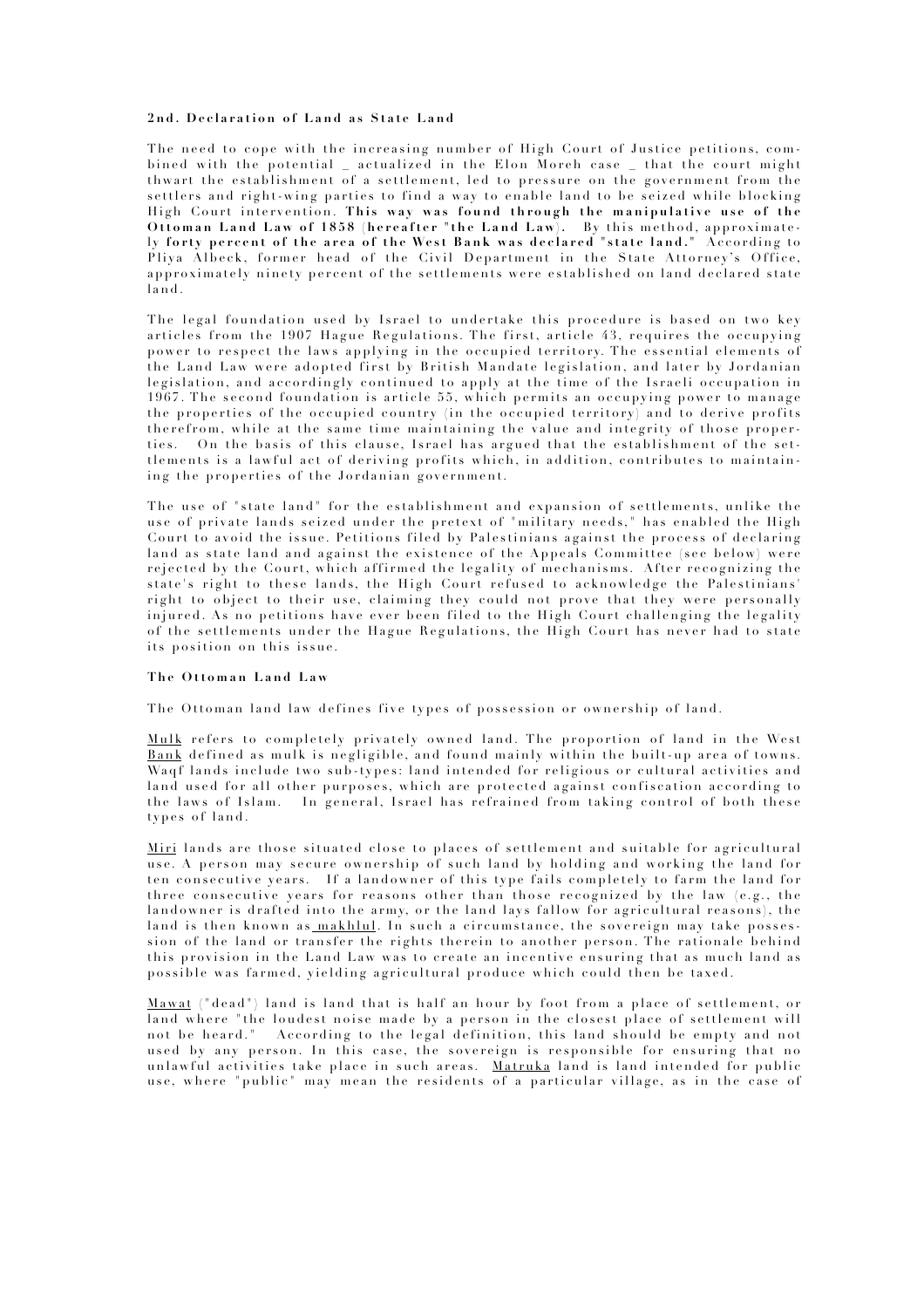#### **2nd. Declaration of Land as State Land**

The need to cope with the increasing number of High Court of Justice petitions, combined with the potential \_ actualized in the Elon Moreh case \_ that the court might thwart the establishment of a settlement, led to pressure on the government from the settlers and right-wing parties to find a way to enable land to be seized while blocking High Court intervention. **This way was found through the manipulative use of the Ottoman Land Law of 1858 (hereafter "the Land Law).** By this method, approximately **forty percent of the area of the West Bank was declared "state land."** According to Pliya Albeck, former head of the Civil Department in the State Attorney's Office, approximately ninety percent of the settlements were established on land declared state land.

The legal foundation used by Israel to undertake this procedure is based on two key articles from the 1907 Hague Regulations. The first, article 43, requires the occupying power to respect the laws applying in the occupied territory. The essential elements of the Land Law were adopted first by British Mandate legislation, and later by Jordanian legislation, and accordingly continued to apply at the time of the Israeli occupation in 1967. The second foundation is article 55, which permits an occupying power to manage the properties of the occupied country (in the occupied territory) and to derive profits therefrom, while at the same time maintaining the value and integrity of those properties. On the basis of this clause, Israel has argued that the establishment of the settlements is a lawful act of deriving profits which, in addition, contributes to maintaining the properties of the Jordanian government.

The use of "state land" for the establishment and expansion of settlements, unlike the use of private lands seized under the pretext of "military needs," has enabled the High Court to avoid the issue. Petitions filed by Palestinians against the process of declaring land as state land and against the existence of the Appeals Committee (see below) were rejected by the Court, which affirmed the legality of mechanisms. After recognizing the state's right to these lands, the High Court refused to acknowledge the Palestinians' right to object to their use, claiming they could not prove that they were personally injured. As no petitions have ever been filed to the High Court challenging the legality of the settlements under the Hague Regulations, the High Court has never had to state its position on this issue.

#### **The Ottoman Land Law**

The Ottoman land law defines five types of possession or ownership of land.

Mulk refers to completely privately owned land. The proportion of land in the West Bank defined as mulk is negligible, and found mainly within the built-up area of towns. Waqf lands include two sub-types: land intended for religious or cultural activities and land used for all other purposes, which are protected against confiscation according to the laws of Islam. In general, Israel has refrained from taking control of both these types of land.

Miri lands are those situated close to places of settlement and suitable for agricultural use. A person may secure ownership of such land by holding and working the land for ten consecutive years. If a landowner of this type fails completely to farm the land for three consecutive years for reasons other than those recognized by the law (e.g., the landowner is drafted into the army, or the land lays fallow for agricultural reasons), the land is then known as makhlul. In such a circumstance, the sovereign may take possession of the land or transfer the rights therein to another person. The rationale behind this provision in the Land Law was to create an incentive ensuring that as much land as possible was farmed, yielding agricultural produce which could then be taxed.

Mawat ("dead") land is land that is half an hour by foot from a place of settlement, or land where "the loudest noise made by a person in the closest place of settlement will not be heard." According to the legal definition, this land should be empty and not used by any person. In this case, the sovereign is responsible for ensuring that no unlawful activities take place in such areas. Matruka land is land intended for public use, where "public" may mean the residents of a particular village, as in the case of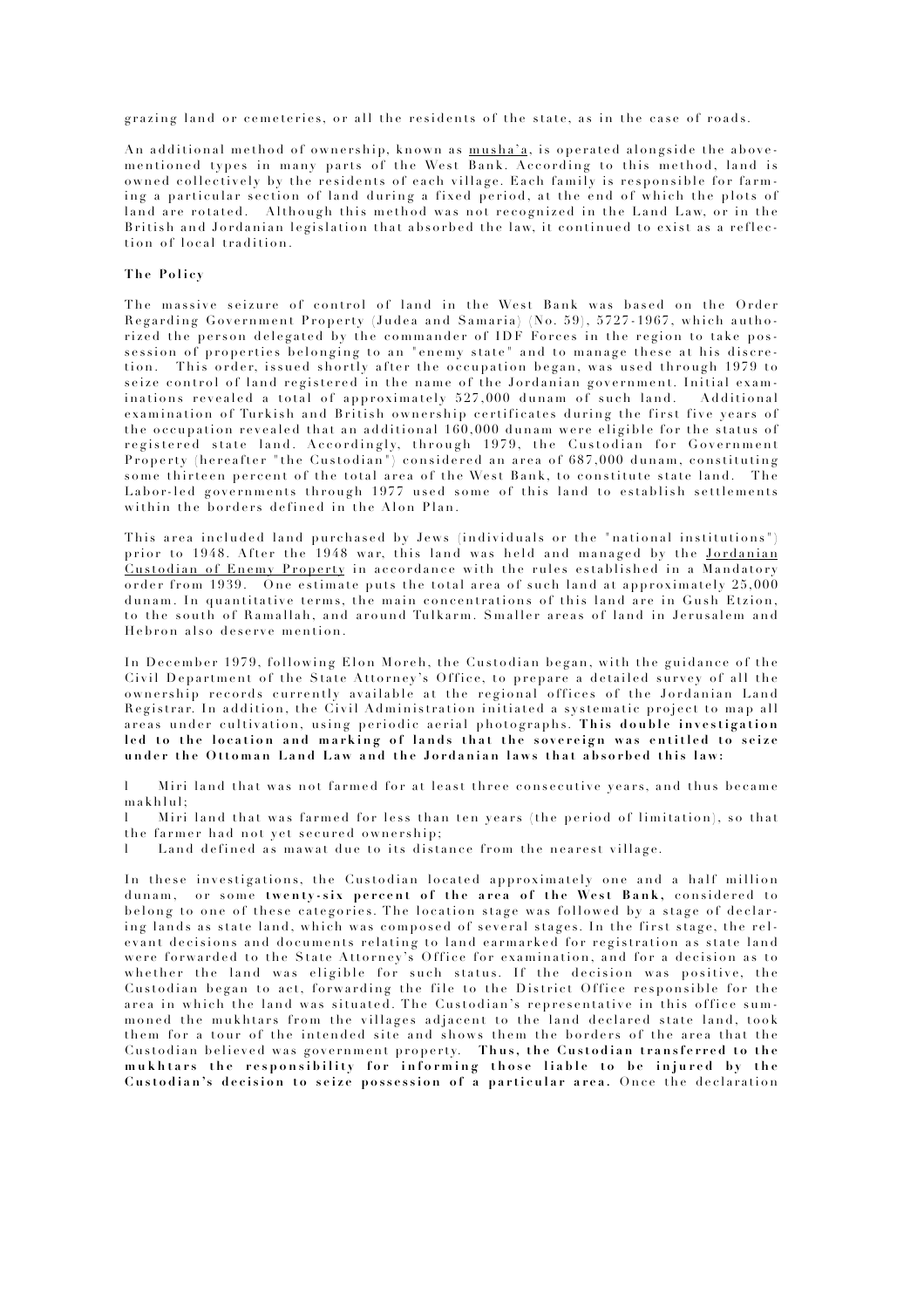grazing land or cemeteries, or all the residents of the state, as in the case of roads.

An additional method of ownership, known as musha'a, is operated alongside the abovementioned types in many parts of the West Bank. According to this method, land is owned collectively by the residents of each village. Each family is responsible for farming a particular section of land during a fixed period, at the end of which the plots of land are rotated. Although this method was not recognized in the Land Law, or in the British and Jordanian legislation that absorbed the law, it continued to exist as a reflection of local tradition.

#### **The Policy**

The massive seizure of control of land in the West Bank was based on the Order Regarding Government Property (Judea and Samaria) (No. 59), 5727-1967, which authorized the person delegated by the commander of IDF Forces in the region to take possession of properties belonging to an "enemy state" and to manage these at his discretion. This order, issued shortly after the occupation began, was used through 1979 to seize control of land registered in the name of the Jordanian government. Initial examinations revealed a total of approximately 527,000 dunam of such land. Additional examination of Turkish and British ownership certificates during the first five years of the occupation revealed that an additional 160,000 dunam were eligible for the status of registered state land. Accordingly, through 1979, the Custodian for Government Property (hereafter "the Custodian") considered an area of 687,000 dunam, constituting some thirteen percent of the total area of the West Bank, to constitute state land. The Labor-led governments through 1977 used some of this land to establish settlements within the borders defined in the Alon Plan.

This area included land purchased by Jews (individuals or the "national institutions") prior to 1948. After the 1948 war, this land was held and managed by the Jordanian Custodian of Enemy Property in accordance with the rules established in a Mandatory order from 1939. One estimate puts the total area of such land at approximately 25,000 dunam. In quantitative terms, the main concentrations of this land are in Gush Etzion, to the south of Ramallah, and around Tulkarm. Smaller areas of land in Jerusalem and Hebron also deserve mention.

In December 1979, following Elon Moreh, the Custodian began, with the guidance of the Civil Department of the State Attorney's Office, to prepare a detailed survey of all the ownership records currently available at the regional offices of the Jordanian Land Registrar. In addition, the Civil Administration initiated a systematic project to map all areas under cultivation, using periodic aerial photographs. **This double investigation led to the location and marking of lands that the sovereign was entitled to seize under the Ottoman Land Law and the Jordanian laws that absorbed this law:**

l Miri land that was not farmed for at least three consecutive years, and thus became makhlul;

l Miri land that was farmed for less than ten years (the period of limitation), so that the farmer had not yet secured ownership;

l Land defined as mawat due to its distance from the nearest village.

In these investigations, the Custodian located approximately one and a half million dunam, or some **twenty-six percent of the area of the West Bank,** considered to belong to one of these categories. The location stage was followed by a stage of declaring lands as state land, which was composed of several stages. In the first stage, the relevant decisions and documents relating to land earmarked for registration as state land were forwarded to the State Attorney's Office for examination, and for a decision as to whether the land was eligible for such status. If the decision was positive, the Custodian began to act, forwarding the file to the District Office responsible for the area in which the land was situated. The Custodian's representative in this office summoned the mukhtars from the villages adjacent to the land declared state land, took them for a tour of the intended site and shows them the borders of the area that the Custodian believed was government property. **Thus, the Custodian transferred to the mukhtars the responsibility for informing those liable to be injured by the Custodian's decision to seize possession of a particular area.** Once the declaration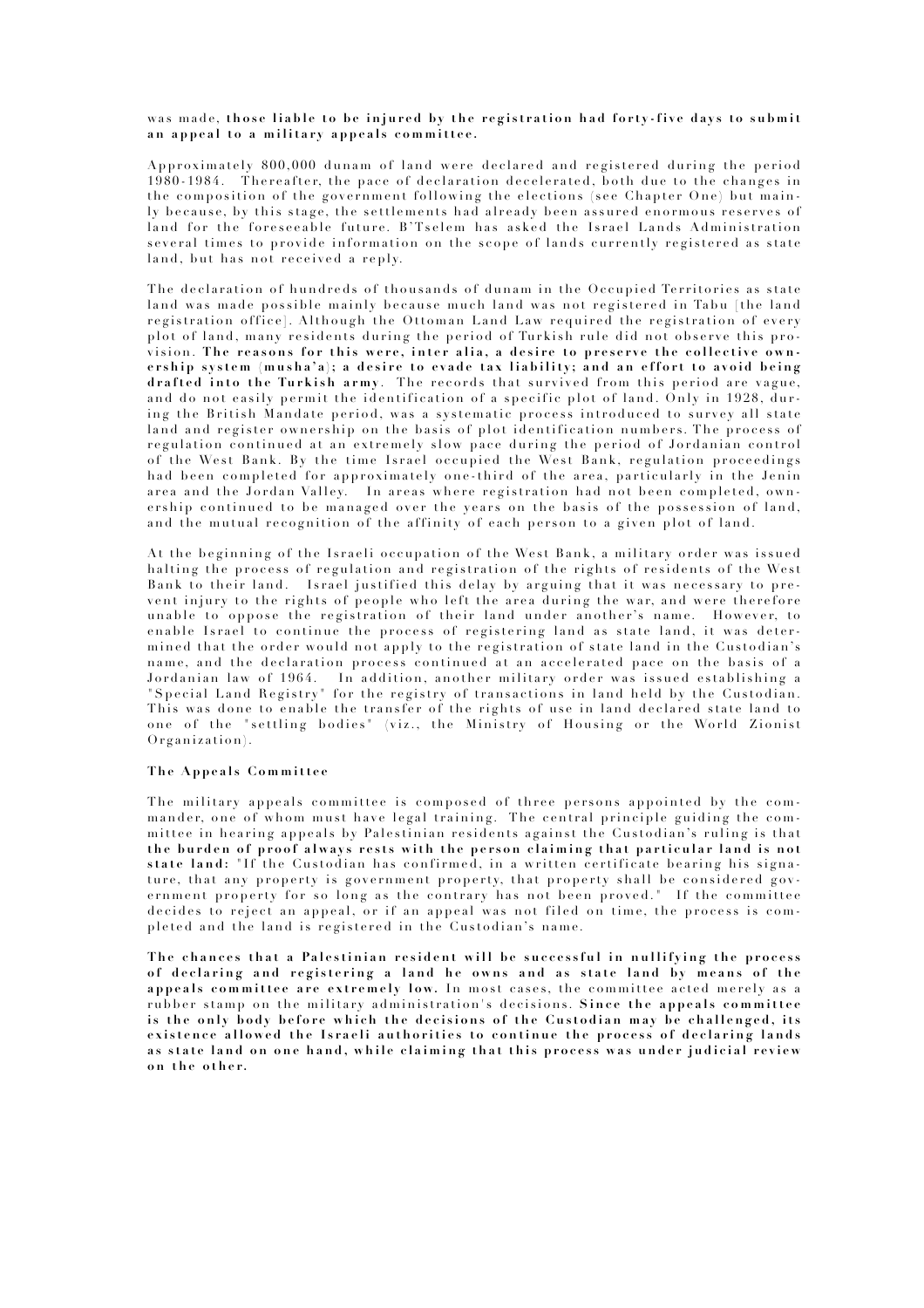## was made, **those liable to be injured by the registration had forty-five days to submit an appeal to a military appeals committee.**

Approximately 800,000 dunam of land were declared and registered during the period 1980-1984. Thereafter, the pace of declaration decelerated, both due to the changes in the composition of the government following the elections (see Chapter One) but mainly because, by this stage, the settlements had already been assured enormous reserves of land for the foreseeable future. B'Tselem has asked the Israel Lands Administration several times to provide information on the scope of lands currently registered as state land, but has not received a reply.

The declaration of hundreds of thousands of dunam in the Occupied Territories as state land was made possible mainly because much land was not registered in Tabu [the land registration office]. Although the Ottoman Land Law required the registration of every plot of land, many residents during the period of Turkish rule did not observe this provision. **The reasons for this were, inter alia, a desire to preserve the collective ownership system (musha'a); a desire to evade tax liability; and an effort to avoid being** drafted into the Turkish army. The records that survived from this period are vague, and do not easily permit the identification of a specific plot of land. Only in 1928, during the British Mandate period, was a systematic process introduced to survey all state land and register ownership on the basis of plot identification numbers. The process of regulation continued at an extremely slow pace during the period of Jordanian control of the West Bank. By the time Israel occupied the West Bank, regulation proceedings had been completed for approximately one-third of the area, particularly in the Jenin area and the Jordan Valley. In areas where registration had not been completed, ownership continued to be managed over the years on the basis of the possession of land, and the mutual recognition of the affinity of each person to a given plot of land.

At the beginning of the Israeli occupation of the West Bank, a military order was issued halting the process of regulation and registration of the rights of residents of the West Bank to their land. Israel justified this delay by arguing that it was necessary to prevent injury to the rights of people who left the area during the war, and were therefore unable to oppose the registration of their land under another's name. However, to enable Israel to continue the process of registering land as state land, it was determined that the order would not apply to the registration of state land in the Custodian's name, and the declaration process continued at an accelerated pace on the basis of a Jordanian law of 1964. In addition, another military order was issued establishing a "Special Land Registry" for the registry of transactions in land held by the Custodian. This was done to enable the transfer of the rights of use in land declared state land to one of the "settling bodies" (viz., the Ministry of Housing or the World Zionist Organization).

### **The Appeals Committee**

The military appeals committee is composed of three persons appointed by the commander, one of whom must have legal training. The central principle guiding the committee in hearing appeals by Palestinian residents against the Custodian's ruling is that **the burden of proof always rests with the person claiming that particular land is not state land:** "If the Custodian has confirmed, in a written certificate bearing his signature, that any property is government property, that property shall be considered government property for so long as the contrary has not been proved." If the committee decides to reject an appeal, or if an appeal was not filed on time, the process is completed and the land is registered in the Custodian's name.

**The chances that a Palestinian resident will be successful in nullifying the process of declaring and registering a land he owns and as state land by means of the appeals committee are extremely low.** In most cases, the committee acted merely as a rubber stamp on the military administration's decisions. **Since the appeals committee is the only body before which the decisions of the Custodian may be challenged, its existence allowed the Israeli authorities to continue the process of declaring lands as state land on one hand, while claiming that this process was under judicial review on the other.**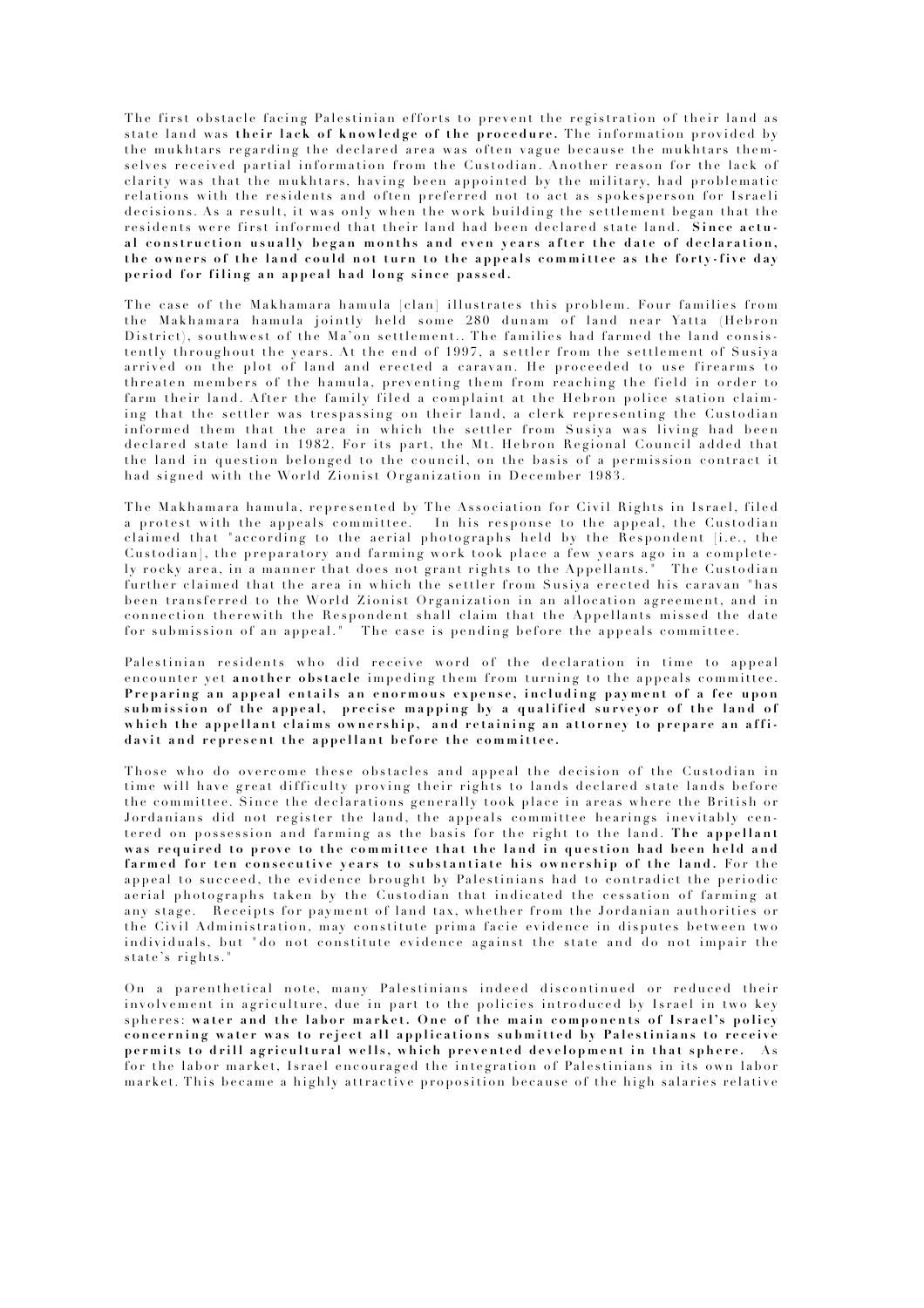The first obstacle facing Palestinian efforts to prevent the registration of their land as state land was **their lack of knowledge of the procedure.** The information provided by the mukhtars regarding the declared area was often vague because the mukhtars themselves received partial information from the Custodian. Another reason for the lack of clarity was that the mukhtars, having been appointed by the military, had problematic relations with the residents and often preferred not to act as spokesperson for Israeli decisions. As a result, it was only when the work building the settlement began that the residents were first informed that their land had been declared state land. **Since actual construction usually began months and even years after the date of declaration, the owners of the land could not turn to the appeals committee as the forty-five day period for filing an appeal had long since passed.**

The case of the Makhamara hamula [clan] illustrates this problem. Four families from the Makhamara hamula jointly held some 280 dunam of land near Yatta (Hebron District), southwest of the Ma'on settlement.. The families had farmed the land consistently throughout the years. At the end of 1997, a settler from the settlement of Susiya arrived on the plot of land and erected a caravan. He proceeded to use firearms to threaten members of the hamula, preventing them from reaching the field in order to farm their land. After the family filed a complaint at the Hebron police station claiming that the settler was trespassing on their land, a clerk representing the Custodian informed them that the area in which the settler from Susiya was living had been declared state land in 1982. For its part, the Mt. Hebron Regional Council added that the land in question belonged to the council, on the basis of a permission contract it had signed with the World Zionist Organization in December 1983.

The Makhamara hamula, represented by The Association for Civil Rights in Israel, filed a protest with the appeals committee. In his response to the appeal, the Custodian claimed that "according to the aerial photographs held by the Respondent [i.e., the Custodian], the preparatory and farming work took place a few years ago in a completely rocky area, in a manner that does not grant rights to the Appellants." The Custodian further claimed that the area in which the settler from Susiya erected his caravan "has been transferred to the World Zionist Organization in an allocation agreement, and in connection therewith the Respondent shall claim that the Appellants missed the date for submission of an appeal." The case is pending before the appeals committee.

Palestinian residents who did receive word of the declaration in time to appeal encounter yet **another obstacle** impeding them from turning to the appeals committee. **Preparing an appeal entails an enormous expense, including payment of a fee upon submission of the appeal, precise mapping by a qualified surveyor of the land of which the appellant claims ownership, and retaining an attorney to prepare an affidavit and represent the appellant before the committee.**

Those who do overcome these obstacles and appeal the decision of the Custodian in time will have great difficulty proving their rights to lands declared state lands before the committee. Since the declarations generally took place in areas where the British or Jordanians did not register the land, the appeals committee hearings inevitably centered on possession and farming as the basis for the right to the land. **The appellant was required to prove to the committee that the land in question had been held and farmed for ten consecutive years to substantiate his ownership of the land.** For the appeal to succeed, the evidence brought by Palestinians had to contradict the periodic aerial photographs taken by the Custodian that indicated the cessation of farming at any stage. Receipts for payment of land tax, whether from the Jordanian authorities or the Civil Administration, may constitute prima facie evidence in disputes between two individuals, but "do not constitute evidence against the state and do not impair the state's rights."

On a parenthetical note, many Palestinians indeed discontinued or reduced their involvement in agriculture, due in part to the policies introduced by Israel in two key spheres: **water and the labor market. One of the main components of Israel's policy concerning water was to reject all applications submitted by Palestinians to receive** permits to drill agricultural wells, which prevented development in that sphere. As for the labor market, Israel encouraged the integration of Palestinians in its own labor market. This became a highly attractive proposition because of the high salaries relative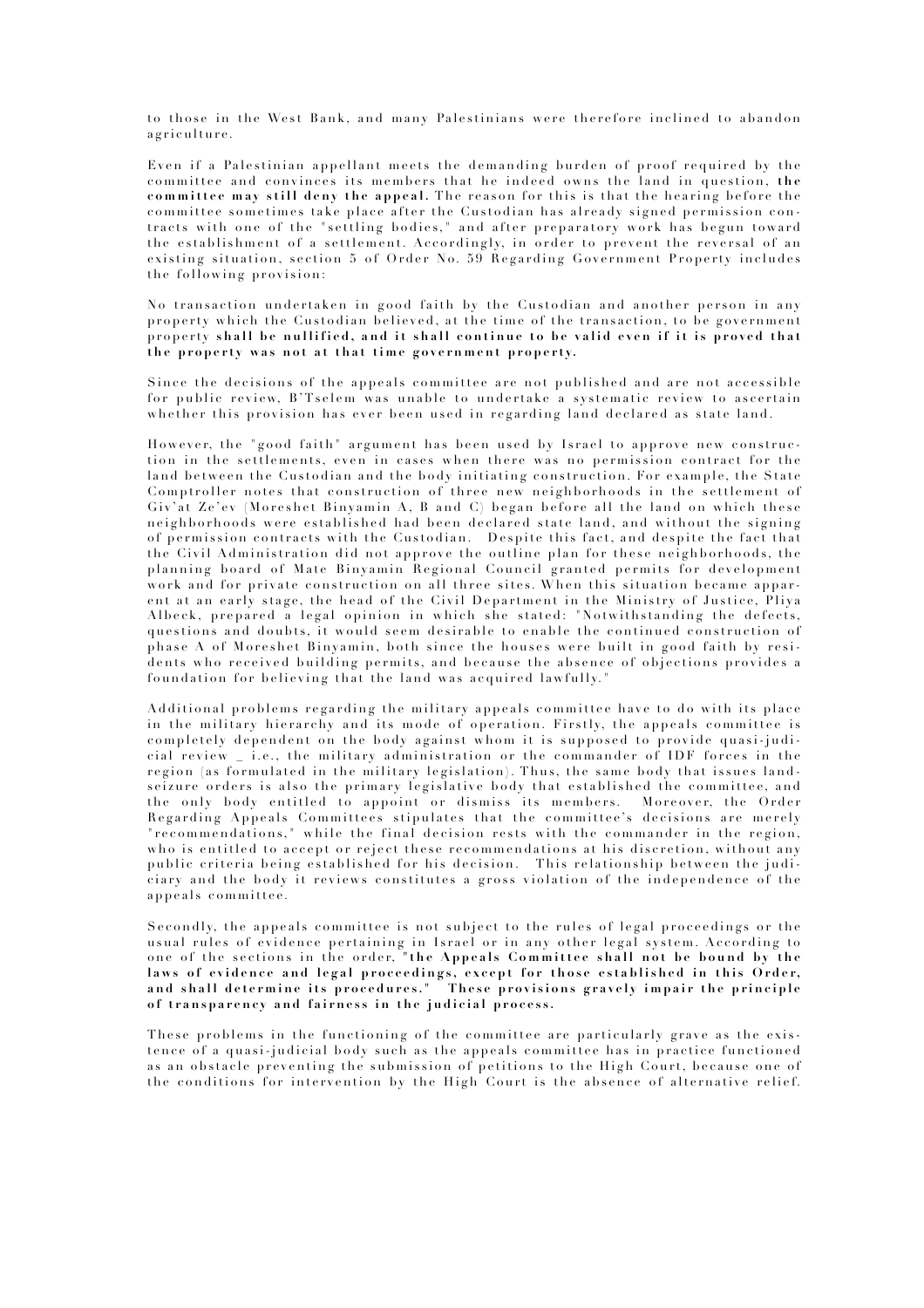to those in the West Bank, and many Palestinians were therefore inclined to abandon agriculture.

Even if a Palestinian appellant meets the demanding burden of proof required by the committee and convinces its members that he indeed owns the land in question, **the committee may still deny the appeal.** The reason for this is that the hearing before the committee sometimes take place after the Custodian has already signed permission contracts with one of the "settling bodies," and after preparatory work has begun toward the establishment of a settlement. Accordingly, in order to prevent the reversal of an existing situation, section 5 of Order No. 59 Regarding Government Property includes the following provision:

No transaction undertaken in good faith by the Custodian and another person in any property which the Custodian believed, at the time of the transaction, to be government property **shall be nullified, and it shall continue to be valid even if it is proved that the property was not at that time government property.**

Since the decisions of the appeals committee are not published and are not accessible for public review, B'Tselem was unable to undertake a systematic review to ascertain whether this provision has ever been used in regarding land declared as state land.

However, the "good faith" argument has been used by Israel to approve new construction in the settlements, even in cases when there was no permission contract for the land between the Custodian and the body initiating construction. For example, the State Comptroller notes that construction of three new neighborhoods in the settlement of Giv'at Ze'ev (Moreshet Binyamin A, B and C) began before all the land on which these neighborhoods were established had been declared state land, and without the signing of permission contracts with the Custodian. Despite this fact, and despite the fact that the Civil Administration did not approve the outline plan for these neighborhoods, the planning board of Mate Binyamin Regional Council granted permits for development work and for private construction on all three sites. When this situation became apparent at an early stage, the head of the Civil Department in the Ministry of Justice, Pliya Albeck, prepared a legal opinion in which she stated: "Notwithstanding the defects, questions and doubts, it would seem desirable to enable the continued construction of phase A of Moreshet Binyamin, both since the houses were built in good faith by residents who received building permits, and because the absence of objections provides a foundation for believing that the land was acquired lawfully."

Additional problems regarding the military appeals committee have to do with its place in the military hierarchy and its mode of operation. Firstly, the appeals committee is completely dependent on the body against whom it is supposed to provide quasi-judicial review \_ i.e., the military administration or the commander of IDF forces in the region (as formulated in the military legislation). Thus, the same body that issues landseizure orders is also the primary legislative body that established the committee, and the only body entitled to appoint or dismiss its members. Moreover, the Order Regarding Appeals Committees stipulates that the committee's decisions are merely "recommendations," while the final decision rests with the commander in the region, who is entitled to accept or reject these recommendations at his discretion, without any public criteria being established for his decision. This relationship between the judiciary and the body it reviews constitutes a gross violation of the independence of the appeals committee.

Secondly, the appeals committee is not subject to the rules of legal proceedings or the usual rules of evidence pertaining in Israel or in any other legal system. According to one of the sections in the order, **"the Appeals Committee shall not be bound by the laws of evidence and legal proceedings, except for those established in this Order, and shall determine its procedures." These provisions gravely impair the principle of transparency and fairness in the judicial process.**

These problems in the functioning of the committee are particularly grave as the existence of a quasi-judicial body such as the appeals committee has in practice functioned as an obstacle preventing the submission of petitions to the High Court, because one of the conditions for intervention by the High Court is the absence of alternative relief.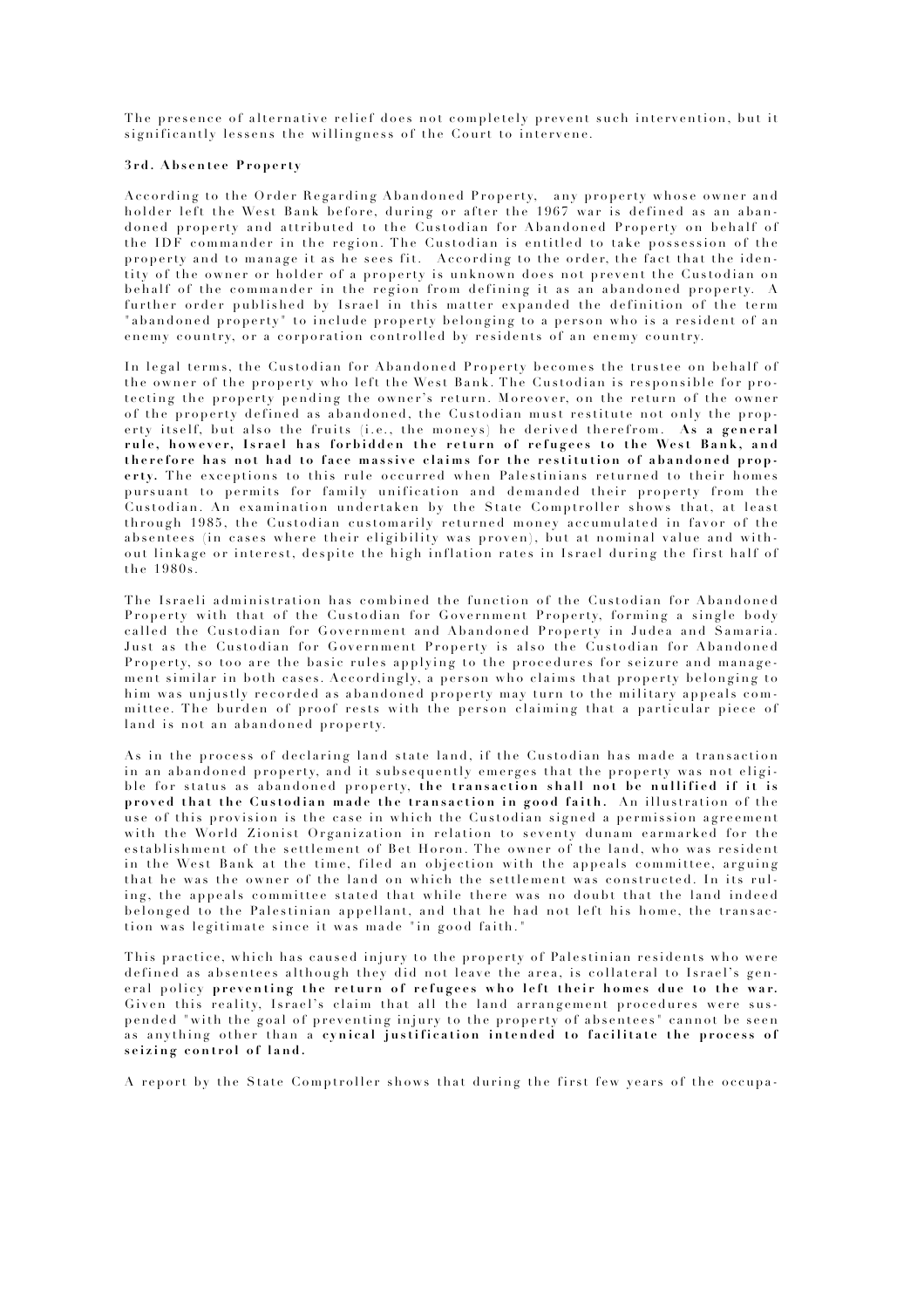The presence of alternative relief does not completely prevent such intervention, but it significantly lessens the willingness of the Court to intervene.

## **3rd. Absentee Property**

According to the Order Regarding Abandoned Property, any property whose owner and holder left the West Bank before, during or after the 1967 war is defined as an abandoned property and attributed to the Custodian for Abandoned Property on behalf of the IDF commander in the region. The Custodian is entitled to take possession of the property and to manage it as he sees fit. According to the order, the fact that the identity of the owner or holder of a property is unknown does not prevent the Custodian on behalf of the commander in the region from defining it as an abandoned property. A further order published by Israel in this matter expanded the definition of the term "abandoned property" to include property belonging to a person who is a resident of an enemy country, or a corporation controlled by residents of an enemy country.

In legal terms, the Custodian for Abandoned Property becomes the trustee on behalf of the owner of the property who left the West Bank. The Custodian is responsible for protecting the property pending the owner's return. Moreover, on the return of the owner of the property defined as abandoned, the Custodian must restitute not only the property itself, but also the fruits (i.e., the moneys) he derived therefrom. **As a general rule, however, Israel has forbidden the return of refugees to the West Bank, and therefore has not had to face massive claims for the restitution of abandoned property.** The exceptions to this rule occurred when Palestinians returned to their homes pursuant to permits for family unification and demanded their property from the Custodian. An examination undertaken by the State Comptroller shows that, at least through 1985, the Custodian customarily returned money accumulated in favor of the absentees (in cases where their eligibility was proven), but at nominal value and without linkage or interest, despite the high inflation rates in Israel during the first half of the 1980s.

The Israeli administration has combined the function of the Custodian for Abandoned Property with that of the Custodian for Government Property, forming a single body called the Custodian for Government and Abandoned Property in Judea and Samaria. Just as the Custodian for Government Property is also the Custodian for Abandoned Property, so too are the basic rules applying to the procedures for seizure and management similar in both cases. Accordingly, a person who claims that property belonging to him was unjustly recorded as abandoned property may turn to the military appeals committee. The burden of proof rests with the person claiming that a particular piece of land is not an abandoned property.

As in the process of declaring land state land, if the Custodian has made a transaction in an abandoned property, and it subsequently emerges that the property was not eligible for status as abandoned property, **the transaction shall not be nullified if it is proved that the Custodian made the transaction in good faith.** An illustration of the use of this provision is the case in which the Custodian signed a permission agreement with the World Zionist Organization in relation to seventy dunam earmarked for the establishment of the settlement of Bet Horon. The owner of the land, who was resident in the West Bank at the time, filed an objection with the appeals committee, arguing that he was the owner of the land on which the settlement was constructed. In its ruling, the appeals committee stated that while there was no doubt that the land indeed belonged to the Palestinian appellant, and that he had not left his home, the transaction was legitimate since it was made "in good faith."

This practice, which has caused injury to the property of Palestinian residents who were defined as absentees although they did not leave the area, is collateral to Israel's general policy **preventing the return of refugees who left their homes due to the war.** Given this reality, Israel's claim that all the land arrangement procedures were suspended "with the goal of preventing injury to the property of absentees" cannot be seen as anything other than a **cynical justification intended to facilitate the process of seizing control of land.**

A report by the State Comptroller shows that during the first few years of the occupa-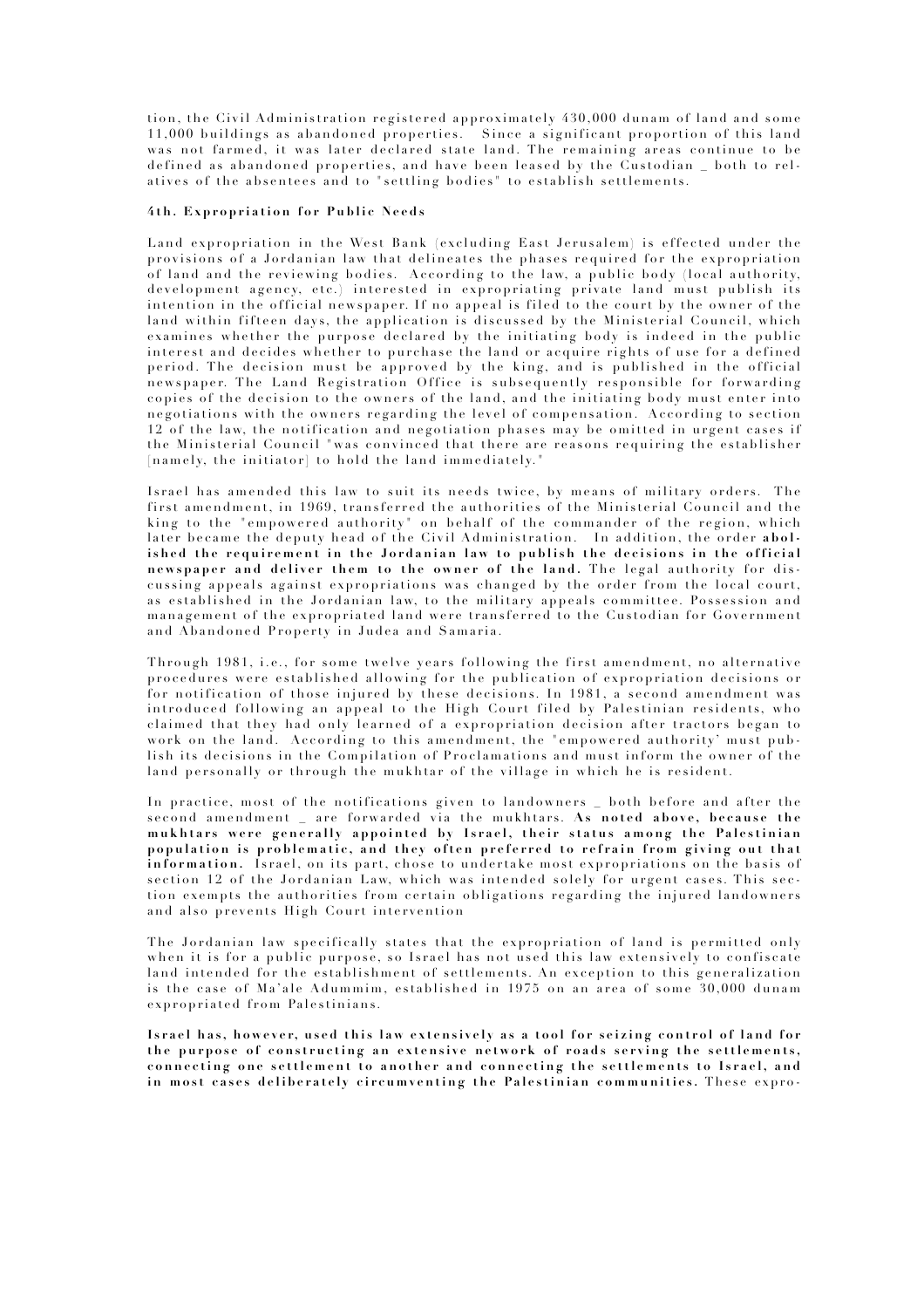tion, the Civil Administration registered approximately 430,000 dunam of land and some 11,000 buildings as abandoned properties. Since a significant proportion of this land was not farmed, it was later declared state land. The remaining areas continue to be defined as abandoned properties, and have been leased by the Custodian \_ both to relatives of the absentees and to "settling bodies" to establish settlements.

## **4th. Expropriation for Public Needs**

Land expropriation in the West Bank (excluding East Jerusalem) is effected under the provisions of a Jordanian law that delineates the phases required for the expropriation of land and the reviewing bodies. According to the law, a public body (local authority, development agency, etc.) interested in expropriating private land must publish its intention in the official newspaper. If no appeal is filed to the court by the owner of the land within fifteen days, the application is discussed by the Ministerial Council, which examines whether the purpose declared by the initiating body is indeed in the public interest and decides whether to purchase the land or acquire rights of use for a defined period. The decision must be approved by the king, and is published in the official newspaper. The Land Registration Office is subsequently responsible for forwarding copies of the decision to the owners of the land, and the initiating body must enter into negotiations with the owners regarding the level of compensation. According to section 12 of the law, the notification and negotiation phases may be omitted in urgent cases if the Ministerial Council "was convinced that there are reasons requiring the establisher [namely, the initiator] to hold the land immediately.'

Israel has amended this law to suit its needs twice, by means of military orders. The first amendment, in 1969, transferred the authorities of the Ministerial Council and the king to the "empowered authority" on behalf of the commander of the region, which later became the deputy head of the Civil Administration. In addition, the order **abolished the requirement in the Jordanian law to publish the decisions in the official newspaper and deliver them to the owner of the land.** The legal authority for discussing appeals against expropriations was changed by the order from the local court, as established in the Jordanian law, to the military appeals committee. Possession and management of the expropriated land were transferred to the Custodian for Government and Abandoned Property in Judea and Samaria.

Through 1981, i.e., for some twelve years following the first amendment, no alternative procedures were established allowing for the publication of expropriation decisions or for notification of those injured by these decisions. In 1981, a second amendment was introduced following an appeal to the High Court filed by Palestinian residents, who claimed that they had only learned of a expropriation decision after tractors began to work on the land. According to this amendment, the "empowered authority' must publish its decisions in the Compilation of Proclamations and must inform the owner of the land personally or through the mukhtar of the village in which he is resident.

In practice, most of the notifications given to landowners \_ both before and after the second amendment \_ are forwarded via the mukhtars. **As noted above, because the mukhtars were generally appointed by Israel, their status among the Palestinian population is problematic, and they often preferred to refrain from giving out that information.** Israel, on its part, chose to undertake most expropriations on the basis of section 12 of the Jordanian Law, which was intended solely for urgent cases. This section exempts the authorities from certain obligations regarding the injured landowners and also prevents High Court intervention

The Jordanian law specifically states that the expropriation of land is permitted only when it is for a public purpose, so Israel has not used this law extensively to confiscate land intended for the establishment of settlements. An exception to this generalization is the case of Ma'ale Adummim, established in 1975 on an area of some 30,000 dunam expropriated from Palestinians.

**Israel has, however, used this law extensively as a tool for seizing control of land for the purpose of constructing an extensive network of roads serving the settlements, connecting one settlement to another and connecting the settlements to Israel, and in most cases deliberately circumventing the Palestinian communities.** These expro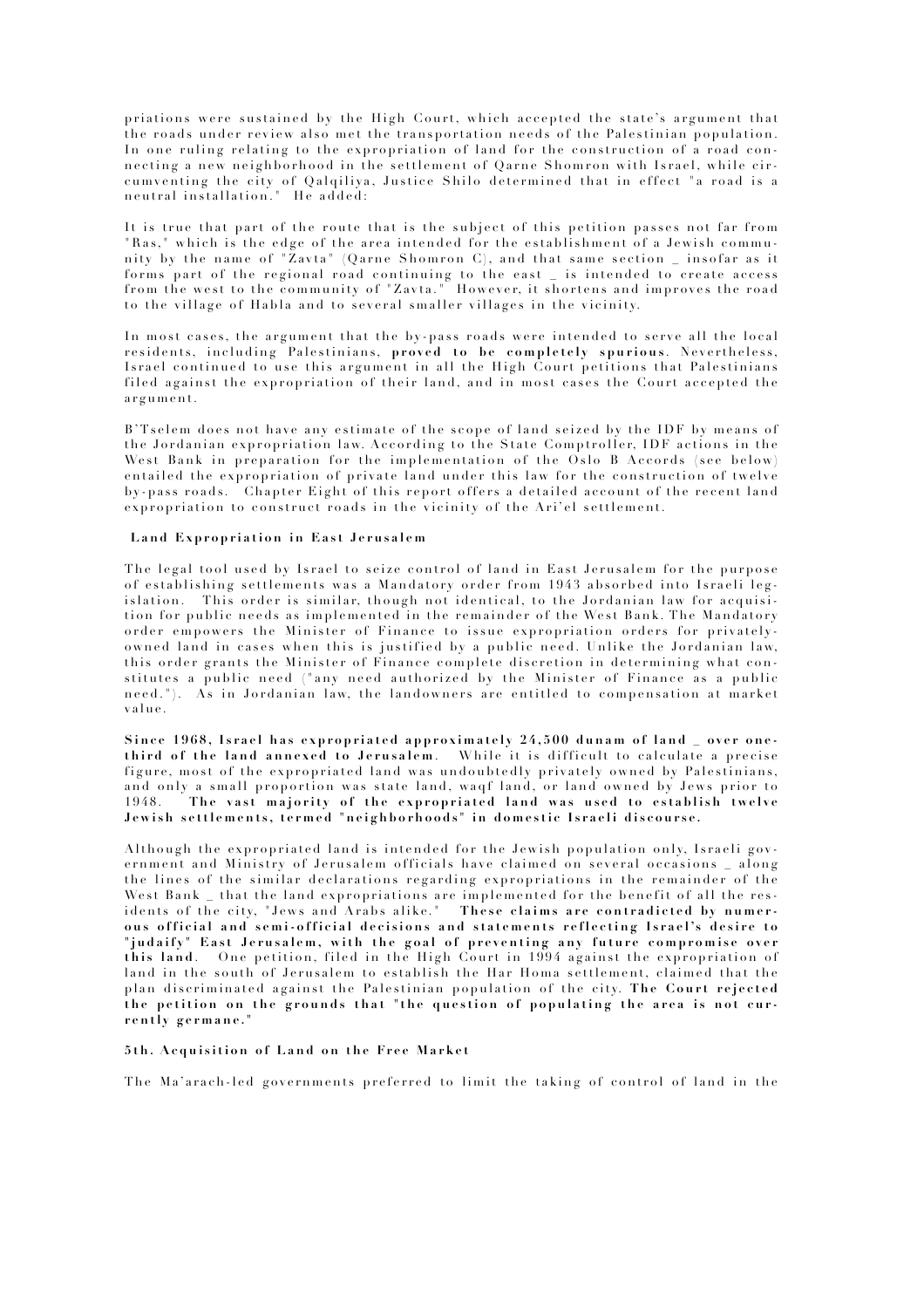priations were sustained by the High Court, which accepted the state's argument that the roads under review also met the transportation needs of the Palestinian population. In one ruling relating to the expropriation of land for the construction of a road connecting a new neighborhood in the settlement of Qarne Shomron with Israel, while circumventing the city of Qalqiliya, Justice Shilo determined that in effect "a road is a neutral installation." He added:

It is true that part of the route that is the subject of this petition passes not far from "Ras," which is the edge of the area intended for the establishment of a Jewish community by the name of "Zavta" (Qarne Shomron C), and that same section \_ insofar as it forms part of the regional road continuing to the east \_ is intended to create access from the west to the community of "Zavta." However, it shortens and improves the road to the village of Habla and to several smaller villages in the vicinity.

In most cases, the argument that the by-pass roads were intended to serve all the local residents, including Palestinians, **proved to be completely spurious** . Nevertheless, Israel continued to use this argument in all the High Court petitions that Palestinians filed against the expropriation of their land, and in most cases the Court accepted the argument.

B'Tselem does not have any estimate of the scope of land seized by the IDF by means of the Jordanian expropriation law. According to the State Comptroller, IDF actions in the West Bank in preparation for the implementation of the Oslo B Accords (see below) entailed the expropriation of private land under this law for the construction of twelve by-pass roads. Chapter Eight of this report offers a detailed account of the recent land expropriation to construct roads in the vicinity of the Ari'el settlement.

#### **Land Expropriation in East Jerusalem**

The legal tool used by Israel to seize control of land in East Jerusalem for the purpose of establishing settlements was a Mandatory order from 1943 absorbed into Israeli legislation. This order is similar, though not identical, to the Jordanian law for acquisition for public needs as implemented in the remainder of the West Bank. The Mandatory order empowers the Minister of Finance to issue expropriation orders for privatelyowned land in cases when this is justified by a public need. Unlike the Jordanian law, this order grants the Minister of Finance complete discretion in determining what constitutes a public need ("any need authorized by the Minister of Finance as a public need."). As in Jordanian law, the landowners are entitled to compensation at market value.

**Since 1968, Israel has expropriated approximately 24,500 dunam of land \_ over onethird of the land annexed to Jerusalem** . While it is difficult to calculate a precise figure, most of the expropriated land was undoubtedly privately owned by Palestinians, and only a small proportion was state land, waqf land, or land owned by Jews prior to 1948. **The vast majority of the expropriated land was used to establish twelve Jewish settlements, termed "neighborhoods" in domestic Israeli discourse.**

Although the expropriated land is intended for the Jewish population only, Israeli government and Ministry of Jerusalem officials have claimed on several occasions \_ along the lines of the similar declarations regarding expropriations in the remainder of the West Bank \_ that the land expropriations are implemented for the benefit of all the residents of the city, "Jews and Arabs alike." **These claims are contradicted by numerous official and semi-official decisions and statements reflecting Israel's desire to "judaify" East Jerusalem, with the goal of preventing any future compromise over this land** . One petition, filed in the High Court in 1994 against the expropriation of land in the south of Jerusalem to establish the Har Homa settlement, claimed that the plan discriminated against the Palestinian population of the city. **The Court rejected the petition on the grounds that "the question of populating the area is not currently germane."**

#### **5th. Acquisition of Land on the Free Market**

The Ma'arach-led governments preferred to limit the taking of control of land in the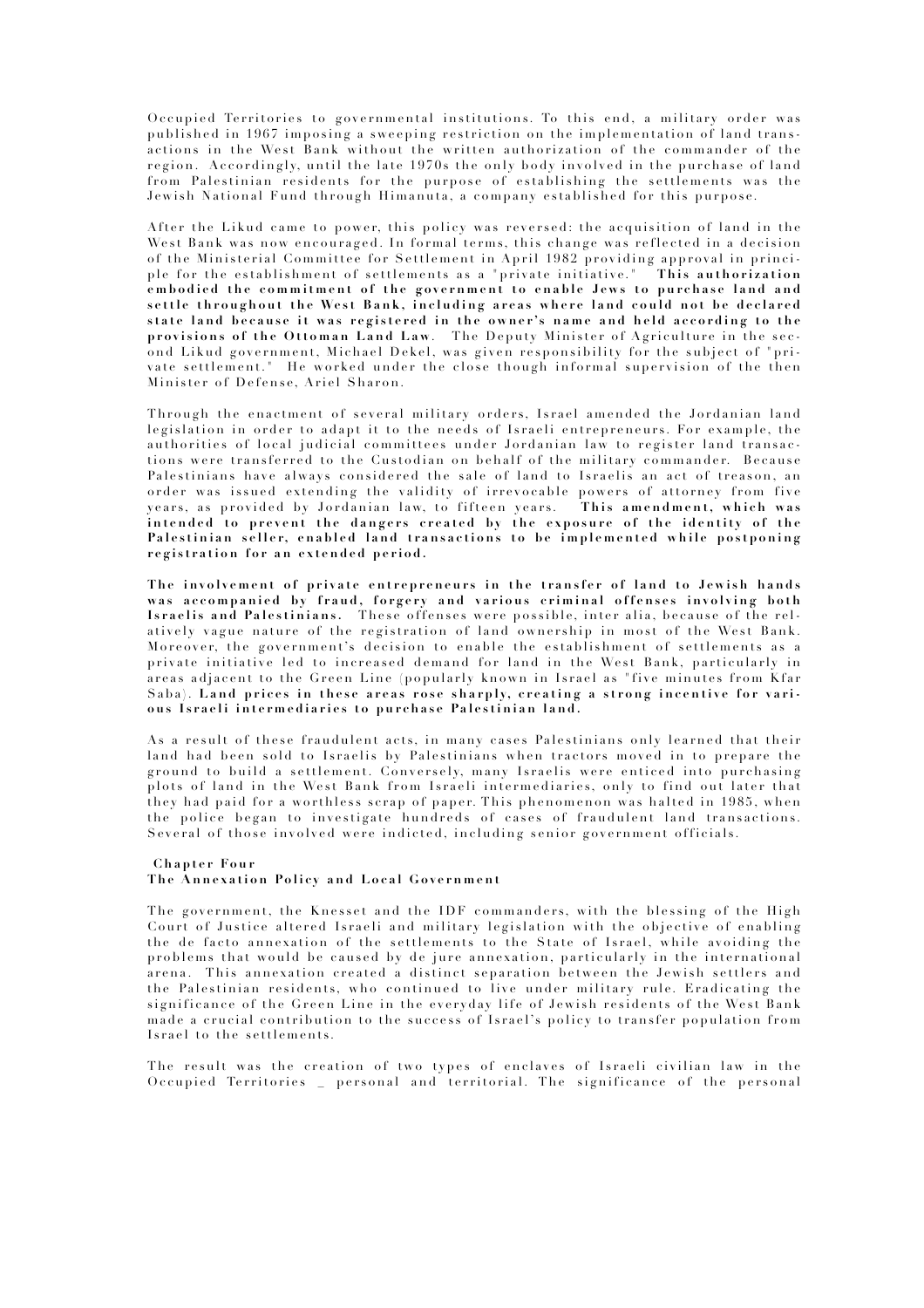Occupied Territories to governmental institutions. To this end, a military order was published in 1967 imposing a sweeping restriction on the implementation of land transactions in the West Bank without the written authorization of the commander of the region. Accordingly, until the late 1970s the only body involved in the purchase of land from Palestinian residents for the purpose of establishing the settlements was the Jewish National Fund through Himanuta, a company established for this purpose.

After the Likud came to power, this policy was reversed: the acquisition of land in the West Bank was now encouraged. In formal terms, this change was reflected in a decision of the Ministerial Committee for Settlement in April 1982 providing approval in principle for the establishment of settlements as a "private initiative." **This authorization embodied the commitment of the government to enable Jews to purchase land and settle throughout the West Bank, including areas where land could not be declared state land because it was registered in the owner's name and held according to the provisions of the Ottoman Land Law** . The Deputy Minister of Agriculture in the second Likud government, Michael Dekel, was given responsibility for the subject of "private settlement." He worked under the close though informal supervision of the then Minister of Defense, Ariel Sharon.

Through the enactment of several military orders, Israel amended the Jordanian land legislation in order to adapt it to the needs of Israeli entrepreneurs. For example, the authorities of local judicial committees under Jordanian law to register land transactions were transferred to the Custodian on behalf of the military commander. Because Palestinians have always considered the sale of land to Israelis an act of treason, an order was issued extending the validity of irrevocable powers of attorney from five years, as provided by Jordanian law, to fifteen years. **This amendment, which was intended to prevent the dangers created by the exposure of the identity of the Palestinian seller, enabled land transactions to be implemented while postponing registration for an extended period.**

**The involvement of private entrepreneurs in the transfer of land to Jewish hands was accompanied by fraud, forgery and various criminal offenses involving both Israelis and Palestinians.** These offenses were possible, inter alia, because of the relatively vague nature of the registration of land ownership in most of the West Bank. Moreover, the government's decision to enable the establishment of settlements as a private initiative led to increased demand for land in the West Bank, particularly in areas adjacent to the Green Line (popularly known in Israel as "five minutes from Kfar Saba). **Land prices in these areas rose sharply, creating a strong incentive for various Israeli intermediaries to purchase Palestinian land.**

As a result of these fraudulent acts, in many cases Palestinians only learned that their land had been sold to Israelis by Palestinians when tractors moved in to prepare the ground to build a settlement. Conversely, many Israelis were enticed into purchasing plots of land in the West Bank from Israeli intermediaries, only to find out later that they had paid for a worthless scrap of paper. This phenomenon was halted in 1985, when the police began to investigate hundreds of cases of fraudulent land transactions. Several of those involved were indicted, including senior government officials.

#### **Chapter Four**

## **The Annexation Policy and Local Government**

The government, the Knesset and the IDF commanders, with the blessing of the High Court of Justice altered Israeli and military legislation with the objective of enabling the de facto annexation of the settlements to the State of Israel, while avoiding the problems that would be caused by de jure annexation, particularly in the international arena. This annexation created a distinct separation between the Jewish settlers and the Palestinian residents, who continued to live under military rule. Eradicating the significance of the Green Line in the everyday life of Jewish residents of the West Bank made a crucial contribution to the success of Israel's policy to transfer population from Israel to the settlements.

The result was the creation of two types of enclaves of Israeli civilian law in the Occupied Territories \_ personal and territorial. The significance of the personal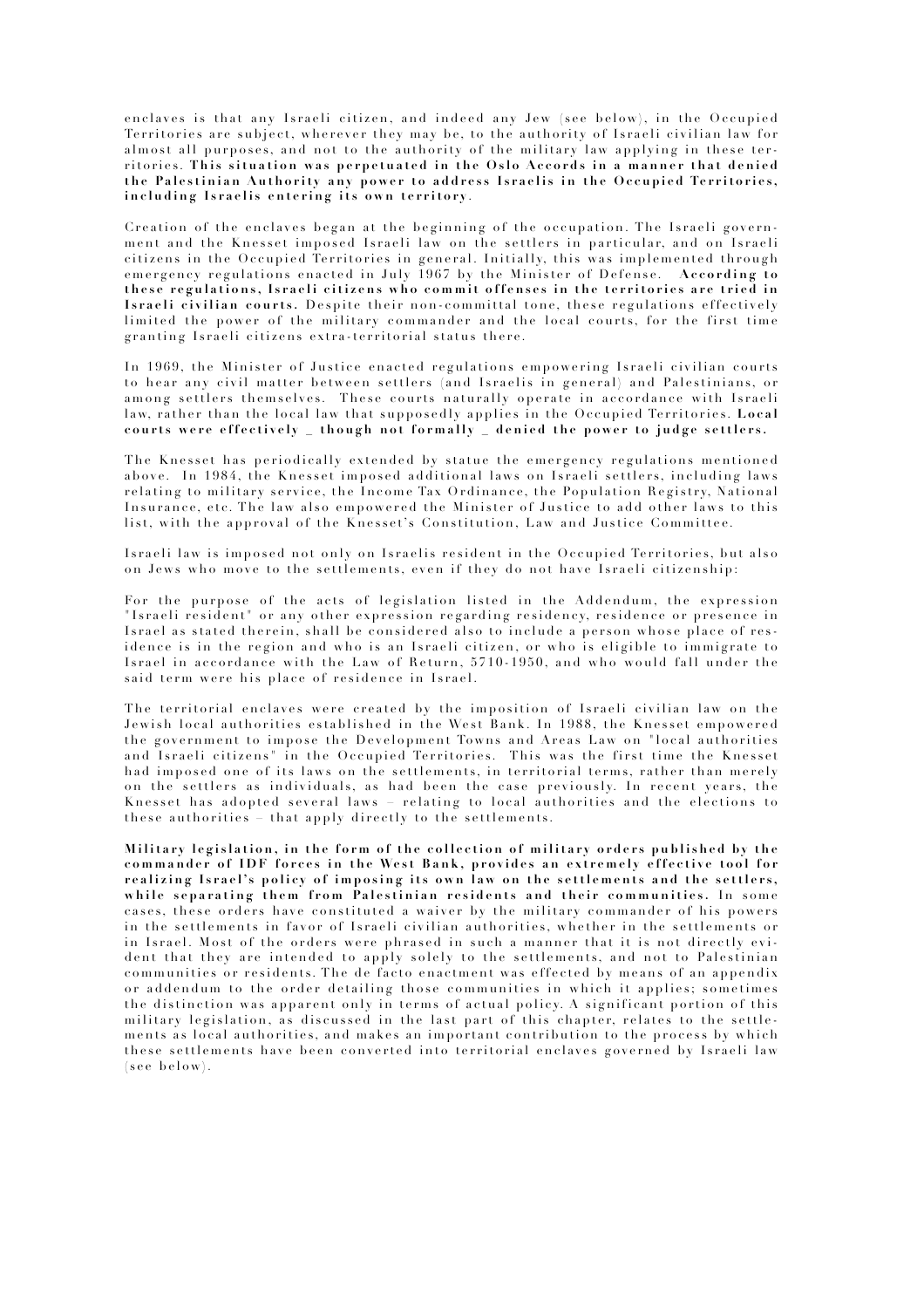enclaves is that any Israeli citizen, and indeed any Jew (see below), in the Occupied Territories are subject, wherever they may be, to the authority of Israeli civilian law for almost all purposes, and not to the authority of the military law applying in these territories. **This situation was perpetuated in the Oslo Accords in a manner that denied the Palestinian Authority any power to address Israelis in the Occupied Territories, including Israelis entering its own territory** .

Creation of the enclaves began at the beginning of the occupation. The Israeli government and the Knesset imposed Israeli law on the settlers in particular, and on Israeli citizens in the Occupied Territories in general. Initially, this was implemented through emergency regulations enacted in July 1967 by the Minister of Defense. **According to these regulations, Israeli citizens who commit offenses in the territories are tried in Israeli civilian courts.** Despite their non-committal tone, these regulations effectively limited the power of the military commander and the local courts, for the first time granting Israeli citizens extra-territorial status there.

In 1969, the Minister of Justice enacted regulations empowering Israeli civilian courts to hear any civil matter between settlers (and Israelis in general) and Palestinians, or among settlers themselves. These courts naturally operate in accordance with Israeli law, rather than the local law that supposedly applies in the Occupied Territories. **Local courts were effectively \_ though not formally \_ denied the power to judge settlers.**

The Knesset has periodically extended by statue the emergency regulations mentioned above. In 1984, the Knesset imposed additional laws on Israeli settlers, including laws relating to military service, the Income Tax Ordinance, the Population Registry, National Insurance, etc. The law also empowered the Minister of Justice to add other laws to this list, with the approval of the Knesset's Constitution, Law and Justice Committee.

Israeli law is imposed not only on Israelis resident in the Occupied Territories, but also on Jews who move to the settlements, even if they do not have Israeli citizenship:

For the purpose of the acts of legislation listed in the Addendum, the expression "Israeli resident" or any other expression regarding residency, residence or presence in Israel as stated therein, shall be considered also to include a person whose place of residence is in the region and who is an Israeli citizen, or who is eligible to immigrate to Israel in accordance with the Law of Return, 5710-1950, and who would fall under the said term were his place of residence in Israel.

The territorial enclaves were created by the imposition of Israeli civilian law on the Jewish local authorities established in the West Bank. In 1988, the Knesset empowered the government to impose the Development Towns and Areas Law on "local authorities and Israeli citizens" in the Occupied Territories. This was the first time the Knesset had imposed one of its laws on the settlements, in territorial terms, rather than merely on the settlers as individuals, as had been the case previously. In recent years, the Knesset has adopted several laws – relating to local authorities and the elections to these authorities – that apply directly to the settlements.

**Military legislation, in the form of the collection of military orders published by the commander of IDF forces in the West Bank, provides an extremely effective tool for realizing Israel's policy of imposing its own law on the settlements and the settlers, while separating them from Palestinian residents and their communities.** In some cases, these orders have constituted a waiver by the military commander of his powers in the settlements in favor of Israeli civilian authorities, whether in the settlements or in Israel. Most of the orders were phrased in such a manner that it is not directly evident that they are intended to apply solely to the settlements, and not to Palestinian communities or residents. The de facto enactment was effected by means of an appendix or addendum to the order detailing those communities in which it applies; sometimes the distinction was apparent only in terms of actual policy. A significant portion of this military legislation, as discussed in the last part of this chapter, relates to the settlements as local authorities, and makes an important contribution to the process by which these settlements have been converted into territorial enclaves governed by Israeli law (see below).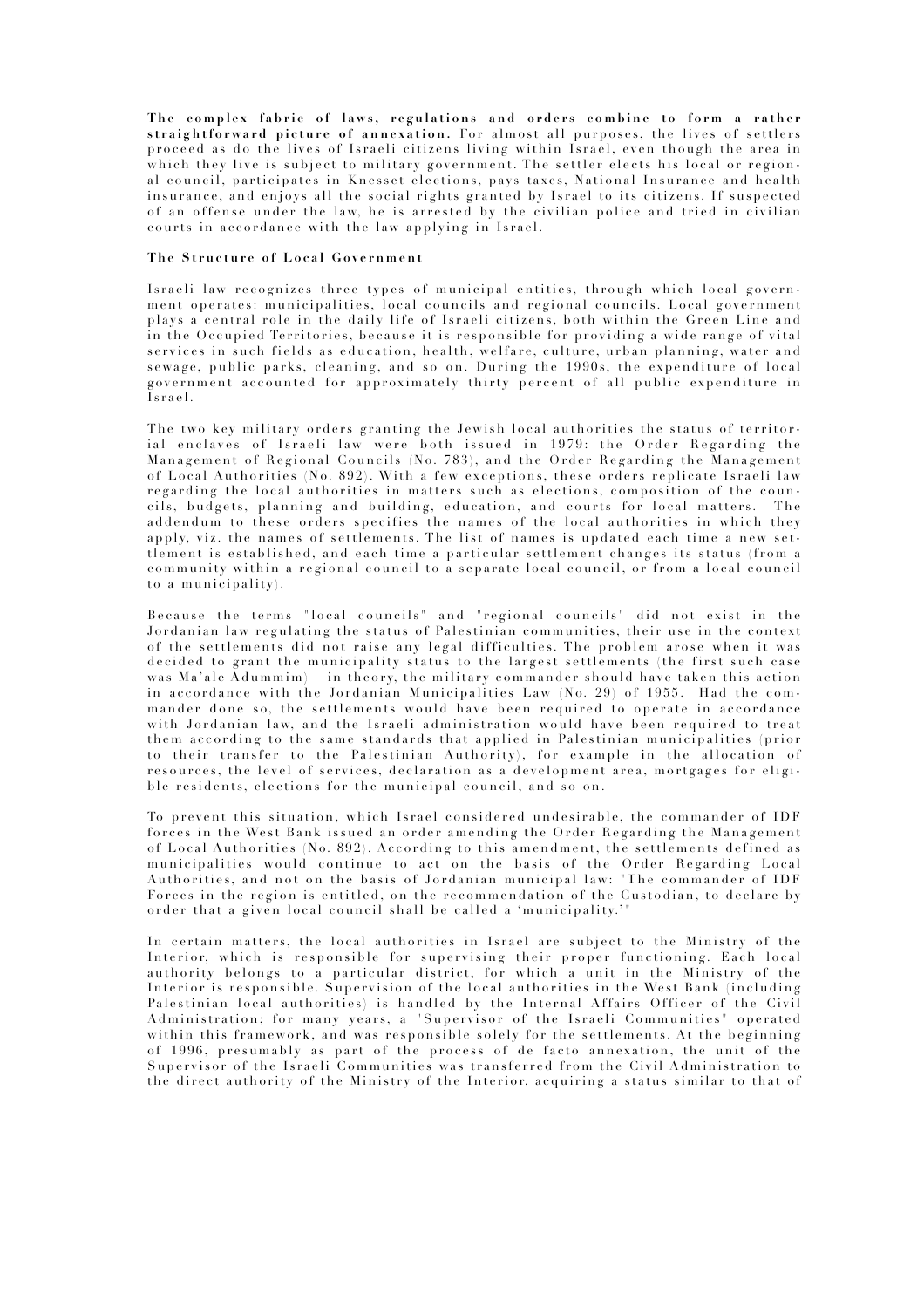**The complex fabric of laws, regulations and orders combine to form a rather straightforward picture of annexation.** For almost all purposes, the lives of settlers proceed as do the lives of Israeli citizens living within Israel, even though the area in which they live is subject to military government. The settler elects his local or regional council, participates in Knesset elections, pays taxes, National Insurance and health insurance, and enjoys all the social rights granted by Israel to its citizens. If suspected of an offense under the law, he is arrested by the civilian police and tried in civilian courts in accordance with the law applying in Israel.

#### **The Structure of Local Government**

Israeli law recognizes three types of municipal entities, through which local government operates: municipalities, local councils and regional councils. Local government plays a central role in the daily life of Israeli citizens, both within the Green Line and in the Occupied Territories, because it is responsible for providing a wide range of vital services in such fields as education, health, welfare, culture, urban planning, water and sewage, public parks, cleaning, and so on. During the 1990s, the expenditure of local government accounted for approximately thirty percent of all public expenditure in Israel.

The two key military orders granting the Jewish local authorities the status of territorial enclaves of Israeli law were both issued in 1979: the Order Regarding the Management of Regional Councils (No. 783), and the Order Regarding the Management of Local Authorities (No. 892). With a few exceptions, these orders replicate Israeli law regarding the local authorities in matters such as elections, composition of the councils, budgets, planning and building, education, and courts for local matters. The addendum to these orders specifies the names of the local authorities in which they apply, viz. the names of settlements. The list of names is updated each time a new settlement is established, and each time a particular settlement changes its status (from a community within a regional council to a separate local council, or from a local council to a municipality).

Because the terms "local councils" and "regional councils" did not exist in the Jordanian law regulating the status of Palestinian communities, their use in the context of the settlements did not raise any legal difficulties. The problem arose when it was decided to grant the municipality status to the largest settlements (the first such case was Ma'ale Adummim) – in theory, the military commander should have taken this action in accordance with the Jordanian Municipalities Law (No. 29) of 1955. Had the commander done so, the settlements would have been required to operate in accordance with Jordanian law, and the Israeli administration would have been required to treat them according to the same standards that applied in Palestinian municipalities (prior to their transfer to the Palestinian Authority), for example in the allocation of resources, the level of services, declaration as a development area, mortgages for eligible residents, elections for the municipal council, and so on.

To prevent this situation, which Israel considered undesirable, the commander of IDF forces in the West Bank issued an order amending the Order Regarding the Management of Local Authorities (No. 892). According to this amendment, the settlements defined as municipalities would continue to act on the basis of the Order Regarding Local Authorities, and not on the basis of Jordanian municipal law: "The commander of IDF Forces in the region is entitled, on the recommendation of the Custodian, to declare by order that a given local council shall be called a 'municipality.'"

In certain matters, the local authorities in Israel are subject to the Ministry of the Interior, which is responsible for supervising their proper functioning. Each local authority belongs to a particular district, for which a unit in the Ministry of the Interior is responsible. Supervision of the local authorities in the West Bank (including Palestinian local authorities) is handled by the Internal Affairs Officer of the Civil Administration; for many years, a "Supervisor of the Israeli Communities" operated within this framework, and was responsible solely for the settlements. At the beginning of 1996, presumably as part of the process of de facto annexation, the unit of the Supervisor of the Israeli Communities was transferred from the Civil Administration to the direct authority of the Ministry of the Interior, acquiring a status similar to that of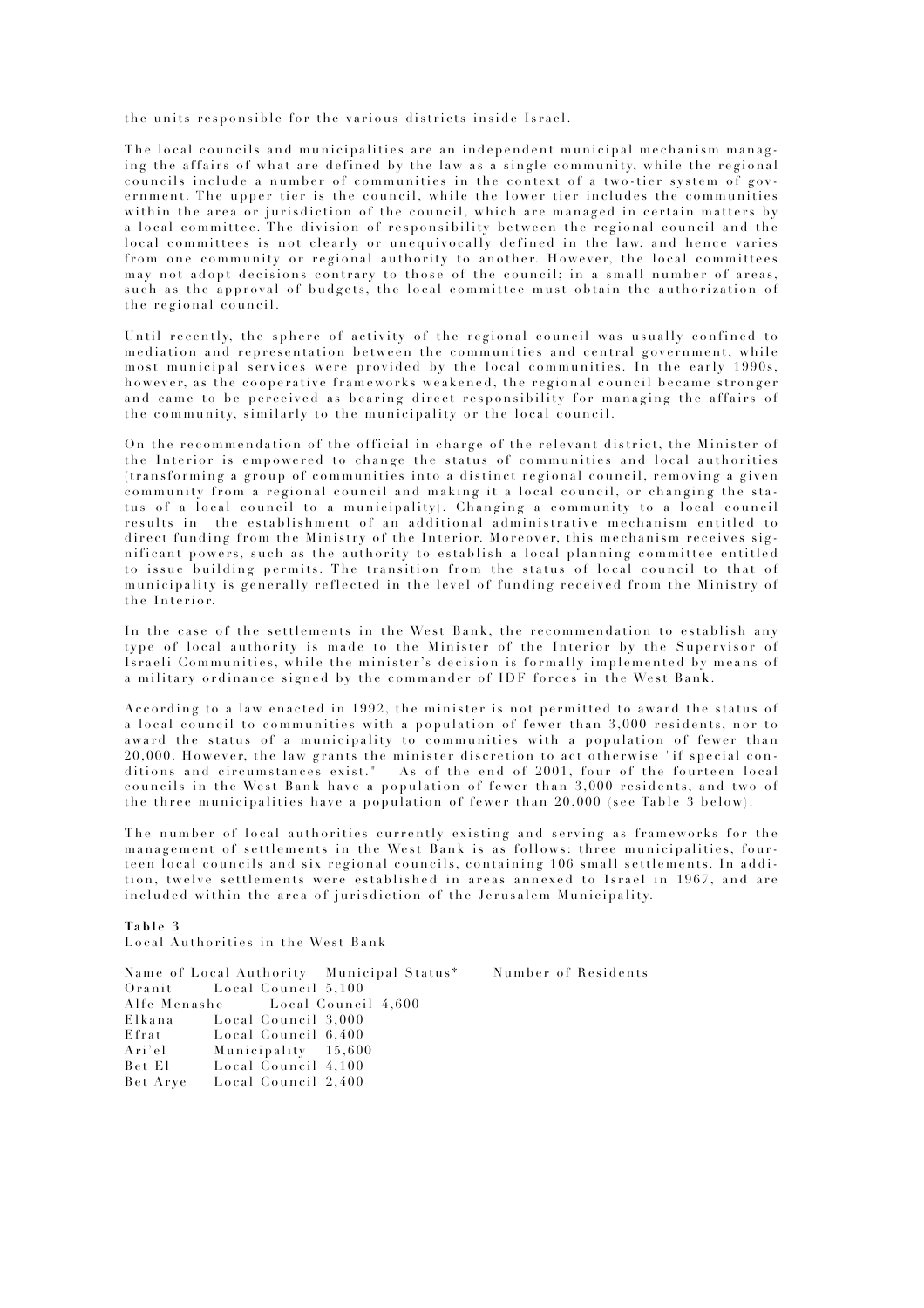the units responsible for the various districts inside Israel.

The local councils and municipalities are an independent municipal mechanism managing the affairs of what are defined by the law as a single community, while the regional councils include a number of communities in the context of a two-tier system of government. The upper tier is the council, while the lower tier includes the communities within the area or jurisdiction of the council, which are managed in certain matters by a local committee. The division of responsibility between the regional council and the local committees is not clearly or unequivocally defined in the law, and hence varies from one community or regional authority to another. However, the local committees may not adopt decisions contrary to those of the council; in a small number of areas, such as the approval of budgets, the local committee must obtain the authorization of the regional council.

Until recently, the sphere of activity of the regional council was usually confined to mediation and representation between the communities and central government, while most municipal services were provided by the local communities. In the early 1990s, however, as the cooperative frameworks weakened, the regional council became stronger and came to be perceived as bearing direct responsibility for managing the affairs of the community, similarly to the municipality or the local council.

On the recommendation of the official in charge of the relevant district, the Minister of the Interior is empowered to change the status of communities and local authorities (transforming a group of communities into a distinct regional council, removing a given community from a regional council and making it a local council, or changing the status of a local council to a municipality). Changing a community to a local council results in the establishment of an additional administrative mechanism entitled to direct funding from the Ministry of the Interior. Moreover, this mechanism receives significant powers, such as the authority to establish a local planning committee entitled to issue building permits. The transition from the status of local council to that of municipality is generally reflected in the level of funding received from the Ministry of the Interior.

In the case of the settlements in the West Bank, the recommendation to establish any type of local authority is made to the Minister of the Interior by the Supervisor of Israeli Communities, while the minister's decision is formally implemented by means of a military ordinance signed by the commander of IDF forces in the West Bank.

According to a law enacted in 1992, the minister is not permitted to award the status of a local council to communities with a population of fewer than 3,000 residents, nor to award the status of a municipality to communities with a population of fewer than 20,000. However, the law grants the minister discretion to act otherwise "if special conditions and circumstances exist." As of the end of 2001, four of the fourteen local councils in the West Bank have a population of fewer than 3,000 residents, and two of the three municipalities have a population of fewer than 20,000 (see Table 3 below).

The number of local authorities currently existing and serving as frameworks for the management of settlements in the West Bank is as follows: three municipalities, fourteen local councils and six regional councils, containing 106 small settlements. In addition, twelve settlements were established in areas annexed to Israel in 1967, and are included within the area of jurisdiction of the Jerusalem Municipality.

**Table 3** Local Authorities in the West Bank

Name of Local Authority Municipal Status\* Number of Residents Oranit Local Council 5,100<br>Alfe Menashe Local Counci Local Council 4,600 Elkana Local Council 3,000<br>Efrat Local Council 6.400 Efrat Local Council 6,400<br>Ari'el Municipality 15.60 Ari'el Municipality 15,600 Bet El Local Council 4,100<br>Bet Arve Local Council 2,400 Local Council 2,400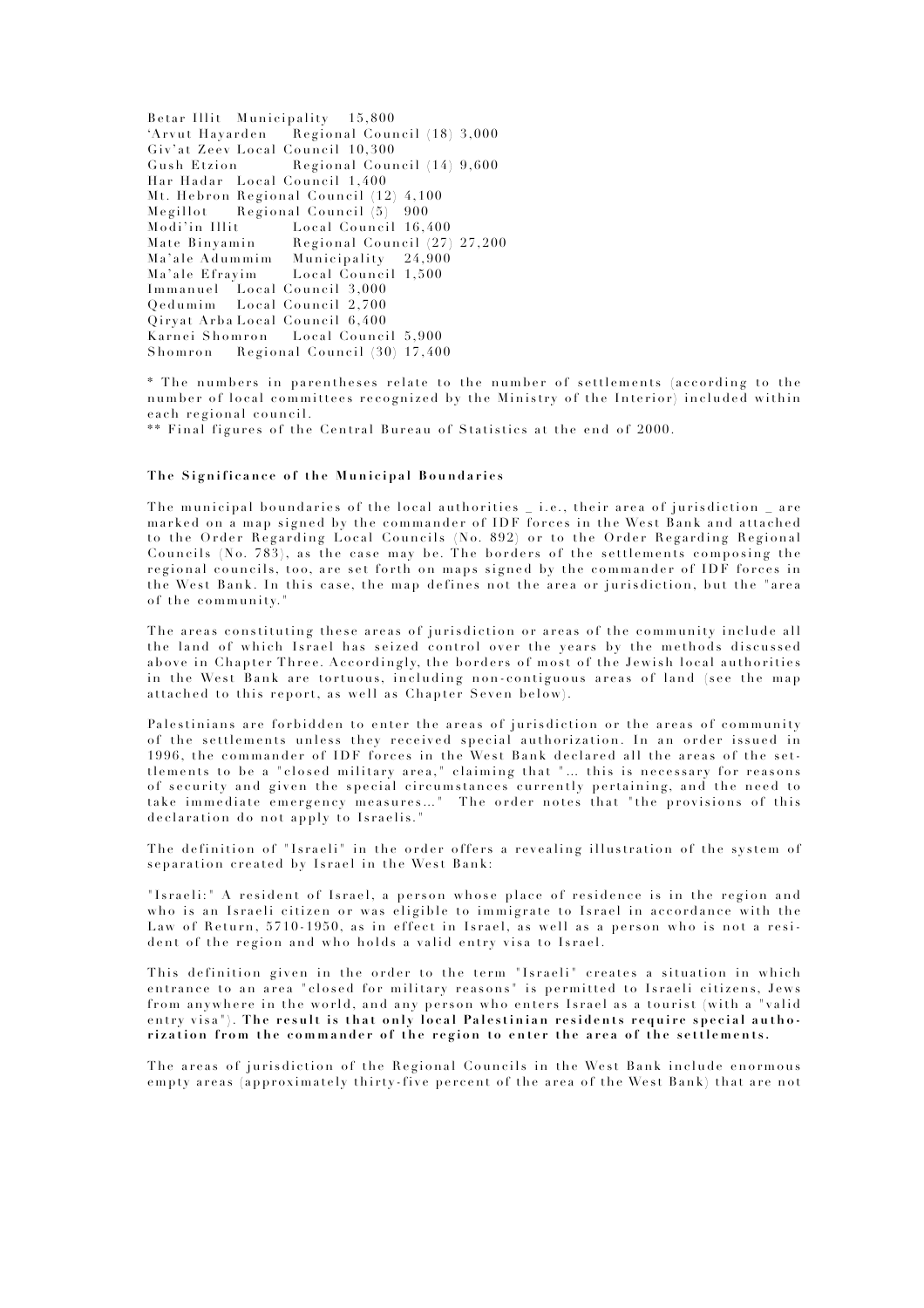Betar Illit Municipality 15,800 'Arvut Hayarden Regional Council (18) 3,000 Giv'at Zeev Local Council 10,300 Regional Council (14) 9,600 Har Hadar Local Council 1,400 Mt. Hebron Regional Council (12) 4,100 Megillot Regional Council (5) 900 Modi'in Illit Local Council 16,400<br>Mate Binyamin Regional Council (27) Regional Council (27) 27,200 Ma'ale Adummim Municipality 24,900 Ma'ale Efrayim Local Council 1,500 Immanuel Local Council 3,000 Qedumim Local Council 2,700 Qiryat Arba Local Council 6,400 Karnei Shomron Local Council 5,900 Shomron Regional Council (30) 17,400

\* The numbers in parentheses relate to the number of settlements (according to the number of local committees recognized by the Ministry of the Interior) included within each regional council.

\*\* Final figures of the Central Bureau of Statistics at the end of 2000.

## **The Significance of the Municipal Boundaries**

The municipal boundaries of the local authorities \_ i.e., their area of jurisdiction \_ are marked on a map signed by the commander of IDF forces in the West Bank and attached to the Order Regarding Local Councils (No. 892) or to the Order Regarding Regional Councils (No. 783), as the case may be. The borders of the settlements composing the regional councils, too, are set forth on maps signed by the commander of IDF forces in the West Bank. In this case, the map defines not the area or jurisdiction, but the "area of the community."

The areas constituting these areas of jurisdiction or areas of the community include all the land of which Israel has seized control over the years by the methods discussed above in Chapter Three. Accordingly, the borders of most of the Jewish local authorities in the West Bank are tortuous, including non-contiguous areas of land (see the map attached to this report, as well as Chapter Seven below).

Palestinians are forbidden to enter the areas of jurisdiction or the areas of community of the settlements unless they received special authorization. In an order issued in 1996, the commander of IDF forces in the West Bank declared all the areas of the settlements to be a "closed military area," claiming that "… this is necessary for reasons of security and given the special circumstances currently pertaining, and the need to take immediate emergency measures…" The order notes that "the provisions of this declaration do not apply to Israelis."

The definition of "Israeli" in the order offers a revealing illustration of the system of separation created by Israel in the West Bank:

"Israeli:" A resident of Israel, a person whose place of residence is in the region and who is an Israeli citizen or was eligible to immigrate to Israel in accordance with the Law of Return, 5710-1950, as in effect in Israel, as well as a person who is not a resident of the region and who holds a valid entry visa to Israel.

This definition given in the order to the term "Israeli" creates a situation in which entrance to an area "closed for military reasons" is permitted to Israeli citizens, Jews from anywhere in the world, and any person who enters Israel as a tourist (with a "valid entry visa"). **The result is that only local Palestinian residents require special authorization from the commander of the region to enter the area of the settlements.**

The areas of jurisdiction of the Regional Councils in the West Bank include enormous empty areas (approximately thirty-five percent of the area of the West Bank) that are not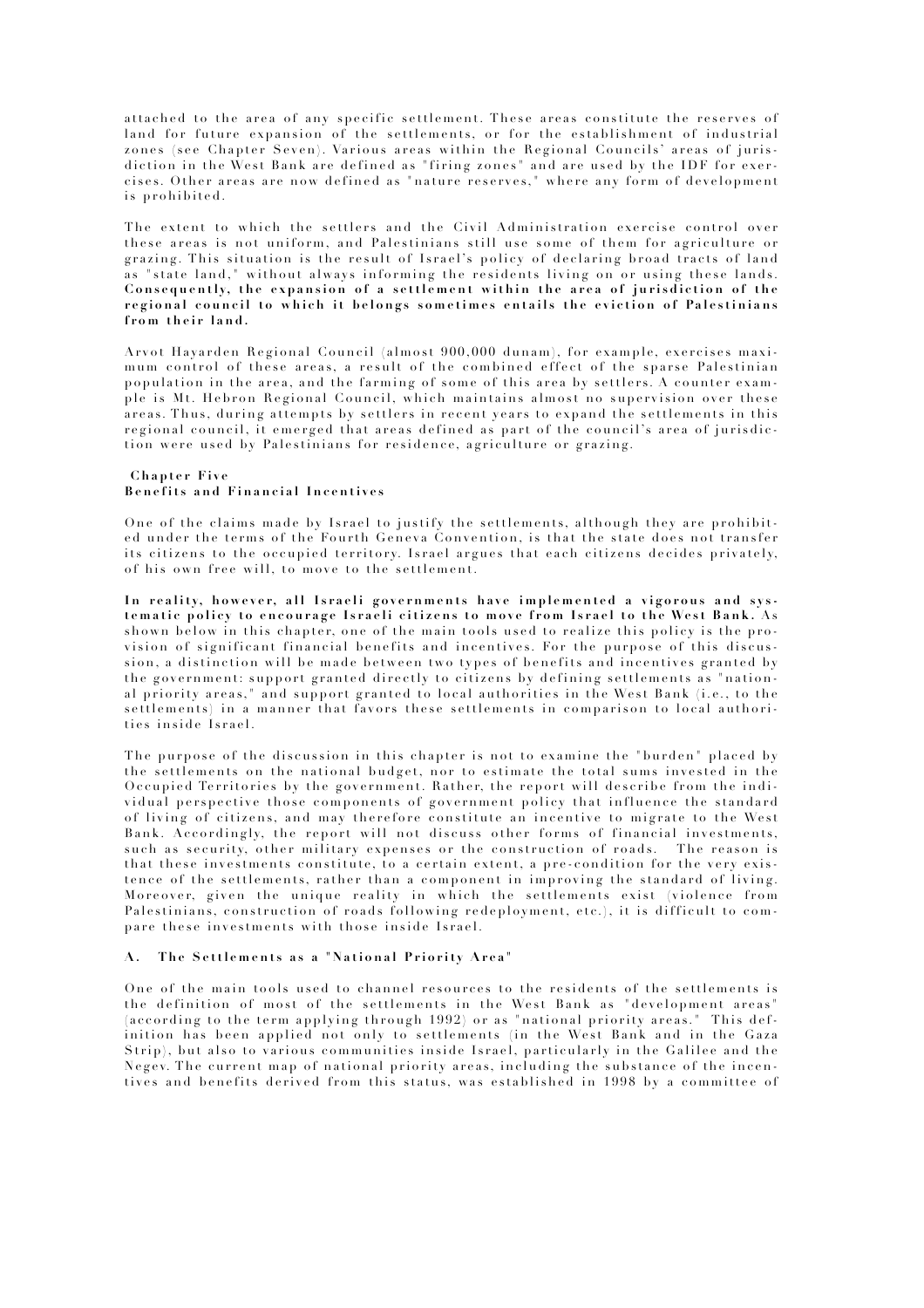attached to the area of any specific settlement. These areas constitute the reserves of land for future expansion of the settlements, or for the establishment of industrial zones (see Chapter Seven). Various areas within the Regional Councils' areas of jurisdiction in the West Bank are defined as "firing zones" and are used by the IDF for exercises. Other areas are now defined as "nature reserves," where any form of development is prohibited.

The extent to which the settlers and the Civil Administration exercise control over these areas is not uniform, and Palestinians still use some of them for agriculture or grazing. This situation is the result of Israel's policy of declaring broad tracts of land as "state land," without always informing the residents living on or using these lands. **Consequently, the expansion of a settlement within the area of jurisdiction of the regional council to which it belongs sometimes entails the eviction of Palestinians from their land.**

Arvot Hayarden Regional Council (almost 900,000 dunam), for example, exercises maximum control of these areas, a result of the combined effect of the sparse Palestinian population in the area, and the farming of some of this area by settlers. A counter example is Mt. Hebron Regional Council, which maintains almost no supervision over these areas. Thus, during attempts by settlers in recent years to expand the settlements in this regional council, it emerged that areas defined as part of the council's area of jurisdiction were used by Palestinians for residence, agriculture or grazing.

### **Chapter Five Benefits and Financial Incentives**

One of the claims made by Israel to justify the settlements, although they are prohibited under the terms of the Fourth Geneva Convention, is that the state does not transfer its citizens to the occupied territory. Israel argues that each citizens decides privately, of his own free will, to move to the settlement.

**In reality, however, all Israeli governments have implemented a vigorous and systematic policy to encourage Israeli citizens to move from Israel to the West Bank.** A s shown below in this chapter, one of the main tools used to realize this policy is the provision of significant financial benefits and incentives. For the purpose of this discussion, a distinction will be made between two types of benefits and incentives granted by the government: support granted directly to citizens by defining settlements as "national priority areas," and support granted to local authorities in the West Bank (i.e., to the settlements) in a manner that favors these settlements in comparison to local authorities inside Israel.

The purpose of the discussion in this chapter is not to examine the "burden" placed by the settlements on the national budget, nor to estimate the total sums invested in the Occupied Territories by the government. Rather, the report will describe from the individual perspective those components of government policy that influence the standard of living of citizens, and may therefore constitute an incentive to migrate to the West Bank. Accordingly, the report will not discuss other forms of financial investments, such as security, other military expenses or the construction of roads. The reason is that these investments constitute, to a certain extent, a pre-condition for the very existence of the settlements, rather than a component in improving the standard of living. Moreover, given the unique reality in which the settlements exist (violence from Palestinians, construction of roads following redeployment, etc.), it is difficult to compare these investments with those inside Israel.

# **A. The Settlements as a "National Priority Area"**

One of the main tools used to channel resources to the residents of the settlements is the definition of most of the settlements in the West Bank as "development areas" (according to the term applying through 1992) or as "national priority areas." This definition has been applied not only to settlements (in the West Bank and in the Gaza Strip), but also to various communities inside Israel, particularly in the Galilee and the Negev. The current map of national priority areas, including the substance of the incentives and benefits derived from this status, was established in 1998 by a committee of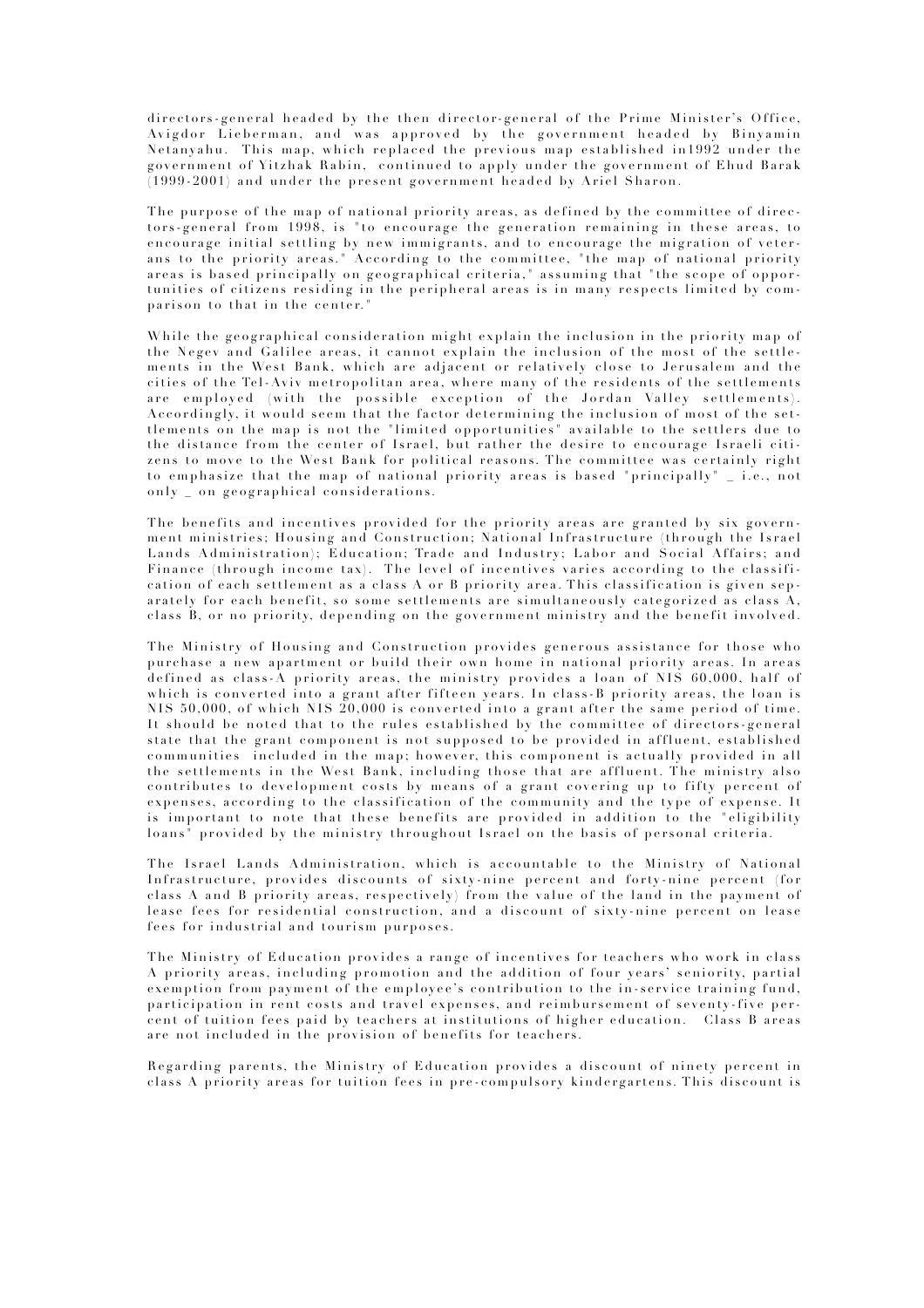directors-general headed by the then director-general of the Prime Minister's Office, Avigdor Lieberman, and was approved by the government headed by Binyamin Netanyahu. This map, which replaced the previous map established in1992 under the government of Yitzhak Rabin, continued to apply under the government of Ehud Barak (1999-2001) and under the present government headed by Ariel Sharon.

The purpose of the map of national priority areas, as defined by the committee of directors-general from 1998, is "to encourage the generation remaining in these areas, to encourage initial settling by new immigrants, and to encourage the migration of veterans to the priority areas." According to the committee, "the map of national priority areas is based principally on geographical criteria," assuming that "the scope of opportunities of citizens residing in the peripheral areas is in many respects limited by comparison to that in the center."

While the geographical consideration might explain the inclusion in the priority map of the Negev and Galilee areas, it cannot explain the inclusion of the most of the settlements in the West Bank, which are adjacent or relatively close to Jerusalem and the cities of the Tel-Aviv metropolitan area, where many of the residents of the settlements are employed (with the possible exception of the Jordan Valley settlements). Accordingly, it would seem that the factor determining the inclusion of most of the settlements on the map is not the "limited opportunities" available to the settlers due to the distance from the center of Israel, but rather the desire to encourage Israeli citizens to move to the West Bank for political reasons. The committee was certainly right to emphasize that the map of national priority areas is based "principally" \_ i.e., not only \_ on geographical considerations.

The benefits and incentives provided for the priority areas are granted by six government ministries; Housing and Construction; National Infrastructure (through the Israel Lands Administration); Education; Trade and Industry; Labor and Social Affairs; and Finance (through income tax). The level of incentives varies according to the classification of each settlement as a class A or B priority area. This classification is given separately for each benefit, so some settlements are simultaneously categorized as class A, class B, or no priority, depending on the government ministry and the benefit involved.

The Ministry of Housing and Construction provides generous assistance for those who purchase a new apartment or build their own home in national priority areas. In areas defined as class-A priority areas, the ministry provides a loan of NIS 60,000, half of which is converted into a grant after fifteen years. In class-B priority areas, the loan is NIS 50,000, of which NIS 20,000 is converted into a grant after the same period of time. It should be noted that to the rules established by the committee of directors-general state that the grant component is not supposed to be provided in affluent, established communities included in the map; however, this component is actually provided in all the settlements in the West Bank, including those that are affluent. The ministry also contributes to development costs by means of a grant covering up to fifty percent of expenses, according to the classification of the community and the type of expense. It is important to note that these benefits are provided in addition to the "eligibility loans" provided by the ministry throughout Israel on the basis of personal criteria.

The Israel Lands Administration, which is accountable to the Ministry of National Infrastructure, provides discounts of sixty-nine percent and forty-nine percent (for class A and B priority areas, respectively) from the value of the land in the payment of lease fees for residential construction, and a discount of sixty-nine percent on lease fees for industrial and tourism purposes.

The Ministry of Education provides a range of incentives for teachers who work in class A priority areas, including promotion and the addition of four years' seniority, partial exemption from payment of the employee's contribution to the in-service training fund, participation in rent costs and travel expenses, and reimbursement of seventy-five percent of tuition fees paid by teachers at institutions of higher education. Class B areas are not included in the provision of benefits for teachers.

Regarding parents, the Ministry of Education provides a discount of ninety percent in class A priority areas for tuition fees in pre-compulsory kindergartens. This discount is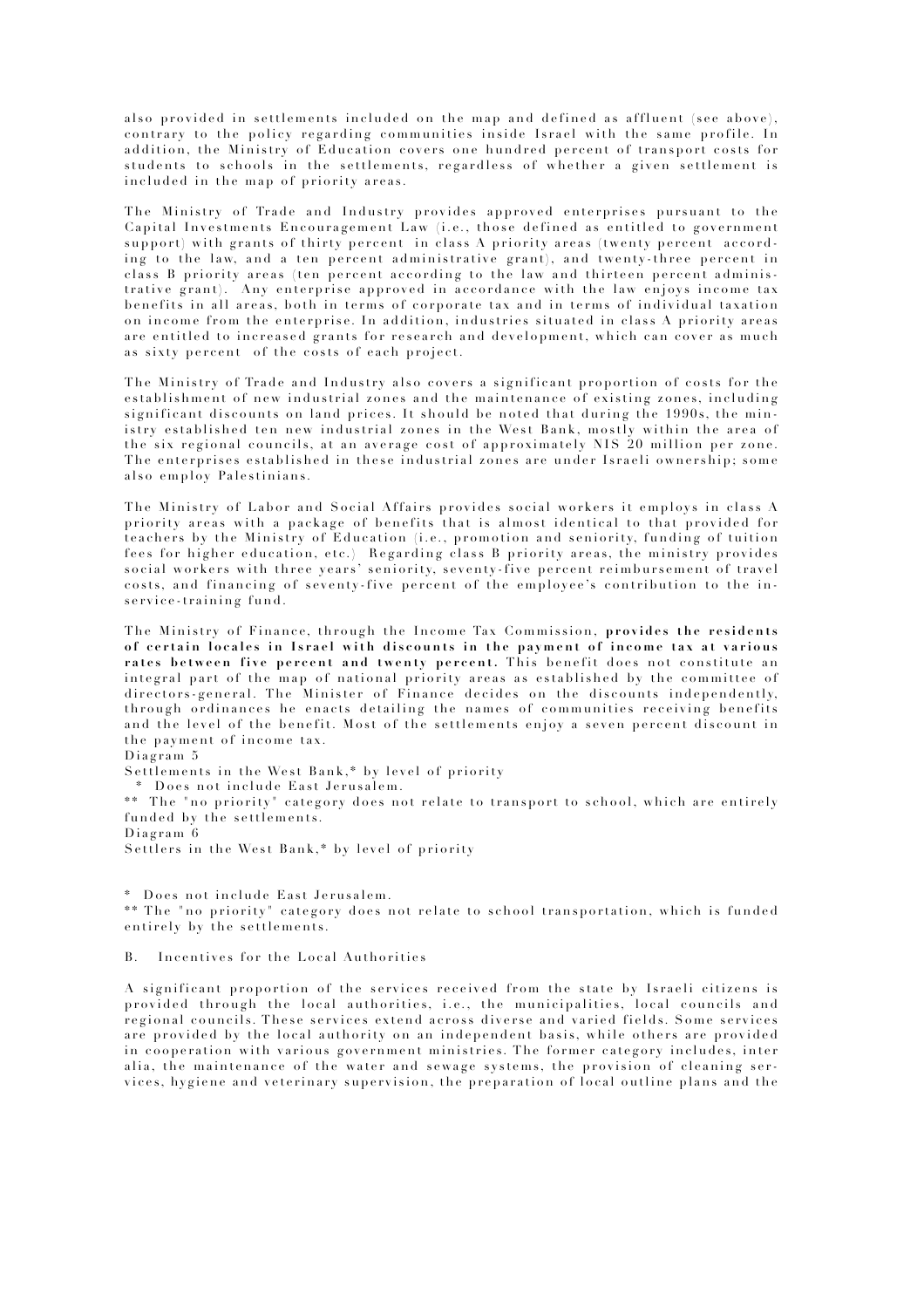also provided in settlements included on the map and defined as affluent (see above), contrary to the policy regarding communities inside Israel with the same profile. In addition, the Ministry of Education covers one hundred percent of transport costs for students to schools in the settlements, regardless of whether a given settlement is included in the map of priority areas.

The Ministry of Trade and Industry provides approved enterprises pursuant to the Capital Investments Encouragement Law (i.e., those defined as entitled to government support) with grants of thirty percent in class A priority areas (twenty percent according to the law, and a ten percent administrative grant), and twenty-three percent in class B priority areas (ten percent according to the law and thirteen percent administrative grant). Any enterprise approved in accordance with the law enjoys income tax benefits in all areas, both in terms of corporate tax and in terms of individual taxation on income from the enterprise. In addition, industries situated in class A priority areas are entitled to increased grants for research and development, which can cover as much as sixty percent of the costs of each project.

The Ministry of Trade and Industry also covers a significant proportion of costs for the establishment of new industrial zones and the maintenance of existing zones, including significant discounts on land prices. It should be noted that during the 1990s, the ministry established ten new industrial zones in the West Bank, mostly within the area of the six regional councils, at an average cost of approximately NIS 20 million per zone. The enterprises established in these industrial zones are under Israeli ownership; some also employ Palestinians.

The Ministry of Labor and Social Affairs provides social workers it employs in class A priority areas with a package of benefits that is almost identical to that provided for teachers by the Ministry of Education (i.e., promotion and seniority, funding of tuition fees for higher education, etc.) Regarding class B priority areas, the ministry provides social workers with three years' seniority, seventy-five percent reimbursement of travel costs, and financing of seventy-five percent of the employee's contribution to the inservice-training fund.

The Ministry of Finance, through the Income Tax Commission, **provides the residents of certain locales in Israel with discounts in the payment of income tax at various rates between five percent and twenty percent.** This benefit does not constitute an integral part of the map of national priority areas as established by the committee of directors-general. The Minister of Finance decides on the discounts independently, through ordinances he enacts detailing the names of communities receiving benefits and the level of the benefit. Most of the settlements enjoy a seven percent discount in the payment of income tax.

Diagram 5

Settlements in the West Bank,\* by level of priority

\* Does not include East Jerusalem.

\*\* The "no priority" category does not relate to transport to school, which are entirely funded by the settlements.

Diagram 6

Settlers in the West Bank,\* by level of priority

\* Does not include East Jerusalem.

\*\* The "no priority" category does not relate to school transportation, which is funded entirely by the settlements.

B. Incentives for the Local Authorities

A significant proportion of the services received from the state by Israeli citizens is provided through the local authorities, i.e., the municipalities, local councils and regional councils. These services extend across diverse and varied fields. Some services are provided by the local authority on an independent basis, while others are provided in cooperation with various government ministries. The former category includes, inter alia, the maintenance of the water and sewage systems, the provision of cleaning services, hygiene and veterinary supervision, the preparation of local outline plans and the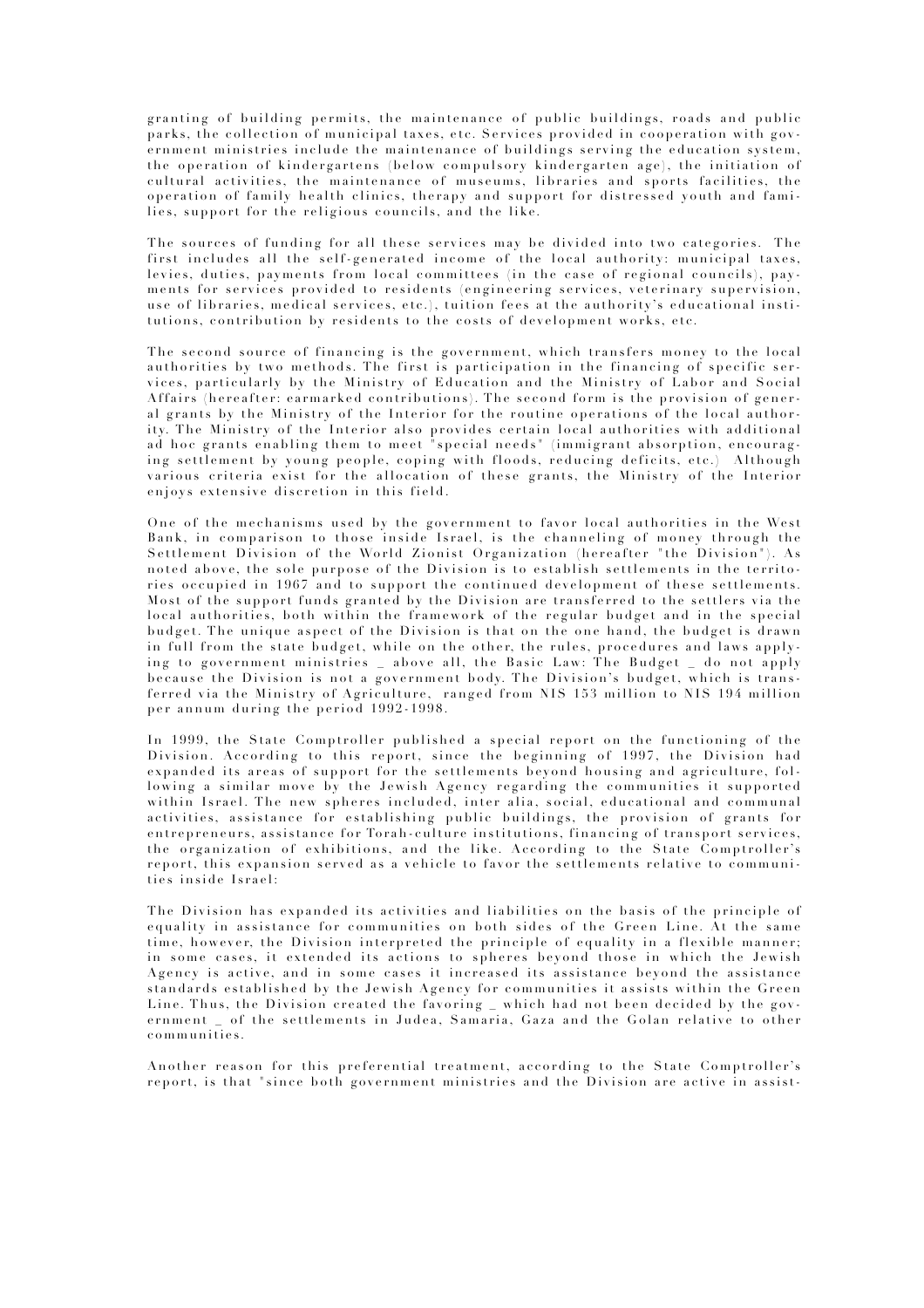granting of building permits, the maintenance of public buildings, roads and public parks, the collection of municipal taxes, etc. Services provided in cooperation with government ministries include the maintenance of buildings serving the education system, the operation of kindergartens (below compulsory kindergarten age), the initiation of cultural activities, the maintenance of museums, libraries and sports facilities, the operation of family health clinics, therapy and support for distressed youth and families, support for the religious councils, and the like.

The sources of funding for all these services may be divided into two categories. The first includes all the self-generated income of the local authority: municipal taxes, levies, duties, payments from local committees (in the case of regional councils), payments for services provided to residents (engineering services, veterinary supervision, use of libraries, medical services, etc.), tuition fees at the authority's educational institutions, contribution by residents to the costs of development works, etc.

The second source of financing is the government, which transfers money to the local authorities by two methods. The first is participation in the financing of specific services, particularly by the Ministry of Education and the Ministry of Labor and Social Affairs (hereafter: earmarked contributions). The second form is the provision of general grants by the Ministry of the Interior for the routine operations of the local authority. The Ministry of the Interior also provides certain local authorities with additional ad hoc grants enabling them to meet "special needs" (immigrant absorption, encouraging settlement by young people, coping with floods, reducing deficits, etc.) Although various criteria exist for the allocation of these grants, the Ministry of the Interior enjoys extensive discretion in this field.

One of the mechanisms used by the government to favor local authorities in the West Bank, in comparison to those inside Israel, is the channeling of money through the Settlement Division of the World Zionist Organization (hereafter "the Division"). As noted above, the sole purpose of the Division is to establish settlements in the territories occupied in 1967 and to support the continued development of these settlements. Most of the support funds granted by the Division are transferred to the settlers via the local authorities, both within the framework of the regular budget and in the special budget. The unique aspect of the Division is that on the one hand, the budget is drawn in full from the state budget, while on the other, the rules, procedures and laws applying to government ministries \_ above all, the Basic Law: The Budget \_ do not apply because the Division is not a government body. The Division's budget, which is transferred via the Ministry of Agriculture, ranged from NIS 153 million to NIS 194 million per annum during the period 1992-1998.

In 1999, the State Comptroller published a special report on the functioning of the Division. According to this report, since the beginning of 1997, the Division had expanded its areas of support for the settlements beyond housing and agriculture, following a similar move by the Jewish Agency regarding the communities it supported within Israel. The new spheres included, inter alia, social, educational and communal activities, assistance for establishing public buildings, the provision of grants for entrepreneurs, assistance for Torah-culture institutions, financing of transport services, the organization of exhibitions, and the like. According to the State Comptroller's report, this expansion served as a vehicle to favor the settlements relative to communities inside Israel:

The Division has expanded its activities and liabilities on the basis of the principle of equality in assistance for communities on both sides of the Green Line. At the same time, however, the Division interpreted the principle of equality in a flexible manner; in some cases, it extended its actions to spheres beyond those in which the Jewish Agency is active, and in some cases it increased its assistance beyond the assistance standards established by the Jewish Agency for communities it assists within the Green Line. Thus, the Division created the favoring \_ which had not been decided by the government \_ of the settlements in Judea, Samaria, Gaza and the Golan relative to other communities.

Another reason for this preferential treatment, according to the State Comptroller's report, is that "since both government ministries and the Division are active in assist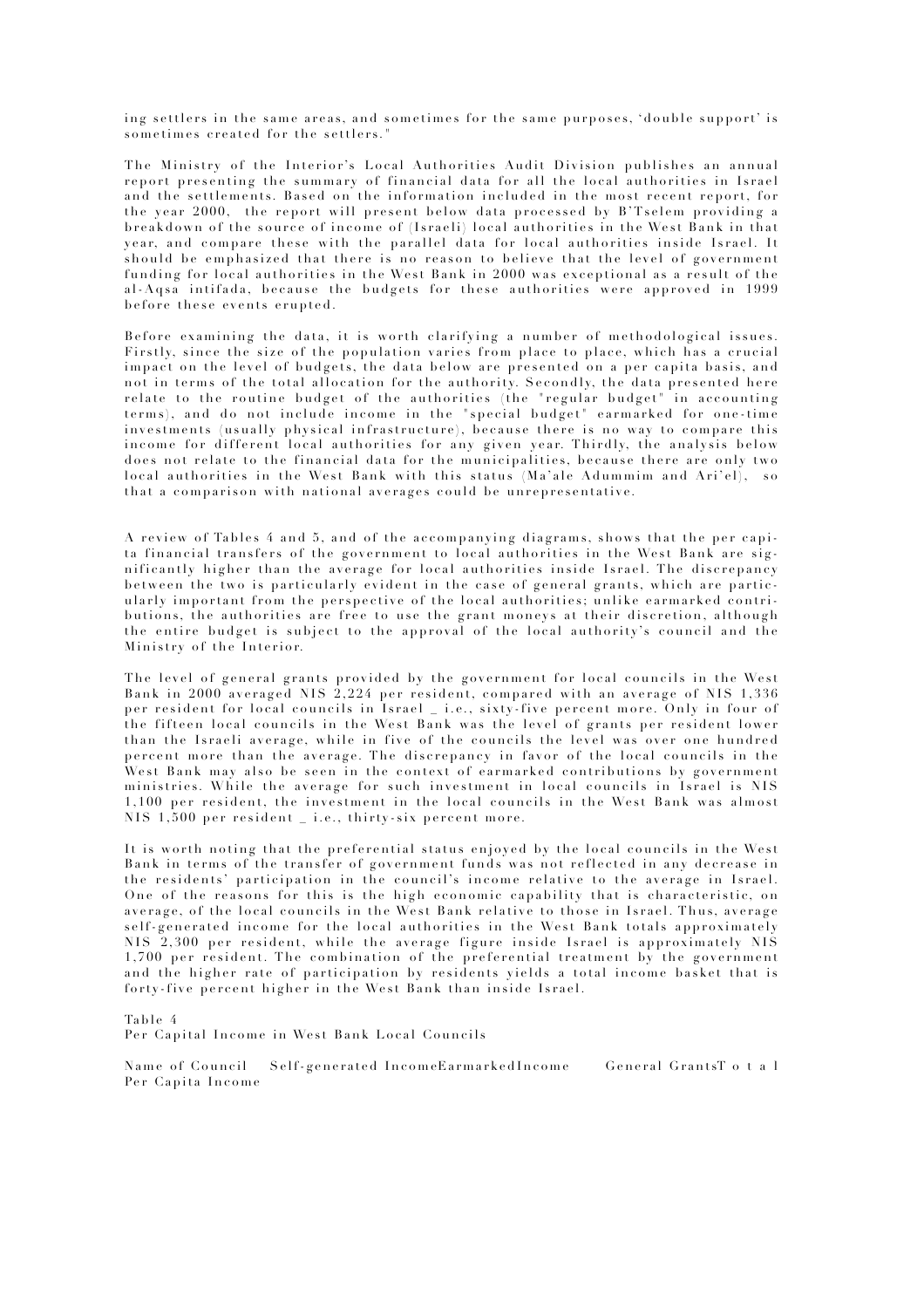ing settlers in the same areas, and sometimes for the same purposes, 'double support' is sometimes created for the settlers."

The Ministry of the Interior's Local Authorities Audit Division publishes an annual report presenting the summary of financial data for all the local authorities in Israel and the settlements. Based on the information included in the most recent report, for the year 2000, the report will present below data processed by B'Tselem providing a breakdown of the source of income of (Israeli) local authorities in the West Bank in that year, and compare these with the parallel data for local authorities inside Israel. It should be emphasized that there is no reason to believe that the level of government funding for local authorities in the West Bank in 2000 was exceptional as a result of the al-Aqsa intifada, because the budgets for these authorities were approved in 1999 before these events erupted.

Before examining the data, it is worth clarifying a number of methodological issues. Firstly, since the size of the population varies from place to place, which has a crucial impact on the level of budgets, the data below are presented on a per capita basis, and not in terms of the total allocation for the authority. Secondly, the data presented here relate to the routine budget of the authorities (the "regular budget" in accounting terms), and do not include income in the "special budget" earmarked for one-time investments (usually physical infrastructure), because there is no way to compare this income for different local authorities for any given year. Thirdly, the analysis below does not relate to the financial data for the municipalities, because there are only two local authorities in the West Bank with this status (Ma'ale Adummim and Ari'el), so that a comparison with national averages could be unrepresentative.

A review of Tables 4 and 5, and of the accompanying diagrams, shows that the per capita financial transfers of the government to local authorities in the West Bank are significantly higher than the average for local authorities inside Israel. The discrepancy between the two is particularly evident in the case of general grants, which are particularly important from the perspective of the local authorities; unlike earmarked contributions, the authorities are free to use the grant moneys at their discretion, although the entire budget is subject to the approval of the local authority's council and the Ministry of the Interior.

The level of general grants provided by the government for local councils in the West Bank in 2000 averaged NIS 2,224 per resident, compared with an average of NIS 1,336 per resident for local councils in Israel \_ i.e., sixty-five percent more. Only in four of the fifteen local councils in the West Bank was the level of grants per resident lower than the Israeli average, while in five of the councils the level was over one hundred percent more than the average. The discrepancy in favor of the local councils in the West Bank may also be seen in the context of earmarked contributions by government ministries. While the average for such investment in local councils in Israel is NIS 1,100 per resident, the investment in the local councils in the West Bank was almost NIS 1,500 per resident \_ i.e., thirty-six percent more.

It is worth noting that the preferential status enjoyed by the local councils in the West Bank in terms of the transfer of government funds was not reflected in any decrease in the residents' participation in the council's income relative to the average in Israel. One of the reasons for this is the high economic capability that is characteristic, on average, of the local councils in the West Bank relative to those in Israel. Thus, average self-generated income for the local authorities in the West Bank totals approximately NIS 2,300 per resident, while the average figure inside Israel is approximately NIS 1,700 per resident. The combination of the preferential treatment by the government and the higher rate of participation by residents yields a total income basket that is forty-five percent higher in the West Bank than inside Israel.

Table 4

Per Capital Income in West Bank Local Councils

Name of Council Self-generated IncomeEarmarkedIncome General GrantsT otal Per Capita Income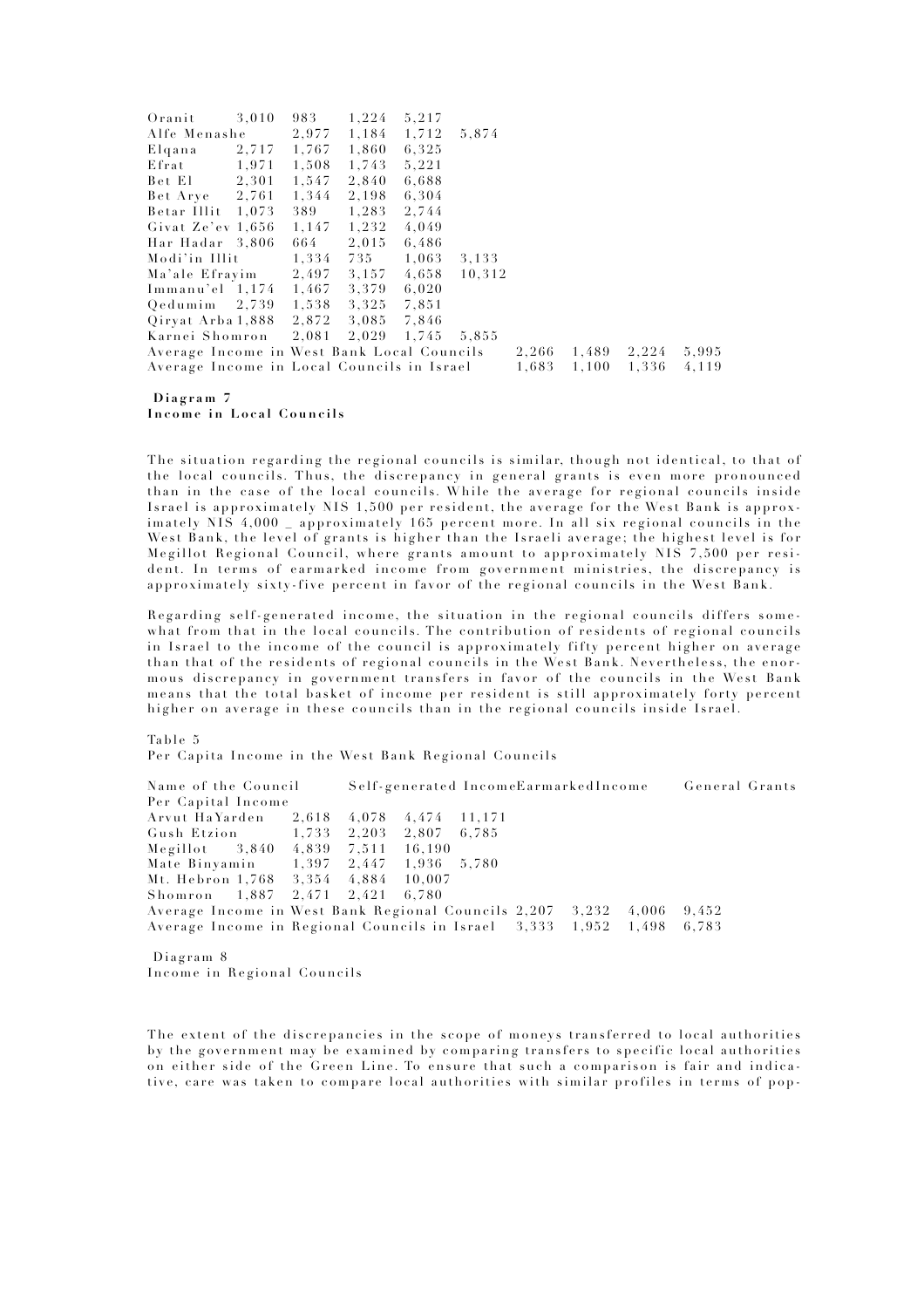| Oranit                                     | 3,010               | 983 1,224   |                         | 5,217 |        |       |             |       |       |
|--------------------------------------------|---------------------|-------------|-------------------------|-------|--------|-------|-------------|-------|-------|
| Alfe Menashe                               |                     |             | 2,977 1,184 1,712       |       | 5.874  |       |             |       |       |
| Elqana                                     | $2,717$ 1,767 1,860 |             |                         | 6,325 |        |       |             |       |       |
| Efrat                                      | 1,971               | 1,508       | 1,743                   | 5,221 |        |       |             |       |       |
| Bet El 2,301                               |                     | 1,547       | 2,840                   | 6.688 |        |       |             |       |       |
| $\text{Det}$ Arye 2,761                    |                     | 1,344       | 2,198                   | 6,304 |        |       |             |       |       |
| Betar Illit 1,073                          |                     | 389 1,283   |                         | 2,744 |        |       |             |       |       |
| Givat Ze'ev 1,656                          |                     | 1,147 1,232 |                         | 4,049 |        |       |             |       |       |
| Har Hadar 3,806                            |                     | 664 2.015   |                         | 6,486 |        |       |             |       |       |
| Modi'in Illit                              |                     | 1,334       | 735                     | 1,063 | 3.133  |       |             |       |       |
| Ma'ale Efrayim 2,497                       |                     |             | 3,157                   | 4.658 | 10,312 |       |             |       |       |
| Immanu'el 1,174 1,467 3,379                |                     |             |                         | 6,020 |        |       |             |       |       |
| Oedumim 2.739 1.538 3.325                  |                     |             |                         | 7.851 |        |       |             |       |       |
| Qiryat Arba 1,888                          |                     |             | 2,872 3,085 7,846       |       |        |       |             |       |       |
| Karnei Shomron                             |                     |             | $2,081$ $2,029$ $1,745$ |       | 5.855  |       |             |       |       |
| Average Income in West Bank Local Councils |                     |             |                         |       |        | 2,266 | 1,489 2,224 |       | 5,995 |
| Average Income in Local Councils in Israel |                     |             |                         |       | 1,683  | 1,100 | 1,336       | 4,119 |       |

**Diagram 7 Income in Local Councils**

The situation regarding the regional councils is similar, though not identical, to that of the local councils. Thus, the discrepancy in general grants is even more pronounced than in the case of the local councils. While the average for regional councils inside Israel is approximately NIS 1,500 per resident, the average for the West Bank is approximately NIS 4,000 \_ approximately 165 percent more. In all six regional councils in the West Bank, the level of grants is higher than the Israeli average; the highest level is for Megillot Regional Council, where grants amount to approximately NIS 7,500 per resident. In terms of earmarked income from government ministries, the discrepancy is approximately sixty-five percent in favor of the regional councils in the West Bank.

Regarding self-generated income, the situation in the regional councils differs somewhat from that in the local councils. The contribution of residents of regional councils in Israel to the income of the council is approximately fifty percent higher on average than that of the residents of regional councils in the West Bank. Nevertheless, the enormous discrepancy in government transfers in favor of the councils in the West Bank means that the total basket of income per resident is still approximately forty percent higher on average in these councils than in the regional councils inside Israel.

Table 5 Per Capita Income in the West Bank Regional Councils

Name of the Council Self-generated IncomeEarmarkedIncome General Grants Per Capital Income Arvut HaYarden 2,618 4,078 4,474 11,171 Gush Etzion 1,733 2,203 2,807 6,785<br>Megillot 3.840 4.839 7.511 16.190 Megillot 3,840 4,839 7,511<br>Mate Binyamin 1.397 2.447  $\frac{1,936}{10,007}$  5,780 Mt. Hebron 1,768 3,354 4,884 Shomron 1,887 2,471 2,421 6,780 Average Income in West Bank Regional Councils 2,207 3,232 4,006 9,452 Average Income in Regional Councils in Israel 3,333 1,952 1,498 6,783

Diagram 8 Income in Regional Councils

The extent of the discrepancies in the scope of moneys transferred to local authorities by the government may be examined by comparing transfers to specific local authorities on either side of the Green Line. To ensure that such a comparison is fair and indicative, care was taken to compare local authorities with similar profiles in terms of pop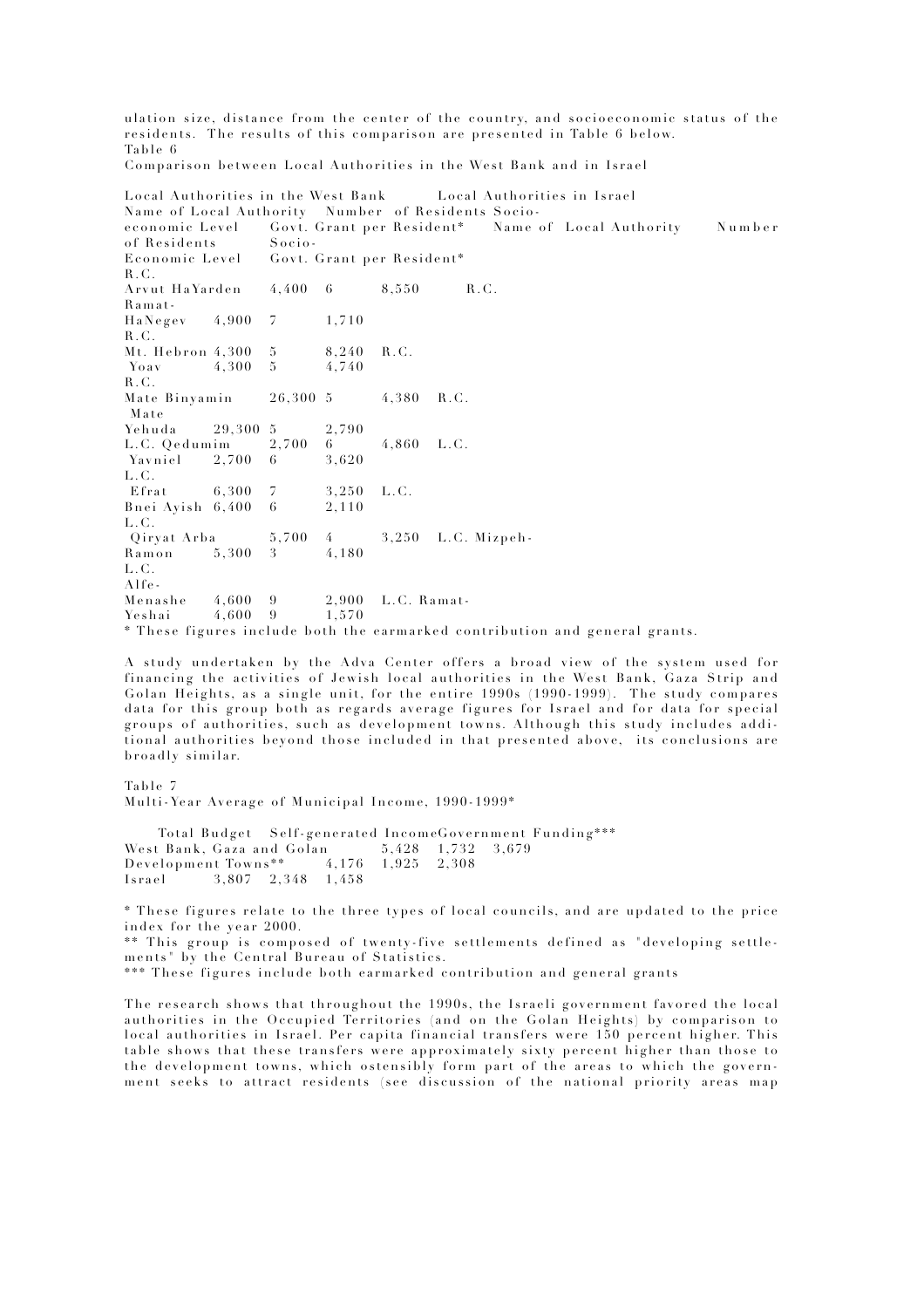ulation size, distance from the center of the country, and socioeconomic status of the residents. The results of this comparison are presented in Table 6 below. Table 6

Comparison between Local Authorities in the West Bank and in Israel

Local Authorities in the West Bank Local Authorities in Israel Name of Local Authority Number of Residents Socio-Govt. Grant per Resident\* Name of Local Authority Number of Residents Socio-<br>Economic Level Govt. Govt. Grant per Resident\* R.C. Arvut HaYarden 4,400 6 8,550 R.C. Ramat-HaNegev 4,900 7 1,710 R.C. Mt. Hebron 4,300 5 8,240 R.C.<br>Yoav 4,300 5 4,740  $Yoav$  4,300 5 R.C. Mate Binyamin 26,300 5 4,380 R.C. Mate Yehuda 29,300 5 2,790 L.C. Qedumim 2,700 6 4,860 L.C.<br>Yavniel 2,700 6 3,620 Yavniel 2,700 6 L.C. Efrat 6,300 7 3,250 L.C. Bnei Ayish 6,400 6 2,110 L.C. Qiryat Arba 5,700 4 3,250 L.C. Mizpeh- $5,300$  3 L.C. Alfe-Menashe 4,600 9 2,900 L.C. Ramat-Yeshai 4,600 9 1,570 \* These figures include both the earmarked contribution and general grants.

A study undertaken by the Adva Center offers a broad view of the system used for financing the activities of Jewish local authorities in the West Bank, Gaza Strip and Golan Heights, as a single unit, for the entire 1990s (1990-1999). The study compares data for this group both as regards average figures for Israel and for data for special groups of authorities, such as development towns. Although this study includes additional authorities beyond those included in that presented above, its conclusions are broadly similar.

Table 7 Multi-Year Average of Municipal Income, 1990-1999\*

Total Budget Self-generated IncomeGovernment Funding\*\*\* West Bank, Gaza and Golan 5,428 1,732<br>Development Towns\*\* 4,176 1,925 2,308 Development Towns\*\* Israel 3,807 2,348 1,458

\* These figures relate to the three types of local councils, and are updated to the price index for the year 2000.

\*\* This group is composed of twenty-five settlements defined as "developing settlements" by the Central Bureau of Statistics.

\*\*\* These figures include both earmarked contribution and general grants

The research shows that throughout the 1990s, the Israeli government favored the local authorities in the Occupied Territories (and on the Golan Heights) by comparison to local authorities in Israel. Per capita financial transfers were 150 percent higher. This table shows that these transfers were approximately sixty percent higher than those to the development towns, which ostensibly form part of the areas to which the government seeks to attract residents (see discussion of the national priority areas map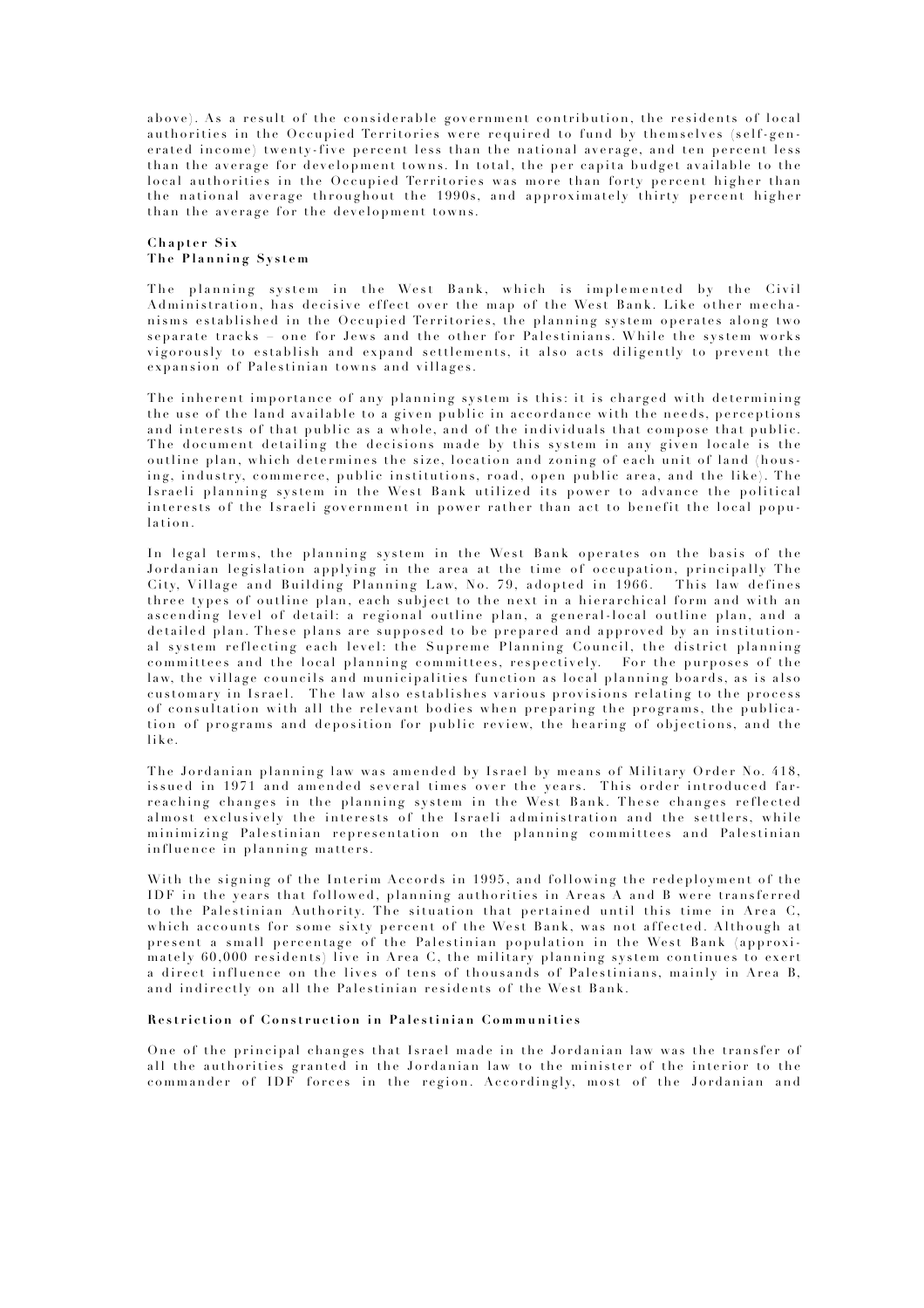above). As a result of the considerable government contribution, the residents of local authorities in the Occupied Territories were required to fund by themselves (self-generated income) twenty-five percent less than the national average, and ten percent less than the average for development towns. In total, the per capita budget available to the local authorities in the Occupied Territories was more than forty percent higher than the national average throughout the 1990s, and approximately thirty percent higher than the average for the development towns.

## **Chapter Six The Planning System**

The planning system in the West Bank, which is implemented by the Civil Administration, has decisive effect over the map of the West Bank. Like other mechanisms established in the Occupied Territories, the planning system operates along two separate tracks – one for Jews and the other for Palestinians. While the system works vigorously to establish and expand settlements, it also acts diligently to prevent the expansion of Palestinian towns and villages.

The inherent importance of any planning system is this: it is charged with determining the use of the land available to a given public in accordance with the needs, perceptions and interests of that public as a whole, and of the individuals that compose that public. The document detailing the decisions made by this system in any given locale is the outline plan, which determines the size, location and zoning of each unit of land (housing, industry, commerce, public institutions, road, open public area, and the like). The Israeli planning system in the West Bank utilized its power to advance the political interests of the Israeli government in power rather than act to benefit the local population.

In legal terms, the planning system in the West Bank operates on the basis of the Jordanian legislation applying in the area at the time of occupation, principally The City, Village and Building Planning Law, No. 79, adopted in 1966. This law defines three types of outline plan, each subject to the next in a hierarchical form and with an ascending level of detail: a regional outline plan, a general-local outline plan, and a detailed plan. These plans are supposed to be prepared and approved by an institutional system reflecting each level: the Supreme Planning Council, the district planning committees and the local planning committees, respectively. For the purposes of the law, the village councils and municipalities function as local planning boards, as is also customary in Israel. The law also establishes various provisions relating to the process of consultation with all the relevant bodies when preparing the programs, the publication of programs and deposition for public review, the hearing of objections, and the like.

The Jordanian planning law was amended by Israel by means of Military Order No. 418, issued in 1971 and amended several times over the years. This order introduced farreaching changes in the planning system in the West Bank. These changes reflected almost exclusively the interests of the Israeli administration and the settlers, while minimizing Palestinian representation on the planning committees and Palestinian influence in planning matters.

With the signing of the Interim Accords in 1995, and following the redeployment of the IDF in the years that followed, planning authorities in Areas A and B were transferred to the Palestinian Authority. The situation that pertained until this time in Area C, which accounts for some sixty percent of the West Bank, was not affected. Although at present a small percentage of the Palestinian population in the West Bank (approximately 60,000 residents) live in Area C, the military planning system continues to exert a direct influence on the lives of tens of thousands of Palestinians, mainly in Area B, and indirectly on all the Palestinian residents of the West Bank.

#### **Restriction of Construction in Palestinian Communities**

One of the principal changes that Israel made in the Jordanian law was the transfer of all the authorities granted in the Jordanian law to the minister of the interior to the commander of IDF forces in the region. Accordingly, most of the Jordanian and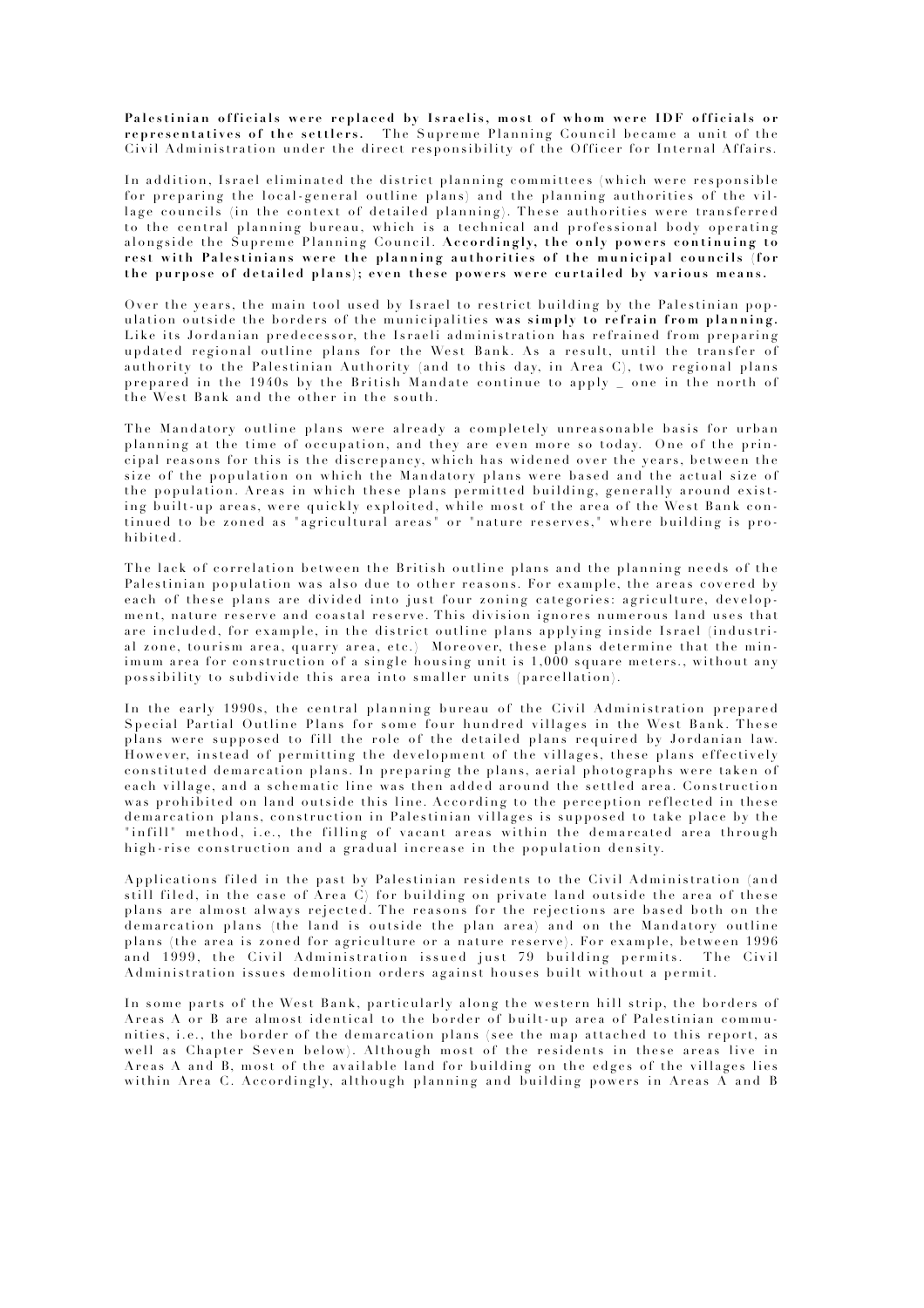**Palestinian officials were replaced by Israelis, most of whom were IDF officials or representatives of the settlers.** The Supreme Planning Council became a unit of the Civil Administration under the direct responsibility of the Officer for Internal Affairs.

In addition, Israel eliminated the district planning committees (which were responsible for preparing the local-general outline plans) and the planning authorities of the village councils (in the context of detailed planning). These authorities were transferred to the central planning bureau, which is a technical and professional body operating alongside the Supreme Planning Council. **Accordingly, the only powers continuing to rest with Palestinians were the planning authorities of the municipal councils (for the purpose of detailed plans); even these powers were curtailed by various means.**

Over the years, the main tool used by Israel to restrict building by the Palestinian population outside the borders of the municipalities **was simply to refrain from planning.** Like its Jordanian predecessor, the Israeli administration has refrained from preparing updated regional outline plans for the West Bank. As a result, until the transfer of authority to the Palestinian Authority (and to this day, in Area C), two regional plans prepared in the 1940s by the British Mandate continue to apply \_ one in the north of the West Bank and the other in the south.

The Mandatory outline plans were already a completely unreasonable basis for urban planning at the time of occupation, and they are even more so today. One of the principal reasons for this is the discrepancy, which has widened over the years, between the size of the population on which the Mandatory plans were based and the actual size of the population. Areas in which these plans permitted building, generally around existing built-up areas, were quickly exploited, while most of the area of the West Bank continued to be zoned as "agricultural areas" or "nature reserves," where building is prohibited.

The lack of correlation between the British outline plans and the planning needs of the Palestinian population was also due to other reasons. For example, the areas covered by each of these plans are divided into just four zoning categories: agriculture, development, nature reserve and coastal reserve. This division ignores numerous land uses that are included, for example, in the district outline plans applying inside Israel (industrial zone, tourism area, quarry area, etc.) Moreover, these plans determine that the minimum area for construction of a single housing unit is 1,000 square meters., without any possibility to subdivide this area into smaller units (parcellation).

In the early 1990s, the central planning bureau of the Civil Administration prepared Special Partial Outline Plans for some four hundred villages in the West Bank. These plans were supposed to fill the role of the detailed plans required by Jordanian law. However, instead of permitting the development of the villages, these plans effectively constituted demarcation plans. In preparing the plans, aerial photographs were taken of each village, and a schematic line was then added around the settled area. Construction was prohibited on land outside this line. According to the perception reflected in these demarcation plans, construction in Palestinian villages is supposed to take place by the "infill" method, i.e., the filling of vacant areas within the demarcated area through high-rise construction and a gradual increase in the population density.

Applications filed in the past by Palestinian residents to the Civil Administration (and still filed, in the case of Area C) for building on private land outside the area of these plans are almost always rejected. The reasons for the rejections are based both on the demarcation plans (the land is outside the plan area) and on the Mandatory outline plans (the area is zoned for agriculture or a nature reserve). For example, between 1996 and 1999, the Civil Administration issued just 79 building permits. The Civil Administration issues demolition orders against houses built without a permit.

In some parts of the West Bank, particularly along the western hill strip, the borders of Areas A or B are almost identical to the border of built-up area of Palestinian communities, i.e., the border of the demarcation plans (see the map attached to this report, as well as Chapter Seven below). Although most of the residents in these areas live in Areas A and B, most of the available land for building on the edges of the villages lies within Area C. Accordingly, although planning and building powers in Areas A and B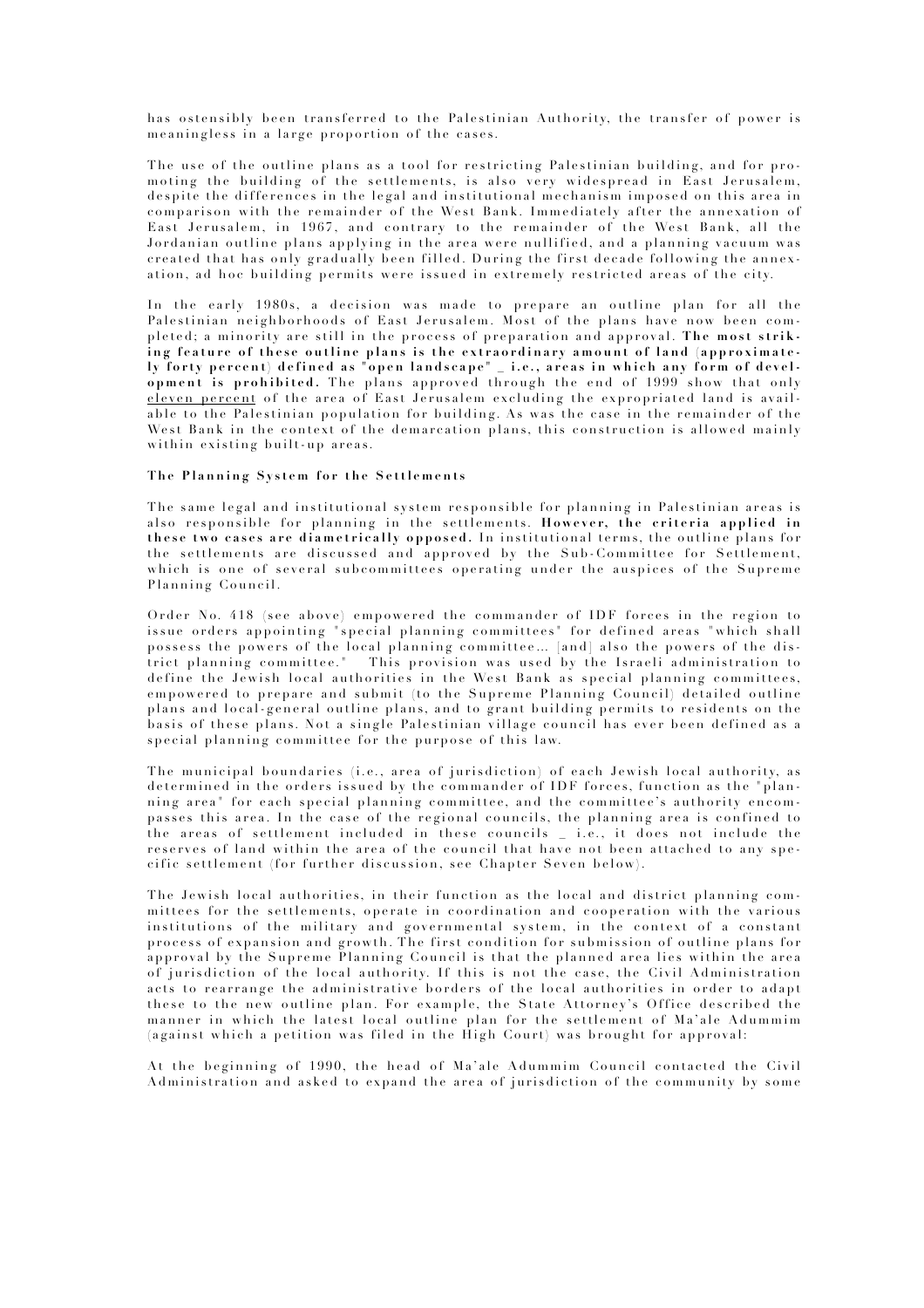has ostensibly been transferred to the Palestinian Authority, the transfer of power is meaningless in a large proportion of the cases.

The use of the outline plans as a tool for restricting Palestinian building, and for promoting the building of the settlements, is also very widespread in East Jerusalem, despite the differences in the legal and institutional mechanism imposed on this area in comparison with the remainder of the West Bank. Immediately after the annexation of East Jerusalem, in 1967, and contrary to the remainder of the West Bank, all the Jordanian outline plans applying in the area were nullified, and a planning vacuum was created that has only gradually been filled. During the first decade following the annexation, ad hoc building permits were issued in extremely restricted areas of the city.

In the early 1980s, a decision was made to prepare an outline plan for all the Palestinian neighborhoods of East Jerusalem. Most of the plans have now been completed; a minority are still in the process of preparation and approval. **The most striking feature of these outline plans is the extraordinary amount of land (approximately forty percent) defined as "open landscape" \_ i.e., areas in which any form of development is prohibited.** The plans approved through the end of 1999 show that only eleven percent of the area of East Jerusalem excluding the expropriated land is available to the Palestinian population for building. As was the case in the remainder of the West Bank in the context of the demarcation plans, this construction is allowed mainly within existing built-up areas.

#### **The Planning System for the Settlements**

The same legal and institutional system responsible for planning in Palestinian areas is also responsible for planning in the settlements. **However, the criteria applied in these two cases are diametrically opposed.** In institutional terms, the outline plans for the settlements are discussed and approved by the Sub-Committee for Settlement, which is one of several subcommittees operating under the auspices of the Supreme Planning Council.

Order No. 418 (see above) empowered the commander of IDF forces in the region to issue orders appointing "special planning committees" for defined areas "which shall possess the powers of the local planning committee… [and] also the powers of the district planning committee." This provision was used by the Israeli administration to define the Jewish local authorities in the West Bank as special planning committees, empowered to prepare and submit (to the Supreme Planning Council) detailed outline plans and local-general outline plans, and to grant building permits to residents on the basis of these plans. Not a single Palestinian village council has ever been defined as a special planning committee for the purpose of this law.

The municipal boundaries (i.e., area of jurisdiction) of each Jewish local authority, as determined in the orders issued by the commander of IDF forces, function as the "planning area" for each special planning committee, and the committee's authority encompasses this area. In the case of the regional councils, the planning area is confined to the areas of settlement included in these councils \_ i.e., it does not include the reserves of land within the area of the council that have not been attached to any specific settlement (for further discussion, see Chapter Seven below).

The Jewish local authorities, in their function as the local and district planning committees for the settlements, operate in coordination and cooperation with the various institutions of the military and governmental system, in the context of a constant process of expansion and growth. The first condition for submission of outline plans for approval by the Supreme Planning Council is that the planned area lies within the area of jurisdiction of the local authority. If this is not the case, the Civil Administration acts to rearrange the administrative borders of the local authorities in order to adapt these to the new outline plan. For example, the State Attorney's Office described the manner in which the latest local outline plan for the settlement of Ma'ale Adummim (against which a petition was filed in the High Court) was brought for approval:

At the beginning of 1990, the head of Ma'ale Adummim Council contacted the Civil Administration and asked to expand the area of jurisdiction of the community by some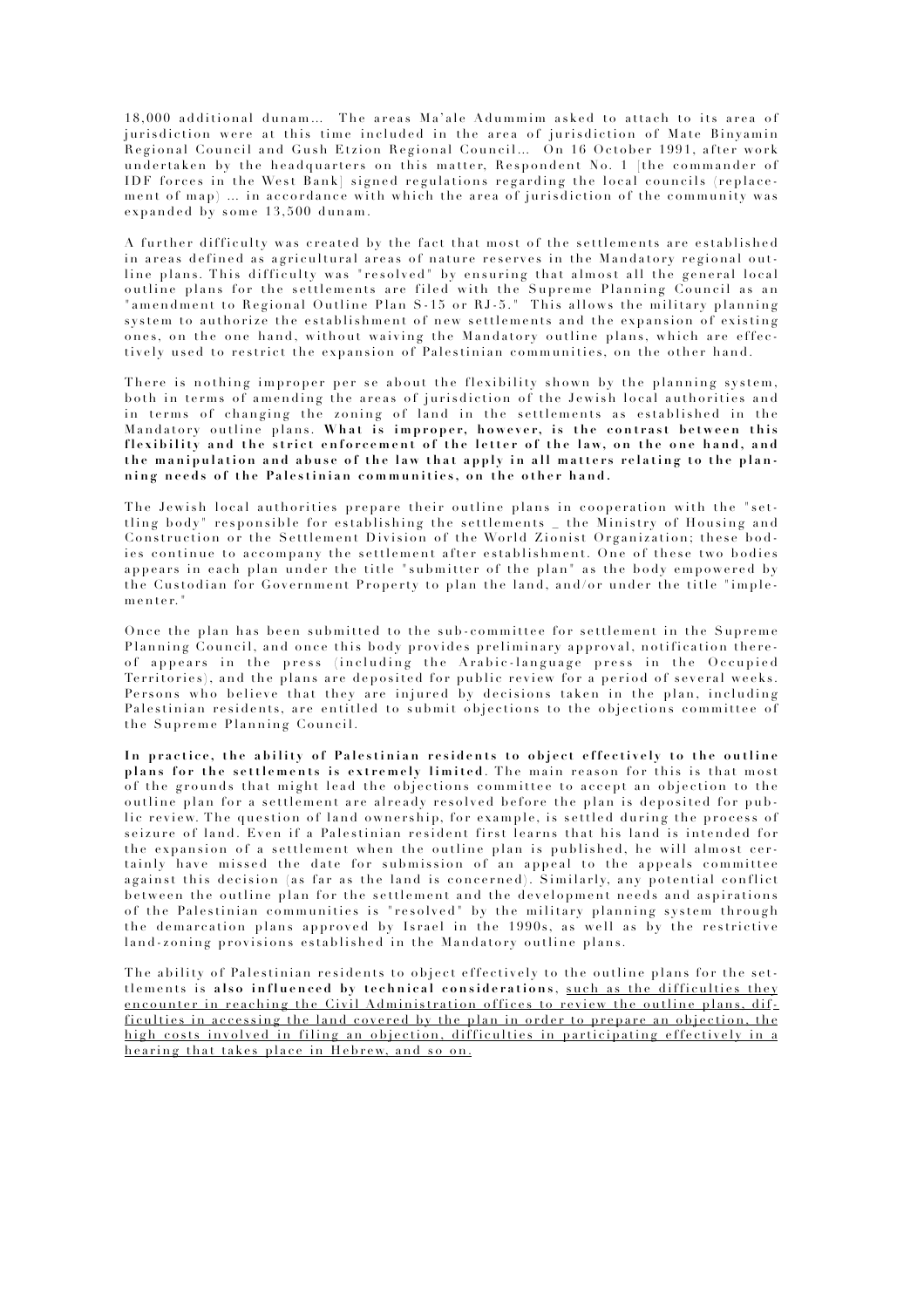18,000 additional dunam… The areas Ma'ale Adummim asked to attach to its area of jurisdiction were at this time included in the area of jurisdiction of Mate Binyamin Regional Council and Gush Etzion Regional Council… On 16 October 1991, after work undertaken by the headquarters on this matter, Respondent No. 1 [the commander of IDF forces in the West Bank] signed regulations regarding the local councils (replacement of map) … in accordance with which the area of jurisdiction of the community was expanded by some 13,500 dunam.

A further difficulty was created by the fact that most of the settlements are established in areas defined as agricultural areas of nature reserves in the Mandatory regional outline plans. This difficulty was "resolved" by ensuring that almost all the general local outline plans for the settlements are filed with the Supreme Planning Council as an "amendment to Regional Outline Plan S-15 or RJ-5." This allows the military planning system to authorize the establishment of new settlements and the expansion of existing ones, on the one hand, without waiving the Mandatory outline plans, which are effectively used to restrict the expansion of Palestinian communities, on the other hand.

There is nothing improper per se about the flexibility shown by the planning system, both in terms of amending the areas of jurisdiction of the Jewish local authorities and in terms of changing the zoning of land in the settlements as established in the Mandatory outline plans. **What is improper, however, is the contrast between this flexibility and the strict enforcement of the letter of the law, on the one hand, and the manipulation and abuse of the law that apply in all matters relating to the planning needs of the Palestinian communities, on the other hand.**

The Jewish local authorities prepare their outline plans in cooperation with the "settling body" responsible for establishing the settlements \_ the Ministry of Housing and Construction or the Settlement Division of the World Zionist Organization; these bodies continue to accompany the settlement after establishment. One of these two bodies appears in each plan under the title "submitter of the plan" as the body empowered by the Custodian for Government Property to plan the land, and/or under the title "implementer.

Once the plan has been submitted to the sub-committee for settlement in the Supreme Planning Council, and once this body provides preliminary approval, notification thereof appears in the press (including the Arabic-language press in the Occupied Territories), and the plans are deposited for public review for a period of several weeks. Persons who believe that they are injured by decisions taken in the plan, including Palestinian residents, are entitled to submit objections to the objections committee of the Supreme Planning Council.

**In practice, the ability of Palestinian residents to object effectively to the outline plans for the settlements is extremely limited** . The main reason for this is that most of the grounds that might lead the objections committee to accept an objection to the outline plan for a settlement are already resolved before the plan is deposited for public review. The question of land ownership, for example, is settled during the process of seizure of land. Even if a Palestinian resident first learns that his land is intended for the expansion of a settlement when the outline plan is published, he will almost certainly have missed the date for submission of an appeal to the appeals committee against this decision (as far as the land is concerned). Similarly, any potential conflict between the outline plan for the settlement and the development needs and aspirations of the Palestinian communities is "resolved" by the military planning system through the demarcation plans approved by Israel in the 1990s, as well as by the restrictive land-zoning provisions established in the Mandatory outline plans.

The ability of Palestinian residents to object effectively to the outline plans for the settlements is also influenced by technical considerations, such as the difficulties they encounter in reaching the Civil Administration offices to review the outline plans, difficulties in accessing the land covered by the plan in order to prepare an objection, the high costs involved in filing an objection, difficulties in participating effectively in a hearing that takes place in Hebrew, and so on.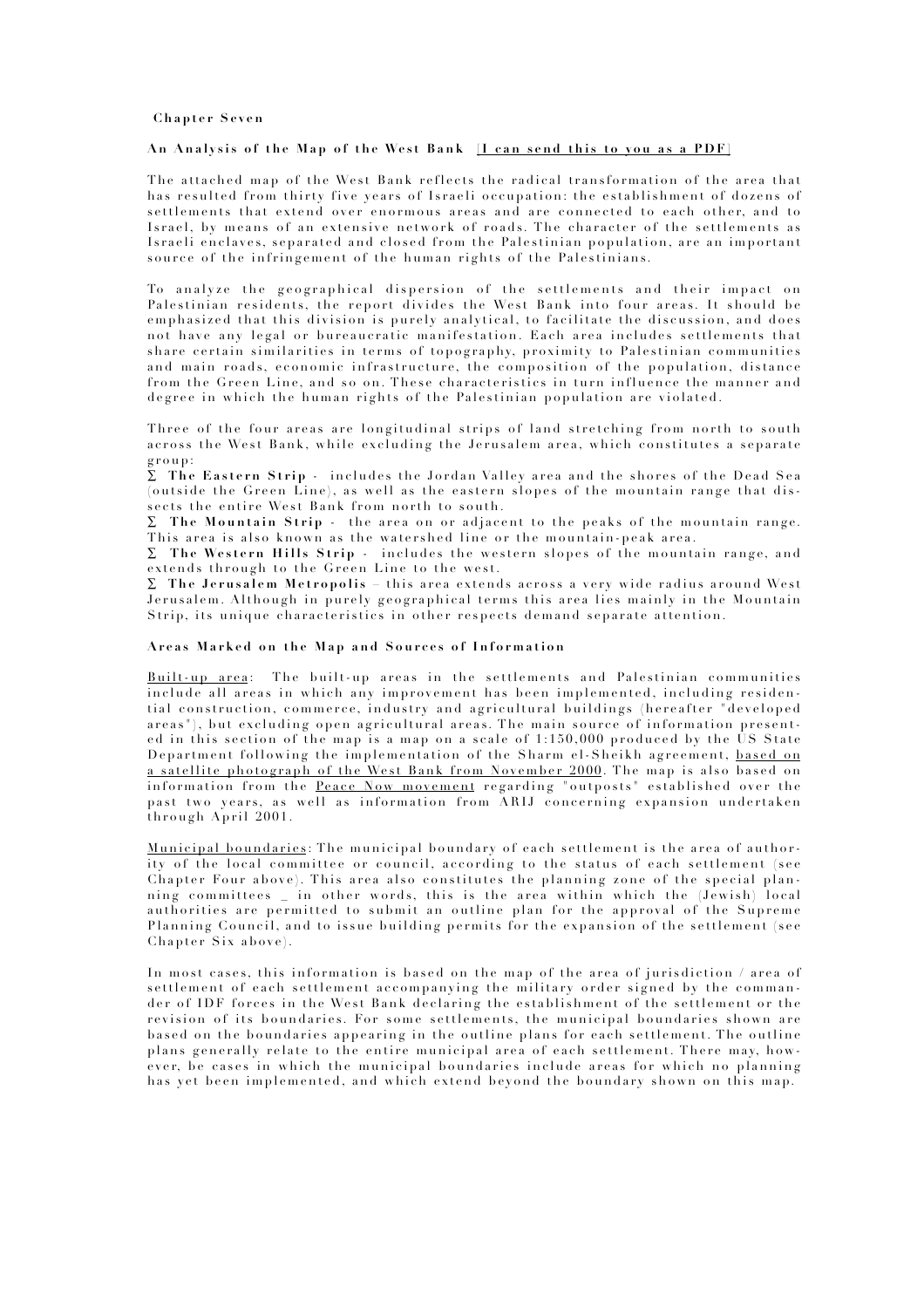#### **Chapter Seven**

### An Analysis of the Map of the West Bank **[Lean send this to you as a PDF**]

The attached map of the West Bank reflects the radical transformation of the area that has resulted from thirty five years of Israeli occupation: the establishment of dozens of settlements that extend over enormous areas and are connected to each other, and to Israel, by means of an extensive network of roads. The character of the settlements as Israeli enclaves, separated and closed from the Palestinian population, are an important source of the infringement of the human rights of the Palestinians.

To analyze the geographical dispersion of the settlements and their impact on Palestinian residents, the report divides the West Bank into four areas. It should be emphasized that this division is purely analytical, to facilitate the discussion, and does not have any legal or bureaucratic manifestation. Each area includes settlements that share certain similarities in terms of topography, proximity to Palestinian communities and main roads, economic infrastructure, the composition of the population, distance from the Green Line, and so on. These characteristics in turn influence the manner and degree in which the human rights of the Palestinian population are violated.

Three of the four areas are longitudinal strips of land stretching from north to south across the West Bank, while excluding the Jerusalem area, which constitutes a separate group:

∑ **The Eastern Strip** - includes the Jordan Valley area and the shores of the Dead Sea (outside the Green Line), as well as the eastern slopes of the mountain range that dissects the entire West Bank from north to south.

∑ **The Mountain Strip** - the area on or adjacent to the peaks of the mountain range. This area is also known as the watershed line or the mountain-peak area.

∑ **The Western Hills Strip** - includes the western slopes of the mountain range, and extends through to the Green Line to the west.

∑ **The Jerusalem Metropolis** – this area extends across a very wide radius around West Jerusalem. Although in purely geographical terms this area lies mainly in the Mountain Strip, its unique characteristics in other respects demand separate attention.

#### **Areas Marked on the Map and Sources of Information**

Built-up area: The built-up areas in the settlements and Palestinian communities include all areas in which any improvement has been implemented, including residential construction, commerce, industry and agricultural buildings (hereafter "developed areas"), but excluding open agricultural areas. The main source of information presented in this section of the map is a map on a scale of 1:150,000 produced by the US State Department following the implementation of the Sharm el-Sheikh agreement, based on a satellite photograph of the West Bank from November 2000. The map is also based on information from the **Peace Now movement** regarding "outposts" established over the past two years, as well as information from ARIJ concerning expansion undertaken through April 2001.

Municipal boundaries: The municipal boundary of each settlement is the area of authority of the local committee or council, according to the status of each settlement (see Chapter Four above). This area also constitutes the planning zone of the special planning committees \_ in other words, this is the area within which the (Jewish) local authorities are permitted to submit an outline plan for the approval of the Supreme Planning Council, and to issue building permits for the expansion of the settlement (see Chapter Six above).

In most cases, this information is based on the map of the area of jurisdiction / area of settlement of each settlement accompanying the military order signed by the commander of IDF forces in the West Bank declaring the establishment of the settlement or the revision of its boundaries. For some settlements, the municipal boundaries shown are based on the boundaries appearing in the outline plans for each settlement. The outline plans generally relate to the entire municipal area of each settlement. There may, however, be cases in which the municipal boundaries include areas for which no planning has yet been implemented, and which extend beyond the boundary shown on this map.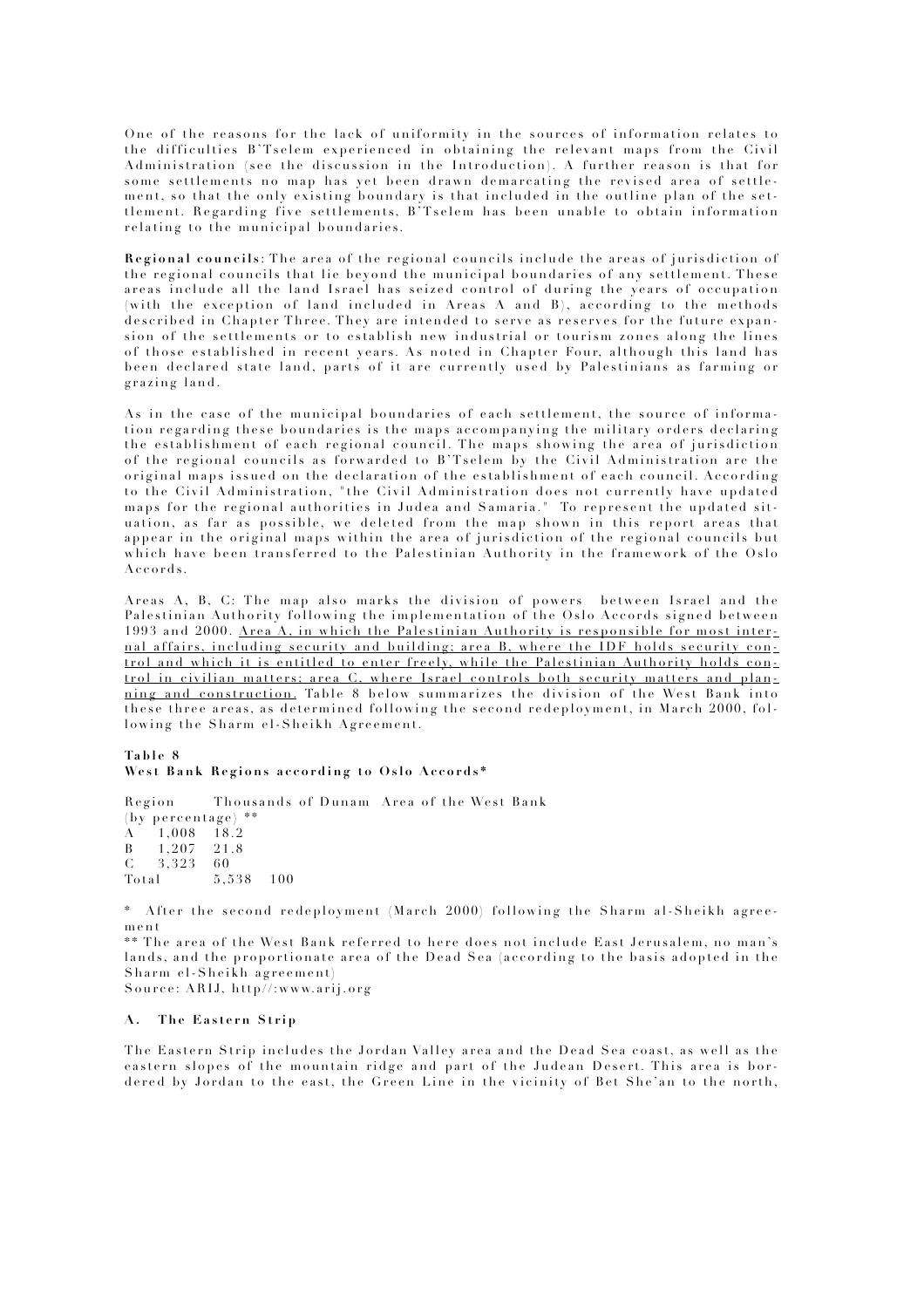One of the reasons for the lack of uniformity in the sources of information relates to the difficulties B'Tselem experienced in obtaining the relevant maps from the Civil Administration (see the discussion in the Introduction). A further reason is that for some settlements no map has yet been drawn demarcating the revised area of settlement, so that the only existing boundary is that included in the outline plan of the settlement. Regarding five settlements, B'Tselem has been unable to obtain information relating to the municipal boundaries.

**Regional councils** : The area of the regional councils include the areas of jurisdiction of the regional councils that lie beyond the municipal boundaries of any settlement. These areas include all the land Israel has seized control of during the years of occupation (with the exception of land included in Areas A and B), according to the methods described in Chapter Three. They are intended to serve as reserves for the future expansion of the settlements or to establish new industrial or tourism zones along the lines of those established in recent years. As noted in Chapter Four, although this land has been declared state land, parts of it are currently used by Palestinians as farming or grazing land.

As in the case of the municipal boundaries of each settlement, the source of information regarding these boundaries is the maps accompanying the military orders declaring the establishment of each regional council. The maps showing the area of jurisdiction of the regional councils as forwarded to B'Tselem by the Civil Administration are the original maps issued on the declaration of the establishment of each council. According to the Civil Administration, "the Civil Administration does not currently have updated maps for the regional authorities in Judea and Samaria." To represent the updated situation, as far as possible, we deleted from the map shown in this report areas that appear in the original maps within the area of jurisdiction of the regional councils but which have been transferred to the Palestinian Authority in the framework of the Oslo Accords.

Areas A, B, C: The map also marks the division of powers between Israel and the Palestinian Authority following the implementation of the Oslo Accords signed between 1993 and 2000. Area A, in which the Palestinian Authority is responsible for most internal affairs, including security and building; area B, where the IDF holds security control and which it is entitled to enter freely, while the Palestinian Authority holds con trol in civilian matters; area C, where Israel controls both security matters and planning and construction. Table 8 below summarizes the division of the West Bank into these three areas, as determined following the second redeployment, in March 2000, following the Sharm el-Sheikh Agreement.

#### **Table 8**

### **West Bank Regions according to Oslo Accords\***

Region Thousands of Dunam Area of the West Bank (by percentage) \*\* A 1,008 18.2  $\frac{B}{C}$  1,207 21.8 3,323 Total 5,538 100

\* After the second redeployment (March 2000) following the Sharm al-Sheikh agreement

\*\* The area of the West Bank referred to here does not include East Jerusalem, no man's lands, and the proportionate area of the Dead Sea (according to the basis adopted in the Sharm el-Sheikh agreement)

Source: ARIJ, http//:www.arij.org

### **A. The Eastern Strip**

The Eastern Strip includes the Jordan Valley area and the Dead Sea coast, as well as the eastern slopes of the mountain ridge and part of the Judean Desert. This area is bordered by Jordan to the east, the Green Line in the vicinity of Bet She'an to the north,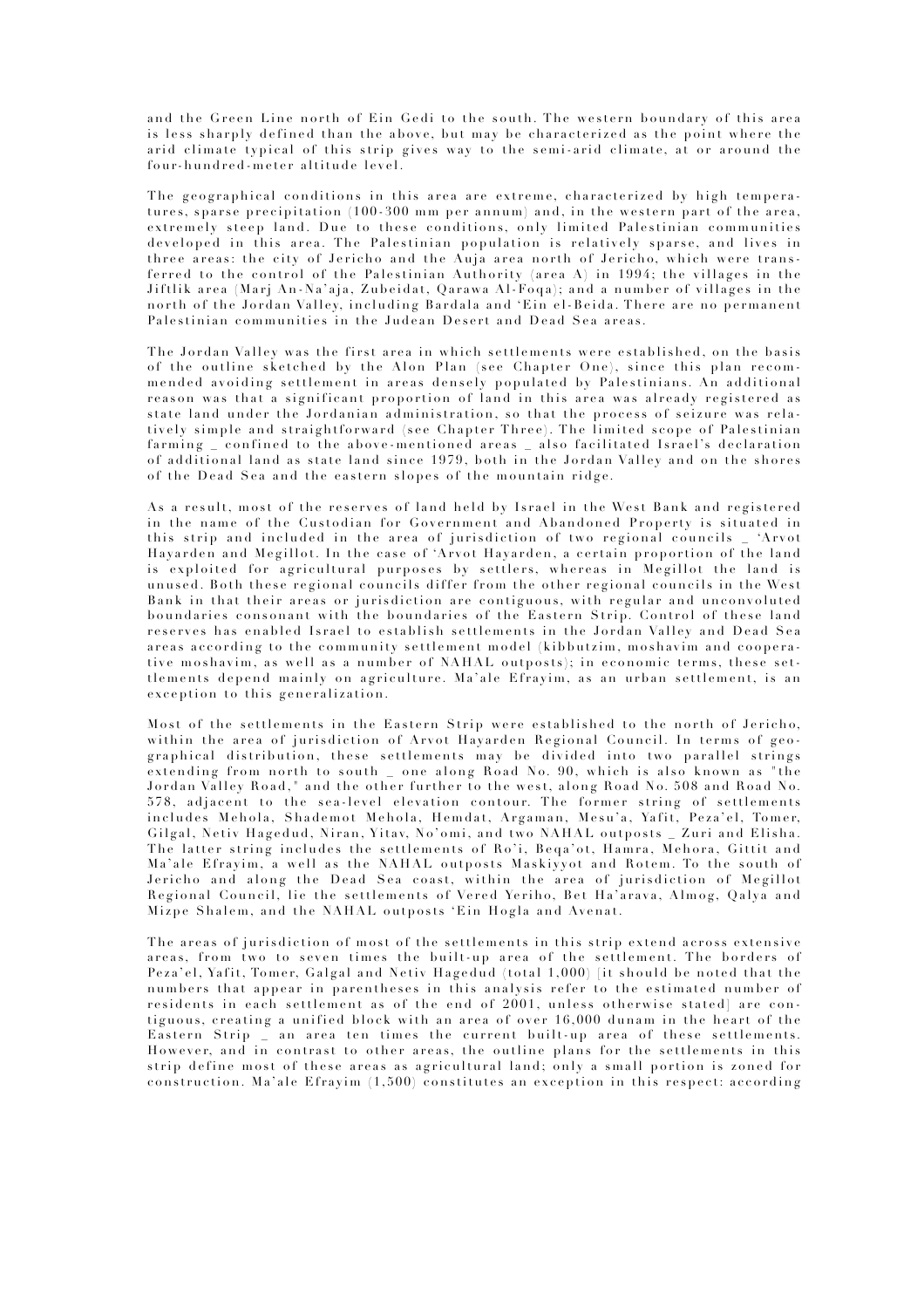and the Green Line north of Ein Gedi to the south. The western boundary of this area is less sharply defined than the above, but may be characterized as the point where the arid climate typical of this strip gives way to the semi-arid climate, at or around the four-hundred-meter altitude level.

The geographical conditions in this area are extreme, characterized by high temperatures, sparse precipitation (100-300 mm per annum) and, in the western part of the area, extremely steep land. Due to these conditions, only limited Palestinian communities developed in this area. The Palestinian population is relatively sparse, and lives in three areas: the city of Jericho and the Auja area north of Jericho, which were transferred to the control of the Palestinian Authority (area A) in 1994; the villages in the Jiftlik area (Marj An-Na'aja, Zubeidat, Qarawa Al-Foqa); and a number of villages in the north of the Jordan Valley, including Bardala and 'Ein el-Beida. There are no permanent Palestinian communities in the Judean Desert and Dead Sea areas.

The Jordan Valley was the first area in which settlements were established, on the basis of the outline sketched by the Alon Plan (see Chapter One), since this plan recommended avoiding settlement in areas densely populated by Palestinians. An additional reason was that a significant proportion of land in this area was already registered as state land under the Jordanian administration, so that the process of seizure was relatively simple and straightforward (see Chapter Three). The limited scope of Palestinian farming \_ confined to the above-mentioned areas \_ also facilitated Israel's declaration of additional land as state land since 1979, both in the Jordan Valley and on the shores of the Dead Sea and the eastern slopes of the mountain ridge.

As a result, most of the reserves of land held by Israel in the West Bank and registered in the name of the Custodian for Government and Abandoned Property is situated in this strip and included in the area of jurisdiction of two regional councils \_ 'Arvot Hayarden and Megillot. In the case of 'Arvot Hayarden, a certain proportion of the land is exploited for agricultural purposes by settlers, whereas in Megillot the land is unused. Both these regional councils differ from the other regional councils in the West Bank in that their areas or jurisdiction are contiguous, with regular and unconvoluted boundaries consonant with the boundaries of the Eastern Strip. Control of these land reserves has enabled Israel to establish settlements in the Jordan Valley and Dead Sea areas according to the community settlement model (kibbutzim, moshavim and cooperative moshavim, as well as a number of NAHAL outposts); in economic terms, these settlements depend mainly on agriculture. Ma'ale Efrayim, as an urban settlement, is an exception to this generalization.

Most of the settlements in the Eastern Strip were established to the north of Jericho, within the area of jurisdiction of Arvot Hayarden Regional Council. In terms of geographical distribution, these settlements may be divided into two parallel strings extending from north to south \_ one along Road No. 90, which is also known as "the Jordan Valley Road," and the other further to the west, along Road No. 508 and Road No. 578, adjacent to the sea-level elevation contour. The former string of settlements includes Mehola, Shademot Mehola, Hemdat, Argaman, Mesu'a, Yafit, Peza'el, Tomer, Gilgal, Netiv Hagedud, Niran, Yitav, No'omi, and two NAHAL outposts \_ Zuri and Elisha. The latter string includes the settlements of Ro'i, Beqa'ot, Hamra, Mehora, Gittit and Ma'ale Efrayim, a well as the NAHAL outposts Maskiyyot and Rotem. To the south of Jericho and along the Dead Sea coast, within the area of jurisdiction of Megillot Regional Council, lie the settlements of Vered Yeriho, Bet Ha'arava, Almog, Qalya and Mizpe Shalem, and the NAHAL outposts 'Ein Hogla and Avenat.

The areas of jurisdiction of most of the settlements in this strip extend across extensive areas, from two to seven times the built-up area of the settlement. The borders of Peza'el, Yafit, Tomer, Galgal and Netiv Hagedud (total 1,000) [it should be noted that the numbers that appear in parentheses in this analysis refer to the estimated number of residents in each settlement as of the end of 2001, unless otherwise stated] are contiguous, creating a unified block with an area of over 16,000 dunam in the heart of the Eastern Strip \_ an area ten times the current built-up area of these settlements. However, and in contrast to other areas, the outline plans for the settlements in this strip define most of these areas as agricultural land; only a small portion is zoned for construction. Ma'ale Efrayim (1,500) constitutes an exception in this respect: according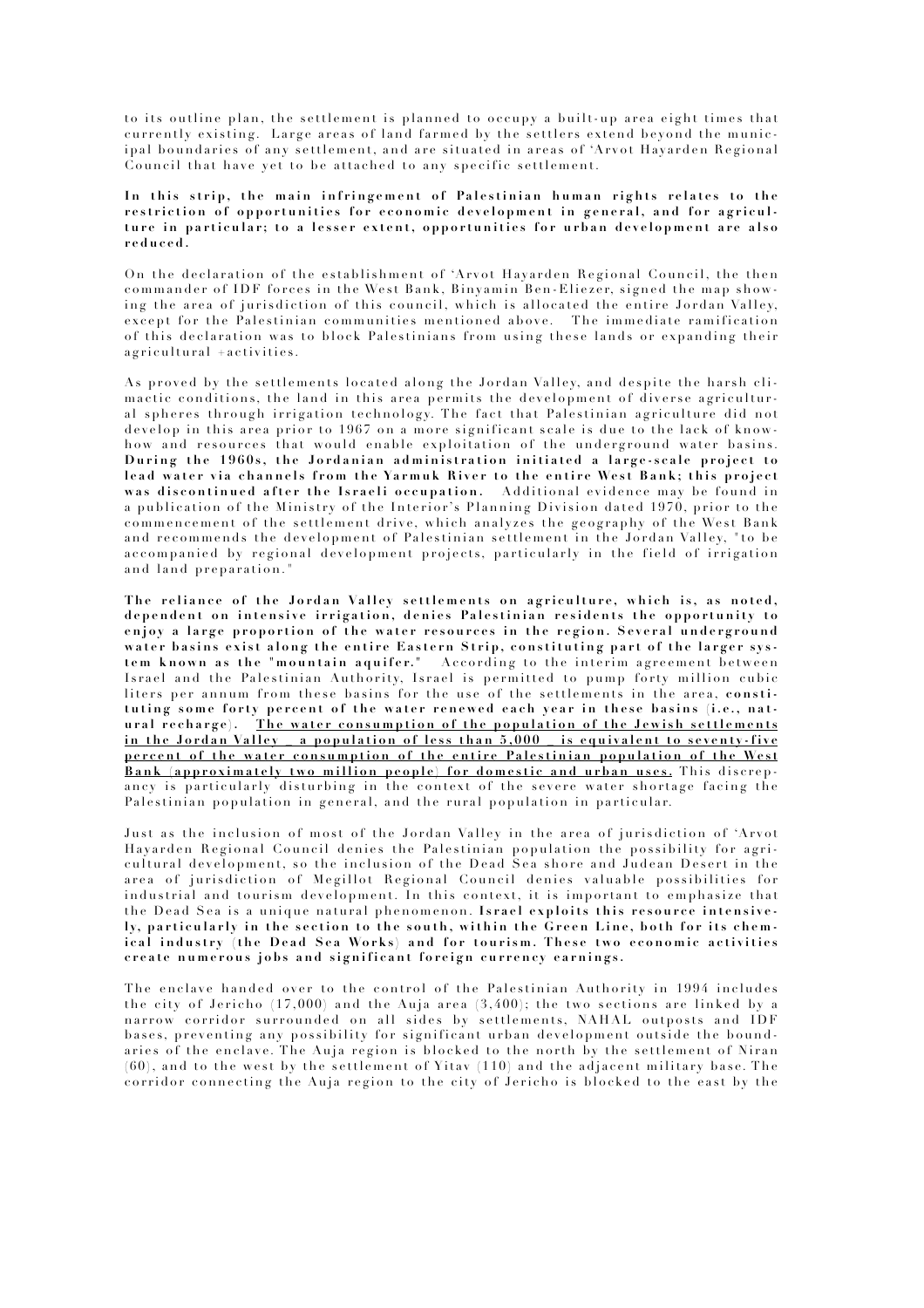to its outline plan, the settlement is planned to occupy a built-up area eight times that currently existing. Large areas of land farmed by the settlers extend beyond the municipal boundaries of any settlement, and are situated in areas of 'Arvot Hayarden Regional Council that have yet to be attached to any specific settlement.

### **In this strip, the main infringement of Palestinian human rights relates to the restriction of opportunities for economic development in general, and for agriculture in particular; to a lesser extent, opportunities for urban development are also reduced.**

On the declaration of the establishment of 'Arvot Hayarden Regional Council, the then commander of IDF forces in the West Bank, Binyamin Ben-Eliezer, signed the map showing the area of jurisdiction of this council, which is allocated the entire Jordan Valley, except for the Palestinian communities mentioned above. The immediate ramification of this declaration was to block Palestinians from using these lands or expanding their agricultural +activities.

As proved by the settlements located along the Jordan Valley, and despite the harsh climactic conditions, the land in this area permits the development of diverse agricultural spheres through irrigation technology. The fact that Palestinian agriculture did not develop in this area prior to 1967 on a more significant scale is due to the lack of knowhow and resources that would enable exploitation of the underground water basins. **During the 1960s, the Jordanian administration initiated a large-scale project to lead water via channels from the Yarmuk River to the entire West Bank; this project was discontinued after the Israeli occupation.** Additional evidence may be found in a publication of the Ministry of the Interior's Planning Division dated 1970, prior to the commencement of the settlement drive, which analyzes the geography of the West Bank and recommends the development of Palestinian settlement in the Jordan Valley, "to be accompanied by regional development projects, particularly in the field of irrigation and land preparation."

**The reliance of the Jordan Valley settlements on agriculture, which is, as noted, dependent on intensive irrigation, denies Palestinian residents the opportunity to enjoy a large proportion of the water resources in the region. Several underground water basins exist along the entire Eastern Strip, constituting part of the larger system known as the "mountain aquifer."** According to the interim agreement between Israel and the Palestinian Authority, Israel is permitted to pump forty million cubic liters per annum from these basins for the use of the settlements in the area, **constituting some forty percent of the water renewed each year in these basins (i.e., nat**ural recharge). The water consumption of the population of the Jewish settlements **in the J ordan Valle y \_ a population of less than 5,000 \_ is equivalent to se venty-five** percent of the water consumption of the entire Palestinian population of the West **Bank** (approximately two million people) for domestic and urban uses. This discrepancy is particularly disturbing in the context of the severe water shortage facing the Palestinian population in general, and the rural population in particular.

Just as the inclusion of most of the Jordan Valley in the area of jurisdiction of 'Arvot Hayarden Regional Council denies the Palestinian population the possibility for agricultural development, so the inclusion of the Dead Sea shore and Judean Desert in the area of jurisdiction of Megillot Regional Council denies valuable possibilities for industrial and tourism development. In this context, it is important to emphasize that the Dead Sea is a unique natural phenomenon. **Israel exploits this resource intensively, particularly in the section to the south, within the Green Line, both for its chemical industry (the Dead Sea Works) and for tourism. These two economic activities create numerous jobs and significant foreign currency earnings.**

The enclave handed over to the control of the Palestinian Authority in 1994 includes the city of Jericho (17,000) and the Auja area (3,400); the two sections are linked by a narrow corridor surrounded on all sides by settlements, NAHAL outposts and IDF bases, preventing any possibility for significant urban development outside the boundaries of the enclave. The Auja region is blocked to the north by the settlement of Niran (60), and to the west by the settlement of Yitav (110) and the adjacent military base. The corridor connecting the Auja region to the city of Jericho is blocked to the east by the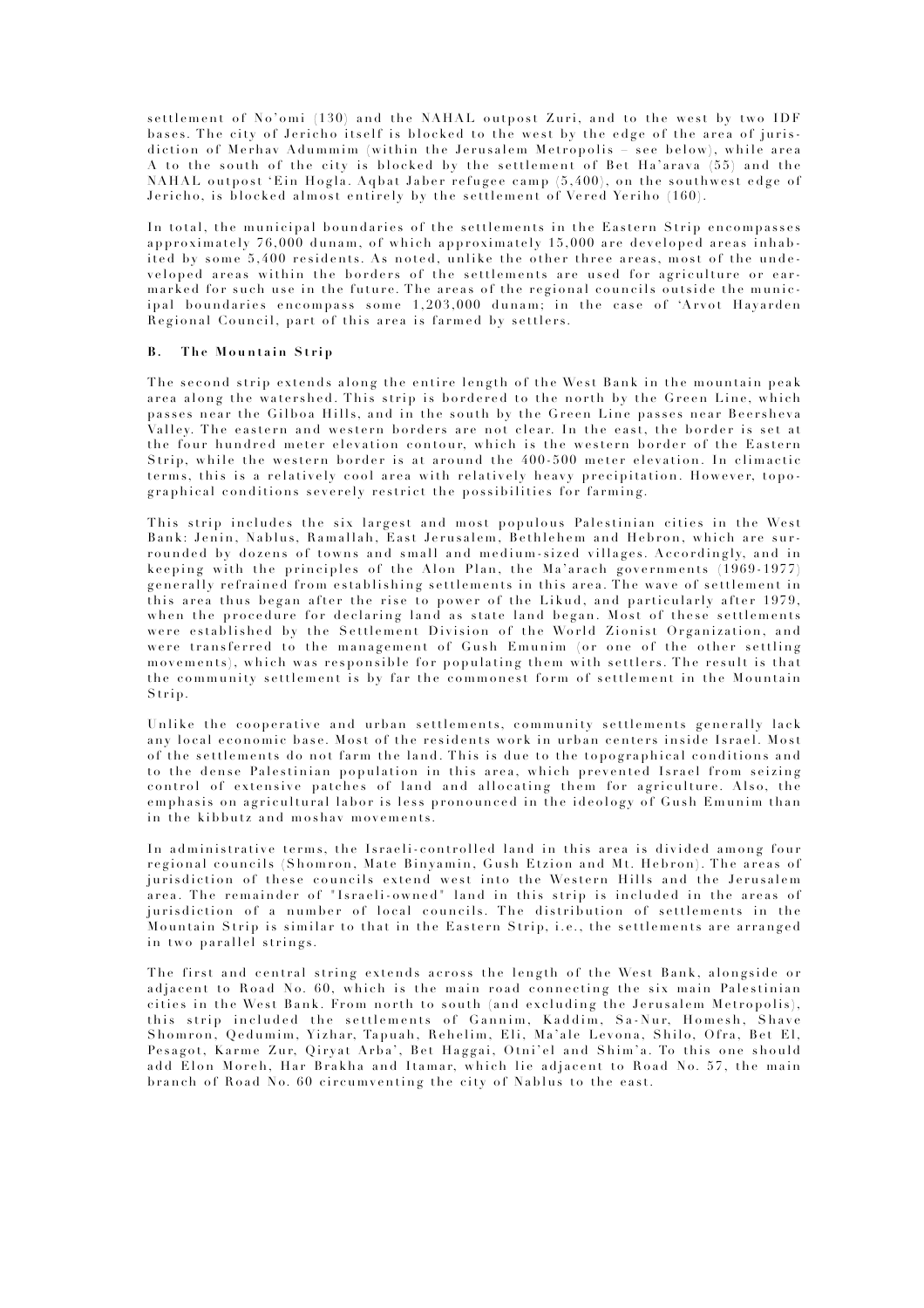settlement of No'omi (130) and the NAHAL outpost Zuri, and to the west by two IDF bases. The city of Jericho itself is blocked to the west by the edge of the area of jurisdiction of Merhav Adummim (within the Jerusalem Metropolis – see below), while area A to the south of the city is blocked by the settlement of Bet Ha'arava (55) and the NAHAL outpost 'Ein Hogla. Aqbat Jaber refugee camp (5,400), on the southwest edge of Jericho, is blocked almost entirely by the settlement of Vered Yeriho (160).

In total, the municipal boundaries of the settlements in the Eastern Strip encompasses approximately 76,000 dunam, of which approximately 15,000 are developed areas inhabited by some 5,400 residents. As noted, unlike the other three areas, most of the undeveloped areas within the borders of the settlements are used for agriculture or earmarked for such use in the future. The areas of the regional councils outside the municipal boundaries encompass some 1,203,000 dunam; in the case of 'Arvot Hayarden Regional Council, part of this area is farmed by settlers.

## **B. The Mountain Strip**

The second strip extends along the entire length of the West Bank in the mountain peak area along the watershed. This strip is bordered to the north by the Green Line, which passes near the Gilboa Hills, and in the south by the Green Line passes near Beersheva Valley. The eastern and western borders are not clear. In the east, the border is set at the four hundred meter elevation contour, which is the western border of the Eastern Strip, while the western border is at around the 400-500 meter elevation. In climactic terms, this is a relatively cool area with relatively heavy precipitation. However, topographical conditions severely restrict the possibilities for farming.

This strip includes the six largest and most populous Palestinian cities in the West Bank: Jenin, Nablus, Ramallah, East Jerusalem, Bethlehem and Hebron, which are surrounded by dozens of towns and small and medium-sized villages. Accordingly, and in keeping with the principles of the Alon Plan, the Ma'arach governments (1969-1977) generally refrained from establishing settlements in this area. The wave of settlement in this area thus began after the rise to power of the Likud, and particularly after 1979, when the procedure for declaring land as state land began. Most of these settlements were established by the Settlement Division of the World Zionist Organization, and were transferred to the management of Gush Emunim (or one of the other settling movements), which was responsible for populating them with settlers. The result is that the community settlement is by far the commonest form of settlement in the Mountain Strip.

Unlike the cooperative and urban settlements, community settlements generally lack any local economic base. Most of the residents work in urban centers inside Israel. Most of the settlements do not farm the land. This is due to the topographical conditions and to the dense Palestinian population in this area, which prevented Israel from seizing control of extensive patches of land and allocating them for agriculture. Also, the emphasis on agricultural labor is less pronounced in the ideology of Gush Emunim than in the kibbutz and moshav movements.

In administrative terms, the Israeli-controlled land in this area is divided among four regional councils (Shomron, Mate Binyamin, Gush Etzion and Mt. Hebron). The areas of jurisdiction of these councils extend west into the Western Hills and the Jerusalem area. The remainder of "Israeli-owned" land in this strip is included in the areas of jurisdiction of a number of local councils. The distribution of settlements in the Mountain Strip is similar to that in the Eastern Strip, i.e., the settlements are arranged in two parallel strings.

The first and central string extends across the length of the West Bank, alongside or adjacent to Road No. 60, which is the main road connecting the six main Palestinian cities in the West Bank. From north to south (and excluding the Jerusalem Metropolis), this strip included the settlements of Gannim, Kaddim, Sa-Nur, Homesh, Shave Shomron, Qedumim, Yizhar, Tapuah, Rehelim, Eli, Ma'ale Levona, Shilo, Ofra, Bet El, Pesagot, Karme Zur, Qiryat Arba', Bet Haggai, Otni'el and Shim'a. To this one should add Elon Moreh, Har Brakha and Itamar, which lie adjacent to Road No. 57, the main branch of Road No. 60 circumventing the city of Nablus to the east.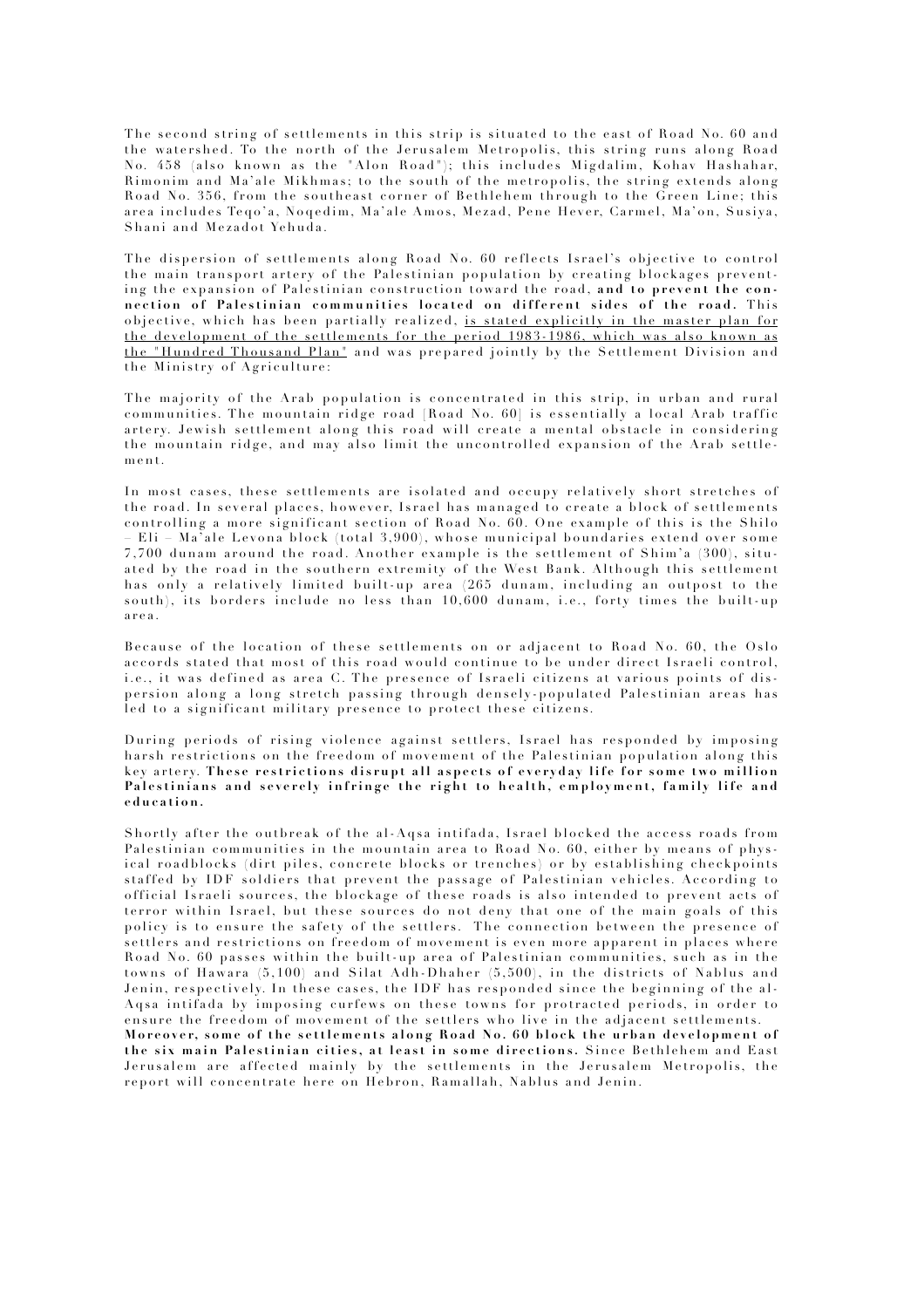The second string of settlements in this strip is situated to the east of Road No. 60 and the watershed. To the north of the Jerusalem Metropolis, this string runs along Road No. 458 (also known as the "Alon Road"); this includes Migdalim, Kohav Hashahar, Rimonim and Ma'ale Mikhmas; to the south of the metropolis, the string extends along Road No. 356, from the southeast corner of Bethlehem through to the Green Line; this area includes Teqo'a, Noqedim, Ma'ale Amos, Mezad, Pene Hever, Carmel, Ma'on, Susiya, Shani and Mezadot Yehuda.

The dispersion of settlements along Road No. 60 reflects Israel's objective to control the main transport artery of the Palestinian population by creating blockages preventing the expansion of Palestinian construction toward the road, **and to prevent the connection of Palestinian communities located on different sides of the road.** This objective, which has been partially realized, is stated explicitly in the master plan for the development of the settlements for the period 1983-1986, which was also known as the "Hundred Thousand Plan" and was prepared jointly by the Settlement Division and the Ministry of Agriculture:

The majority of the Arab population is concentrated in this strip, in urban and rural communities. The mountain ridge road [Road No. 60] is essentially a local Arab traffic artery. Jewish settlement along this road will create a mental obstacle in considering the mountain ridge, and may also limit the uncontrolled expansion of the Arab settlement.

In most cases, these settlements are isolated and occupy relatively short stretches of the road. In several places, however, Israel has managed to create a block of settlements controlling a more significant section of Road No. 60. One example of this is the Shilo – Eli – Ma'ale Levona block (total 3,900), whose municipal boundaries extend over some 7,700 dunam around the road. Another example is the settlement of Shim'a (300), situated by the road in the southern extremity of the West Bank. Although this settlement has only a relatively limited built-up area (265 dunam, including an outpost to the south), its borders include no less than 10,600 dunam, i.e., forty times the built-up area.

Because of the location of these settlements on or adjacent to Road No. 60, the Oslo accords stated that most of this road would continue to be under direct Israeli control, i.e., it was defined as area C. The presence of Israeli citizens at various points of dispersion along a long stretch passing through densely-populated Palestinian areas has led to a significant military presence to protect these citizens.

During periods of rising violence against settlers, Israel has responded by imposing harsh restrictions on the freedom of movement of the Palestinian population along this key artery. **These restrictions disrupt all aspects of everyday life for some two million Palestinians and severely infringe the right to health, employment, family life and education.**

Shortly after the outbreak of the al-Aqsa intifada, Israel blocked the access roads from Palestinian communities in the mountain area to Road No. 60, either by means of physical roadblocks (dirt piles, concrete blocks or trenches) or by establishing checkpoints staffed by IDF soldiers that prevent the passage of Palestinian vehicles. According to official Israeli sources, the blockage of these roads is also intended to prevent acts of terror within Israel, but these sources do not deny that one of the main goals of this policy is to ensure the safety of the settlers. The connection between the presence of settlers and restrictions on freedom of movement is even more apparent in places where Road No. 60 passes within the built-up area of Palestinian communities, such as in the towns of Hawara (5,100) and Silat Adh-Dhaher (5,500), in the districts of Nablus and Jenin, respectively. In these cases, the IDF has responded since the beginning of the al-Aqsa intifada by imposing curfews on these towns for protracted periods, in order to ensure the freedom of movement of the settlers who live in the adjacent settlements. **Moreover, some of the settlements along Road No. 60 block the urban development of the six main Palestinian cities, at least in some directions.** Since Bethlehem and East Jerusalem are affected mainly by the settlements in the Jerusalem Metropolis, the report will concentrate here on Hebron, Ramallah, Nablus and Jenin.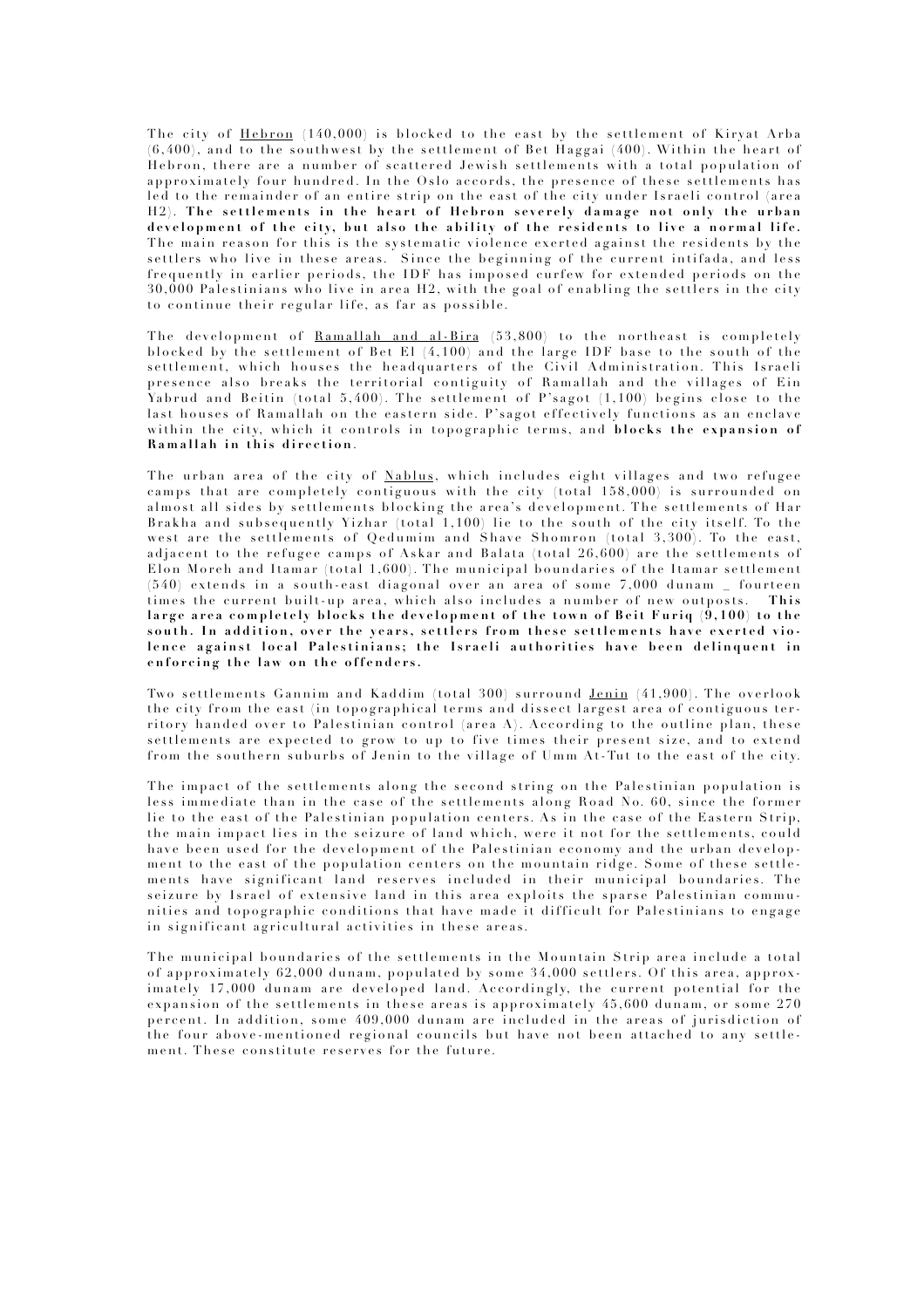The city of Hebron (140,000) is blocked to the east by the settlement of Kiryat Arba (6,400), and to the southwest by the settlement of Bet Haggai (400). Within the heart of Hebron, there are a number of scattered Jewish settlements with a total population of approximately four hundred. In the Oslo accords, the presence of these settlements has led to the remainder of an entire strip on the east of the city under Israeli control (area H2). **The settlements in the heart of Hebron severely damage not only the urban development of the city, but also the ability of the residents to live a normal life.** The main reason for this is the systematic violence exerted against the residents by the settlers who live in these areas. Since the beginning of the current intifada, and less frequently in earlier periods, the IDF has imposed curfew for extended periods on the 30,000 Palestinians who live in area H2, with the goal of enabling the settlers in the city to continue their regular life, as far as possible.

The development of Ramallah and al-Bira (53,800) to the northeast is completely blocked by the settlement of Bet El (4,100) and the large IDF base to the south of the settlement, which houses the headquarters of the Civil Administration. This Israeli presence also breaks the territorial contiguity of Ramallah and the villages of Ein Yabrud and Beitin (total 5,400). The settlement of P'sagot (1,100) begins close to the last houses of Ramallah on the eastern side. P'sagot effectively functions as an enclave within the city, which it controls in topographic terms, and **blocks the expansion of Ramallah in this direction** .

The urban area of the city of Nablus, which includes eight villages and two refugee camps that are completely contiguous with the city (total 158,000) is surrounded on almost all sides by settlements blocking the area's development. The settlements of Har Brakha and subsequently Yizhar (total 1,100) lie to the south of the city itself. To the west are the settlements of Qedumim and Shave Shomron (total 3,300). To the east, adjacent to the refugee camps of Askar and Balata (total 26,600) are the settlements of Elon Moreh and Itamar (total 1,600). The municipal boundaries of the Itamar settlement (540) extends in a south-east diagonal over an area of some 7,000 dunam \_ fourteen times the current built-up area, which also includes a number of new outposts. **This large area completely blocks the development of the town of Beit Furiq (9,100) to the south. In addition, over the years, settlers from these settlements have exerted violence against local Palestinians; the Israeli authorities have been delinquent in enforcing the law on the offenders.**

Two settlements Gannim and Kaddim (total 300) surround Jenin (41,900). The overlook the city from the east (in topographical terms and dissect largest area of contiguous territory handed over to Palestinian control (area A). According to the outline plan, these settlements are expected to grow to up to five times their present size, and to extend from the southern suburbs of Jenin to the village of Umm At Tut to the east of the city.

The impact of the settlements along the second string on the Palestinian population is less immediate than in the case of the settlements along Road No. 60, since the former lie to the east of the Palestinian population centers. As in the case of the Eastern Strip, the main impact lies in the seizure of land which, were it not for the settlements, could have been used for the development of the Palestinian economy and the urban development to the east of the population centers on the mountain ridge. Some of these settlements have significant land reserves included in their municipal boundaries. The seizure by Israel of extensive land in this area exploits the sparse Palestinian communities and topographic conditions that have made it difficult for Palestinians to engage in significant agricultural activities in these areas.

The municipal boundaries of the settlements in the Mountain Strip area include a total of approximately 62,000 dunam, populated by some 34,000 settlers. Of this area, approximately 17,000 dunam are developed land. Accordingly, the current potential for the expansion of the settlements in these areas is approximately 45,600 dunam, or some 270 percent. In addition, some 409,000 dunam are included in the areas of jurisdiction of the four above-mentioned regional councils but have not been attached to any settlement. These constitute reserves for the future.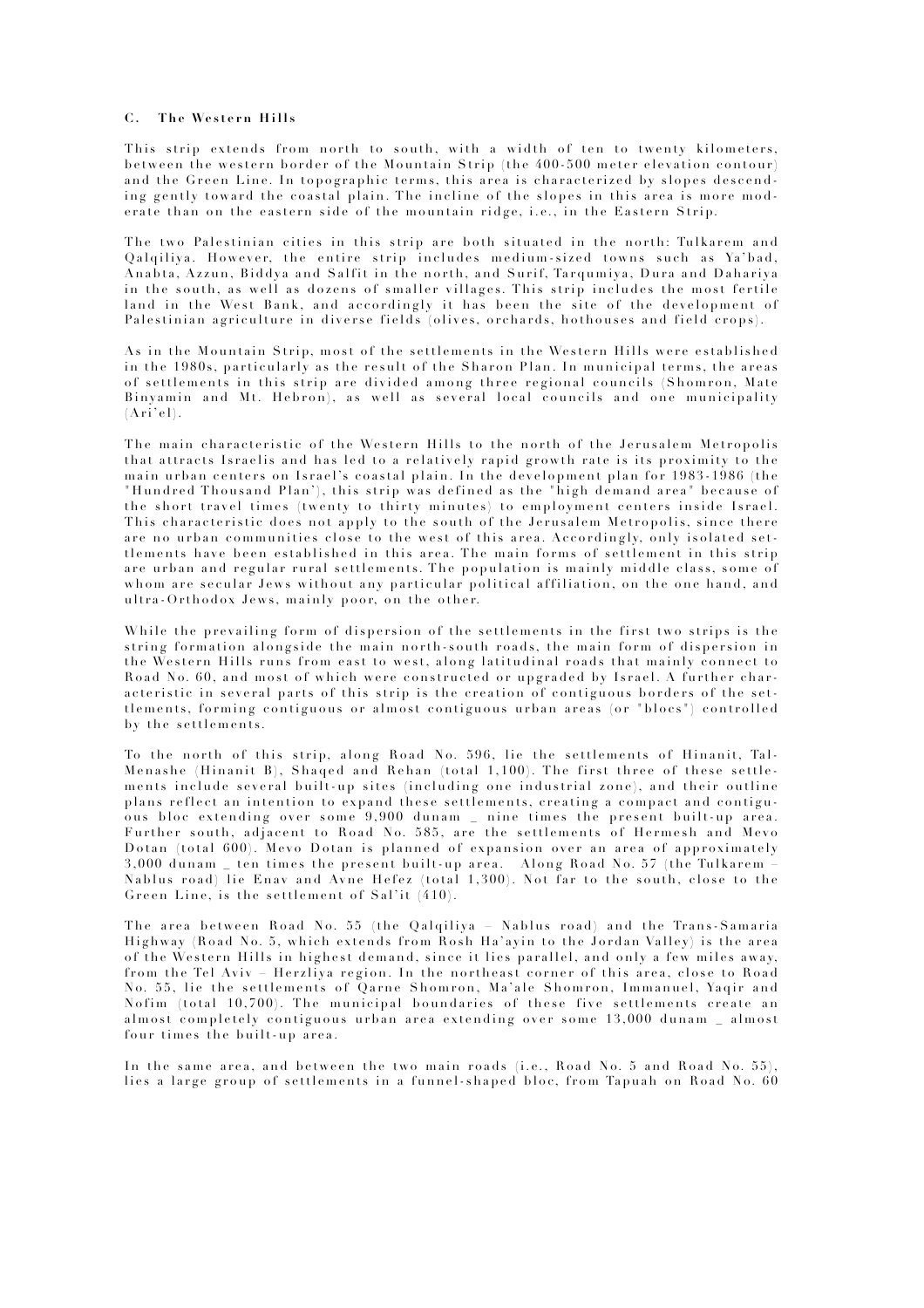### **C. The Western Hills**

This strip extends from north to south, with a width of ten to twenty kilometers, between the western border of the Mountain Strip (the 400-500 meter elevation contour) and the Green Line. In topographic terms, this area is characterized by slopes descending gently toward the coastal plain. The incline of the slopes in this area is more moderate than on the eastern side of the mountain ridge, i.e., in the Eastern Strip.

The two Palestinian cities in this strip are both situated in the north: Tulkarem and Qalqiliya. However, the entire strip includes medium-sized towns such as Ya'bad, Anabta, Azzun, Biddya and Salfit in the north, and Surif, Tarqumiya, Dura and Dahariya in the south, as well as dozens of smaller villages. This strip includes the most fertile land in the West Bank, and accordingly it has been the site of the development of Palestinian agriculture in diverse fields (olives, orchards, hothouses and field crops).

As in the Mountain Strip, most of the settlements in the Western Hills were established in the 1980s, particularly as the result of the Sharon Plan. In municipal terms, the areas of settlements in this strip are divided among three regional councils (Shomron, Mate Binyamin and Mt. Hebron), as well as several local councils and one municipality  $(Ari'e1).$ 

The main characteristic of the Western Hills to the north of the Jerusalem Metropolis that attracts Israelis and has led to a relatively rapid growth rate is its proximity to the main urban centers on Israel's coastal plain. In the development plan for 1983-1986 (the "Hundred Thousand Plan'), this strip was defined as the "high demand area" because of the short travel times (twenty to thirty minutes) to employment centers inside Israel. This characteristic does not apply to the south of the Jerusalem Metropolis, since there are no urban communities close to the west of this area. Accordingly, only isolated settlements have been established in this area. The main forms of settlement in this strip are urban and regular rural settlements. The population is mainly middle class, some of whom are secular Jews without any particular political affiliation, on the one hand, and ultra-Orthodox Jews, mainly poor, on the other.

While the prevailing form of dispersion of the settlements in the first two strips is the string formation alongside the main north-south roads, the main form of dispersion in the Western Hills runs from east to west, along latitudinal roads that mainly connect to Road No. 60, and most of which were constructed or upgraded by Israel. A further characteristic in several parts of this strip is the creation of contiguous borders of the settlements, forming contiguous or almost contiguous urban areas (or "blocs") controlled by the settlements.

To the north of this strip, along Road No. 596, lie the settlements of Hinanit, Tal-Menashe (Hinanit B), Shaqed and Rehan (total 1,100). The first three of these settlements include several built-up sites (including one industrial zone), and their outline plans reflect an intention to expand these settlements, creating a compact and contiguous bloc extending over some 9,900 dunam \_ nine times the present built-up area. Further south, adjacent to Road No. 585, are the settlements of Hermesh and Mevo Dotan (total 600). Mevo Dotan is planned of expansion over an area of approximately 3,000 dunam \_ ten times the present built-up area. Along Road No. 57 (the Tulkarem – Nablus road) lie Enav and Avne Hefez (total 1,300). Not far to the south, close to the Green Line, is the settlement of Sal'it (410).

The area between Road No. 55 (the Qalqiliya - Nablus road) and the Trans-Samaria Highway (Road No. 5, which extends from Rosh Ha'ayin to the Jordan Valley) is the area of the Western Hills in highest demand, since it lies parallel, and only a few miles away, from the Tel Aviv – Herzliya region. In the northeast corner of this area, close to Road No. 55, lie the settlements of Qarne Shomron, Ma'ale Shomron, Immanuel, Yaqir and Nofim (total 10,700). The municipal boundaries of these five settlements create an almost completely contiguous urban area extending over some 13,000 dunam \_ almost four times the built-up area.

In the same area, and between the two main roads (i.e., Road No. 5 and Road No. 55), lies a large group of settlements in a funnel-shaped bloc, from Tapuah on Road No. 60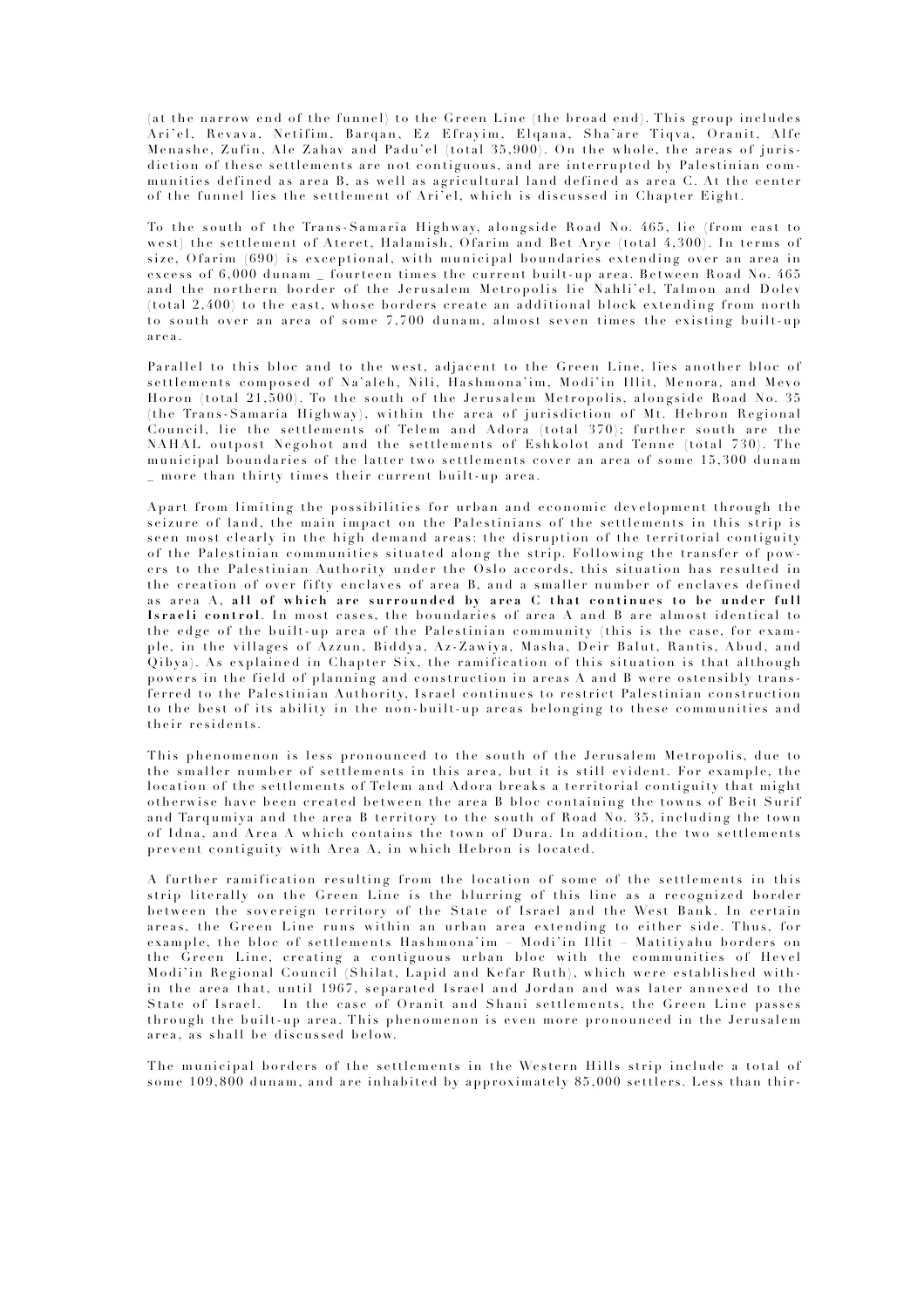(at the narrow end of the funnel) to the Green Line (the broad end). This group includes Ari'el, Revava, Netifim, Barqan, Ez Efrayim, Elqana, Sha'are Tiqva, Oranit, Alfe Menashe, Zufin, Ale Zahav and Padu'el (total 35,900). On the whole, the areas of jurisdiction of these settlements are not contiguous, and are interrupted by Palestinian communities defined as area B, as well as agricultural land defined as area C. At the center of the funnel lies the settlement of Ari'el, which is discussed in Chapter Eight.

To the south of the Trans-Samaria Highway, alongside Road No. 465, lie (from east to west) the settlement of Ateret, Halamish, Ofarim and Bet Arye (total 4,300). In terms of size, Ofarim (690) is exceptional, with municipal boundaries extending over an area in excess of 6,000 dunam \_ fourteen times the current built-up area. Between Road No. 465 and the northern border of the Jerusalem Metropolis lie Nahli'el, Talmon and Dolev (total 2,400) to the east, whose borders create an additional block extending from north to south over an area of some 7,700 dunam, almost seven times the existing built-up area.

Parallel to this bloc and to the west, adjacent to the Green Line, lies another bloc of settlements composed of Na'aleh, Nili, Hashmona'im, Modi'in Illit, Menora, and Mevo Horon (total 21,500). To the south of the Jerusalem Metropolis, alongside Road No. 35 (the Trans-Samaria Highway), within the area of jurisdiction of Mt. Hebron Regional Council, lie the settlements of Telem and Adora (total 370); further south are the NAHAL outpost Negohot and the settlements of Eshkolot and Tenne (total 730). The municipal boundaries of the latter two settlements cover an area of some 15,300 dunam \_ more than thirty times their current built-up area.

Apart from limiting the possibilities for urban and economic development through the seizure of land, the main impact on the Palestinians of the settlements in this strip is seen most clearly in the high demand areas: the disruption of the territorial contiguity of the Palestinian communities situated along the strip. Following the transfer of powers to the Palestinian Authority under the Oslo accords, this situation has resulted in the creation of over fifty enclaves of area B, and a smaller number of enclaves defined as area A, **all of which are surrounded by area C that continues to be under full Israeli control** . In most cases, the boundaries of area A and B are almost identical to the edge of the built-up area of the Palestinian community (this is the case, for example, in the villages of Azzun, Biddya, Az-Zawiya, Masha, Deir Balut, Rantis, Abud, and Qibya). As explained in Chapter Six, the ramification of this situation is that although powers in the field of planning and construction in areas A and B were ostensibly transferred to the Palestinian Authority, Israel continues to restrict Palestinian construction to the best of its ability in the non-built-up areas belonging to these communities and their residents.

This phenomenon is less pronounced to the south of the Jerusalem Metropolis, due to the smaller number of settlements in this area, but it is still evident. For example, the location of the settlements of Telem and Adora breaks a territorial contiguity that might otherwise have been created between the area B bloc containing the towns of Beit Surif and Tarqumiya and the area B territory to the south of Road No. 35, including the town of Idna, and Area A which contains the town of Dura. In addition, the two settlements prevent contiguity with Area A, in which Hebron is located.

A further ramification resulting from the location of some of the settlements in this strip literally on the Green Line is the blurring of this line as a recognized border between the sovereign territory of the State of Israel and the West Bank. In certain areas, the Green Line runs within an urban area extending to either side. Thus, for example, the bloc of settlements Hashmona'im – Modi'in Illit – Matitiyahu borders on the Green Line, creating a contiguous urban bloc with the communities of Hevel Modi'in Regional Council (Shilat, Lapid and Kefar Ruth), which were established within the area that, until 1967, separated Israel and Jordan and was later annexed to the State of Israel. In the case of Oranit and Shani settlements, the Green Line passes through the built-up area. This phenomenon is even more pronounced in the Jerusalem area, as shall be discussed below.

The municipal borders of the settlements in the Western Hills strip include a total of some 109,800 dunam, and are inhabited by approximately 85,000 settlers. Less than thir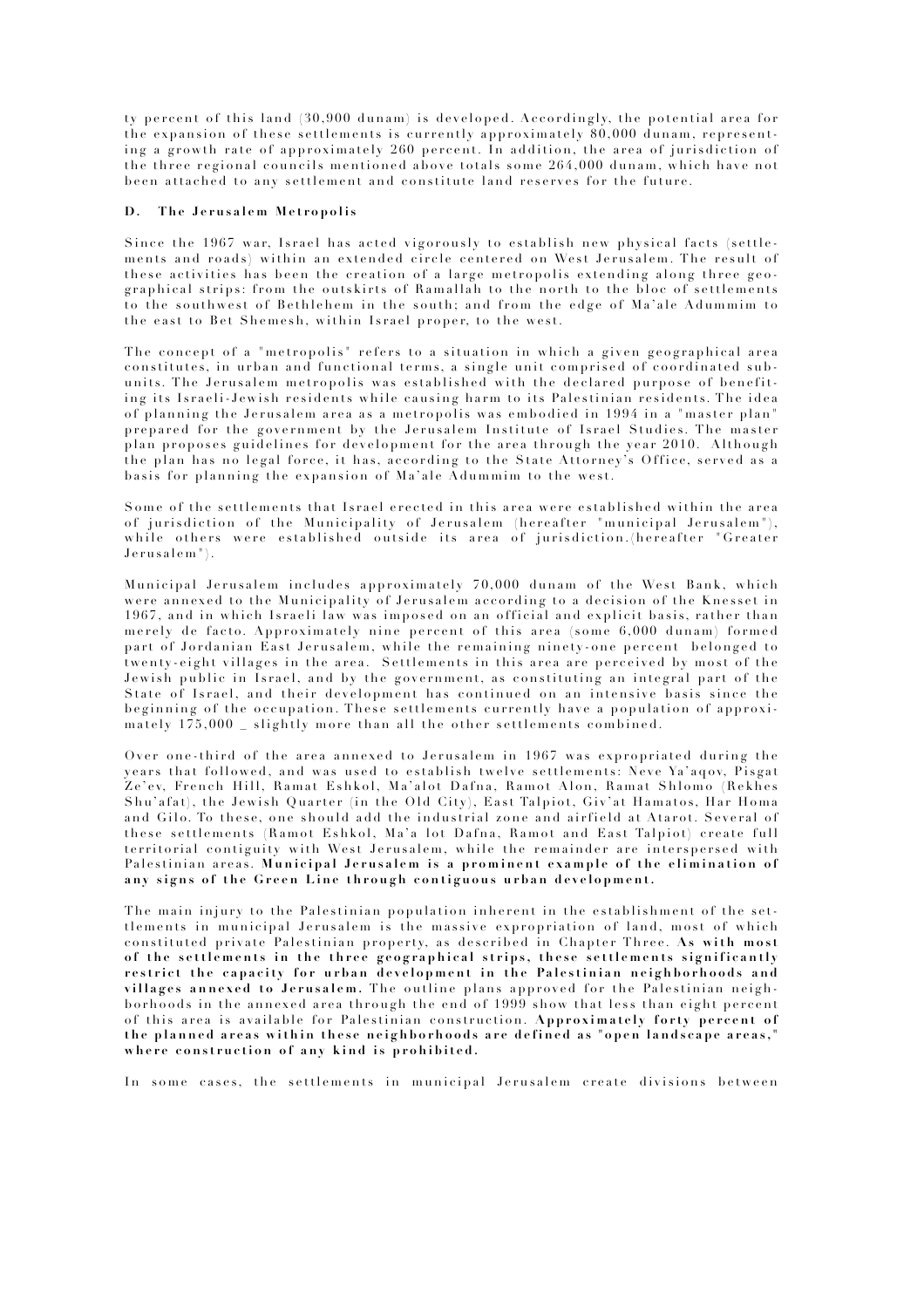ty percent of this land (30,900 dunam) is developed. Accordingly, the potential area for the expansion of these settlements is currently approximately 80,000 dunam, representing a growth rate of approximately 260 percent. In addition, the area of jurisdiction of the three regional councils mentioned above totals some 264,000 dunam, which have not been attached to any settlement and constitute land reserves for the future.

## **D. The Jerusalem Metropolis**

Since the 1967 war, Israel has acted vigorously to establish new physical facts (settlements and roads) within an extended circle centered on West Jerusalem. The result of these activities has been the creation of a large metropolis extending along three geographical strips: from the outskirts of Ramallah to the north to the bloc of settlements to the southwest of Bethlehem in the south; and from the edge of Ma'ale Adummim to the east to Bet Shemesh, within Israel proper, to the west.

The concept of a "metropolis" refers to a situation in which a given geographical area constitutes, in urban and functional terms, a single unit comprised of coordinated subunits. The Jerusalem metropolis was established with the declared purpose of benefiting its Israeli-Jewish residents while causing harm to its Palestinian residents. The idea of planning the Jerusalem area as a metropolis was embodied in 1994 in a "master plan" prepared for the government by the Jerusalem Institute of Israel Studies. The master plan proposes guidelines for development for the area through the year 2010. Although the plan has no legal force, it has, according to the State Attorney's Office, served as a basis for planning the expansion of Ma'ale Adummim to the west.

Some of the settlements that Israel erected in this area were established within the area of jurisdiction of the Municipality of Jerusalem (hereafter "municipal Jerusalem"), while others were established outside its area of jurisdiction.(hereafter "Greater Jerusalem").

Municipal Jerusalem includes approximately 70,000 dunam of the West Bank, which were annexed to the Municipality of Jerusalem according to a decision of the Knesset in 1967, and in which Israeli law was imposed on an official and explicit basis, rather than merely de facto. Approximately nine percent of this area (some 6,000 dunam) formed part of Jordanian East Jerusalem, while the remaining ninety-one percent belonged to twenty-eight villages in the area. Settlements in this area are perceived by most of the Jewish public in Israel, and by the government, as constituting an integral part of the State of Israel, and their development has continued on an intensive basis since the beginning of the occupation. These settlements currently have a population of approximately 175,000 \_ slightly more than all the other settlements combined.

Over one-third of the area annexed to Jerusalem in 1967 was expropriated during the years that followed, and was used to establish twelve settlements: Neve Ya'aqov, Pisgat Ze'ev, French Hill, Ramat Eshkol, Ma'alot Dafna, Ramot Alon, Ramat Shlomo (Rekhes Shu'afat), the Jewish Quarter (in the Old City), East Talpiot, Giv'at Hamatos, Har Homa and Gilo. To these, one should add the industrial zone and airfield at Atarot. Several of these settlements (Ramot Eshkol, Ma'a lot Dafna, Ramot and East Talpiot) create full territorial contiguity with West Jerusalem, while the remainder are interspersed with Palestinian areas. **Municipal Jerusalem is a prominent example of the elimination of any signs of the Green Line through contiguous urban development.**

The main injury to the Palestinian population inherent in the establishment of the settlements in municipal Jerusalem is the massive expropriation of land, most of which constituted private Palestinian property, as described in Chapter Three. **As with most of the settlements in the three geographical strips, these settlements significantly restrict the capacity for urban development in the Palestinian neighborhoods and villages annexed to Jerusalem.** The outline plans approved for the Palestinian neighborhoods in the annexed area through the end of 1999 show that less than eight percent of this area is available for Palestinian construction. **Approximately forty percent of the planned areas within these neighborhoods are defined as "open landscape areas," where construction of any kind is prohibited.**

In some cases, the settlements in municipal Jerusalem create divisions between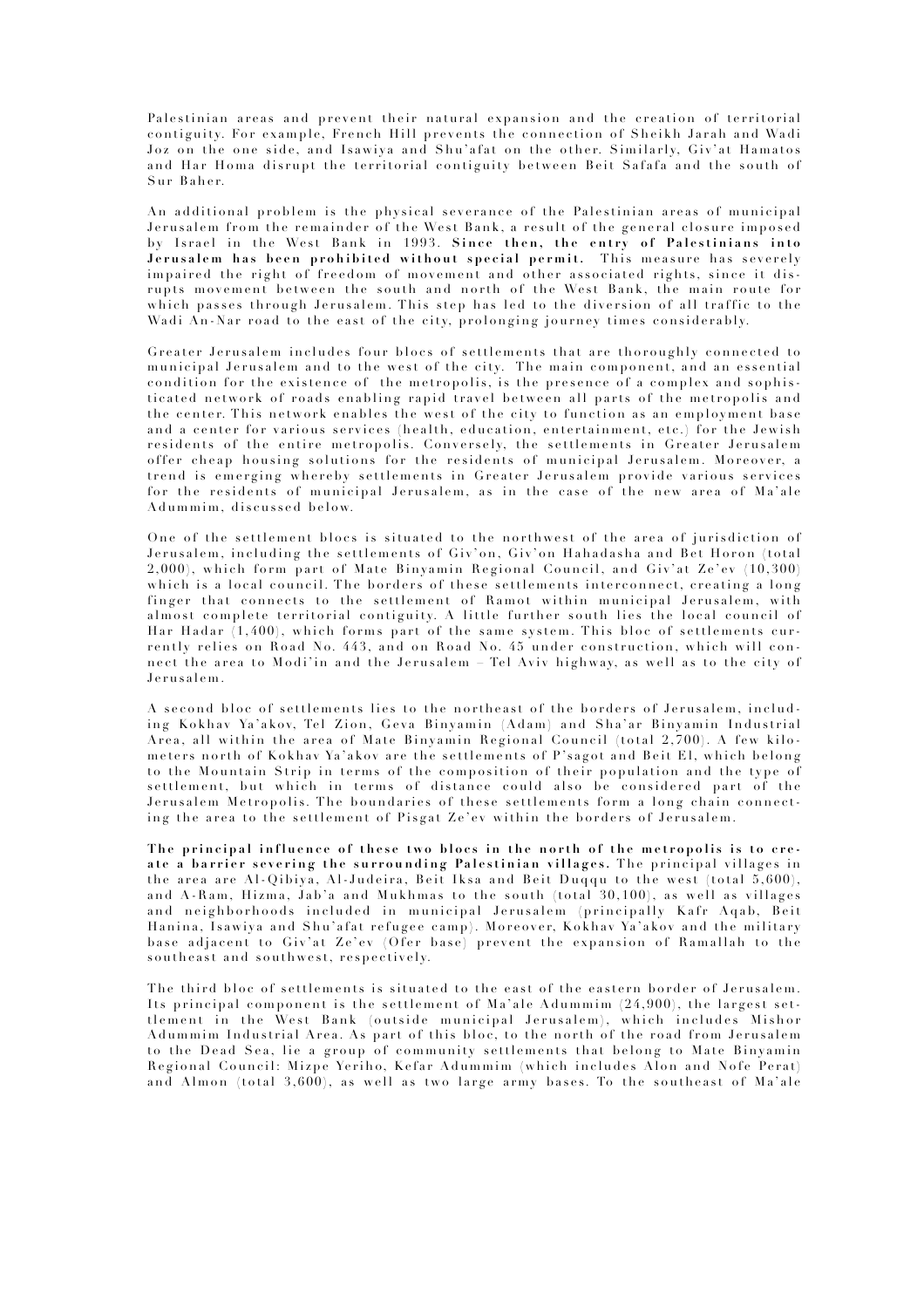Palestinian areas and prevent their natural expansion and the creation of territorial contiguity. For example, French Hill prevents the connection of Sheikh Jarah and Wadi Joz on the one side, and Isawiya and Shu'afat on the other. Similarly, Giv'at Hamatos and Har Homa disrupt the territorial contiguity between Beit Safafa and the south of Sur Baher.

An additional problem is the physical severance of the Palestinian areas of municipal Jerusalem from the remainder of the West Bank, a result of the general closure imposed by Israel in the West Bank in 1993. **Since then, the entry of Palestinians into Jerusalem has been prohibited without special permit.** This measure has severely impaired the right of freedom of movement and other associated rights, since it disrupts movement between the south and north of the West Bank, the main route for which passes through Jerusalem. This step has led to the diversion of all traffic to the Wadi An-Nar road to the east of the city, prolonging journey times considerably.

Greater Jerusalem includes four blocs of settlements that are thoroughly connected to municipal Jerusalem and to the west of the city. The main component, and an essential condition for the existence of the metropolis, is the presence of a complex and sophisticated network of roads enabling rapid travel between all parts of the metropolis and the center. This network enables the west of the city to function as an employment base and a center for various services (health, education, entertainment, etc.) for the Jewish residents of the entire metropolis. Conversely, the settlements in Greater Jerusalem offer cheap housing solutions for the residents of municipal Jerusalem. Moreover, a trend is emerging whereby settlements in Greater Jerusalem provide various services for the residents of municipal Jerusalem, as in the case of the new area of Ma'ale Adummim, discussed below.

One of the settlement blocs is situated to the northwest of the area of jurisdiction of Jerusalem, including the settlements of Giv'on, Giv'on Hahadasha and Bet Horon (total 2,000), which form part of Mate Binyamin Regional Council, and Giv'at Ze'ev (10,300) which is a local council. The borders of these settlements interconnect, creating a long finger that connects to the settlement of Ramot within municipal Jerusalem, with almost complete territorial contiguity. A little further south lies the local council of Har Hadar (1,400), which forms part of the same system. This bloc of settlements currently relies on Road No. 443, and on Road No. 45 under construction, which will connect the area to Modi'in and the Jerusalem – Tel Aviv highway, as well as to the city of Jerusalem.

A second bloc of settlements lies to the northeast of the borders of Jerusalem, including Kokhav Ya'akov, Tel Zion, Geva Binyamin (Adam) and Sha'ar Binyamin Industrial Area, all within the area of Mate Binyamin Regional Council (total 2,700). A few kilometers north of Kokhav Ya'akov are the settlements of P'sagot and Beit El, which belong to the Mountain Strip in terms of the composition of their population and the type of settlement, but which in terms of distance could also be considered part of the Jerusalem Metropolis. The boundaries of these settlements form a long chain connecting the area to the settlement of Pisgat Ze'ev within the borders of Jerusalem.

**The principal influence of these two blocs in the north of the metropolis is to create a barrier severing the surrounding Palestinian villages.** The principal villages in the area are Al-Qibiya, Al-Judeira, Beit Iksa and Beit Duqqu to the west (total 5,600), and A-Ram, Hizma, Jab'a and Mukhmas to the south (total 30,100), as well as villages and neighborhoods included in municipal Jerusalem (principally Kafr Aqab, Beit Hanina, Isawiya and Shu'afat refugee camp). Moreover, Kokhav Ya'akov and the military base adjacent to Giv'at Ze'ev (Ofer base) prevent the expansion of Ramallah to the southeast and southwest, respectively.

The third bloc of settlements is situated to the east of the eastern border of Jerusalem. Its principal component is the settlement of Ma'ale Adummim (24,900), the largest settlement in the West Bank (outside municipal Jerusalem), which includes Mishor Adummim Industrial Area. As part of this bloc, to the north of the road from Jerusalem to the Dead Sea, lie a group of community settlements that belong to Mate Binyamin Regional Council: Mizpe Yeriho, Kefar Adummim (which includes Alon and Nofe Perat) and Almon (total 3,600), as well as two large army bases. To the southeast of Ma'ale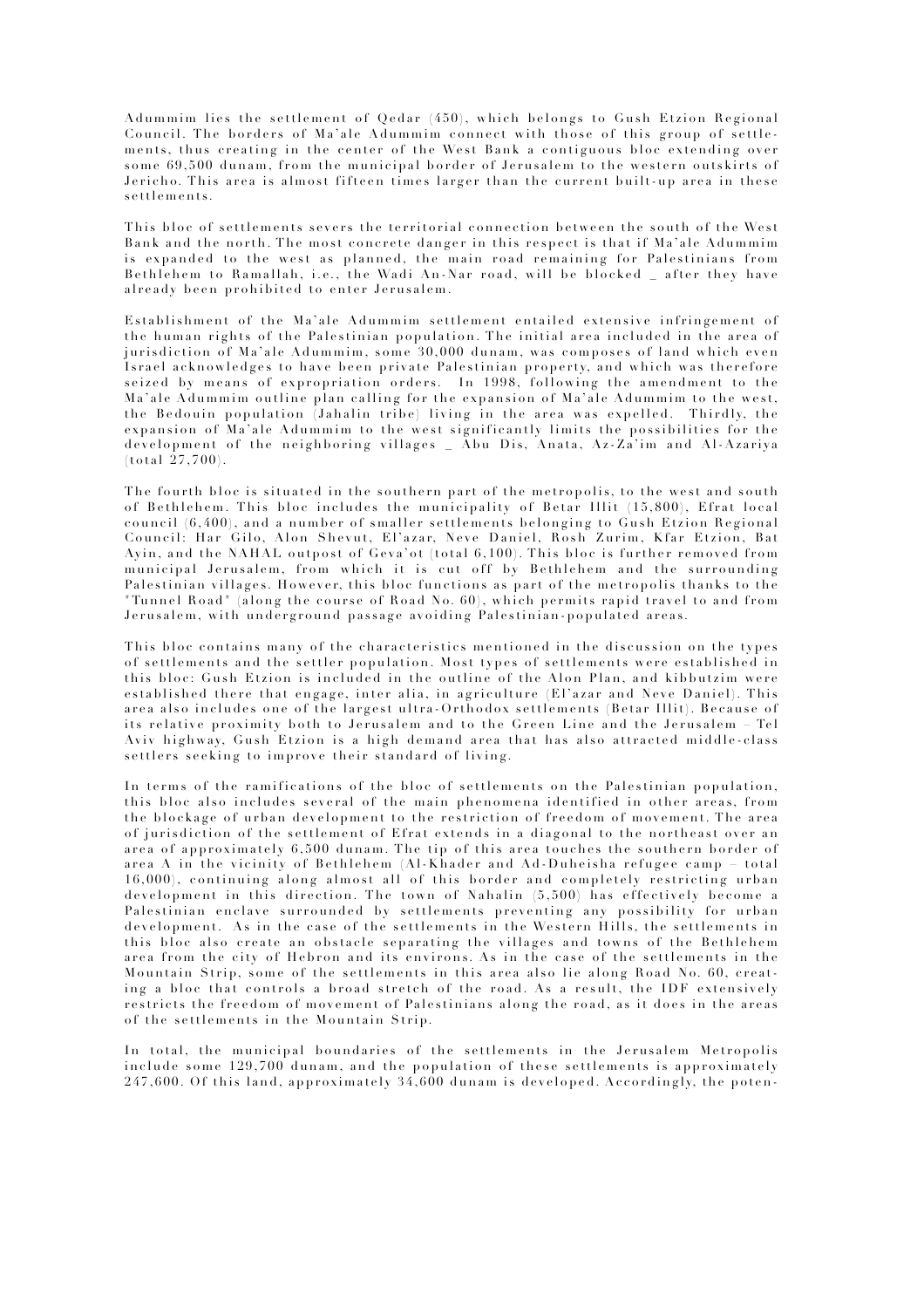Adummim lies the settlement of Qedar (450), which belongs to Gush Etzion Regional Council. The borders of Ma'ale Adummim connect with those of this group of settlements, thus creating in the center of the West Bank a contiguous bloc extending over some 69,500 dunam, from the municipal border of Jerusalem to the western outskirts of Jericho. This area is almost fifteen times larger than the current built-up area in these settlements.

This bloc of settlements severs the territorial connection between the south of the West Bank and the north. The most concrete danger in this respect is that if Ma'ale Adummim is expanded to the west as planned, the main road remaining for Palestinians from Bethlehem to Ramallah, i.e., the Wadi An-Nar road, will be blocked \_ after they have already been prohibited to enter Jerusalem.

Establishment of the Ma'ale Adummim settlement entailed extensive infringement of the human rights of the Palestinian population. The initial area included in the area of jurisdiction of Ma'ale Adummim, some 30,000 dunam, was composes of land which even Israel acknowledges to have been private Palestinian property, and which was therefore seized by means of expropriation orders. In 1998, following the amendment to the Ma'ale Adummim outline plan calling for the expansion of Ma'ale Adummim to the west, the Bedouin population (Jahalin tribe) living in the area was expelled. Thirdly, the expansion of Ma'ale Adummim to the west significantly limits the possibilities for the development of the neighboring villages \_ Abu Dis, Anata, Az-Za'im and Al-Azariya  $(total 27,700)$ .

The fourth bloc is situated in the southern part of the metropolis, to the west and south of Bethlehem. This bloc includes the municipality of Betar Illit (15,800), Efrat local council (6,400), and a number of smaller settlements belonging to Gush Etzion Regional Council: Har Gilo, Alon Shevut, El'azar, Neve Daniel, Rosh Zurim, Kfar Etzion, Bat Ayin, and the NAHAL outpost of Geva'ot (total 6,100). This bloc is further removed from municipal Jerusalem, from which it is cut off by Bethlehem and the surrounding Palestinian villages. However, this bloc functions as part of the metropolis thanks to the " Tunnel Road" (along the course of Road No. 60), which permits rapid travel to and from Jerusalem, with underground passage avoiding Palestinian-populated areas.

This bloc contains many of the characteristics mentioned in the discussion on the types of settlements and the settler population. Most types of settlements were established in this bloc: Gush Etzion is included in the outline of the Alon Plan, and kibbutzim were established there that engage, inter alia, in agriculture (El'azar and Neve Daniel). This area also includes one of the largest ultra-Orthodox settlements (Betar Illit). Because of its relative proximity both to Jerusalem and to the Green Line and the Jerusalem – Tel Aviv highway, Gush Etzion is a high demand area that has also attracted middle-class settlers seeking to improve their standard of living.

In terms of the ramifications of the bloc of settlements on the Palestinian population, this bloc also includes several of the main phenomena identified in other areas, from the blockage of urban development to the restriction of freedom of movement. The area of jurisdiction of the settlement of Efrat extends in a diagonal to the northeast over an area of approximately 6,500 dunam. The tip of this area touches the southern border of area A in the vicinity of Bethlehem (Al-Khader and Ad-Duheisha refugee camp – total 16,000), continuing along almost all of this border and completely restricting urban development in this direction. The town of Nahalin (5,500) has effectively become a Palestinian enclave surrounded by settlements preventing any possibility for urban development. As in the case of the settlements in the Western Hills, the settlements in this bloc also create an obstacle separating the villages and towns of the Bethlehem area from the city of Hebron and its environs. As in the case of the settlements in the Mountain Strip, some of the settlements in this area also lie along Road No. 60, creating a bloc that controls a broad stretch of the road. As a result, the IDF extensively restricts the freedom of movement of Palestinians along the road, as it does in the areas of the settlements in the Mountain Strip.

In total, the municipal boundaries of the settlements in the Jerusalem Metropolis include some 129,700 dunam, and the population of these settlements is approximately 247,600. Of this land, approximately 34,600 dunam is developed. Accordingly, the poten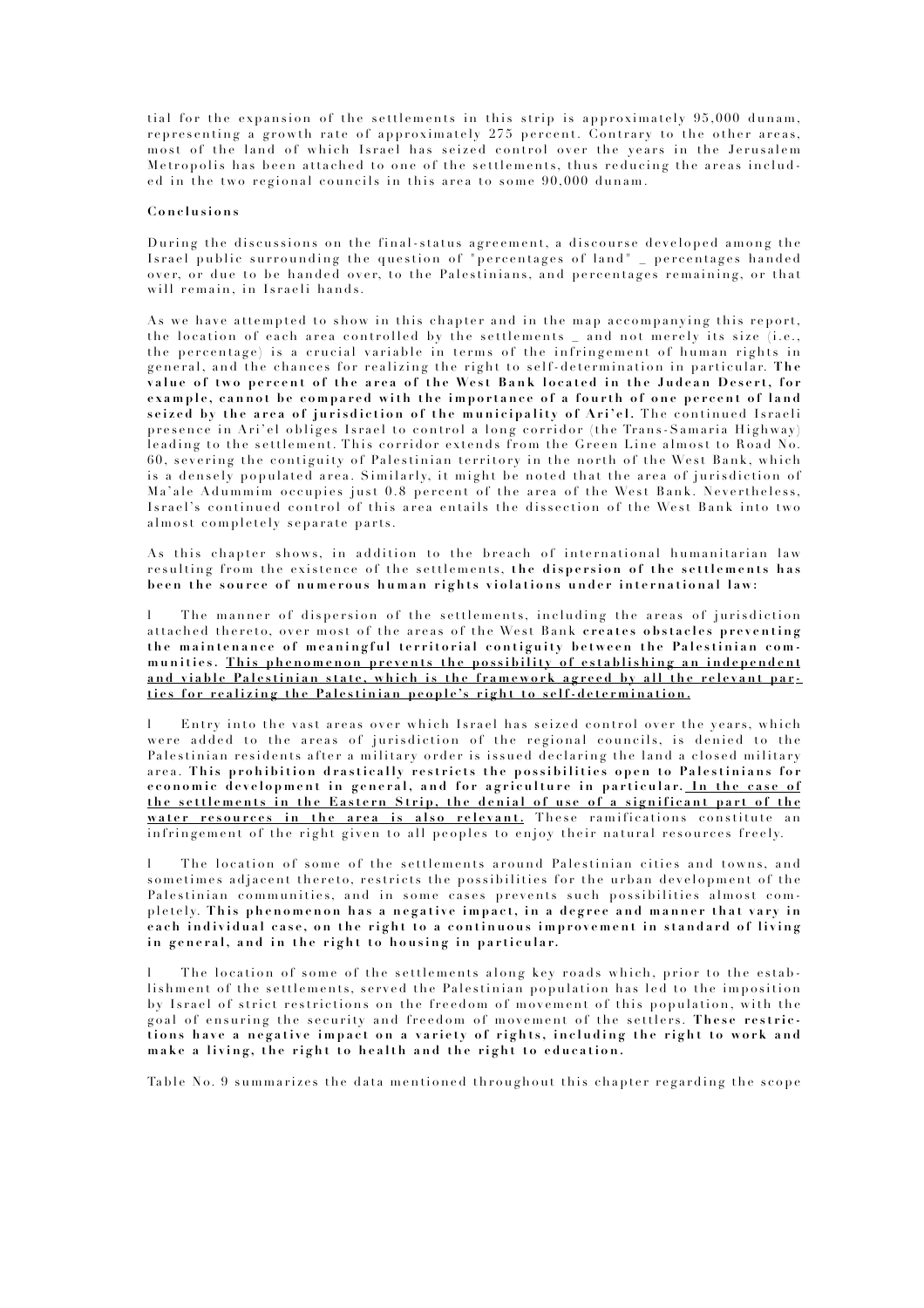tial for the expansion of the settlements in this strip is approximately 95,000 dunam, representing a growth rate of approximately 275 percent. Contrary to the other areas, most of the land of which Israel has seized control over the years in the Jerusalem Metropolis has been attached to one of the settlements, thus reducing the areas included in the two regional councils in this area to some 90,000 dunam.

## **Conclusions**

During the discussions on the final-status agreement, a discourse developed among the Israel public surrounding the question of "percentages of land" \_ percentages handed over, or due to be handed over, to the Palestinians, and percentages remaining, or that will remain, in Israeli hands.

As we have attempted to show in this chapter and in the map accompanying this report, the location of each area controlled by the settlements \_ and not merely its size (i.e., the percentage) is a crucial variable in terms of the infringement of human rights in general, and the chances for realizing the right to self-determination in particular. **The value of two percent of the area of the West Bank located in the Judean Desert, for example, cannot be compared with the importance of a fourth of one percent of land seized by the area of jurisdiction of the municipality of Ari'el.** The continued Israeli presence in Ari'el obliges Israel to control a long corridor (the Trans-Samaria Highway) leading to the settlement. This corridor extends from the Green Line almost to Road No. 60, severing the contiguity of Palestinian territory in the north of the West Bank, which is a densely populated area. Similarly, it might be noted that the area of jurisdiction of Ma'ale Adummim occupies just 0.8 percent of the area of the West Bank. Nevertheless, Israel's continued control of this area entails the dissection of the West Bank into two almost completely separate parts.

As this chapter shows, in addition to the breach of international humanitarian law resulting from the existence of the settlements, **the dispersion of the settlements has been the source of numerous human rights violations under international law:**

The manner of dispersion of the settlements, including the areas of jurisdiction attached thereto, over most of the areas of the West Bank **creates obstacles preventing the maintenance of meaningful territorial contiguity between the Palestinian communities. This phenomenon pre vents the possibility of establishing an independent and viable Palestinian state , which is the frame w ork agreed b y all the rele vant par ties for realizing the Palestinian people' s right to self-determination.**

l Entry into the vast areas over which Israel has seized control over the years, which were added to the areas of jurisdiction of the regional councils, is denied to the Palestinian residents after a military order is issued declaring the land a closed military area. **This prohibition drastically restricts the possibilities open to Palestinians for economic development in general, and for agriculture in particular. In the case of the settlements in the Eastern Strip, the denial of use of a significant part of the** water resources in the area is also relevant. These ramifications constitute an infringement of the right given to all peoples to enjoy their natural resources freely.

l The location of some of the settlements around Palestinian cities and towns, and sometimes adjacent thereto, restricts the possibilities for the urban development of the Palestinian communities, and in some cases prevents such possibilities almost completely. **This phenomenon has a negative impact, in a degree and manner that vary in each individual case, on the right to a continuous improvement in standard of living in general, and in the right to housing in particular.**

The location of some of the settlements along key roads which, prior to the establishment of the settlements, served the Palestinian population has led to the imposition by Israel of strict restrictions on the freedom of movement of this population, with the goal of ensuring the security and freedom of movement of the settlers. **These restrictions have a negative impact on a variety of rights, including the right to work and make a living, the right to health and the right to education.**

Table No. 9 summarizes the data mentioned throughout this chapter regarding the scope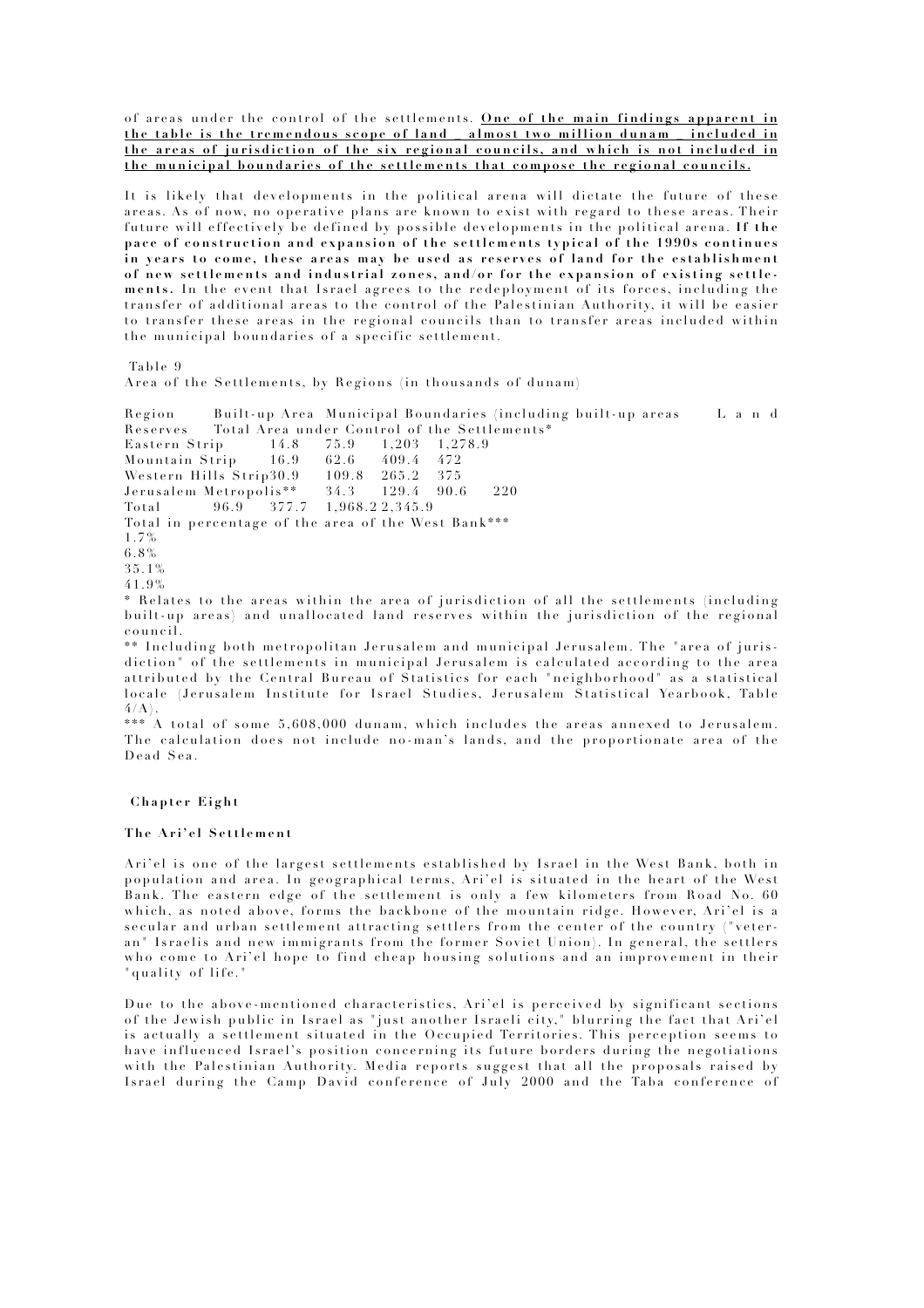of areas under the control of the settlements. **One of the main findings apparent in the table is the tremendous scope of land \_ almost tw o million dunam \_ included in the areas of jurisdiction of the six regional councils, and which is not included in the municipal boundaries of the settlements that compose the regional councils.**

It is likely that developments in the political arena will dictate the future of these areas. As of now, no operative plans are known to exist with regard to these areas. Their future will effectively be defined by possible developments in the political arena. **If the pace of construction and expansion of the settlements typical of the 1990s continues in years to come, these areas may be used as reserves of land for the establishment of new settlements and industrial zones, and/or for the expansion of existing settlements.** In the event that Israel agrees to the redeployment of its forces, including the transfer of additional areas to the control of the Palestinian Authority, it will be easier to transfer these areas in the regional councils than to transfer areas included within the municipal boundaries of a specific settlement.

Table 9

Area of the Settlements, by Regions (in thousands of dunam)

Region Built-up Area Municipal Boundaries (including built-up areas Land Reserves Total Area under Control of the Settlements\* Eastern Strip 14.8 75.9 1,203 1,278.9<br>Mountain Strip 16.9 62.6 409.4 472 Mountain Strip 16.9 62.6 409.4 472 Western Hills Strip30.9 109.8 265.2 375 Jerusalem Metropolis\*\* 34.3 129.4 90.6 220 Total 96.9 377.7 1,968.2 2,345.9 Total in percentage of the area of the West Bank\*\*\* 1.7% 6.8% 35.1% 41.9% \* Relates to the areas within the area of jurisdiction of all the settlements (including

built-up areas) and unallocated land reserves within the jurisdiction of the regional council.

\*\* Including both metropolitan Jerusalem and municipal Jerusalem. The "area of jurisdiction" of the settlements in municipal Jerusalem is calculated according to the area attributed by the Central Bureau of Statistics for each "neighborhood" as a statistical locale (Jerusalem Institute for Israel Studies, Jerusalem Statistical Yearbook, Table  $4/A$ ).

\*\*\* A total of some 5,608,000 dunam, which includes the areas annexed to Jerusalem. The calculation does not include no-man's lands, and the proportionate area of the Dead Sea.

# **Chapter Eight**

#### **The Ari'el Settlement**

Ari'el is one of the largest settlements established by Israel in the West Bank, both in population and area. In geographical terms, Ari'el is situated in the heart of the West Bank. The eastern edge of the settlement is only a few kilometers from Road No. 60 which, as noted above, forms the backbone of the mountain ridge. However, Ari'el is a secular and urban settlement attracting settlers from the center of the country ("veteran" Israelis and new immigrants from the former Soviet Union). In general, the settlers who come to Ari'el hope to find cheap housing solutions and an improvement in their "quality of life."

Due to the above-mentioned characteristics, Ari'el is perceived by significant sections of the Jewish public in Israel as "just another Israeli city," blurring the fact that Ari'el is actually a settlement situated in the Occupied Territories. This perception seems to have influenced Israel's position concerning its future borders during the negotiations with the Palestinian Authority. Media reports suggest that all the proposals raised by Israel during the Camp David conference of July 2000 and the Taba conference of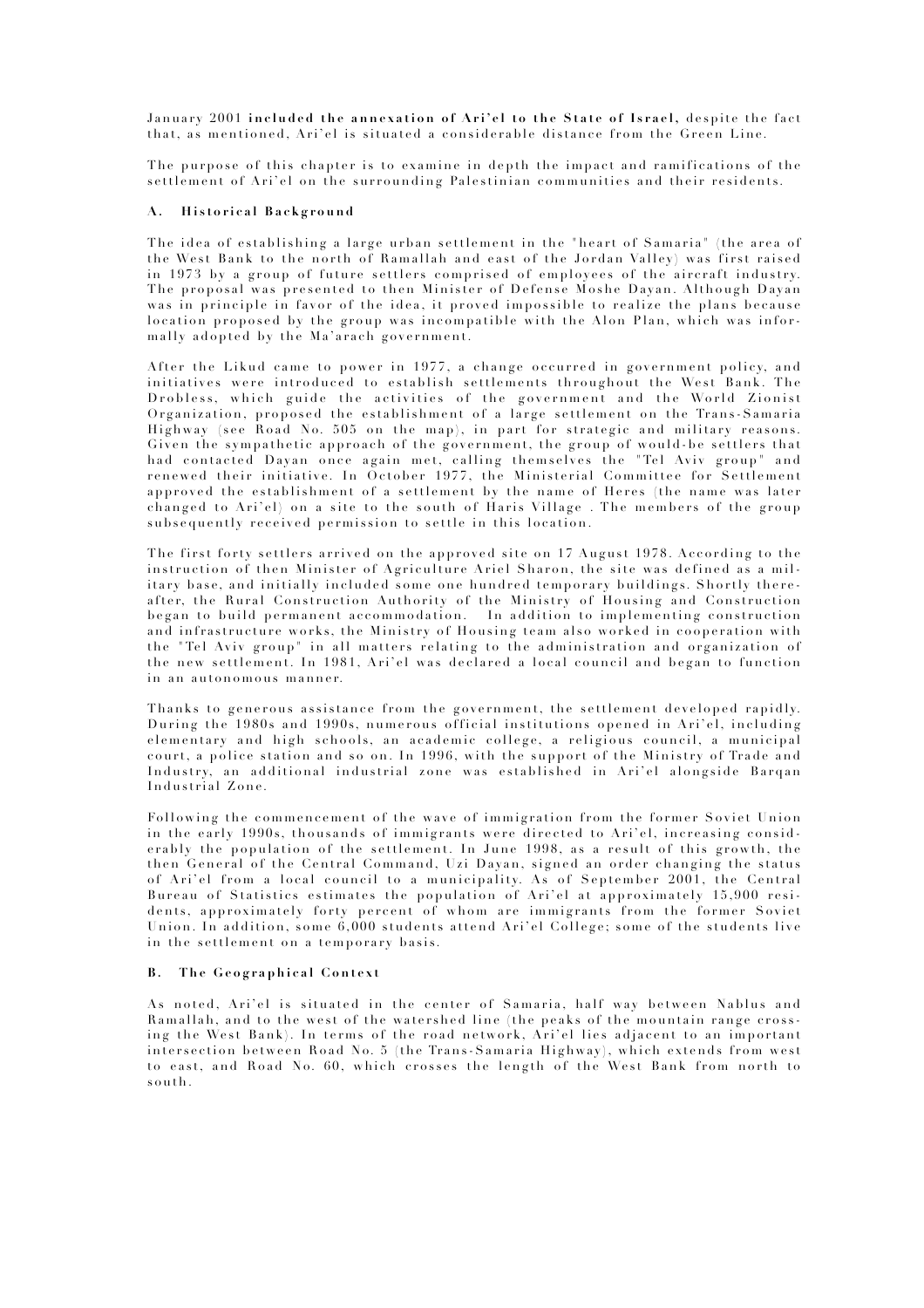January 2001 **included the annexation of Ari'el to the State of Israel,** despite the fact that, as mentioned, Ari'el is situated a considerable distance from the Green Line.

The purpose of this chapter is to examine in depth the impact and ramifications of the settlement of Ari'el on the surrounding Palestinian communities and their residents.

## **A. Historical Background**

The idea of establishing a large urban settlement in the "heart of Samaria" (the area of the West Bank to the north of Ramallah and east of the Jordan Valley) was first raised in 1973 by a group of future settlers comprised of employees of the aircraft industry. The proposal was presented to then Minister of Defense Moshe Dayan. Although Dayan was in principle in favor of the idea, it proved impossible to realize the plans because location proposed by the group was incompatible with the Alon Plan, which was informally adopted by the Ma'arach government.

After the Likud came to power in 1977, a change occurred in government policy, and initiatives were introduced to establish settlements throughout the West Bank. The Drobless, which guide the activities of the government and the World Zionist Organization, proposed the establishment of a large settlement on the Trans-Samaria Highway (see Road No. 505 on the map), in part for strategic and military reasons. Given the sympathetic approach of the government, the group of would-be settlers that had contacted Dayan once again met, calling themselves the "Tel Aviv group" and renewed their initiative. In October 1977, the Ministerial Committee for Settlement approved the establishment of a settlement by the name of Heres (the name was later changed to Ari'el) on a site to the south of Haris Village . The members of the group subsequently received permission to settle in this location.

The first forty settlers arrived on the approved site on 17 August 1978. According to the instruction of then Minister of Agriculture Ariel Sharon, the site was defined as a military base, and initially included some one hundred temporary buildings. Shortly thereafter, the Rural Construction Authority of the Ministry of Housing and Construction began to build permanent accommodation. In addition to implementing construction and infrastructure works, the Ministry of Housing team also worked in cooperation with the "Tel Aviv group" in all matters relating to the administration and organization of the new settlement. In 1981, Ari'el was declared a local council and began to function in an autonomous manner.

Thanks to generous assistance from the government, the settlement developed rapidly. During the 1980s and 1990s, numerous official institutions opened in Ari'el, including elementary and high schools, an academic college, a religious council, a municipal court, a police station and so on. In 1996, with the support of the Ministry of Trade and Industry, an additional industrial zone was established in Ari'el alongside Barqan Industrial Zone.

Following the commencement of the wave of immigration from the former Soviet Union in the early 1990s, thousands of immigrants were directed to Ari'el, increasing considerably the population of the settlement. In June 1998, as a result of this growth, the then General of the Central Command, Uzi Dayan, signed an order changing the status of Ari'el from a local council to a municipality. As of September 2001, the Central Bureau of Statistics estimates the population of Ari'el at approximately 15,900 residents, approximately forty percent of whom are immigrants from the former Soviet Union. In addition, some 6,000 students attend Ari'el College; some of the students live in the settlement on a temporary basis.

#### **B. The Geographical Context**

As noted, Ari'el is situated in the center of Samaria, half way between Nablus and Ramallah, and to the west of the watershed line (the peaks of the mountain range crossing the West Bank). In terms of the road network, Ari'el lies adjacent to an important intersection between Road No. 5 (the Trans-Samaria Highway), which extends from west to east, and Road No. 60, which crosses the length of the West Bank from north to south.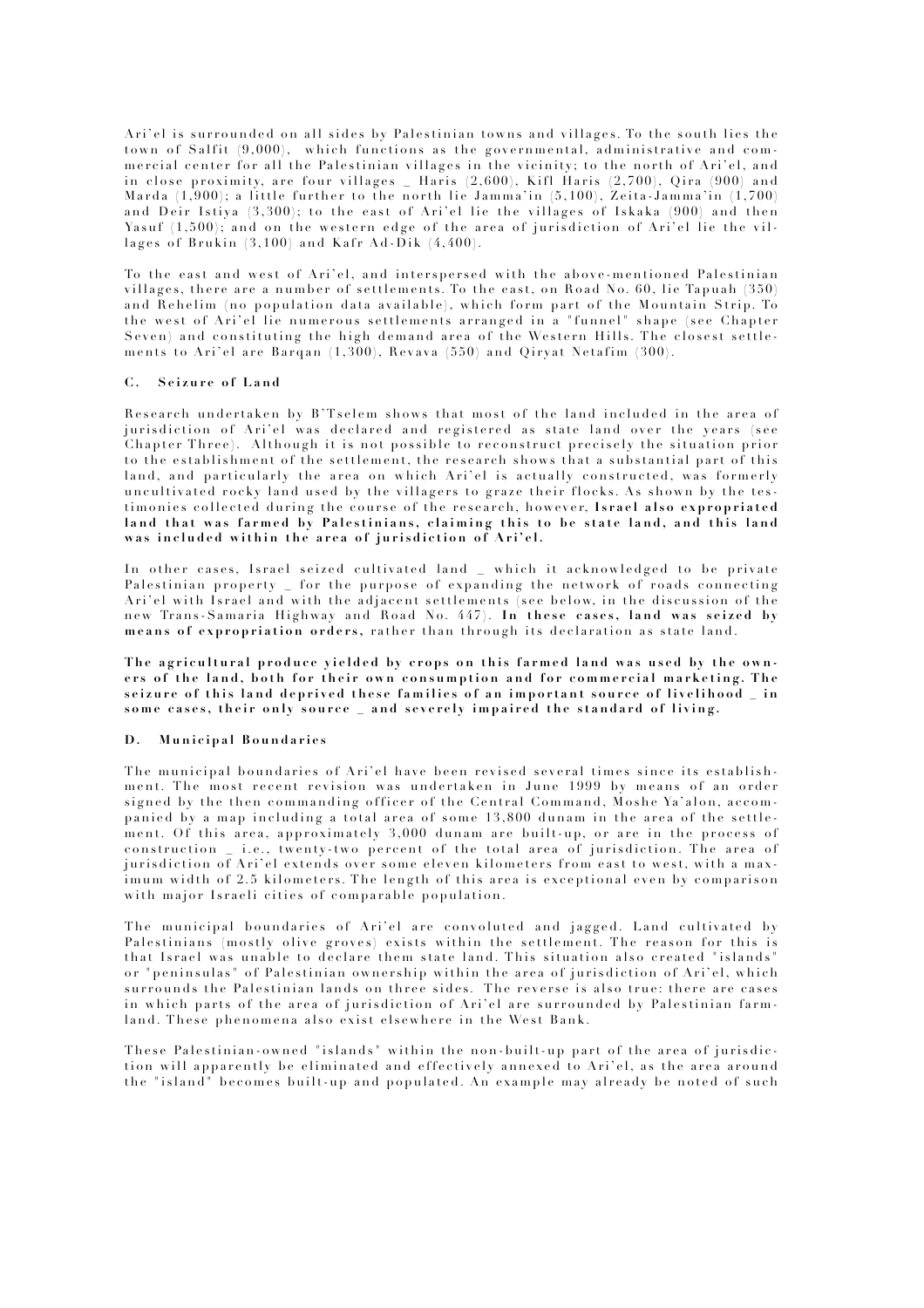Ari'el is surrounded on all sides by Palestinian towns and villages. To the south lies the town of Salfit (9,000), which functions as the governmental, administrative and commercial center for all the Palestinian villages in the vicinity; to the north of Ari'el, and in close proximity, are four villages  $\overline{\phantom{a}}$  Haris (2,600), Kifl Haris (2,700), Qira (900) and Marda (1,900); a little further to the north lie Jamma'in (5,100), Zeita-Jamma'in (1,700) and Deir Istiya (3,300); to the east of Ari'el lie the villages of Iskaka (900) and then Yasuf (1,500); and on the western edge of the area of jurisdiction of Ari'el lie the villages of Brukin (3,100) and Kafr Ad-Dik (4,400).

To the east and west of Ari'el, and interspersed with the above-mentioned Palestinian villages, there are a number of settlements. To the east, on Road No. 60, lie Tapuah (350) and Rehelim (no population data available), which form part of the Mountain Strip. To the west of Ari'el lie numerous settlements arranged in a "funnel" shape (see Chapter Seven) and constituting the high demand area of the Western Hills. The closest settlements to Ari'el are Barqan (1,300), Revava (550) and Qiryat Netafim (300).

#### **C. Seizure of Land**

Research undertaken by B'Tselem shows that most of the land included in the area of jurisdiction of Ari'el was declared and registered as state land over the years (see Chapter Three). Although it is not possible to reconstruct precisely the situation prior to the establishment of the settlement, the research shows that a substantial part of this land, and particularly the area on which Ari'el is actually constructed, was formerly uncultivated rocky land used by the villagers to graze their flocks. As shown by the testimonies collected during the course of the research, however, **Israel also expropriated land that was farmed by Palestinians, claiming this to be state land, and this land was included within the area of jurisdiction of Ari'el.**

In other cases, Israel seized cultivated land \_ which it acknowledged to be private Palestinian property \_ for the purpose of expanding the network of roads connecting Ari'el with Israel and with the adjacent settlements (see below, in the discussion of the new Trans-Samaria Highway and Road No. 447). In these cases, land was seized by **means of expropriation orders,** rather than through its declaration as state land.

**The agricultural produce yielded by crops on this farmed land was used by the owners of the land, both for their own consumption and for commercial marketing. The seizure of this land deprived these families of an important source of livelihood \_ in some cases, their only source \_ and severely impaired the standard of living.**

#### **D. Municipal Boundaries**

The municipal boundaries of Ari'el have been revised several times since its establishment. The most recent revision was undertaken in June 1999 by means of an order signed by the then commanding officer of the Central Command, Moshe Ya'alon, accompanied by a map including a total area of some 13,800 dunam in the area of the settlement. Of this area, approximately 3,000 dunam are built-up, or are in the process of construction \_ i.e., twenty-two percent of the total area of jurisdiction. The area of jurisdiction of Ari'el extends over some eleven kilometers from east to west, with a maximum width of 2.5 kilometers. The length of this area is exceptional even by comparison with major Israeli cities of comparable population.

The municipal boundaries of Ari'el are convoluted and jagged. Land cultivated by Palestinians (mostly olive groves) exists within the settlement. The reason for this is that Israel was unable to declare them state land. This situation also created "islands" or "peninsulas" of Palestinian ownership within the area of jurisdiction of Ari'el, which surrounds the Palestinian lands on three sides. The reverse is also true: there are cases in which parts of the area of jurisdiction of Ari'el are surrounded by Palestinian farmland. These phenomena also exist elsewhere in the West Bank.

These Palestinian-owned "islands" within the non-built-up part of the area of jurisdiction will apparently be eliminated and effectively annexed to Ari'el, as the area around the "island" becomes built-up and populated. An example may already be noted of such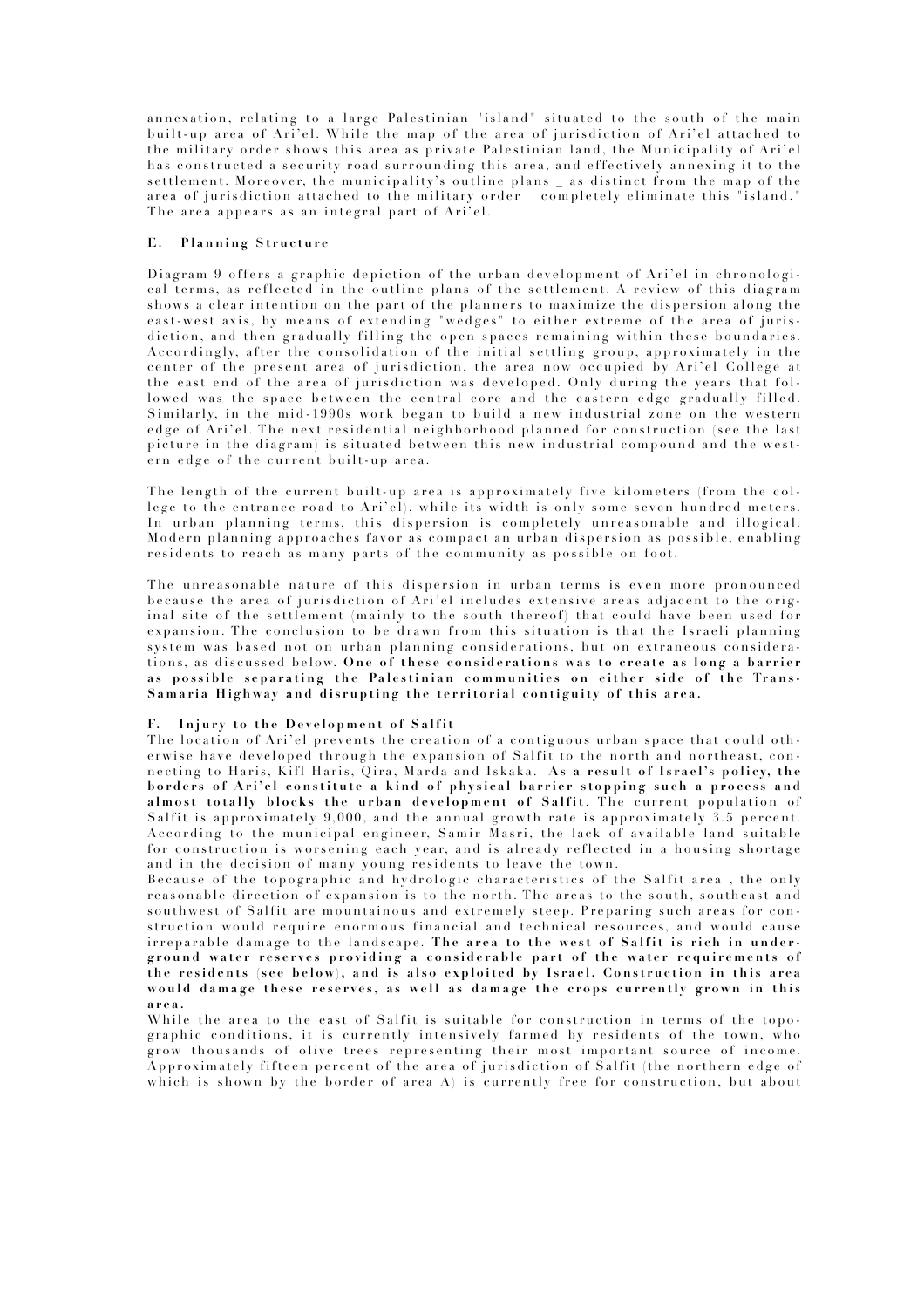annexation, relating to a large Palestinian "island" situated to the south of the main built-up area of Ari'el. While the map of the area of jurisdiction of Ari'el attached to the military order shows this area as private Palestinian land, the Municipality of Ari'el has constructed a security road surrounding this area, and effectively annexing it to the settlement. Moreover, the municipality's outline plans \_ as distinct from the map of the area of jurisdiction attached to the military order \_ completely eliminate this "island." The area appears as an integral part of Ari'el.

## **E. Planning Structure**

Diagram 9 offers a graphic depiction of the urban development of Ari'el in chronological terms, as reflected in the outline plans of the settlement. A review of this diagram shows a clear intention on the part of the planners to maximize the dispersion along the east-west axis, by means of extending "wedges" to either extreme of the area of jurisdiction, and then gradually filling the open spaces remaining within these boundaries. Accordingly, after the consolidation of the initial settling group, approximately in the center of the present area of jurisdiction, the area now occupied by Ari'el College at the east end of the area of jurisdiction was developed. Only during the years that followed was the space between the central core and the eastern edge gradually filled. Similarly, in the mid-1990s work began to build a new industrial zone on the western edge of Ari'el. The next residential neighborhood planned for construction (see the last picture in the diagram) is situated between this new industrial compound and the western edge of the current built-up area.

The length of the current built-up area is approximately five kilometers (from the college to the entrance road to Ari'el), while its width is only some seven hundred meters. In urban planning terms, this dispersion is completely unreasonable and illogical. Modern planning approaches favor as compact an urban dispersion as possible, enabling residents to reach as many parts of the community as possible on foot.

The unreasonable nature of this dispersion in urban terms is even more pronounced because the area of jurisdiction of Ari'el includes extensive areas adjacent to the original site of the settlement (mainly to the south thereof) that could have been used for expansion. The conclusion to be drawn from this situation is that the Israeli planning system was based not on urban planning considerations, but on extraneous considerations, as discussed below. **One of these considerations was to create as long a barrier as possible separating the Palestinian communities on either side of the Trans-Samaria Highway and disrupting the territorial contiguity of this area.**

#### **F. Injury to the Development of Salfit**

The location of Ari'el prevents the creation of a contiguous urban space that could otherwise have developed through the expansion of Salfit to the north and northeast, connecting to Haris, Kifl Haris, Qira, Marda and Iskaka. **As a result of Israel's policy, the borders of Ari'el constitute a kind of physical barrier stopping such a process and almost totally blocks the urban development of Salfit**. The current population of Salfit is approximately 9,000, and the annual growth rate is approximately 3.5 percent. According to the municipal engineer, Samir Masri, the lack of available land suitable for construction is worsening each year, and is already reflected in a housing shortage and in the decision of many young residents to leave the town.

Because of the topographic and hydrologic characteristics of the Salfit area , the only reasonable direction of expansion is to the north. The areas to the south, southeast and southwest of Salfit are mountainous and extremely steep. Preparing such areas for construction would require enormous financial and technical resources, and would cause irreparable damage to the landscape. **The area to the west of Salfit is rich in underground water reserves providing a considerable part of the water requirements of the residents (see below), and is also exploited by Israel. Construction in this area would damage these reserves, as well as damage the crops currently grown in this area.**

While the area to the east of Salfit is suitable for construction in terms of the topographic conditions, it is currently intensively farmed by residents of the town, who grow thousands of olive trees representing their most important source of income. Approximately fifteen percent of the area of jurisdiction of Salfit (the northern edge of which is shown by the border of area A) is currently free for construction, but about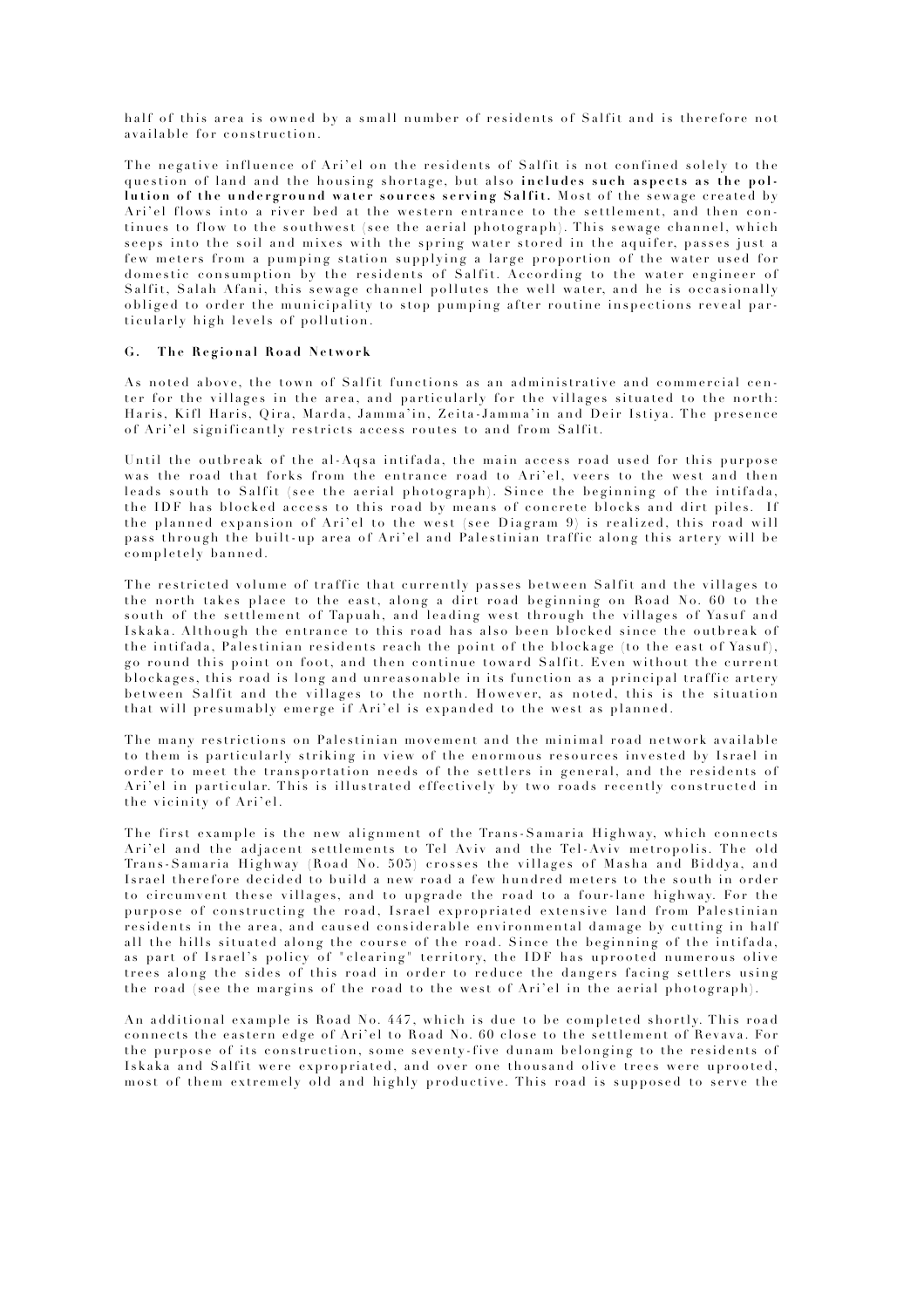half of this area is owned by a small number of residents of Salfit and is therefore not available for construction.

The negative influence of Ari'el on the residents of Salfit is not confined solely to the question of land and the housing shortage, but also **includes such aspects as the pollution of the underground water sources serving Salfit.** Most of the sewage created by Ari'el flows into a river bed at the western entrance to the settlement, and then continues to flow to the southwest (see the aerial photograph). This sewage channel, which seeps into the soil and mixes with the spring water stored in the aquifer, passes just a few meters from a pumping station supplying a large proportion of the water used for domestic consumption by the residents of Salfit. According to the water engineer of Salfit, Salah Afani, this sewage channel pollutes the well water, and he is occasionally obliged to order the municipality to stop pumping after routine inspections reveal particularly high levels of pollution.

#### **G. The Regional Road Network**

As noted above, the town of Salfit functions as an administrative and commercial center for the villages in the area, and particularly for the villages situated to the north: Haris, Kifl Haris, Qira, Marda, Jamma'in, Zeita-Jamma'in and Deir Istiya. The presence of Ari'el significantly restricts access routes to and from Salfit.

Until the outbreak of the al-Aqsa intifada, the main access road used for this purpose was the road that forks from the entrance road to Ari'el, veers to the west and then leads south to Salfit (see the aerial photograph). Since the beginning of the intifada, the IDF has blocked access to this road by means of concrete blocks and dirt piles. If the planned expansion of Ari'el to the west (see Diagram 9) is realized, this road will pass through the built-up area of Ari'el and Palestinian traffic along this artery will be completely banned.

The restricted volume of traffic that currently passes between Salfit and the villages to the north takes place to the east, along a dirt road beginning on Road No. 60 to the south of the settlement of Tapuah, and leading west through the villages of Yasuf and Iskaka. Although the entrance to this road has also been blocked since the outbreak of the intifada, Palestinian residents reach the point of the blockage (to the east of Yasuf), go round this point on foot, and then continue toward Salfit. Even without the current blockages, this road is long and unreasonable in its function as a principal traffic artery between Salfit and the villages to the north. However, as noted, this is the situation that will presumably emerge if Ari'el is expanded to the west as planned.

The many restrictions on Palestinian movement and the minimal road network available to them is particularly striking in view of the enormous resources invested by Israel in order to meet the transportation needs of the settlers in general, and the residents of Ari'el in particular. This is illustrated effectively by two roads recently constructed in the vicinity of Ari'el.

The first example is the new alignment of the Trans-Samaria Highway, which connects Ari'el and the adjacent settlements to Tel Aviv and the Tel-Aviv metropolis. The old Trans-Samaria Highway (Road No. 505) crosses the villages of Masha and Biddya, and Israel therefore decided to build a new road a few hundred meters to the south in order to circumvent these villages, and to upgrade the road to a four-lane highway. For the purpose of constructing the road, Israel expropriated extensive land from Palestinian residents in the area, and caused considerable environmental damage by cutting in half all the hills situated along the course of the road. Since the beginning of the intifada, as part of Israel's policy of "clearing" territory, the IDF has uprooted numerous olive trees along the sides of this road in order to reduce the dangers facing settlers using the road (see the margins of the road to the west of Ari'el in the aerial photograph).

An additional example is Road No. 447, which is due to be completed shortly. This road connects the eastern edge of Ari'el to Road No. 60 close to the settlement of Revava. For the purpose of its construction, some seventy-five dunam belonging to the residents of Iskaka and Salfit were expropriated, and over one thousand olive trees were uprooted, most of them extremely old and highly productive. This road is supposed to serve the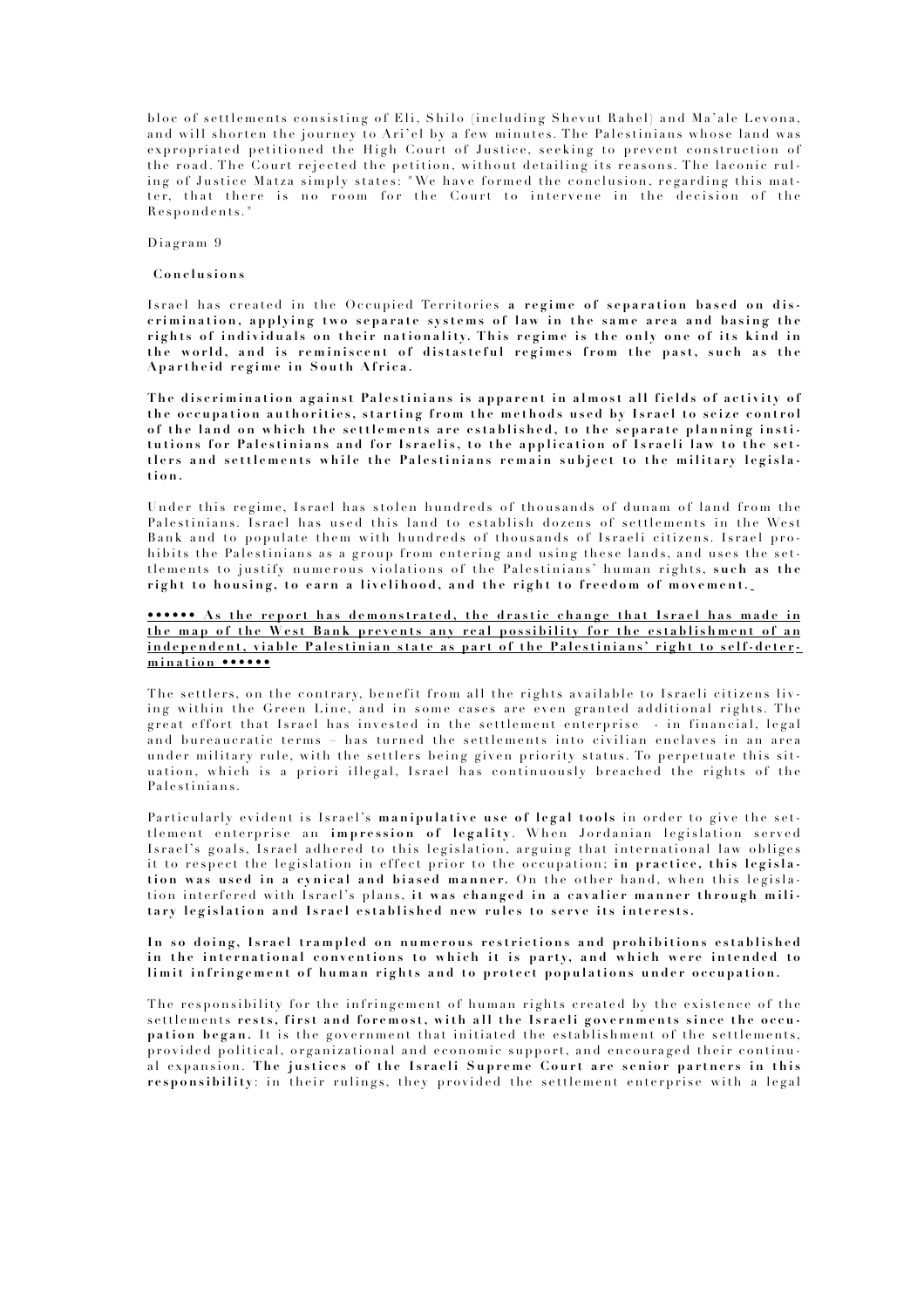bloc of settlements consisting of Eli, Shilo (including Shevut Rahel) and Ma'ale Levona, and will shorten the journey to Ari'el by a few minutes. The Palestinians whose land was expropriated petitioned the High Court of Justice, seeking to prevent construction of the road. The Court rejected the petition, without detailing its reasons. The laconic ruling of Justice Matza simply states: "We have formed the conclusion, regarding this matter, that there is no room for the Court to intervene in the decision of the Respondents."

Diagram 9

#### **Conclusions**

Israel has created in the Occupied Territories **a regime of separation based on discrimination, applying two separate systems of law in the same area and basing the rights of individuals on their nationality. This regime is the only one of its kind in the world, and is reminiscent of distasteful regimes from the past, such as the Apartheid regime in South Africa.**

**The discrimination against Palestinians is apparent in almost all fields of activity of the occupation authorities, starting from the methods used by Israel to seize control of the land on which the settlements are established, to the separate planning institutions for Palestinians and for Israelis, to the application of Israeli law to the settlers and settlements while the Palestinians remain subject to the military legislation.**

Under this regime, Israel has stolen hundreds of thousands of dunam of land from the Palestinians. Israel has used this land to establish dozens of settlements in the West Bank and to populate them with hundreds of thousands of Israeli citizens. Israel prohibits the Palestinians as a group from entering and using these lands, and uses the settlements to justify numerous violations of the Palestinians' human rights, **such as the right to housing, to earn a livelihood, and the right to freedom of movement.**

### **•••••• As the report has demonstrated, the drastic change that Israel has made in the map of the West Bank prevents any real possibility for the establishment of an independent, viable Palestinian state as part of the Palestinians' right to self-deter mination ••••••**

The settlers, on the contrary, benefit from all the rights available to Israeli citizens living within the Green Line, and in some cases are even granted additional rights. The great effort that Israel has invested in the settlement enterprise - in financial, legal and bureaucratic terms – has turned the settlements into civilian enclaves in an area under military rule, with the settlers being given priority status. To perpetuate this situation, which is a priori illegal, Israel has continuously breached the rights of the Palestinians.

Particularly evident is Israel's **manipulative use of legal tools** in order to give the settlement enterprise an **impression of legality** . When Jordanian legislation served Israel's goals, Israel adhered to this legislation, arguing that international law obliges it to respect the legislation in effect prior to the occupation; **in practice, this legislation was used in a cynical and biased manner.** On the other hand, when this legislation interfered with Israel's plans, **it was changed in a cavalier manner through military legislation and Israel established new rules to serve its interests.**

**In so doing, Israel trampled on numerous restrictions and prohibitions established in the international conventions to which it is party, and which were intended to limit infringement of human rights and to protect populations under occupation.**

The responsibility for the infringement of human rights created by the existence of the settlements **rests, first and foremost, with all the Israeli governments since the occupation began.** It is the government that initiated the establishment of the settlements, provided political, organizational and economic support, and encouraged their continual expansion. **The justices of the Israeli Supreme Court are senior partners in this responsibility** : in their rulings, they provided the settlement enterprise with a legal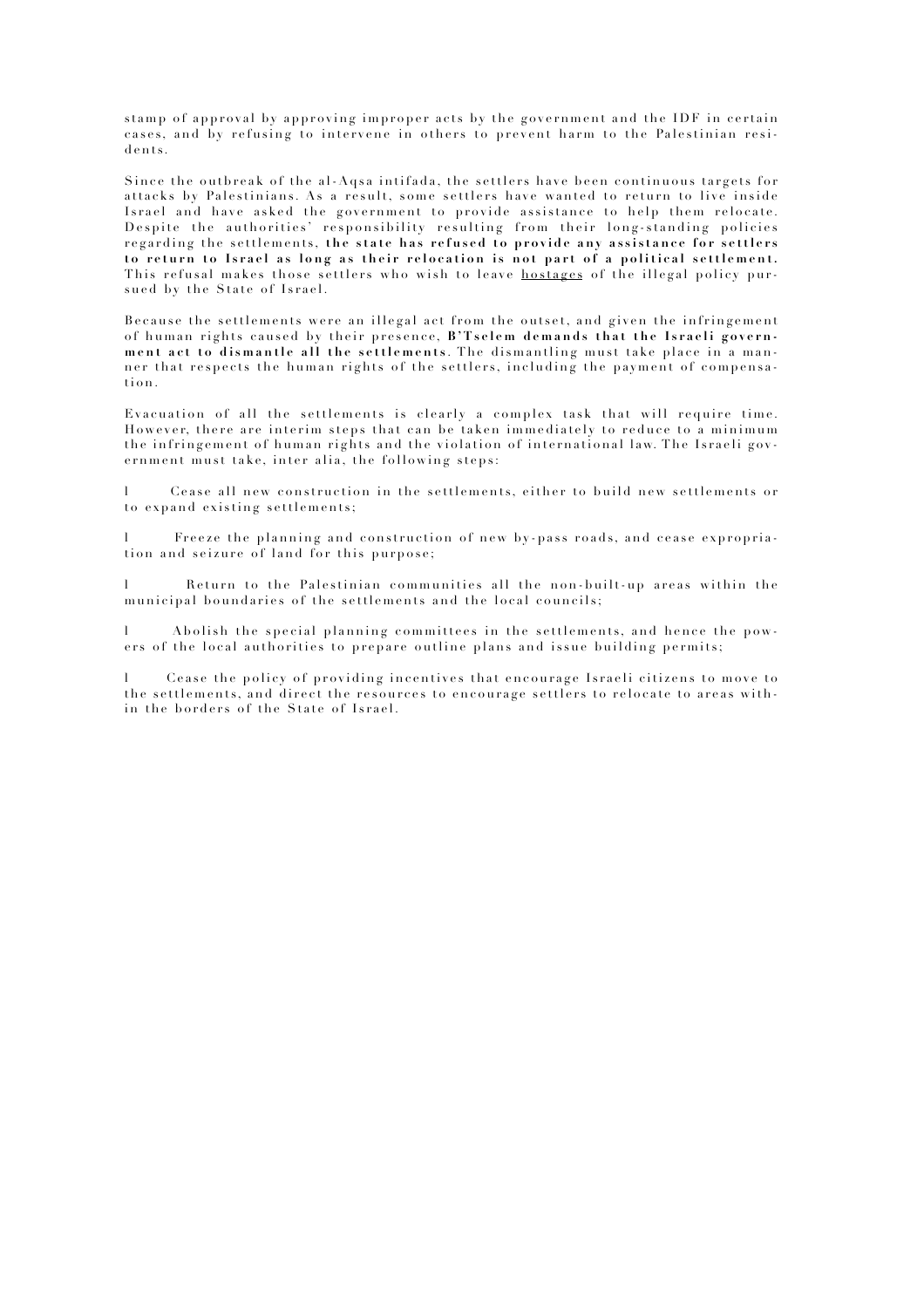stamp of approval by approving improper acts by the government and the IDF in certain cases, and by refusing to intervene in others to prevent harm to the Palestinian residents.

Since the outbreak of the al-Aqsa intifada, the settlers have been continuous targets for attacks by Palestinians. As a result, some settlers have wanted to return to live inside Israel and have asked the government to provide assistance to help them relocate. Despite the authorities' responsibility resulting from their long-standing policies regarding the settlements, **the state has refused to provide any assistance for settlers to return to Israel as long as their relocation is not part of a political settlement.** This refusal makes those settlers who wish to leave hostages of the illegal policy pursued by the State of Israel.

Because the settlements were an illegal act from the outset, and given the infringement of human rights caused by their presence, **B'Tselem demands that the Israeli government act to dismantle all the settlements** . The dismantling must take place in a manner that respects the human rights of the settlers, including the payment of compensation.

Evacuation of all the settlements is clearly a complex task that will require time. However, there are interim steps that can be taken immediately to reduce to a minimum the infringement of human rights and the violation of international law. The Israeli government must take, inter alia, the following steps:

l Cease all new construction in the settlements, either to build new settlements or to expand existing settlements;

l Freeze the planning and construction of new by-pass roads, and cease expropriation and seizure of land for this purpose;

l Return to the Palestinian communities all the non-built-up areas within the municipal boundaries of the settlements and the local councils;

l Abolish the special planning committees in the settlements, and hence the powers of the local authorities to prepare outline plans and issue building permits;

l Cease the policy of providing incentives that encourage Israeli citizens to move to the settlements, and direct the resources to encourage settlers to relocate to areas within the borders of the State of Israel.